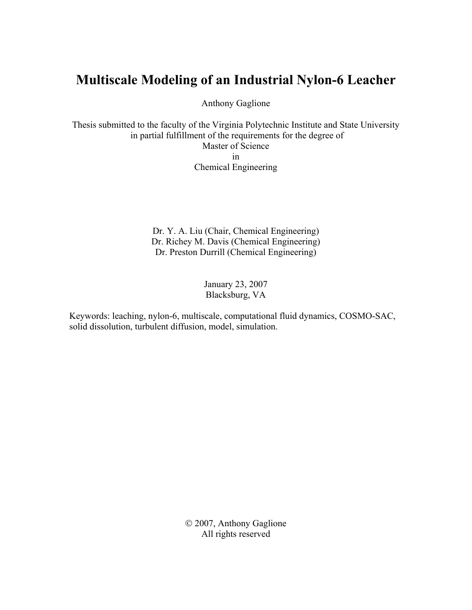# **Multiscale Modeling of an Industrial Nylon-6 Leacher**

Anthony Gaglione

Thesis submitted to the faculty of the Virginia Polytechnic Institute and State University in partial fulfillment of the requirements for the degree of Master of Science in Chemical Engineering

> Dr. Y. A. Liu (Chair, Chemical Engineering) Dr. Richey M. Davis (Chemical Engineering) Dr. Preston Durrill (Chemical Engineering)

> > January 23, 2007 Blacksburg, VA

Keywords: leaching, nylon-6, multiscale, computational fluid dynamics, COSMO-SAC, solid dissolution, turbulent diffusion, model, simulation.

> © 2007, Anthony Gaglione All rights reserved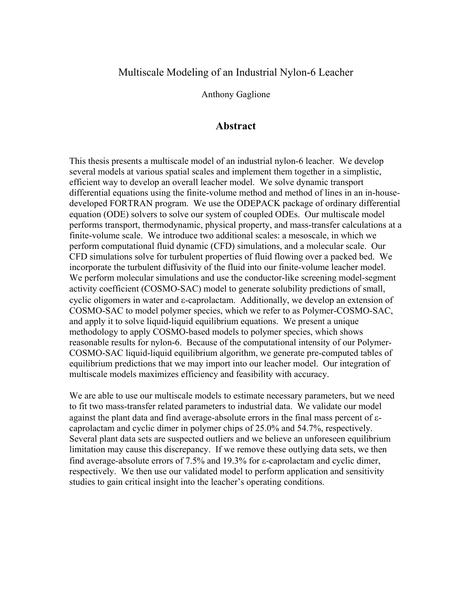### <span id="page-1-0"></span>Multiscale Modeling of an Industrial Nylon-6 Leacher

Anthony Gaglione

#### **Abstract**

<span id="page-1-1"></span>This thesis presents a multiscale model of an industrial nylon-6 leacher. We develop several models at various spatial scales and implement them together in a simplistic, efficient way to develop an overall leacher model. We solve dynamic transport differential equations using the finite-volume method and method of lines in an in-housedeveloped FORTRAN program. We use the ODEPACK package of ordinary differential equation (ODE) solvers to solve our system of coupled ODEs. Our multiscale model performs transport, thermodynamic, physical property, and mass-transfer calculations at a finite-volume scale. We introduce two additional scales: a mesoscale, in which we perform computational fluid dynamic (CFD) simulations, and a molecular scale. Our CFD simulations solve for turbulent properties of fluid flowing over a packed bed. We incorporate the turbulent diffusivity of the fluid into our finite-volume leacher model. We perform molecular simulations and use the conductor-like screening model-segment activity coefficient (COSMO-SAC) model to generate solubility predictions of small, cyclic oligomers in water and ε-caprolactam. Additionally, we develop an extension of COSMO-SAC to model polymer species, which we refer to as Polymer-COSMO-SAC, and apply it to solve liquid-liquid equilibrium equations. We present a unique methodology to apply COSMO-based models to polymer species, which shows reasonable results for nylon-6. Because of the computational intensity of our Polymer-COSMO-SAC liquid-liquid equilibrium algorithm, we generate pre-computed tables of equilibrium predictions that we may import into our leacher model. Our integration of multiscale models maximizes efficiency and feasibility with accuracy.

We are able to use our multiscale models to estimate necessary parameters, but we need to fit two mass-transfer related parameters to industrial data. We validate our model against the plant data and find average-absolute errors in the final mass percent of εcaprolactam and cyclic dimer in polymer chips of 25.0% and 54.7%, respectively. Several plant data sets are suspected outliers and we believe an unforeseen equilibrium limitation may cause this discrepancy. If we remove these outlying data sets, we then find average-absolute errors of 7.5% and 19.3% for ε-caprolactam and cyclic dimer, respectively. We then use our validated model to perform application and sensitivity studies to gain critical insight into the leacher's operating conditions.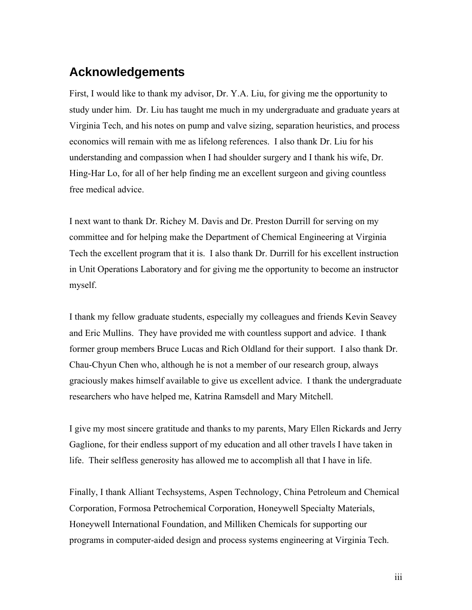# <span id="page-2-1"></span><span id="page-2-0"></span>**Acknowledgements**

First, I would like to thank my advisor, Dr. Y.A. Liu, for giving me the opportunity to study under him. Dr. Liu has taught me much in my undergraduate and graduate years at Virginia Tech, and his notes on pump and valve sizing, separation heuristics, and process economics will remain with me as lifelong references. I also thank Dr. Liu for his understanding and compassion when I had shoulder surgery and I thank his wife, Dr. Hing-Har Lo, for all of her help finding me an excellent surgeon and giving countless free medical advice.

I next want to thank Dr. Richey M. Davis and Dr. Preston Durrill for serving on my committee and for helping make the Department of Chemical Engineering at Virginia Tech the excellent program that it is. I also thank Dr. Durrill for his excellent instruction in Unit Operations Laboratory and for giving me the opportunity to become an instructor myself.

I thank my fellow graduate students, especially my colleagues and friends Kevin Seavey and Eric Mullins. They have provided me with countless support and advice. I thank former group members Bruce Lucas and Rich Oldland for their support. I also thank Dr. Chau-Chyun Chen who, although he is not a member of our research group, always graciously makes himself available to give us excellent advice. I thank the undergraduate researchers who have helped me, Katrina Ramsdell and Mary Mitchell.

I give my most sincere gratitude and thanks to my parents, Mary Ellen Rickards and Jerry Gaglione, for their endless support of my education and all other travels I have taken in life. Their selfless generosity has allowed me to accomplish all that I have in life.

Finally, I thank Alliant Techsystems, Aspen Technology, China Petroleum and Chemical Corporation, Formosa Petrochemical Corporation, Honeywell Specialty Materials, Honeywell International Foundation, and Milliken Chemicals for supporting our programs in computer-aided design and process systems engineering at Virginia Tech.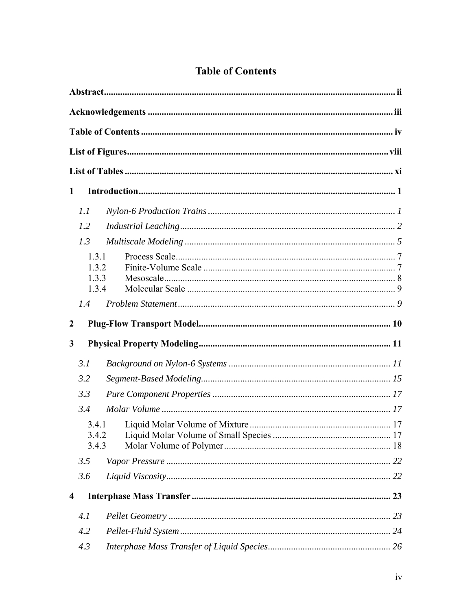<span id="page-3-1"></span><span id="page-3-0"></span>

| 1                       |       |       |  |
|-------------------------|-------|-------|--|
|                         | 1.1   |       |  |
|                         | 1.2   |       |  |
|                         | 1.3   |       |  |
|                         | 1.3.1 |       |  |
|                         |       | 1.3.2 |  |
|                         |       | 1.3.3 |  |
|                         |       | 1.3.4 |  |
|                         | 1.4   |       |  |
| 2                       |       |       |  |
| $\mathbf{3}$            |       |       |  |
|                         | 3.1   |       |  |
|                         | 3.2   |       |  |
|                         | 3.3   |       |  |
|                         | 3.4   |       |  |
|                         |       | 3.4.1 |  |
|                         |       | 3.4.2 |  |
|                         |       | 3.4.3 |  |
|                         | 3.5   |       |  |
|                         | 3.6   |       |  |
| $\overline{\mathbf{4}}$ |       |       |  |
|                         | 4.1   |       |  |
|                         | 4.2   |       |  |
|                         | 4.3   |       |  |

# **Table of Contents**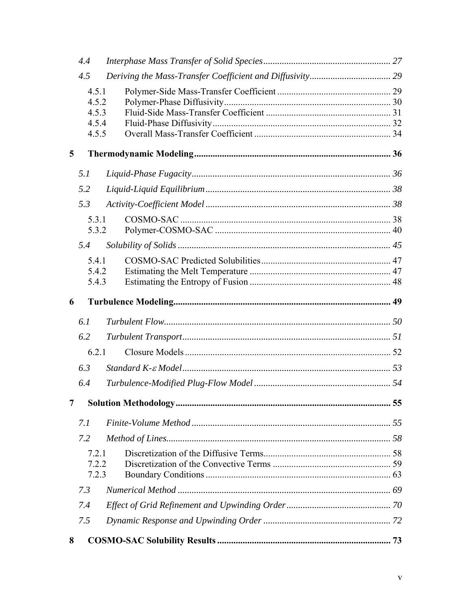|   | 4.4   |  |
|---|-------|--|
|   | 4.5   |  |
|   | 4.5.1 |  |
|   | 4.5.2 |  |
|   | 4.5.3 |  |
|   | 4.5.4 |  |
|   | 4.5.5 |  |
| 5 |       |  |
|   | 5.1   |  |
|   | 5.2   |  |
|   | 5.3   |  |
|   | 5.3.1 |  |
|   | 5.3.2 |  |
|   | 5.4   |  |
|   | 5.4.1 |  |
|   | 5.4.2 |  |
|   | 5.4.3 |  |
| 6 |       |  |
|   |       |  |
|   | 6.1   |  |
|   | 6.2   |  |
|   | 6.2.1 |  |
|   | 6.3   |  |
|   | 6.4   |  |
| 7 |       |  |
|   | 7.1   |  |
|   | 7.2   |  |
|   | 7.2.1 |  |
|   | 7.2.2 |  |
|   | 7.2.3 |  |
|   | 7.3   |  |
|   | 7.4   |  |
|   | 7.5   |  |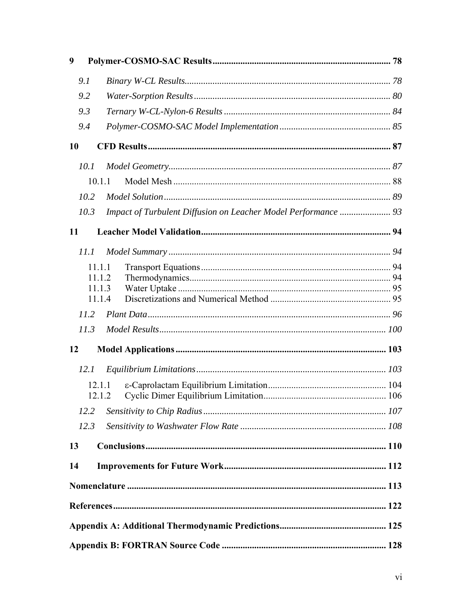| 9         |                  |                                                                |  |
|-----------|------------------|----------------------------------------------------------------|--|
|           | 9.1              |                                                                |  |
|           | 9.2              |                                                                |  |
|           | 9.3              |                                                                |  |
|           | 9.4              |                                                                |  |
| <b>10</b> |                  |                                                                |  |
|           | 10.1             |                                                                |  |
|           | 10.1.1           |                                                                |  |
|           | 10.2             |                                                                |  |
|           | 10.3             | Impact of Turbulent Diffusion on Leacher Model Performance  93 |  |
| 11        |                  |                                                                |  |
|           | 11.1             |                                                                |  |
|           | 11.1.1           |                                                                |  |
|           | 11.1.2           |                                                                |  |
|           | 11.1.3<br>11.1.4 |                                                                |  |
|           | 11.2             |                                                                |  |
|           | 11.3             |                                                                |  |
| 12        |                  |                                                                |  |
|           | 12.1             |                                                                |  |
|           | 12.1.1<br>12.1.2 |                                                                |  |
|           | 12.2             |                                                                |  |
|           | 12.3             |                                                                |  |
|           |                  |                                                                |  |
| 13        |                  |                                                                |  |
| 14        |                  |                                                                |  |
|           |                  |                                                                |  |
|           |                  |                                                                |  |
|           |                  |                                                                |  |
|           |                  |                                                                |  |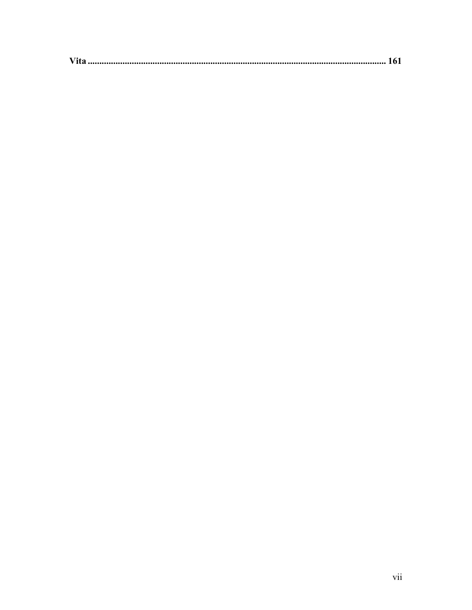|--|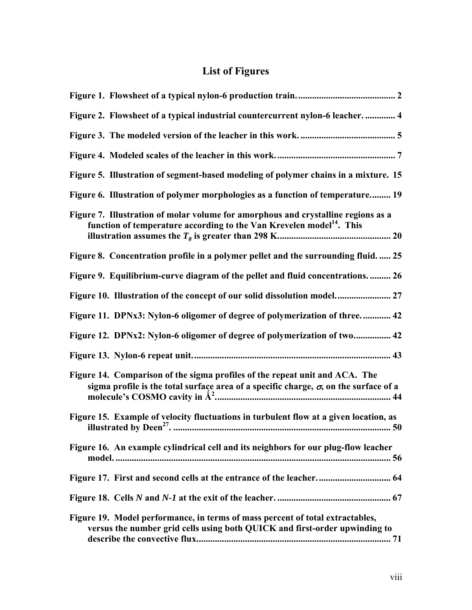# **List of Figures**

<span id="page-7-1"></span><span id="page-7-0"></span>

| Figure 2. Flowsheet of a typical industrial countercurrent nylon-6 leacher.  4                                                                                              |
|-----------------------------------------------------------------------------------------------------------------------------------------------------------------------------|
|                                                                                                                                                                             |
|                                                                                                                                                                             |
| Figure 5. Illustration of segment-based modeling of polymer chains in a mixture. 15                                                                                         |
| Figure 6. Illustration of polymer morphologies as a function of temperature 19                                                                                              |
| Figure 7. Illustration of molar volume for amorphous and crystalline regions as a<br>function of temperature according to the Van Krevelen model <sup>14</sup> . This       |
| Figure 8. Concentration profile in a polymer pellet and the surrounding fluid 25                                                                                            |
| Figure 9. Equilibrium-curve diagram of the pellet and fluid concentrations 26                                                                                               |
|                                                                                                                                                                             |
| Figure 11. DPNx3: Nylon-6 oligomer of degree of polymerization of three 42                                                                                                  |
| Figure 12. DPNx2: Nylon-6 oligomer of degree of polymerization of two 42                                                                                                    |
|                                                                                                                                                                             |
| Figure 14. Comparison of the sigma profiles of the repeat unit and ACA. The<br>sigma profile is the total surface area of a specific charge, $\sigma$ , on the surface of a |
| Figure 15. Example of velocity fluctuations in turbulent flow at a given location, as                                                                                       |
| Figure 16. An example cylindrical cell and its neighbors for our plug-flow leacher                                                                                          |
| Figure 17. First and second cells at the entrance of the leacher 64                                                                                                         |
|                                                                                                                                                                             |
| Figure 19. Model performance, in terms of mass percent of total extractables,<br>versus the number grid cells using both QUICK and first-order upwinding to                 |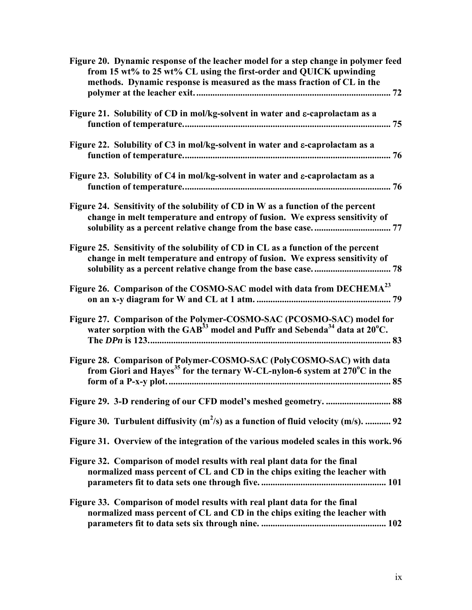| Figure 20. Dynamic response of the leacher model for a step change in polymer feed<br>from 15 wt% to 25 wt% CL using the first-order and QUICK upwinding<br>methods. Dynamic response is measured as the mass fraction of CL in the |
|-------------------------------------------------------------------------------------------------------------------------------------------------------------------------------------------------------------------------------------|
| Figure 21. Solubility of CD in mol/kg-solvent in water and ε-caprolactam as a                                                                                                                                                       |
| Figure 22. Solubility of C3 in mol/kg-solvent in water and ε-caprolactam as a                                                                                                                                                       |
| Figure 23. Solubility of C4 in mol/kg-solvent in water and ε-caprolactam as a                                                                                                                                                       |
| Figure 24. Sensitivity of the solubility of CD in W as a function of the percent<br>change in melt temperature and entropy of fusion. We express sensitivity of                                                                     |
| Figure 25. Sensitivity of the solubility of CD in CL as a function of the percent<br>change in melt temperature and entropy of fusion. We express sensitivity of                                                                    |
| Figure 26. Comparison of the COSMO-SAC model with data from DECHEMA <sup>23</sup>                                                                                                                                                   |
| Figure 27. Comparison of the Polymer-COSMO-SAC (PCOSMO-SAC) model for<br>water sorption with the GAB <sup>33</sup> model and Puffr and Sebenda <sup>34</sup> data at 20 <sup>o</sup> C.                                             |
| Figure 28. Comparison of Polymer-COSMO-SAC (PolyCOSMO-SAC) with data<br>from Giori and Hayes <sup>35</sup> for the ternary W-CL-nylon-6 system at $270^{\circ}$ C in the                                                            |
| Figure 29. 3-D rendering of our CFD model's meshed geometry.  88                                                                                                                                                                    |
| Figure 30. Turbulent diffusivity $(m^2/s)$ as a function of fluid velocity $(m/s)$ .  92                                                                                                                                            |
| Figure 31. Overview of the integration of the various modeled scales in this work. 96                                                                                                                                               |
| Figure 32. Comparison of model results with real plant data for the final<br>normalized mass percent of CL and CD in the chips exiting the leacher with                                                                             |
| Figure 33. Comparison of model results with real plant data for the final<br>normalized mass percent of CL and CD in the chips exiting the leacher with                                                                             |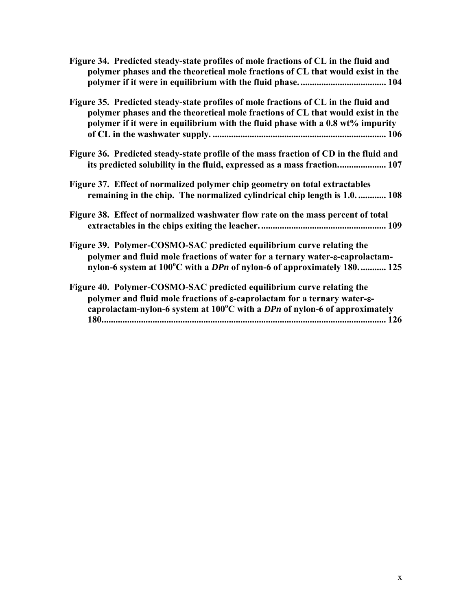| Figure 34. Predicted steady-state profiles of mole fractions of CL in the fluid and<br>polymer phases and the theoretical mole fractions of CL that would exist in the                                                                                               |
|----------------------------------------------------------------------------------------------------------------------------------------------------------------------------------------------------------------------------------------------------------------------|
| Figure 35. Predicted steady-state profiles of mole fractions of CL in the fluid and<br>polymer phases and the theoretical mole fractions of CL that would exist in the<br>polymer if it were in equilibrium with the fluid phase with a 0.8 wt% impurity             |
| Figure 36. Predicted steady-state profile of the mass fraction of CD in the fluid and<br>its predicted solubility in the fluid, expressed as a mass fraction 107                                                                                                     |
| Figure 37. Effect of normalized polymer chip geometry on total extractables<br>remaining in the chip. The normalized cylindrical chip length is 1.0 108                                                                                                              |
| Figure 38. Effect of normalized washwater flow rate on the mass percent of total                                                                                                                                                                                     |
| Figure 39. Polymer-COSMO-SAC predicted equilibrium curve relating the<br>polymer and fluid mole fractions of water for a ternary water- $\varepsilon$ -caprolactam-<br>nylon-6 system at $100^{\circ}$ C with a DPn of nylon-6 of approximately 180 125              |
| Figure 40. Polymer-COSMO-SAC predicted equilibrium curve relating the<br>polymer and fluid mole fractions of $\varepsilon$ -caprolactam for a ternary water- $\varepsilon$ -<br>caprolactam-nylon-6 system at $100^{\circ}$ C with a DPn of nylon-6 of approximately |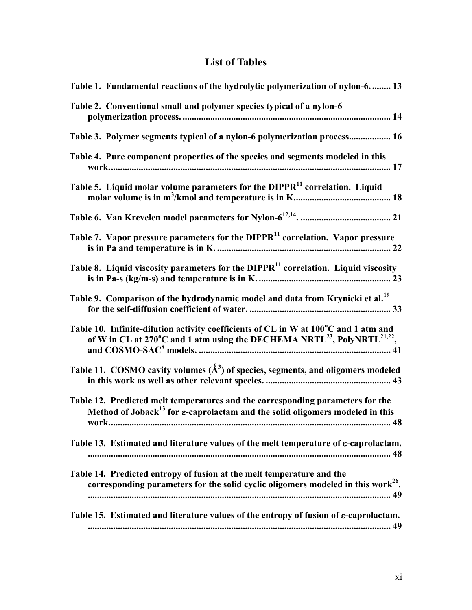# **List of Tables**

<span id="page-10-1"></span><span id="page-10-0"></span>

| Table 1. Fundamental reactions of the hydrolytic polymerization of nylon-6 13                                                                                                           |
|-----------------------------------------------------------------------------------------------------------------------------------------------------------------------------------------|
| Table 2. Conventional small and polymer species typical of a nylon-6                                                                                                                    |
| Table 3. Polymer segments typical of a nylon-6 polymerization process 16                                                                                                                |
| Table 4. Pure component properties of the species and segments modeled in this                                                                                                          |
| Table 5. Liquid molar volume parameters for the DIPPR <sup>11</sup> correlation. Liquid                                                                                                 |
|                                                                                                                                                                                         |
| Table 7. Vapor pressure parameters for the DIPPR <sup>11</sup> correlation. Vapor pressure                                                                                              |
| Table 8. Liquid viscosity parameters for the DIPPR <sup>11</sup> correlation. Liquid viscosity                                                                                          |
| Table 9. Comparison of the hydrodynamic model and data from Krynicki et al. <sup>19</sup>                                                                                               |
| Table 10. Infinite-dilution activity coefficients of CL in W at 100°C and 1 atm and<br>of W in CL at 270°C and 1 atm using the DECHEMA NRTL <sup>23</sup> , PolyNRTL <sup>21,22</sup> , |
| Table 11. COSMO cavity volumes $(\AA^3)$ of species, segments, and oligomers modeled                                                                                                    |
| Table 12. Predicted melt temperatures and the corresponding parameters for the<br>Method of Joback <sup>13</sup> for $\varepsilon$ -caprolactam and the solid oligomers modeled in this |
| Table 13. Estimated and literature values of the melt temperature of $\varepsilon$ -caprolactam.                                                                                        |
| Table 14. Predicted entropy of fusion at the melt temperature and the<br>corresponding parameters for the solid cyclic oligomers modeled in this work <sup>26</sup> .                   |
| Table 15. Estimated and literature values of the entropy of fusion of $\varepsilon$ -caprolactam.                                                                                       |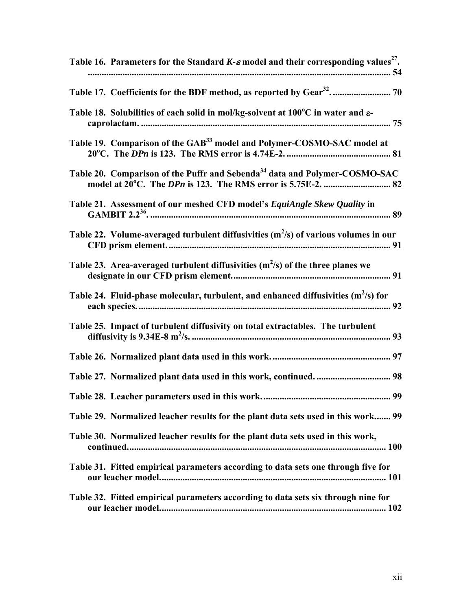| Table 16. Parameters for the Standard K- $\varepsilon$ model and their corresponding values <sup>27</sup> . |
|-------------------------------------------------------------------------------------------------------------|
|                                                                                                             |
| Table 18. Solubilities of each solid in mol/kg-solvent at 100°C in water and ε-                             |
| Table 19. Comparison of the GAB <sup>33</sup> model and Polymer-COSMO-SAC model at                          |
| Table 20. Comparison of the Puffr and Sebenda <sup>34</sup> data and Polymer-COSMO-SAC                      |
| Table 21. Assessment of our meshed CFD model's EquiAngle Skew Quality in                                    |
| Table 22. Volume-averaged turbulent diffusivities $(m^2/s)$ of various volumes in our                       |
| Table 23. Area-averaged turbulent diffusivities $(m^2/s)$ of the three planes we                            |
| Table 24. Fluid-phase molecular, turbulent, and enhanced diffusivities $(m^2/s)$ for                        |
| Table 25. Impact of turbulent diffusivity on total extractables. The turbulent                              |
|                                                                                                             |
|                                                                                                             |
|                                                                                                             |
| Table 29. Normalized leacher results for the plant data sets used in this work 99                           |
| Table 30. Normalized leacher results for the plant data sets used in this work,                             |
| Table 31. Fitted empirical parameters according to data sets one through five for                           |
| Table 32. Fitted empirical parameters according to data sets six through nine for                           |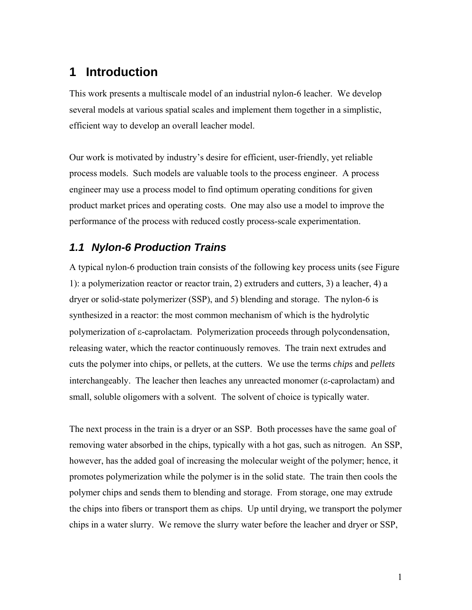# <span id="page-12-1"></span><span id="page-12-0"></span>**1 Introduction**

This work presents a multiscale model of an industrial nylon-6 leacher. We develop several models at various spatial scales and implement them together in a simplistic, efficient way to develop an overall leacher model.

Our work is motivated by industry's desire for efficient, user-friendly, yet reliable process models. Such models are valuable tools to the process engineer. A process engineer may use a process model to find optimum operating conditions for given product market prices and operating costs. One may also use a model to improve the performance of the process with reduced costly process-scale experimentation.

### <span id="page-12-2"></span>*1.1 Nylon-6 Production Trains*

A typical nylon-6 production train consists of the following key process units (see [Figure](#page-13-2)  [1](#page-13-2)): a polymerization reactor or reactor train, 2) extruders and cutters, 3) a leacher, 4) a dryer or solid-state polymerizer (SSP), and 5) blending and storage. The nylon-6 is synthesized in a reactor: the most common mechanism of which is the hydrolytic polymerization of ε-caprolactam. Polymerization proceeds through polycondensation, releasing water, which the reactor continuously removes. The train next extrudes and cuts the polymer into chips, or pellets, at the cutters. We use the terms *chips* and *pellets* interchangeably. The leacher then leaches any unreacted monomer (ε-caprolactam) and small, soluble oligomers with a solvent. The solvent of choice is typically water.

The next process in the train is a dryer or an SSP. Both processes have the same goal of removing water absorbed in the chips, typically with a hot gas, such as nitrogen. An SSP, however, has the added goal of increasing the molecular weight of the polymer; hence, it promotes polymerization while the polymer is in the solid state. The train then cools the polymer chips and sends them to blending and storage. From storage, one may extrude the chips into fibers or transport them as chips. Up until drying, we transport the polymer chips in a water slurry. We remove the slurry water before the leacher and dryer or SSP,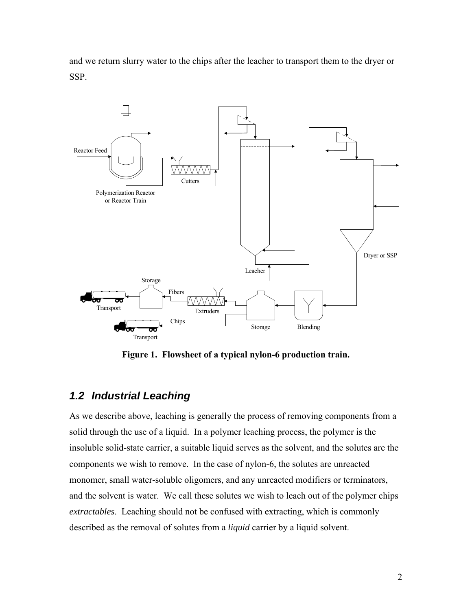<span id="page-13-0"></span>and we return slurry water to the chips after the leacher to transport them to the dryer or SSP.



**Figure 1. Flowsheet of a typical nylon-6 production train.** 

## <span id="page-13-2"></span><span id="page-13-1"></span>*1.2 Industrial Leaching*

As we describe above, leaching is generally the process of removing components from a solid through the use of a liquid. In a polymer leaching process, the polymer is the insoluble solid-state carrier, a suitable liquid serves as the solvent, and the solutes are the components we wish to remove. In the case of nylon-6, the solutes are unreacted monomer, small water-soluble oligomers, and any unreacted modifiers or terminators, and the solvent is water. We call these solutes we wish to leach out of the polymer chips *extractables*. Leaching should not be confused with extracting, which is commonly described as the removal of solutes from a *liquid* carrier by a liquid solvent.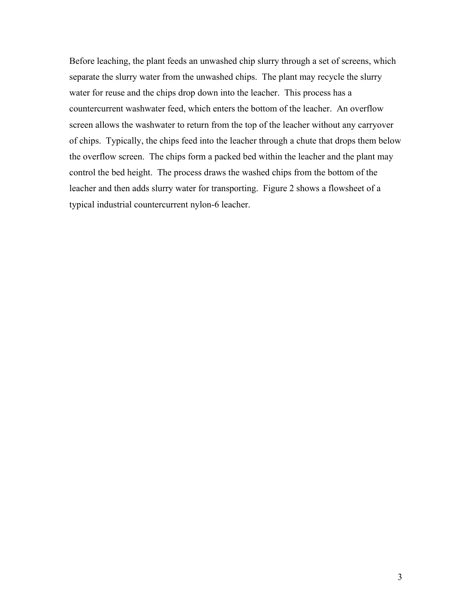Before leaching, the plant feeds an unwashed chip slurry through a set of screens, which separate the slurry water from the unwashed chips. The plant may recycle the slurry water for reuse and the chips drop down into the leacher. This process has a countercurrent washwater feed, which enters the bottom of the leacher. An overflow screen allows the washwater to return from the top of the leacher without any carryover of chips. Typically, the chips feed into the leacher through a chute that drops them below the overflow screen. The chips form a packed bed within the leacher and the plant may control the bed height. The process draws the washed chips from the bottom of the leacher and then adds slurry water for transporting. [Figure 2](#page-15-1) shows a flowsheet of a typical industrial countercurrent nylon-6 leacher.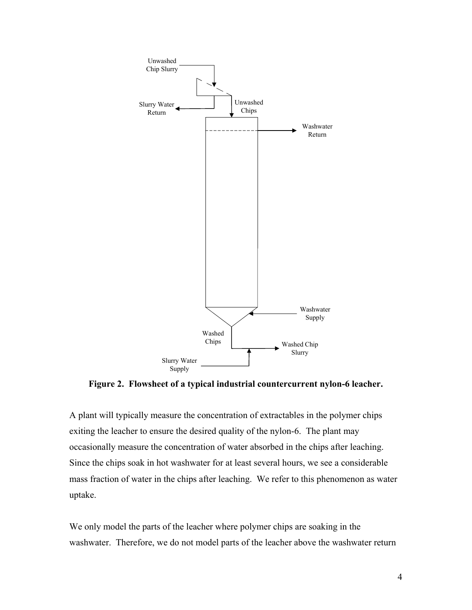<span id="page-15-0"></span>

**Figure 2. Flowsheet of a typical industrial countercurrent nylon-6 leacher.** 

<span id="page-15-1"></span>A plant will typically measure the concentration of extractables in the polymer chips exiting the leacher to ensure the desired quality of the nylon-6. The plant may occasionally measure the concentration of water absorbed in the chips after leaching. Since the chips soak in hot washwater for at least several hours, we see a considerable mass fraction of water in the chips after leaching. We refer to this phenomenon as water uptake.

We only model the parts of the leacher where polymer chips are soaking in the washwater. Therefore, we do not model parts of the leacher above the washwater return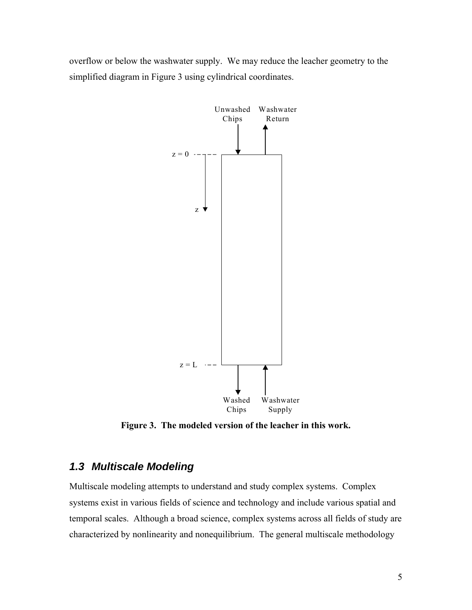<span id="page-16-0"></span>overflow or below the washwater supply. We may reduce the leacher geometry to the simplified diagram in [Figure 3](#page-16-2) using cylindrical coordinates.



**Figure 3. The modeled version of the leacher in this work.** 

### <span id="page-16-2"></span><span id="page-16-1"></span>*1.3 Multiscale Modeling*

Multiscale modeling attempts to understand and study complex systems. Complex systems exist in various fields of science and technology and include various spatial and temporal scales. Although a broad science, complex systems across all fields of study are characterized by nonlinearity and nonequilibrium. The general multiscale methodology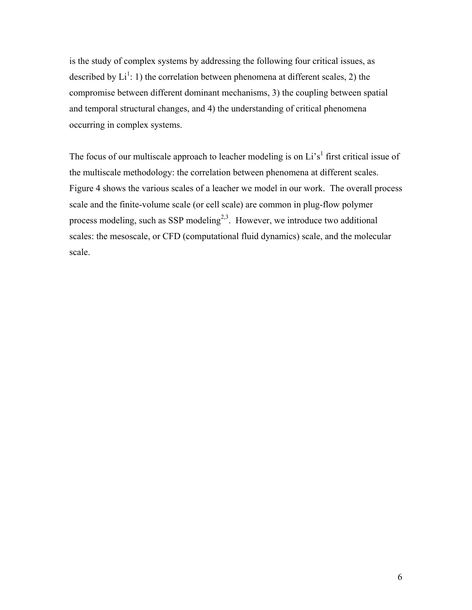is the study of complex systems by addressing the following four critical issues, as described by  $Li^1$ : 1) the correlation between phenomena at different scales, 2) the compromise between different dominant mechanisms, 3) the coupling between spatial and temporal structural changes, and 4) the understanding of critical phenomena occurring in complex systems.

The focus of our multiscale approach to leacher modeling is on  $Li's<sup>1</sup>$  first critical issue of the multiscale methodology: the correlation between phenomena at different scales. [Figure 4](#page-18-3) shows the various scales of a leacher we model in our work. The overall process scale and the finite-volume scale (or cell scale) are common in plug-flow polymer process modeling, such as SSP modeling<sup>2,3</sup>. However, we introduce two additional scales: the mesoscale, or CFD (computational fluid dynamics) scale, and the molecular scale.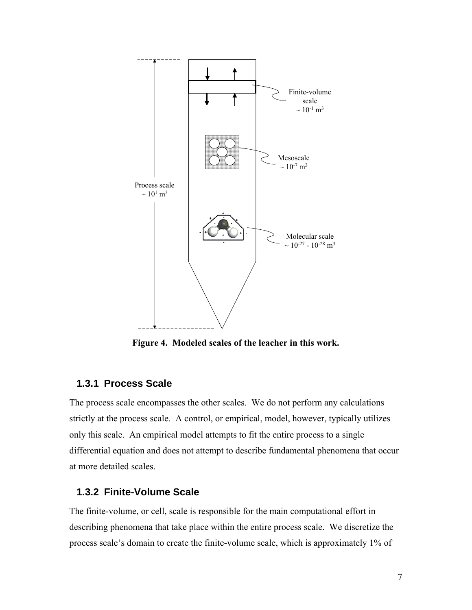<span id="page-18-0"></span>

**Figure 4. Modeled scales of the leacher in this work.** 

#### <span id="page-18-3"></span>**1.3.1 Process Scale**

<span id="page-18-1"></span>The process scale encompasses the other scales. We do not perform any calculations strictly at the process scale. A control, or empirical, model, however, typically utilizes only this scale. An empirical model attempts to fit the entire process to a single differential equation and does not attempt to describe fundamental phenomena that occur at more detailed scales.

### **1.3.2 Finite-Volume Scale**

<span id="page-18-2"></span>The finite-volume, or cell, scale is responsible for the main computational effort in describing phenomena that take place within the entire process scale. We discretize the process scale's domain to create the finite-volume scale, which is approximately 1% of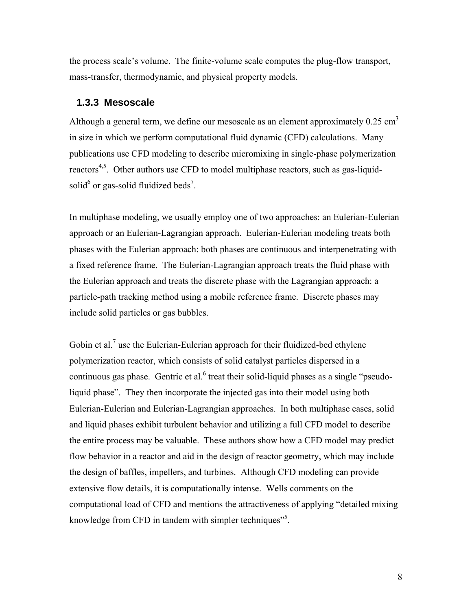<span id="page-19-0"></span>the process scale's volume. The finite-volume scale computes the plug-flow transport, mass-transfer, thermodynamic, and physical property models.

#### **1.3.3 Mesoscale**

<span id="page-19-1"></span>Although a general term, we define our mesoscale as an element approximately  $0.25 \text{ cm}^3$ in size in which we perform computational fluid dynamic (CFD) calculations. Many publications use CFD modeling to describe micromixing in single-phase polymerization reactors<sup>4,5</sup>. Other authors use CFD to model multiphase reactors, such as gas-liquidsolid $<sup>6</sup>$  or gas-solid fluidized beds<sup>7</sup>.</sup>

In multiphase modeling, we usually employ one of two approaches: an Eulerian-Eulerian approach or an Eulerian-Lagrangian approach. Eulerian-Eulerian modeling treats both phases with the Eulerian approach: both phases are continuous and interpenetrating with a fixed reference frame. The Eulerian-Lagrangian approach treats the fluid phase with the Eulerian approach and treats the discrete phase with the Lagrangian approach: a particle-path tracking method using a mobile reference frame. Discrete phases may include solid particles or gas bubbles.

Gobin et al.<sup>7</sup> use the Eulerian-Eulerian approach for their fluidized-bed ethylene polymerization reactor, which consists of solid catalyst particles dispersed in a continuous gas phase. Gentric et al. $<sup>6</sup>$  treat their solid-liquid phases as a single "pseudo-</sup> liquid phase". They then incorporate the injected gas into their model using both Eulerian-Eulerian and Eulerian-Lagrangian approaches. In both multiphase cases, solid and liquid phases exhibit turbulent behavior and utilizing a full CFD model to describe the entire process may be valuable. These authors show how a CFD model may predict flow behavior in a reactor and aid in the design of reactor geometry, which may include the design of baffles, impellers, and turbines. Although CFD modeling can provide extensive flow details, it is computationally intense. Wells comments on the computational load of CFD and mentions the attractiveness of applying "detailed mixing knowledge from CFD in tandem with simpler techniques<sup>35</sup>.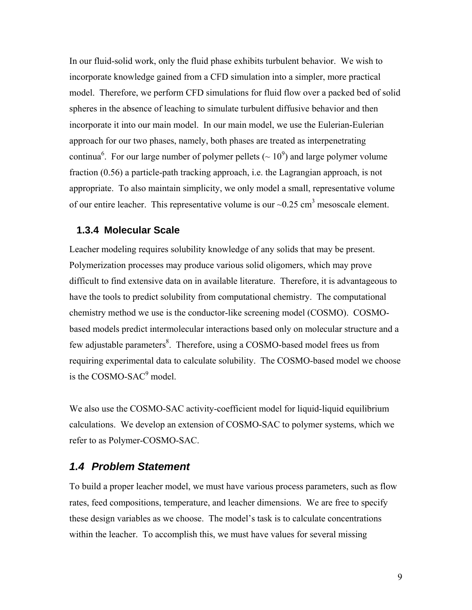<span id="page-20-0"></span>In our fluid-solid work, only the fluid phase exhibits turbulent behavior. We wish to incorporate knowledge gained from a CFD simulation into a simpler, more practical model. Therefore, we perform CFD simulations for fluid flow over a packed bed of solid spheres in the absence of leaching to simulate turbulent diffusive behavior and then incorporate it into our main model. In our main model, we use the Eulerian-Eulerian approach for our two phases, namely, both phases are treated as interpenetrating continua<sup>6</sup>. For our large number of polymer pellets ( $\sim 10^9$ ) and large polymer volume fraction (0.56) a particle-path tracking approach, i.e. the Lagrangian approach, is not appropriate. To also maintain simplicity, we only model a small, representative volume of our entire leacher. This representative volume is our  $\sim 0.25$  cm<sup>3</sup> mesoscale element.

#### **1.3.4 Molecular Scale**

<span id="page-20-1"></span>Leacher modeling requires solubility knowledge of any solids that may be present. Polymerization processes may produce various solid oligomers, which may prove difficult to find extensive data on in available literature. Therefore, it is advantageous to have the tools to predict solubility from computational chemistry. The computational chemistry method we use is the conductor-like screening model (COSMO). COSMObased models predict intermolecular interactions based only on molecular structure and a few adjustable parameters<sup>8</sup>. Therefore, using a COSMO-based model frees us from requiring experimental data to calculate solubility. The COSMO-based model we choose is the  $\cos$ MO-SAC $\degree$  model.

We also use the COSMO-SAC activity-coefficient model for liquid-liquid equilibrium calculations. We develop an extension of COSMO-SAC to polymer systems, which we refer to as Polymer-COSMO-SAC.

### <span id="page-20-2"></span>*1.4 Problem Statement*

To build a proper leacher model, we must have various process parameters, such as flow rates, feed compositions, temperature, and leacher dimensions. We are free to specify these design variables as we choose. The model's task is to calculate concentrations within the leacher. To accomplish this, we must have values for several missing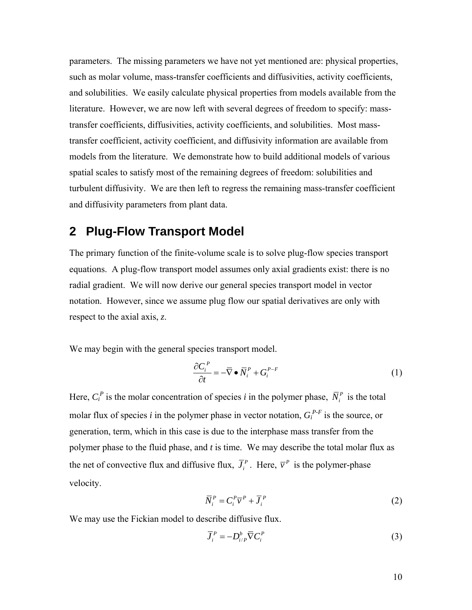<span id="page-21-0"></span>parameters. The missing parameters we have not yet mentioned are: physical properties, such as molar volume, mass-transfer coefficients and diffusivities, activity coefficients, and solubilities. We easily calculate physical properties from models available from the literature. However, we are now left with several degrees of freedom to specify: masstransfer coefficients, diffusivities, activity coefficients, and solubilities. Most masstransfer coefficient, activity coefficient, and diffusivity information are available from models from the literature. We demonstrate how to build additional models of various spatial scales to satisfy most of the remaining degrees of freedom: solubilities and turbulent diffusivity. We are then left to regress the remaining mass-transfer coefficient and diffusivity parameters from plant data.

# <span id="page-21-1"></span>**2 Plug-Flow Transport Model**

The primary function of the finite-volume scale is to solve plug-flow species transport equations. A plug-flow transport model assumes only axial gradients exist: there is no radial gradient. We will now derive our general species transport model in vector notation. However, since we assume plug flow our spatial derivatives are only with respect to the axial axis, *z*.

We may begin with the general species transport model.

$$
\frac{\partial C_i^P}{\partial t} = -\overline{\nabla} \bullet \overline{N}_i^P + G_i^{P-F}
$$
\n(1)

Here,  $C_i^P$  is the molar concentration of species *i* in the polymer phase,  $\overline{N}_i^P$  is the total molar flux of species *i* in the polymer phase in vector notation,  $G_i^{P-F}$  is the source, or generation, term, which in this case is due to the interphase mass transfer from the polymer phase to the fluid phase, and *t* is time. We may describe the total molar flux as the net of convective flux and diffusive flux,  $\overline{J}_i^P$ . Here,  $\overline{v}^P$  is the polymer-phase velocity.

$$
\overline{N}_i^P = C_i^P \overline{v}^P + \overline{J}_i^P
$$
 (2)

We may use the Fickian model to describe diffusive flux.

$$
\overline{J}_i^P = -D_{i/P}^b \overline{\nabla} C_i^P
$$
\n(3)

10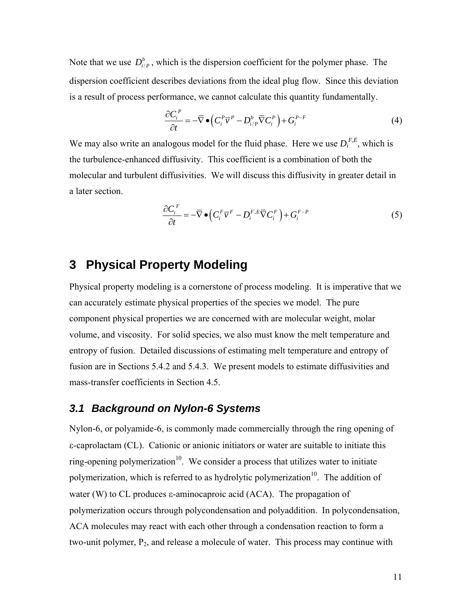<span id="page-22-0"></span>Note that we use  $D_{i/P}^b$ , which is the dispersion coefficient for the polymer phase. The dispersion coefficient describes deviations from the ideal plug flow. Since this deviation is a result of process performance, we cannot calculate this quantity fundamentally.

$$
\frac{\partial C_i^P}{\partial t} = -\overline{\nabla} \bullet \left( C_i^P \overline{\nu}^P - D_{i/P}^b \overline{\nabla} C_i^P \right) + G_i^{P-F}
$$
(4)

We may also write an analogous model for the fluid phase. Here we use  $D_i^{F,E}$ , which is the turbulence-enhanced diffusivity. This coefficient is a combination of both the molecular and turbulent diffusivities. We will discuss this diffusivity in greater detail in a later section.

$$
\frac{\partial C_i^F}{\partial t} = -\overline{\nabla} \bullet \left( C_i^F \overline{\nu}^F - D_i^{F,E} \overline{\nabla} C_i^F \right) + G_i^{F-P}
$$
\n(5)

# <span id="page-22-1"></span>**3 Physical Property Modeling**

Physical property modeling is a cornerstone of process modeling. It is imperative that we can accurately estimate physical properties of the species we model. The pure component physical properties we are concerned with are molecular weight, molar volume, and viscosity. For solid species, we also must know the melt temperature and entropy of fusion. Detailed discussions of estimating melt temperature and entropy of fusion are in Sections [5.4.2](#page-58-2) and [5.4.3](#page-59-1). We present models to estimate diffusivities and mass-transfer coefficients in Section [4.5.](#page-40-1)

### <span id="page-22-2"></span>*3.1 Background on Nylon-6 Systems*

Nylon-6, or polyamide-6, is commonly made commercially through the ring opening of ε-caprolactam (CL). Cationic or anionic initiators or water are suitable to initiate this ring-opening polymerization<sup>10</sup>. We consider a process that utilizes water to initiate polymerization, which is referred to as hydrolytic polymerization<sup>10</sup>. The addition of water (W) to CL produces ε-aminocaproic acid (ACA). The propagation of polymerization occurs through polycondensation and polyaddition. In polycondensation, ACA molecules may react with each other through a condensation reaction to form a two-unit polymer, P<sub>2</sub>, and release a molecule of water. This process may continue with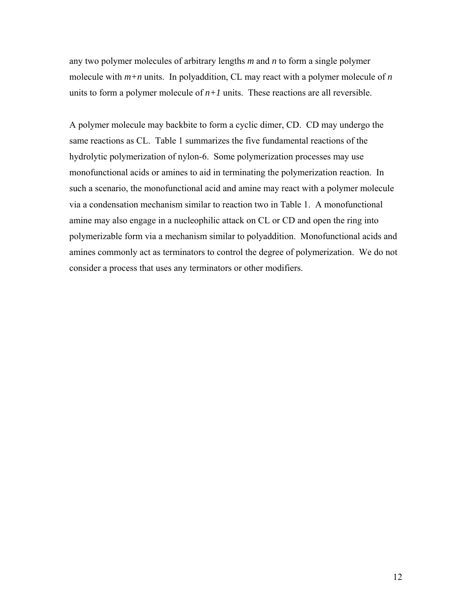any two polymer molecules of arbitrary lengths *m* and *n* to form a single polymer molecule with  $m+n$  units. In polyaddition, CL may react with a polymer molecule of  $n$ units to form a polymer molecule of  $n+1$  units. These reactions are all reversible.

A polymer molecule may backbite to form a cyclic dimer, CD. CD may undergo the same reactions as CL. [Table 1](#page-24-1) summarizes the five fundamental reactions of the hydrolytic polymerization of nylon-6. Some polymerization processes may use monofunctional acids or amines to aid in terminating the polymerization reaction. In such a scenario, the monofunctional acid and amine may react with a polymer molecule via a condensation mechanism similar to reaction two in [Table 1](#page-24-1). A monofunctional amine may also engage in a nucleophilic attack on CL or CD and open the ring into polymerizable form via a mechanism similar to polyaddition. Monofunctional acids and amines commonly act as terminators to control the degree of polymerization. We do not consider a process that uses any terminators or other modifiers.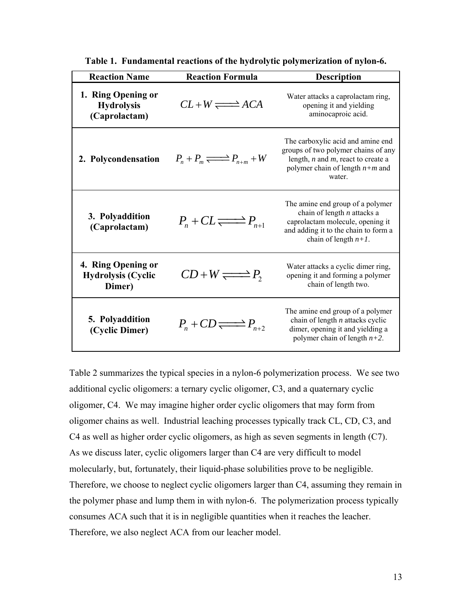<span id="page-24-1"></span><span id="page-24-0"></span>

| <b>Reaction Name</b>                                      | <b>Reaction Formula</b>                    | <b>Description</b>                                                                                                                                                       |
|-----------------------------------------------------------|--------------------------------------------|--------------------------------------------------------------------------------------------------------------------------------------------------------------------------|
| 1. Ring Opening or<br><b>Hydrolysis</b><br>(Caprolactam)  | $CL+W \rightleftharpoons ACA$              | Water attacks a caprolactam ring,<br>opening it and yielding<br>aminocaproic acid.                                                                                       |
| 2. Polycondensation                                       | $P_n + P_m \rightleftharpoons P_{n+m} + W$ | The carboxylic acid and amine end<br>groups of two polymer chains of any<br>length, $n$ and $m$ , react to create a<br>polymer chain of length $n+m$ and<br>water.       |
| 3. Polyaddition<br>(Caprolactam)                          | $P_n + CL \rightleftharpoons P_{n+1}$      | The amine end group of a polymer<br>chain of length $n$ attacks a<br>caprolactam molecule, opening it<br>and adding it to the chain to form a<br>chain of length $n+1$ . |
| 4. Ring Opening or<br><b>Hydrolysis (Cyclic</b><br>Dimer) | $CD+W \rightleftharpoons P$                | Water attacks a cyclic dimer ring,<br>opening it and forming a polymer<br>chain of length two.                                                                           |
| 5. Polyaddition<br>(Cyclic Dimer)                         | $P_n$ + $CD \rightleftharpoons P_{n+2}$    | The amine end group of a polymer<br>chain of length $n$ attacks cyclic<br>dimer, opening it and yielding a<br>polymer chain of length $n+2$ .                            |

**Table 1. Fundamental reactions of the hydrolytic polymerization of nylon-6.** 

[Table 2](#page-25-1) summarizes the typical species in a nylon-6 polymerization process. We see two additional cyclic oligomers: a ternary cyclic oligomer, C3, and a quaternary cyclic oligomer, C4. We may imagine higher order cyclic oligomers that may form from oligomer chains as well. Industrial leaching processes typically track CL, CD, C3, and C4 as well as higher order cyclic oligomers, as high as seven segments in length (C7). As we discuss later, cyclic oligomers larger than C4 are very difficult to model molecularly, but, fortunately, their liquid-phase solubilities prove to be negligible. Therefore, we choose to neglect cyclic oligomers larger than C4, assuming they remain in the polymer phase and lump them in with nylon-6. The polymerization process typically consumes ACA such that it is in negligible quantities when it reaches the leacher. Therefore, we also neglect ACA from our leacher model.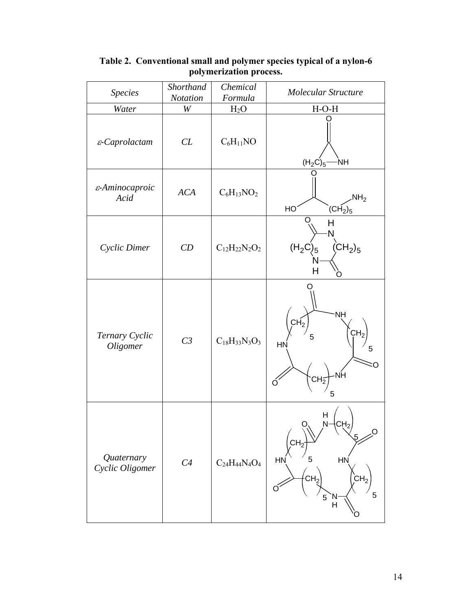<span id="page-25-1"></span>

| <b>Species</b>                | Shorthand<br>Notation | Chemical<br>Formula      | <b>Molecular Structure</b>                                                                                  |
|-------------------------------|-----------------------|--------------------------|-------------------------------------------------------------------------------------------------------------|
| Water                         | W                     | $H_2O$                   | $H-O-H$                                                                                                     |
| $\varepsilon$ -Caprolactam    | CL                    | $C_6H_{11}NO$            | $(H_2C)_5$<br><b>NH</b>                                                                                     |
| ε-Aminocaproic<br>Acid        | <b>ACA</b>            | $C_6H_{13}NO_2$          | NH <sub>2</sub><br>HO<br>$\overline{\text{CH}}_{2}\text{)}_{5}$                                             |
| Cyclic Dimer                  | CD                    | $C_{12}H_{22}N_2O_2$     | O<br>Н<br>N<br>$\hat{\text{(CH}}_2)_5$<br>$(H_2C)_5$<br>н                                                   |
| Ternary Cyclic<br>Oligomer    | C <sub>3</sub>        | $C_{18}H_{33}N_3O_3$     | <b>NH</b><br>CH <sub>2</sub><br>CH <sub>2</sub><br>HN<br>5<br>·NH<br>СH5<br>5                               |
| Quaternary<br>Cyclic Oligomer | C4                    | $C_{24}H_{44}N_{4}O_{4}$ | H<br>O,<br>N<br>.O<br>CH <sub>2</sub><br>HN<br>5<br>HN<br>CH <sub>2</sub><br>CH <sub>2</sub><br>5<br>5<br>H |

<span id="page-25-0"></span>**Table 2. Conventional small and polymer species typical of a nylon-6 polymerization process.**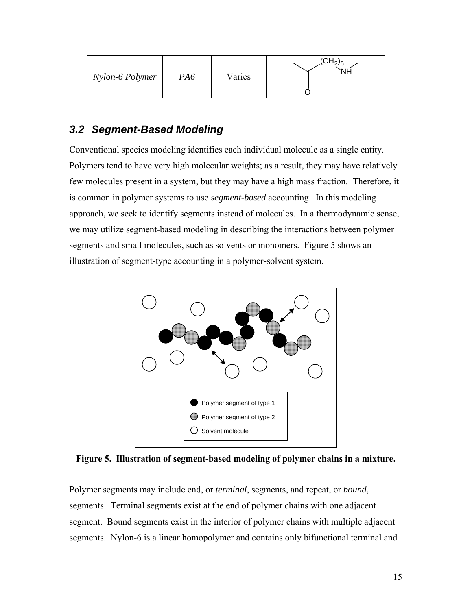<span id="page-26-0"></span>

| Nylon-6 Polymer | PA6 | Varies | (CH <sub>2</sub> ) <sub>5</sub> |
|-----------------|-----|--------|---------------------------------|
|-----------------|-----|--------|---------------------------------|

# <span id="page-26-1"></span>*3.2 Segment-Based Modeling*

Conventional species modeling identifies each individual molecule as a single entity. Polymers tend to have very high molecular weights; as a result, they may have relatively few molecules present in a system, but they may have a high mass fraction. Therefore, it is common in polymer systems to use *segment-based* accounting. In this modeling approach, we seek to identify segments instead of molecules. In a thermodynamic sense, we may utilize segment-based modeling in describing the interactions between polymer segments and small molecules, such as solvents or monomers. [Figure 5](#page-26-2) shows an illustration of segment-type accounting in a polymer-solvent system.



<span id="page-26-2"></span>**Figure 5. Illustration of segment-based modeling of polymer chains in a mixture.** 

Polymer segments may include end, or *terminal*, segments, and repeat, or *bound*, segments. Terminal segments exist at the end of polymer chains with one adjacent segment. Bound segments exist in the interior of polymer chains with multiple adjacent segments. Nylon-6 is a linear homopolymer and contains only bifunctional terminal and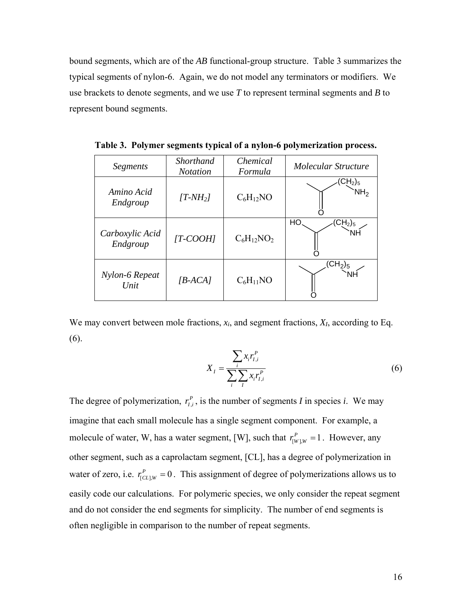<span id="page-27-0"></span>bound segments, which are of the *AB* functional-group structure. [Table 3](#page-27-1) summarizes the typical segments of nylon-6. Again, we do not model any terminators or modifiers. We use brackets to denote segments, and we use *T* to represent terminal segments and *B* to represent bound segments.

| Segments                    | <b>Shorthand</b><br><b>Notation</b> | Chemical<br>Formula | Molecular Structure                               |
|-----------------------------|-------------------------------------|---------------------|---------------------------------------------------|
| Amino Acid<br>Endgroup      | $[T-MH_2]$                          | $C_6H_{12}NO$       | CH <sub>2</sub> ) <sub>5</sub><br>NH <sub>2</sub> |
| Carboxylic Acid<br>Endgroup | $[T-COOH]$                          | $C_6H_{12}NO_2$     | HO<br>CH <sub>2</sub> ) <sub>5</sub>              |
| Nylon-6 Repeat<br>Unit      | $[B-ACA]$                           | $C_6H_{11}NO$       | (CH <sub>2</sub> ) <sub>5</sub>                   |

<span id="page-27-1"></span>**Table 3. Polymer segments typical of a nylon-6 polymerization process.** 

<span id="page-27-2"></span>We may convert between mole fractions, *xi*, and segment fractions, *XI*, according to Eq. [\(6\)](#page-27-2).

$$
X_{I} = \frac{\sum_{i} x_{i} r_{I,i}^{P}}{\sum_{i} \sum_{I} x_{i} r_{I,i}^{P}}
$$
\n
$$
(6)
$$

The degree of polymerization,  $r_{i,i}^P$ , is the number of segments *I* in species *i*. We may imagine that each small molecule has a single segment component. For example, a molecule of water, W, has a water segment, [W], such that  $r_{[W],W}^P = 1$ . However, any other segment, such as a caprolactam segment, [CL], has a degree of polymerization in water of zero, i.e.  $r_{[CL], W}^P = 0$ . This assignment of degree of polymerizations allows us to easily code our calculations. For polymeric species, we only consider the repeat segment and do not consider the end segments for simplicity. The number of end segments is often negligible in comparison to the number of repeat segments.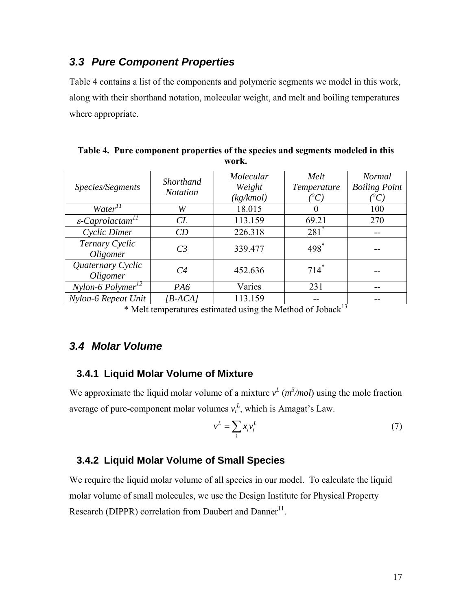### <span id="page-28-1"></span><span id="page-28-0"></span>*3.3 Pure Component Properties*

[Table 4](#page-28-5) contains a list of the components and polymeric segments we model in this work, along with their shorthand notation, molecular weight, and melt and boiling temperatures where appropriate.

<span id="page-28-5"></span>

| Species/Segments                         | <b>Shorthand</b><br><i>Notation</i> | Molecular<br>Weight<br>(kg/kmol) | Melt<br>Temperature<br>$({}^oC)$ | <b>Normal</b><br><b>Boiling Point</b><br>$^{\prime\prime}C$ ) |
|------------------------------------------|-------------------------------------|----------------------------------|----------------------------------|---------------------------------------------------------------|
| Water <sup>11</sup>                      | W                                   | 18.015                           |                                  | 100                                                           |
| $\varepsilon$ -Caprolactam <sup>11</sup> | CL                                  | 113.159                          | 69.21                            | 270                                                           |
| Cyclic Dimer                             | CD                                  | 226.318                          | $281*$                           | --                                                            |
| Ternary Cyclic<br>Oligomer               | C <sub>3</sub>                      | 339.477                          | 498*                             |                                                               |
| Quaternary Cyclic<br>Oligomer            | C4                                  | 452.636                          | $714*$                           |                                                               |
| $Nylon-6$ Polymer <sup>12</sup>          | P <sub>A6</sub>                     | Varies                           | 231                              |                                                               |
| Nylon-6 Repeat Unit                      | $[B-ACA]$                           | 113.159                          | 12                               |                                                               |

**Table 4. Pure component properties of the species and segments modeled in this work.** 

\* Melt temperatures estimated using the Method of Joback<sup>13</sup>

### <span id="page-28-2"></span>*3.4 Molar Volume*

### **3.4.1 Liquid Molar Volume of Mixture**

<span id="page-28-3"></span>We approximate the liquid molar volume of a mixture  $v^L$  ( $m^3$ /mol) using the mole fraction average of pure-component molar volumes  $v_i^L$ , which is Amagat's Law.

$$
v^L = \sum_i x_i v_i^L \tag{7}
$$

### **3.4.2 Liquid Molar Volume of Small Species**

<span id="page-28-4"></span>We require the liquid molar volume of all species in our model. To calculate the liquid molar volume of small molecules, we use the Design Institute for Physical Property Research (DIPPR) correlation from Daubert and Danner<sup>11</sup>.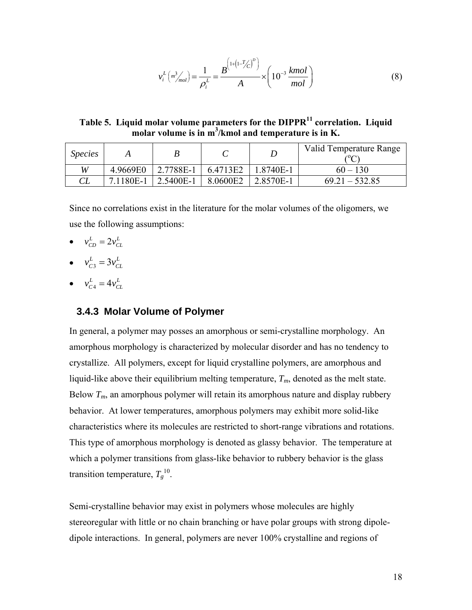$$
v_i^L \left( m_{mol}^3 \right) = \frac{1}{\rho_i^L} = \frac{B^{\left( 1 + \left( 1 - T_{\zeta C}^{\prime} \right)^D \right)}}{A} \times \left( 10^{-3} \frac{kmol}{mol} \right)
$$
(8)

<span id="page-29-0"></span>**Table 5. Liquid molar volume parameters for the DIPPR11 correlation. Liquid molar volume is in m<sup>3</sup> /kmol and temperature is in K.** 

<span id="page-29-2"></span>

| <i>Species</i> |           | B         |          |           | Valid Temperature Range<br>$\sim$ |
|----------------|-----------|-----------|----------|-----------|-----------------------------------|
| W              | 4.9669E0  | 2.7788E-1 | 6.4713E2 | 1.8740E-1 | $60 - 130$                        |
|                | 7.1180E-1 | 2.5400E-1 | 8.0600E2 | 2.8570E-1 | $69.21 - 532.85$                  |

Since no correlations exist in the literature for the molar volumes of the oligomers, we use the following assumptions:

- $v_{CD}^L = 2v_{CL}^L$
- $v_{C3}^L = 3v_{CL}^L$
- $v_{C4}^L = 4v_{CL}^L$

#### **3.4.3 Molar Volume of Polymer**

<span id="page-29-1"></span>In general, a polymer may posses an amorphous or semi-crystalline morphology. An amorphous morphology is characterized by molecular disorder and has no tendency to crystallize. All polymers, except for liquid crystalline polymers, are amorphous and liquid-like above their equilibrium melting temperature,  $T_m$ , denoted as the melt state. Below  $T_m$ , an amorphous polymer will retain its amorphous nature and display rubbery behavior. At lower temperatures, amorphous polymers may exhibit more solid-like characteristics where its molecules are restricted to short-range vibrations and rotations. This type of amorphous morphology is denoted as glassy behavior. The temperature at which a polymer transitions from glass-like behavior to rubbery behavior is the glass transition temperature,  $T_g^{10}$ .

Semi-crystalline behavior may exist in polymers whose molecules are highly stereoregular with little or no chain branching or have polar groups with strong dipoledipole interactions. In general, polymers are never 100% crystalline and regions of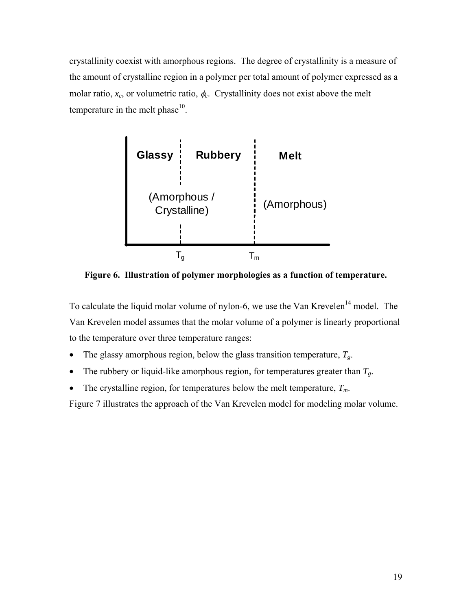<span id="page-30-0"></span>crystallinity coexist with amorphous regions. The degree of crystallinity is a measure of the amount of crystalline region in a polymer per total amount of polymer expressed as a molar ratio,  $x_c$ , or volumetric ratio,  $\phi_c$ . Crystallinity does not exist above the melt temperature in the melt phase $10$ .



**Figure 6. Illustration of polymer morphologies as a function of temperature.** 

<span id="page-30-1"></span>To calculate the liquid molar volume of nylon-6, we use the Van Krevelen<sup>14</sup> model. The Van Krevelen model assumes that the molar volume of a polymer is linearly proportional to the temperature over three temperature ranges:

- The glassy amorphous region, below the glass transition temperature,  $T_g$ .
- The rubbery or liquid-like amorphous region, for temperatures greater than  $T_g$ .
- The crystalline region, for temperatures below the melt temperature,  $T_m$ .

[Figure 7](#page-31-1) illustrates the approach of the Van Krevelen model for modeling molar volume.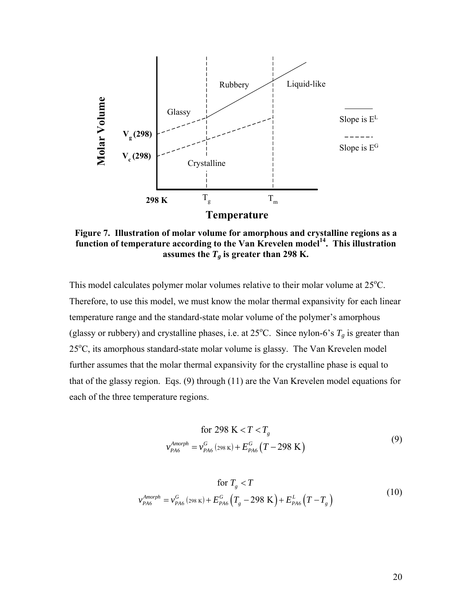<span id="page-31-0"></span>

<span id="page-31-1"></span>**Figure 7. Illustration of molar volume for amorphous and crystalline regions as a**  function of temperature according to the Van Krevelen model<sup>14</sup>. This illustration assumes the  $T_g$  is greater than 298 K.

This model calculates polymer molar volumes relative to their molar volume at 25°C. Therefore, to use this model, we must know the molar thermal expansivity for each linear temperature range and the standard-state molar volume of the polymer's amorphous (glassy or rubbery) and crystalline phases, i.e. at  $25^{\circ}$ C. Since nylon-6's  $T_g$  is greater than 25<sup>o</sup>C, its amorphous standard-state molar volume is glassy. The Van Krevelen model further assumes that the molar thermal expansivity for the crystalline phase is equal to that of the glassy region. Eqs. [\(9\)](#page-31-2) through [\(11\)](#page-32-2) are the Van Krevelen model equations for each of the three temperature regions.

$$
\begin{aligned} \text{for } 298 \text{ K} < T < T_g\\ v_{PAS}^{Amorph} &= v_{PAS}^G \left( 298 \text{ K} \right) + E_{PAS}^G \left( T - 298 \text{ K} \right) \end{aligned} \tag{9}
$$

<span id="page-31-2"></span>
$$
\text{for } T_{g} < T
$$
\n
$$
v_{PA6}^{Amorph} = v_{PA6}^{G} (298 \text{ K}) + E_{PA6}^{G} (T_{g} - 298 \text{ K}) + E_{PA6}^{L} (T - T_{g})
$$
\n
$$
(10)
$$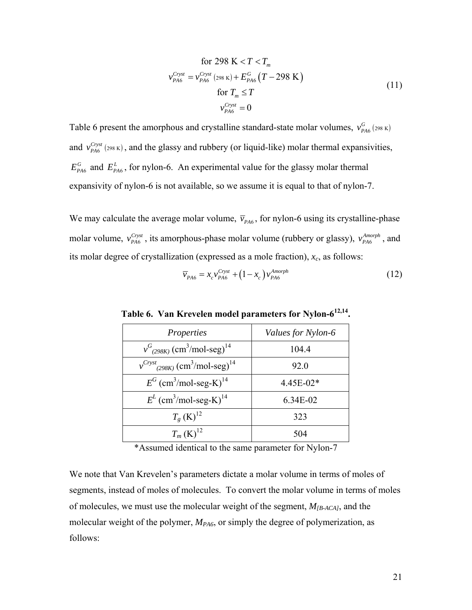for 298 K 
$$
< T < T_m
$$
  
\n
$$
v_{PA6}^{Cryst} = v_{PA6}^{Cryst} (298 \text{ K}) + E_{PA6}^G (T - 298 \text{ K})
$$
\nfor  $T_m \le T$   
\n
$$
v_{PA6}^{Cryst} = 0
$$
\n(11)

<span id="page-32-2"></span><span id="page-32-0"></span>[Table 6](#page-32-1) present the amorphous and crystalline standard-state molar volumes,  $v_{p_{A6}}^G$  (298 K) and  $v_{PA6}^{Cryst}$  (298 K), and the glassy and rubbery (or liquid-like) molar thermal expansivities,  $E_{P\text{A6}}^G$  and  $E_{P\text{A6}}^L$ , for nylon-6. An experimental value for the glassy molar thermal expansivity of nylon-6 is not available, so we assume it is equal to that of nylon-7.

<span id="page-32-1"></span>We may calculate the average molar volume,  $\bar{v}_{PAG}$ , for nylon-6 using its crystalline-phase molar volume,  $v_{PAB}^{Cryst}$ , its amorphous-phase molar volume (rubbery or glassy),  $v_{PAB}^{Amorph}$ , and its molar degree of crystallization (expressed as a mole fraction),  $x_c$ , as follows:

$$
\overline{\nu}_{PA6} = x_c v_{PA6}^{Cryst} + (1 - x_c) v_{PA6}^{Amorph}
$$
\n(12)

| Properties                                                             | Values for Nylon-6 |  |  |
|------------------------------------------------------------------------|--------------------|--|--|
| $v_{(298K)}^G$ (cm <sup>3</sup> /mol-seg) <sup>14</sup>                | 104.4              |  |  |
| $v^{Cryst}$ <sub>(298K)</sub> (cm <sup>3</sup> /mol-seg) <sup>14</sup> | 92.0               |  |  |
| $E^G$ (cm <sup>3</sup> /mol-seg-K) <sup>14</sup>                       | 4.45E-02*          |  |  |
| $E^{L}$ (cm <sup>3</sup> /mol-seg-K) <sup>14</sup>                     | 6.34E-02           |  |  |
| $T_{g}$ (K) <sup>12</sup>                                              | 323                |  |  |
| $T_m(K)^{12}$                                                          | 504                |  |  |

**Table 6. Van Krevelen model parameters for Nylon-612,14.** 

\*Assumed identical to the same parameter for Nylon-7

We note that Van Krevelen's parameters dictate a molar volume in terms of moles of segments, instead of moles of molecules. To convert the molar volume in terms of moles of molecules, we must use the molecular weight of the segment, *M[B-ACA]*, and the molecular weight of the polymer,  $M_{PA6}$ , or simply the degree of polymerization, as follows: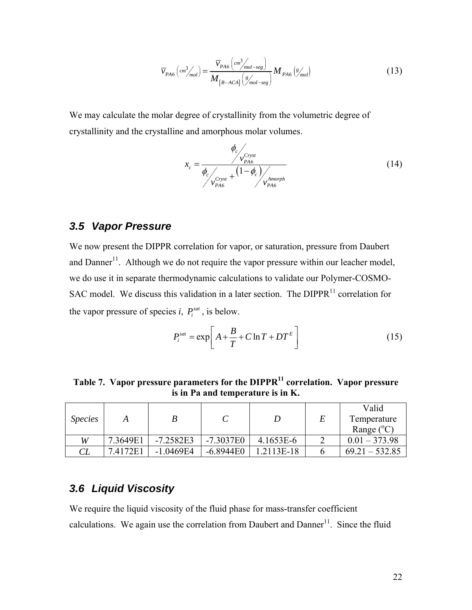$$
\overline{v}_{PAG}(cm^3/_{mol}) = \frac{\overline{v}_{PAG}(cm^3/_{mol-seg})}{M_{[B-ACA]}(s/_{mol-seg})} M_{PAG}(s/_{mol})
$$
\n(13)

<span id="page-33-0"></span>We may calculate the molar degree of crystallinity from the volumetric degree of crystallinity and the crystalline and amorphous molar volumes.

$$
x_c = \frac{\phi_c}{\phi_c / \frac{V_{PAS}^{Cryst}}{V_{PAS}^{Cryst} + (1 - \phi_c) / \frac{V_{PAS}}{V_{PAS}^{Amorph}}}
$$
(14)

### <span id="page-33-1"></span>*3.5 Vapor Pressure*

We now present the DIPPR correlation for vapor, or saturation, pressure from Daubert and Danner<sup>11</sup>. Although we do not require the vapor pressure within our leacher model, we do use it in separate thermodynamic calculations to validate our Polymer-COSMO-SAC model. We discuss this validation in a later section. The  $DIPPR<sup>11</sup>$  correlation for the vapor pressure of species *i*,  $P_i^{sat}$ , is below.

$$
P_i^{sat} = \exp\left[A + \frac{B}{T} + C\ln T + DT^E\right]
$$
 (15)

Table 7. Vapor pressure parameters for the DIPPR<sup>11</sup> correlation. Vapor pressure **is in Pa and temperature is in K.** 

<span id="page-33-3"></span>

|                |          |             |             |            |   | Valid               |
|----------------|----------|-------------|-------------|------------|---|---------------------|
| <i>Species</i> |          |             |             |            | E | Temperature         |
|                |          |             |             |            |   | Range $(^{\circ}C)$ |
| W              | 7.3649E1 | $-7.2582E3$ | $-7.3037E0$ | 4.1653E-6  |   | $0.01 - 373.98$     |
| CL             | 7.4172E1 | $-1.0469E4$ | $-6.8944E0$ | 1.2113E-18 |   | $69.21 - 532.85$    |

### <span id="page-33-2"></span>*3.6 Liquid Viscosity*

We require the liquid viscosity of the fluid phase for mass-transfer coefficient calculations. We again use the correlation from Daubert and Danner<sup>11</sup>. Since the fluid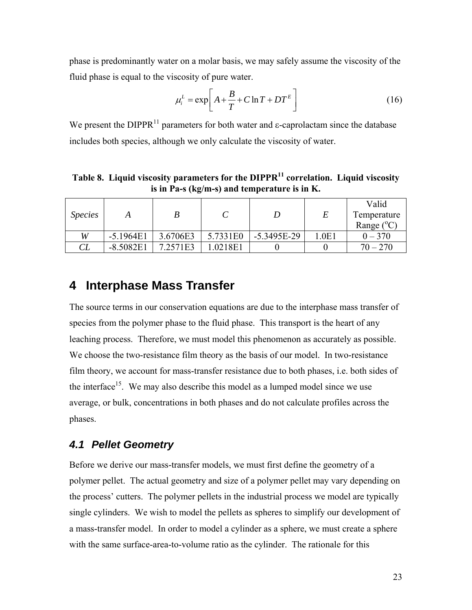<span id="page-34-0"></span>phase is predominantly water on a molar basis, we may safely assume the viscosity of the fluid phase is equal to the viscosity of pure water.

$$
\mu_i^L = \exp\left[A + \frac{B}{T} + C \ln T + DT^E\right]
$$
 (16)

We present the DIPPR<sup>11</sup> parameters for both water and  $\varepsilon$ -caprolactam since the database includes both species, although we only calculate the viscosity of water.

Table 8. Liquid viscosity parameters for the DIPPR<sup>11</sup> correlation. Liquid viscosity **is in Pa-s (kg/m-s) and temperature is in K.** 

<span id="page-34-3"></span>

| <i>Species</i> |             |          |          | D             |       | Valid<br>Temperature |
|----------------|-------------|----------|----------|---------------|-------|----------------------|
|                |             |          |          |               |       | Range $(^{\circ}C)$  |
| W              | $-5.1964E1$ | 3.6706E3 | 5.7331E0 | $-5.3495E-29$ | 1.0E1 | $0\,{-}\,370$        |
| $\mathbb{C}L$  | $-8.5082E1$ | 7.2571E3 | .0218E1  |               |       | $70 - 270$           |

## <span id="page-34-1"></span>**4 Interphase Mass Transfer**

The source terms in our conservation equations are due to the interphase mass transfer of species from the polymer phase to the fluid phase. This transport is the heart of any leaching process. Therefore, we must model this phenomenon as accurately as possible. We choose the two-resistance film theory as the basis of our model. In two-resistance film theory, we account for mass-transfer resistance due to both phases, i.e. both sides of the interface<sup>15</sup>. We may also describe this model as a lumped model since we use average, or bulk, concentrations in both phases and do not calculate profiles across the phases.

#### <span id="page-34-2"></span>*4.1 Pellet Geometry*

Before we derive our mass-transfer models, we must first define the geometry of a polymer pellet. The actual geometry and size of a polymer pellet may vary depending on the process' cutters. The polymer pellets in the industrial process we model are typically single cylinders. We wish to model the pellets as spheres to simplify our development of a mass-transfer model. In order to model a cylinder as a sphere, we must create a sphere with the same surface-area-to-volume ratio as the cylinder. The rationale for this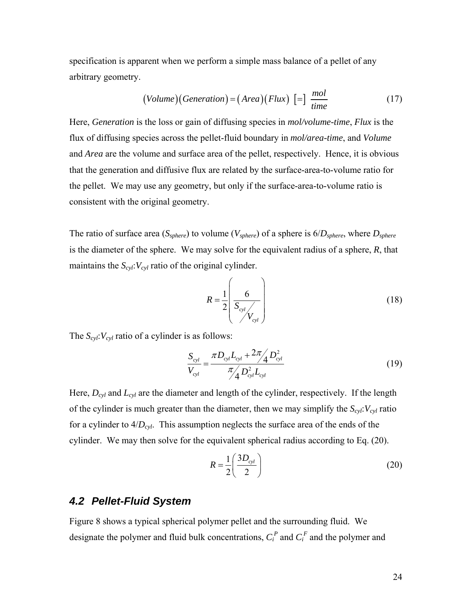<span id="page-35-0"></span>specification is apparent when we perform a simple mass balance of a pellet of any arbitrary geometry.

$$
(Volume)(Generation) = (Area)(Flux) [-] \frac{mol}{time}
$$
 (17)

Here, *Generation* is the loss or gain of diffusing species in *mol/volume-time*, *Flux* is the flux of diffusing species across the pellet-fluid boundary in *mol/area-time*, and *Volume* and *Area* are the volume and surface area of the pellet, respectively. Hence, it is obvious that the generation and diffusive flux are related by the surface-area-to-volume ratio for the pellet. We may use any geometry, but only if the surface-area-to-volume ratio is consistent with the original geometry.

The ratio of surface area (*Ssphere*) to volume (*Vsphere*) of a sphere is 6/*Dsphere*, where *Dsphere* is the diameter of the sphere. We may solve for the equivalent radius of a sphere, *R*, that maintains the  $S_{cyl}$ :  $V_{cyl}$  ratio of the original cylinder.

$$
R = \frac{1}{2} \left( \frac{6}{S_{cyl}} \right) \tag{18}
$$

The  $S_{cyl}$ :  $V_{cyl}$  ratio of a cylinder is as follows:

$$
\frac{S_{cyl}}{V_{cyl}} = \frac{\pi D_{cyl} L_{cyl} + 2\pi / \sqrt{D_{cyl}^2}}{\pi / \sqrt{D_{cyl}^2 L_{cyl}}}
$$
(19)

Here, *Dcyl* and *Lcyl* are the diameter and length of the cylinder, respectively. If the length of the cylinder is much greater than the diameter, then we may simplify the  $S_{cyl}$ :  $V_{cyl}$  ratio for a cylinder to  $4/D_{cyl}$ . This assumption neglects the surface area of the ends of the cylinder. We may then solve for the equivalent spherical radius according to Eq. [\(20\).](#page-35-2)

$$
R = \frac{1}{2} \left( \frac{3D_{cyl}}{2} \right) \tag{20}
$$

### <span id="page-35-2"></span><span id="page-35-1"></span>*4.2 Pellet-Fluid System*

[Figure 8](#page-36-1) shows a typical spherical polymer pellet and the surrounding fluid. We designate the polymer and fluid bulk concentrations,  $C_i^P$  and  $C_i^F$  and the polymer and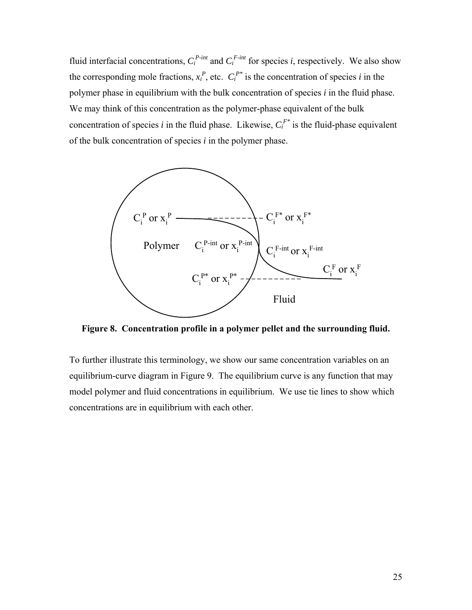fluid interfacial concentrations,  $C_i^{P-int}$  and  $C_i^{F-int}$  for species *i*, respectively. We also show the corresponding mole fractions,  $x_i^P$ , etc.  $C_i^{P*}$  is the concentration of species *i* in the polymer phase in equilibrium with the bulk concentration of species *i* in the fluid phase. We may think of this concentration as the polymer-phase equivalent of the bulk concentration of species *i* in the fluid phase. Likewise,  $C_i^{F*}$  is the fluid-phase equivalent of the bulk concentration of species *i* in the polymer phase.



**Figure 8. Concentration profile in a polymer pellet and the surrounding fluid.** 

<span id="page-36-0"></span>To further illustrate this terminology, we show our same concentration variables on an equilibrium-curve diagram in [Figure 9.](#page-37-0) The equilibrium curve is any function that may model polymer and fluid concentrations in equilibrium. We use tie lines to show which concentrations are in equilibrium with each other.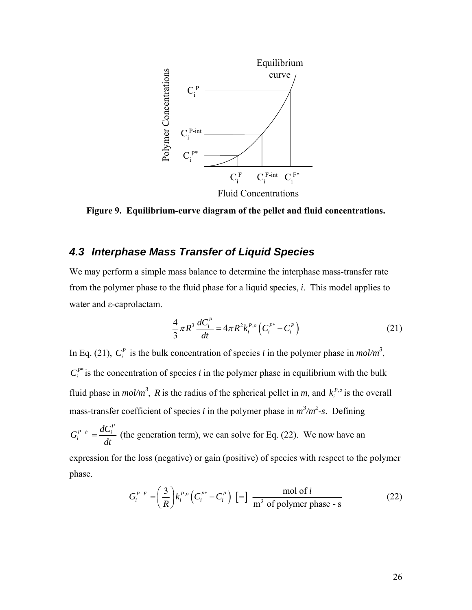

**Figure 9. Equilibrium-curve diagram of the pellet and fluid concentrations.** 

# <span id="page-37-0"></span>*4.3 Interphase Mass Transfer of Liquid Species*

We may perform a simple mass balance to determine the interphase mass-transfer rate from the polymer phase to the fluid phase for a liquid species, *i*. This model applies to water and ε-caprolactam.

$$
\frac{4}{3}\pi R^3 \frac{dC_i^P}{dt} = 4\pi R^2 k_i^{P,o} \left( C_i^{P^*} - C_i^P \right)
$$
 (21)

<span id="page-37-1"></span>In Eq. [\(21\)](#page-37-1),  $C_i^P$  is the bulk concentration of species *i* in the polymer phase in  $mol/m^3$ ,  $C_i^{P^*}$  is the concentration of species *i* in the polymer phase in equilibrium with the bulk fluid phase in  $mol/m^3$ , *R* is the radius of the spherical pellet in *m*, and  $k_i^{P,o}$  is the overall mass-transfer coefficient of species *i* in the polymer phase in  $m^3/m^2$ -s. Defining

 $G_i^{P-F} = \frac{dC_i^P}{L}$ *dt*  $-\frac{aC_i}{I}$  (the generation term), we can solve for Eq. [\(22\).](#page-37-2) We now have an expression for the loss (negative) or gain (positive) of species with respect to the polymer

<span id="page-37-2"></span>phase.

$$
G_i^{P-F} = \left(\frac{3}{R}\right) k_i^{P,o} \left(C_i^{P*} - C_i^P\right) \left[\frac{1}{m^3 \text{ of polymer phase - s}}\right]
$$
 (22)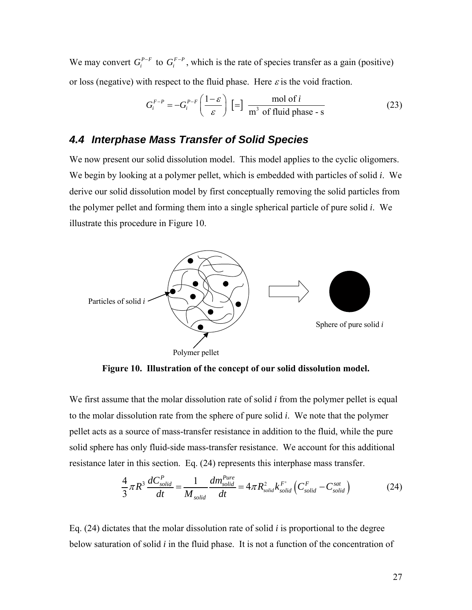We may convert  $G_i^{P-F}$  to  $G_i^{F-P}$ , which is the rate of species transfer as a gain (positive) or loss (negative) with respect to the fluid phase. Here  $\varepsilon$  is the void fraction.

$$
G_i^{F-P} = -G_i^{P-F} \left( \frac{1-\varepsilon}{\varepsilon} \right) \left[ = \right] \frac{\text{mol of } i}{\text{m}^3 \text{ of fluid phase - s}} \tag{23}
$$

## *4.4 Interphase Mass Transfer of Solid Species*

We now present our solid dissolution model. This model applies to the cyclic oligomers. We begin by looking at a polymer pellet, which is embedded with particles of solid *i*. We derive our solid dissolution model by first conceptually removing the solid particles from the polymer pellet and forming them into a single spherical particle of pure solid *i*. We illustrate this procedure in [Figure 10](#page-38-0).



**Figure 10. Illustration of the concept of our solid dissolution model.** 

<span id="page-38-0"></span>We first assume that the molar dissolution rate of solid *i* from the polymer pellet is equal to the molar dissolution rate from the sphere of pure solid *i*. We note that the polymer pellet acts as a source of mass-transfer resistance in addition to the fluid, while the pure solid sphere has only fluid-side mass-transfer resistance. We account for this additional resistance later in this section. Eq. [\(24\)](#page-38-1) represents this interphase mass transfer.

$$
\frac{4}{3}\pi R^3 \frac{dC_{solid}^P}{dt} = \frac{1}{M_{solid}} \frac{dm_{solid}^{Pure}}{dt} = 4\pi R_{solid}^2 k_{solid}^{F'} \left(C_{solid}^F - C_{solid}^{sat}\right)
$$
 (24)

<span id="page-38-1"></span>Eq. [\(24\)](#page-38-1) dictates that the molar dissolution rate of solid *i* is proportional to the degree below saturation of solid *i* in the fluid phase. It is not a function of the concentration of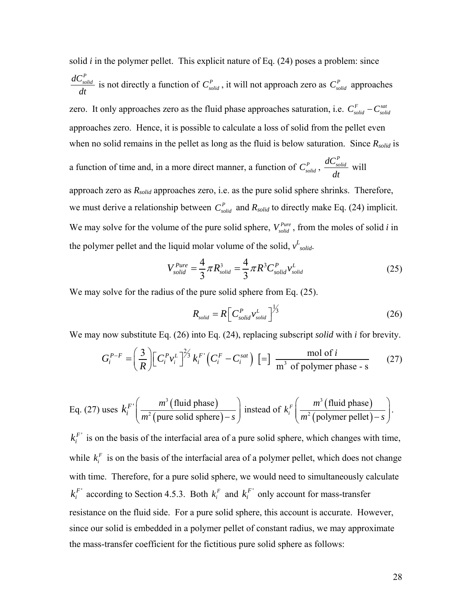solid *i* in the polymer pellet. This explicit nature of Eq. [\(24\)](#page-38-1) poses a problem: since  $\frac{dC_{solid}^P}{dt}$  is not directly a function of  $C_{solid}^P$ , it will not approach zero as  $C_{solid}^P$  approaches zero. It only approaches zero as the fluid phase approaches saturation, i.e.  $C_{solid}^F - C_{solid}^{sat}$ approaches zero. Hence, it is possible to calculate a loss of solid from the pellet even when no solid remains in the pellet as long as the fluid is below saturation. Since  $R_{solid}$  is a function of time and, in a more direct manner, a function of  $C_{solid}^P$ ,  $\frac{dC_{solid}^P}{dt}$ *dt* will approach zero as *Rsolid* approaches zero, i.e. as the pure solid sphere shrinks. Therefore, we must derive a relationship between  $C_{solid}^P$  and  $R_{solid}$  to directly make Eq. [\(24\)](#page-38-1) implicit. We may solve for the volume of the pure solid sphere,  $V_{solid}^{Pure}$ , from the moles of solid *i* in the polymer pellet and the liquid molar volume of the solid,  $v_{solid}^L$ .

$$
V_{solid}^{Pure} = \frac{4}{3} \pi R_{solid}^3 = \frac{4}{3} \pi R^3 C_{solid}^P v_{solid}^L
$$
 (25)

<span id="page-39-1"></span><span id="page-39-0"></span>We may solve for the radius of the pure solid sphere from Eq. [\(25\).](#page-39-0)

$$
R_{solid} = R \left[ C_{solid}^{P} v_{solid}^{L} \right]^{1/3}
$$
 (26)

<span id="page-39-2"></span>We may now substitute Eq. [\(26\)](#page-39-1) into Eq. [\(24\)](#page-38-1), replacing subscript *solid* with *i* for brevity.

$$
G_i^{P-F} = \left(\frac{3}{R}\right) \left[ C_i^P v_i^L \right]^{2/3} k_i^F \left( C_i^F - C_i^{sat} \right) \left[ = \right] \frac{\text{mol of } i}{\text{m}^3 \text{ of polymer phase - s}} \tag{27}
$$

Eq. (27) uses 
$$
k_i^F \left( \frac{m^3 \text{ (fluid phase)}}{m^2 \text{ (pure solid sphere)} - s} \right)
$$
 instead of  $k_i^F \left( \frac{m^3 \text{ (fluid phase)}}{m^2 \text{ (polymer pellet)} - s} \right)$ .

 $k_i^F$  is on the basis of the interfacial area of a pure solid sphere, which changes with time, while  $k_i^F$  is on the basis of the interfacial area of a polymer pellet, which does not change with time. Therefore, for a pure solid sphere, we would need to simultaneously calculate  $k_i^F$  according to Section [4.5.3.](#page-42-0) Both  $k_i^F$  and  $k_i^F$  only account for mass-transfer resistance on the fluid side. For a pure solid sphere, this account is accurate. However, since our solid is embedded in a polymer pellet of constant radius, we may approximate the mass-transfer coefficient for the fictitious pure solid sphere as follows: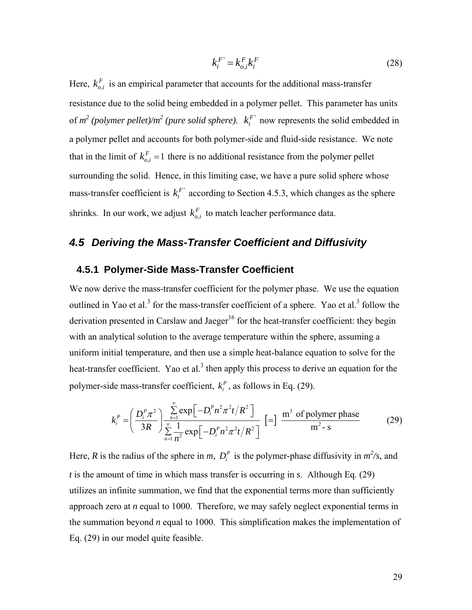$$
k_i^F = k_{o,i}^F k_i^F \tag{28}
$$

Here,  $k_{o,i}^F$  is an empirical parameter that accounts for the additional mass-transfer resistance due to the solid being embedded in a polymer pellet. This parameter has units of  $m^2$  (polymer pellet)/ $m^2$  (pure solid sphere).  $k_i^F$  now represents the solid embedded in a polymer pellet and accounts for both polymer-side and fluid-side resistance. We note that in the limit of  $k_{o,i}^F = 1$  there is no additional resistance from the polymer pellet surrounding the solid. Hence, in this limiting case, we have a pure solid sphere whose mass-transfer coefficient is  $k_i^F$  according to Section [4.5.3,](#page-42-0) which changes as the sphere shrinks. In our work, we adjust  $k_{o,i}^F$  to match leacher performance data.

# *4.5 Deriving the Mass-Transfer Coefficient and Diffusivity*

#### **4.5.1 Polymer-Side Mass-Transfer Coefficient**

We now derive the mass-transfer coefficient for the polymer phase. We use the equation outlined in Yao et al.<sup>3</sup> for the mass-transfer coefficient of a sphere. Yao et al.<sup>3</sup> follow the derivation presented in Carslaw and Jaeger<sup>16</sup> for the heat-transfer coefficient: they begin with an analytical solution to the average temperature within the sphere, assuming a uniform initial temperature, and then use a simple heat-balance equation to solve for the heat-transfer coefficient. Yao et al.<sup>3</sup> then apply this process to derive an equation for the polymer-side mass-transfer coefficient,  $k_i^P$ , as follows in Eq. [\(29\).](#page-40-0)

$$
k_i^P = \left(\frac{D_i^P \pi^2}{3R}\right) \frac{\sum_{n=1}^{\infty} \exp\left[-D_i^P n^2 \pi^2 t/R^2\right]}{\sum_{n=1}^{\infty} \frac{1}{n^2} \exp\left[-D_i^P n^2 \pi^2 t/R^2\right]} \left[=\right] \frac{m^3 \text{ of polymer phase}}{m^2 - s} \tag{29}
$$

<span id="page-40-0"></span>Here, *R* is the radius of the sphere in *m*,  $D_i^P$  is the polymer-phase diffusivity in  $m^2/s$ , and *t* is the amount of time in which mass transfer is occurring in *s*. Although Eq. [\(29\)](#page-40-0) utilizes an infinite summation, we find that the exponential terms more than sufficiently approach zero at *n* equal to 1000. Therefore, we may safely neglect exponential terms in the summation beyond *n* equal to 1000. This simplification makes the implementation of Eq. [\(29\)](#page-40-0) in our model quite feasible.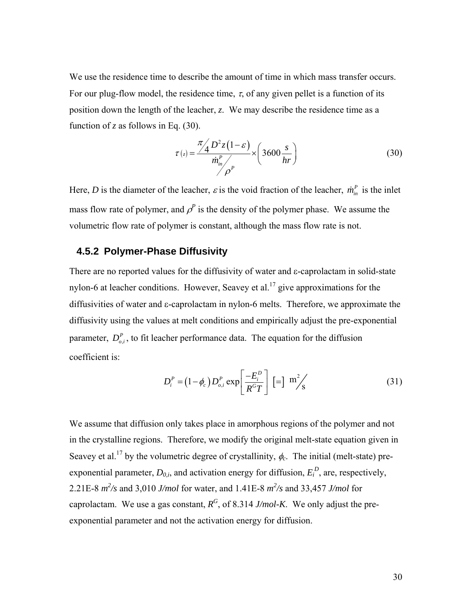We use the residence time to describe the amount of time in which mass transfer occurs. For our plug-flow model, the residence time,  $\tau$ , of any given pellet is a function of its position down the length of the leacher, *z*. We may describe the residence time as a function of *z* as follows in Eq. [\(30\)](#page-41-0).

$$
\tau(z) = \frac{\pi \sqrt{4} D^2 z (1 - \varepsilon)}{\dot{m}_{in}^P / \rho^P} \times \left( 3600 \frac{s}{hr} \right)
$$
 (30)

<span id="page-41-0"></span>Here, *D* is the diameter of the leacher,  $\varepsilon$  is the void fraction of the leacher,  $\dot{m}_m^P$  is the inlet mass flow rate of polymer, and  $\rho^P$  is the density of the polymer phase. We assume the volumetric flow rate of polymer is constant, although the mass flow rate is not.

#### **4.5.2 Polymer-Phase Diffusivity**

There are no reported values for the diffusivity of water and ε-caprolactam in solid-state nylon-6 at leacher conditions. However, Seavey et al.<sup>17</sup> give approximations for the diffusivities of water and ε-caprolactam in nylon-6 melts. Therefore, we approximate the diffusivity using the values at melt conditions and empirically adjust the pre-exponential parameter,  $D_{o,i}^P$ , to fit leacher performance data. The equation for the diffusion coefficient is:

$$
D_i^P = (1 - \phi_c) D_{o,i}^P \exp\left[\frac{-E_i^D}{R^G T}\right] \left[\frac{1}{2}\right] \, \text{m}^2/\text{s} \tag{31}
$$

We assume that diffusion only takes place in amorphous regions of the polymer and not in the crystalline regions. Therefore, we modify the original melt-state equation given in Seavey et al.<sup>17</sup> by the volumetric degree of crystallinity,  $\phi_c$ . The initial (melt-state) preexponential parameter,  $D_{0,i}$ , and activation energy for diffusion,  $E_i^D$ , are, respectively, 2.21E-8  $m^2$ /s and 3,010 *J/mol* for water, and 1.41E-8  $m^2$ /s and 33,457 *J/mol* for caprolactam. We use a gas constant,  $R^G$ , of 8.314 *J/mol-K*. We only adjust the preexponential parameter and not the activation energy for diffusion.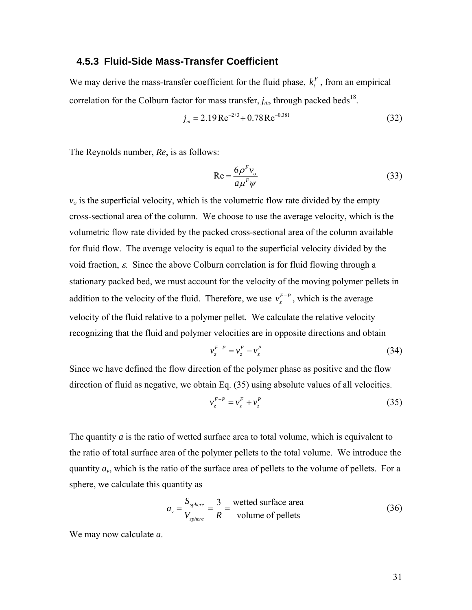#### **4.5.3 Fluid-Side Mass-Transfer Coefficient**

<span id="page-42-0"></span>We may derive the mass-transfer coefficient for the fluid phase,  $k_i^F$ , from an empirical correlation for the Colburn factor for mass transfer,  $j_m$ , through packed beds<sup>18</sup>.

$$
j_m = 2.19 \,\text{Re}^{-2/3} + 0.78 \,\text{Re}^{-0.381} \tag{32}
$$

The Reynolds number, *Re*, is as follows:

$$
Re = \frac{6\rho^F v_o}{a\mu^F \psi} \tag{33}
$$

 $v<sub>o</sub>$  is the superficial velocity, which is the volumetric flow rate divided by the empty cross-sectional area of the column. We choose to use the average velocity, which is the volumetric flow rate divided by the packed cross-sectional area of the column available for fluid flow. The average velocity is equal to the superficial velocity divided by the void fraction,  $\varepsilon$ . Since the above Colburn correlation is for fluid flowing through a stationary packed bed, we must account for the velocity of the moving polymer pellets in addition to the velocity of the fluid. Therefore, we use  $v_z^{F-P}$ , which is the average velocity of the fluid relative to a polymer pellet. We calculate the relative velocity recognizing that the fluid and polymer velocities are in opposite directions and obtain

$$
v_z^{F-P} = v_z^F - v_z^P \tag{34}
$$

<span id="page-42-1"></span>Since we have defined the flow direction of the polymer phase as positive and the flow direction of fluid as negative, we obtain Eq. [\(35\)](#page-42-1) using absolute values of all velocities.

$$
v_z^{F-P} = v_z^F + v_z^P \tag{35}
$$

The quantity *a* is the ratio of wetted surface area to total volume, which is equivalent to the ratio of total surface area of the polymer pellets to the total volume. We introduce the quantity  $a<sub>v</sub>$ , which is the ratio of the surface area of pellets to the volume of pellets. For a sphere, we calculate this quantity as

$$
a_v = \frac{S_{sphere}}{V_{sphere}} = \frac{3}{R} = \frac{\text{wetted surface area}}{\text{volume of pellets}}
$$
 (36)

We may now calculate *a*.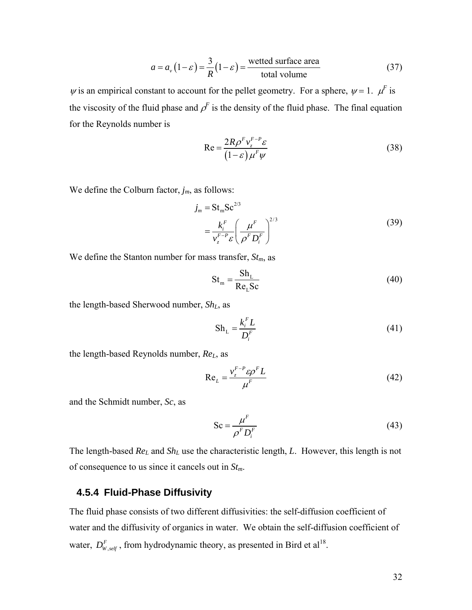$$
a = av (1 - \varepsilon) = \frac{3}{R} (1 - \varepsilon) = \frac{\text{wetted surface area}}{\text{total volume}}
$$
 (37)

 $\psi$  is an empirical constant to account for the pellet geometry. For a sphere,  $\psi = 1$ .  $\mu^F$  is the viscosity of the fluid phase and  $\rho^F$  is the density of the fluid phase. The final equation for the Reynolds number is

$$
Re = \frac{2R\rho^F v_z^{F-P} \varepsilon}{(1-\varepsilon)\mu^F \psi}
$$
 (38)

We define the Colburn factor, *jm*, as follows:

$$
j_m = St_m Sc^{2/3}
$$
  
=  $\frac{k_i^F}{v_z^{F-P} \varepsilon} \left( \frac{\mu^F}{\rho^F D_i^F} \right)^{2/3}$  (39)

We define the Stanton number for mass transfer,  $St_m$ , as

$$
St_m = \frac{Sh_L}{Re_L Sc}
$$
 (40)

the length-based Sherwood number, *ShL*, as

$$
Sh_{L} = \frac{k_i^F L}{D_i^F}
$$
\n(41)

the length-based Reynolds number, *ReL*, as

$$
Re_L = \frac{v_z^{F-P} \varepsilon \rho^F L}{\mu^F}
$$
 (42)

and the Schmidt number, *Sc*, as

$$
Sc = \frac{\mu^F}{\rho^F D_i^F}
$$
 (43)

The length-based *ReL* and *ShL* use the characteristic length, *L*. However, this length is not of consequence to us since it cancels out in *Stm*.

## **4.5.4 Fluid-Phase Diffusivity**

The fluid phase consists of two different diffusivities: the self-diffusion coefficient of water and the diffusivity of organics in water. We obtain the self-diffusion coefficient of water,  $D_{W, self}^F$ , from hydrodynamic theory, as presented in Bird et al<sup>18</sup>.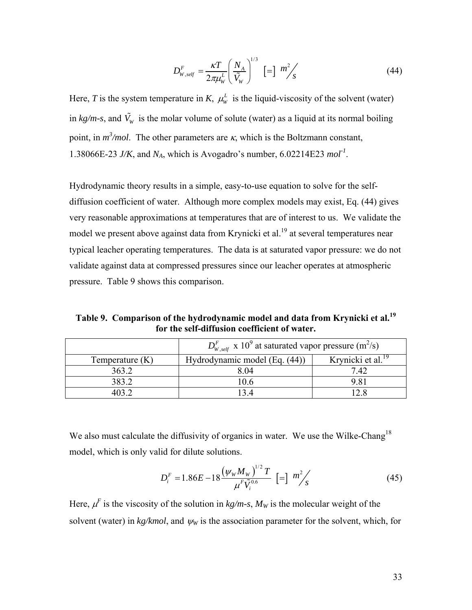$$
D_{W, self}^{F} = \frac{\kappa T}{2\pi\mu_{W}^{L}} \left(\frac{N_{A}}{\tilde{V}_{W}}\right)^{1/3} \left[\equiv\right] \, m_{S}^{2} \tag{44}
$$

<span id="page-44-0"></span>Here, *T* is the system temperature in *K*,  $\mu_w^L$  is the liquid-viscosity of the solvent (water) in  $kg/m$ -s, and  $\tilde{V}_w$  is the molar volume of solute (water) as a liquid at its normal boiling point, in  $m^3$ /*mol*. The other parameters are  $\kappa$ , which is the Boltzmann constant, 1.38066E-23 *J/K*, and *NA*, which is Avogadro's number, 6.02214E23 *mol-1*.

Hydrodynamic theory results in a simple, easy-to-use equation to solve for the selfdiffusion coefficient of water. Although more complex models may exist, Eq. [\(44\)](#page-44-0) gives very reasonable approximations at temperatures that are of interest to us. We validate the model we present above against data from Krynicki et al.<sup>19</sup> at several temperatures near typical leacher operating temperatures. The data is at saturated vapor pressure: we do not validate against data at compressed pressures since our leacher operates at atmospheric pressure. [Table 9](#page-44-1) shows this comparison.

**Table 9. Comparison of the hydrodynamic model and data from Krynicki et al.<sup>19</sup> for the self-diffusion coefficient of water.** 

<span id="page-44-1"></span>

|                   | $D_{\rm w, self}^F$ x 10 <sup>9</sup> at saturated vapor pressure (m <sup>2</sup> /s) |                               |  |
|-------------------|---------------------------------------------------------------------------------------|-------------------------------|--|
| Temperature $(K)$ | Hydrodynamic model (Eq. (44))                                                         | Krynicki et al. <sup>19</sup> |  |
| 363.2             | 804                                                                                   | 7.42                          |  |
| 383.2             | IO 6                                                                                  | 9.81                          |  |
|                   |                                                                                       |                               |  |

We also must calculate the diffusivity of organics in water. We use the Wilke-Chang<sup>18</sup> model, which is only valid for dilute solutions.

$$
D_i^F = 1.86E - 18 \frac{(\psi_w M_w)^{1/2} T}{\mu^F \tilde{V}_i^{0.6}} \left[ = \right] \frac{m^2}{s} \tag{45}
$$

 $1/2$ 

Here,  $\mu^F$  is the viscosity of the solution in  $kg/m$ -s,  $M_W$  is the molecular weight of the solvent (water) in  $kg/kmol$ , and  $\psi_W$  is the association parameter for the solvent, which, for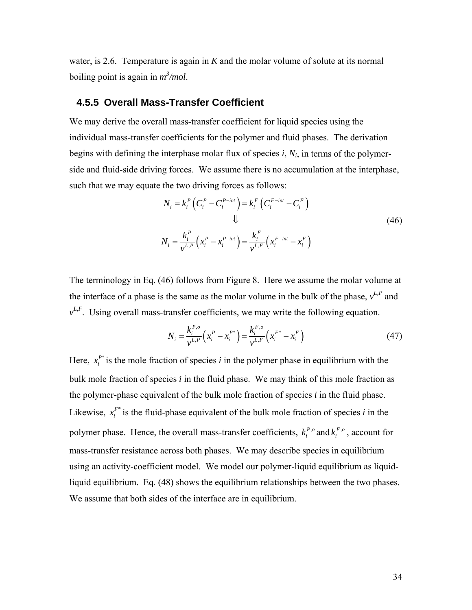water, is 2.6. Temperature is again in *K* and the molar volume of solute at its normal boiling point is again in  $m^3$ /*mol*.

#### **4.5.5 Overall Mass-Transfer Coefficient**

We may derive the overall mass-transfer coefficient for liquid species using the individual mass-transfer coefficients for the polymer and fluid phases. The derivation begins with defining the interphase molar flux of species *i*, *Ni*, in terms of the polymerside and fluid-side driving forces. We assume there is no accumulation at the interphase, such that we may equate the two driving forces as follows:

$$
N_{i} = k_{i}^{P} \left( C_{i}^{P} - C_{i}^{P-int} \right) = k_{i}^{F} \left( C_{i}^{F-int} - C_{i}^{F} \right)
$$
  

$$
\downarrow \qquad \qquad \downarrow \qquad (46)
$$
  

$$
N_{i} = \frac{k_{i}^{P}}{v^{L,P}} \left( x_{i}^{P} - x_{i}^{P-int} \right) = \frac{k_{i}^{F}}{v^{L,F}} \left( x_{i}^{F-int} - x_{i}^{F} \right)
$$

<span id="page-45-0"></span>The terminology in Eq. [\(46\)](#page-45-0) follows from [Figure 8.](#page-36-0) Here we assume the molar volume at the interface of a phase is the same as the molar volume in the bulk of the phase,  $v^{L,P}$  and  $v^{L,F}$ . Using overall mass-transfer coefficients, we may write the following equation.

$$
N_i = \frac{k_i^{P,o}}{v^{L,P}} \left( x_i^P - x_i^{P^*} \right) = \frac{k_i^{F,o}}{v^{L,F}} \left( x_i^{F^*} - x_i^F \right)
$$
 (47)

<span id="page-45-1"></span>Here,  $x_i^{P^*}$  is the mole fraction of species *i* in the polymer phase in equilibrium with the bulk mole fraction of species *i* in the fluid phase. We may think of this mole fraction as the polymer-phase equivalent of the bulk mole fraction of species *i* in the fluid phase. Likewise,  $x_i^{F^*}$  is the fluid-phase equivalent of the bulk mole fraction of species *i* in the polymer phase. Hence, the overall mass-transfer coefficients,  $k_i^{P,o}$  and  $k_i^{F,o}$ , account for mass-transfer resistance across both phases. We may describe species in equilibrium using an activity-coefficient model. We model our polymer-liquid equilibrium as liquidliquid equilibrium. Eq. [\(48\)](#page-46-0) shows the equilibrium relationships between the two phases. We assume that both sides of the interface are in equilibrium.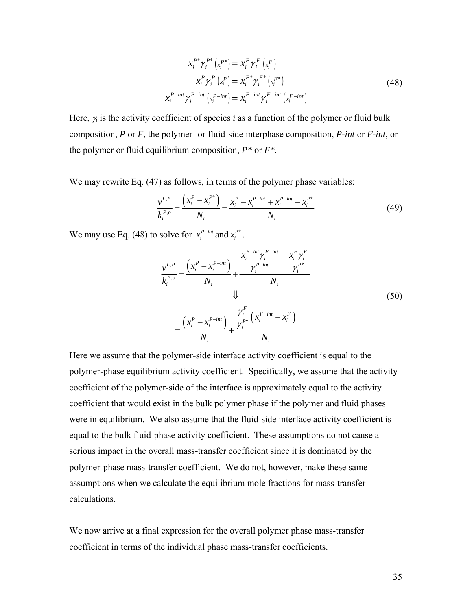$$
x_i^{P^*} \gamma_i^{P^*} (x_i^{P^*}) = x_i^F \gamma_i^F (x_i^F)
$$
  
\n
$$
x_i^P \gamma_i^P (x_i^P) = x_i^{F^*} \gamma_i^{F^*} (x_i^{F^*})
$$
  
\n
$$
x_i^{P-int} \gamma_i^{P-int} (x_i^{P-int}) = x_i^{F-int} \gamma_i^{F-int} (x_i^{F-int})
$$
\n(48)

<span id="page-46-0"></span>Here, <sup>γ</sup>*i* is the activity coefficient of species *i* as a function of the polymer or fluid bulk composition, *P* or *F*, the polymer- or fluid-side interphase composition, *P-int* or *F-int*, or the polymer or fluid equilibrium composition, *P\** or *F\**.

We may rewrite Eq. [\(47\)](#page-45-1) as follows, in terms of the polymer phase variables:

$$
\frac{v^{L,P}}{k_i^{P,o}} = \frac{\left(x_i^P - x_i^{P^*}\right)}{N_i} = \frac{x_i^P - x_i^{P-int} + x_i^{P-int} - x_i^{P^*}}{N_i}
$$
\n(49)

We may use Eq. [\(48\)](#page-46-0) to solve for  $x_i^{P-int}$  and  $x_i^{P^*}$ .

$$
\frac{v^{L,P}}{k_i^{P,o}} = \frac{\left(x_i^P - x_i^{P-int}\right)}{N_i} + \frac{\frac{x_i^{F-int} \gamma_i^{F-int}}{\gamma_i^{P-int}} - \frac{x_i^F \gamma_i^F}{\gamma_i^{P^*}}}{N_i}
$$
\n
$$
= \frac{\left(x_i^P - x_i^{P-int}\right)}{N_i} + \frac{\frac{\gamma_i^F}{\gamma_i^{P^*}}\left(x_i^{F-int} - x_i^F\right)}{N_i}
$$
\n(50)

Here we assume that the polymer-side interface activity coefficient is equal to the polymer-phase equilibrium activity coefficient. Specifically, we assume that the activity coefficient of the polymer-side of the interface is approximately equal to the activity coefficient that would exist in the bulk polymer phase if the polymer and fluid phases were in equilibrium. We also assume that the fluid-side interface activity coefficient is equal to the bulk fluid-phase activity coefficient. These assumptions do not cause a serious impact in the overall mass-transfer coefficient since it is dominated by the polymer-phase mass-transfer coefficient. We do not, however, make these same assumptions when we calculate the equilibrium mole fractions for mass-transfer calculations.

We now arrive at a final expression for the overall polymer phase mass-transfer coefficient in terms of the individual phase mass-transfer coefficients.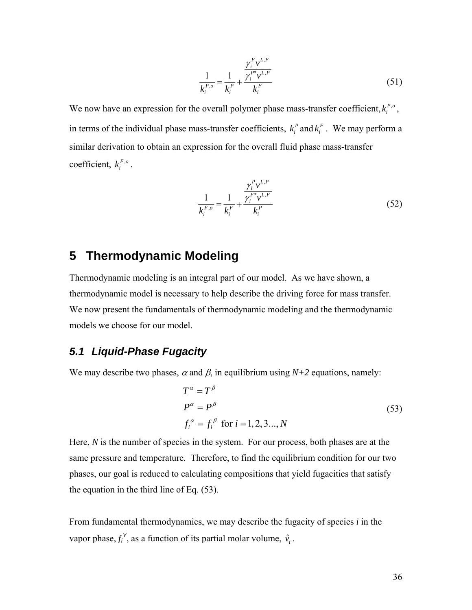$$
\frac{1}{k_i^{P,o}} = \frac{1}{k_i^P} + \frac{\gamma_i^{F} v^{L,F}}{\gamma_i^{F} v^{L,P}} \tag{51}
$$

We now have an expression for the overall polymer phase mass-transfer coefficient,  $k_i^{P,o}$ , in terms of the individual phase mass-transfer coefficients,  $k_i^P$  and  $k_i^F$ . We may perform a similar derivation to obtain an expression for the overall fluid phase mass-transfer coefficient,  $k_i^{F,o}$ .

$$
\frac{1}{k_i^{F,o}} = \frac{1}{k_i^F} + \frac{\gamma_i^{F} v^{L,F}}{\gamma_i^{F*} v^{L,F}} \tag{52}
$$

# **5 Thermodynamic Modeling**

Thermodynamic modeling is an integral part of our model. As we have shown, a thermodynamic model is necessary to help describe the driving force for mass transfer. We now present the fundamentals of thermodynamic modeling and the thermodynamic models we choose for our model.

# *5.1 Liquid-Phase Fugacity*

<span id="page-47-0"></span>We may describe two phases,  $\alpha$  and  $\beta$ , in equilibrium using  $N+2$  equations, namely:

$$
T^{\alpha} = T^{\beta}
$$
  
\n
$$
P^{\alpha} = P^{\beta}
$$
  
\n
$$
f_i^{\alpha} = f_i^{\beta} \text{ for } i = 1, 2, 3..., N
$$
\n(53)

Here, *N* is the number of species in the system. For our process, both phases are at the same pressure and temperature. Therefore, to find the equilibrium condition for our two phases, our goal is reduced to calculating compositions that yield fugacities that satisfy the equation in the third line of Eq. [\(53\).](#page-47-0)

From fundamental thermodynamics, we may describe the fugacity of species *i* in the vapor phase,  $f_i^V$ , as a function of its partial molar volume,  $\hat{v}_i$ .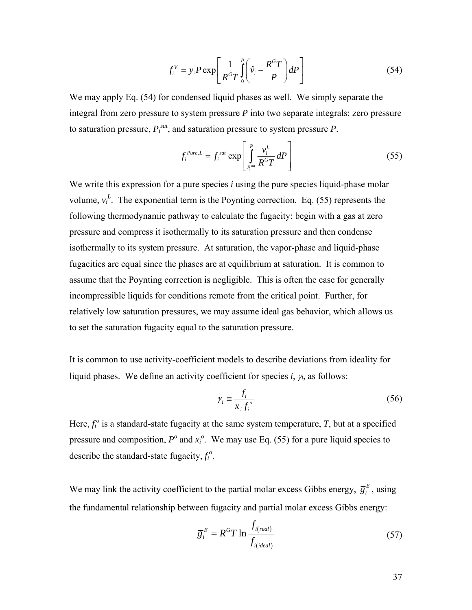$$
f_i^V = y_i P \exp\left[\frac{1}{R^c T} \int_0^P \left(\hat{v}_i - \frac{R^c T}{P}\right) dP\right]
$$
 (54)

<span id="page-48-0"></span>We may apply Eq. [\(54\)](#page-48-0) for condensed liquid phases as well. We simply separate the integral from zero pressure to system pressure *P* into two separate integrals: zero pressure to saturation pressure,  $P_i^{sat}$ , and saturation pressure to system pressure  $P$ .

$$
f_i^{Pure, L} = f_i^{sat} \exp\left[\int_{P_i^{sat}}^P \frac{v_i^L}{R^G T} dP\right]
$$
 (55)

<span id="page-48-1"></span>We write this expression for a pure species *i* using the pure species liquid-phase molar volume,  $v_i^L$ . The exponential term is the Poynting correction. Eq. [\(55\)](#page-48-1) represents the following thermodynamic pathway to calculate the fugacity: begin with a gas at zero pressure and compress it isothermally to its saturation pressure and then condense isothermally to its system pressure. At saturation, the vapor-phase and liquid-phase fugacities are equal since the phases are at equilibrium at saturation. It is common to assume that the Poynting correction is negligible. This is often the case for generally incompressible liquids for conditions remote from the critical point. Further, for relatively low saturation pressures, we may assume ideal gas behavior, which allows us to set the saturation fugacity equal to the saturation pressure.

It is common to use activity-coefficient models to describe deviations from ideality for liquid phases. We define an activity coefficient for species *i*, <sup>γ</sup>*i*, as follows:

$$
\gamma_i \equiv \frac{f_i}{x_i f_i^o} \tag{56}
$$

Here,  $f_i^o$  is a standard-state fugacity at the same system temperature,  $T$ , but at a specified pressure and composition,  $P^{\circ}$  and  $x_i^{\circ}$ . We may use Eq. [\(55\)](#page-48-1) for a pure liquid species to describe the standard-state fugacity,  $f_i^o$ .

We may link the activity coefficient to the partial molar excess Gibbs energy,  $\overline{g}_i^E$ , using the fundamental relationship between fugacity and partial molar excess Gibbs energy:

$$
\overline{g}_i^E = R^G T \ln \frac{f_{i(\text{real})}}{f_{i(\text{ideal})}}
$$
(57)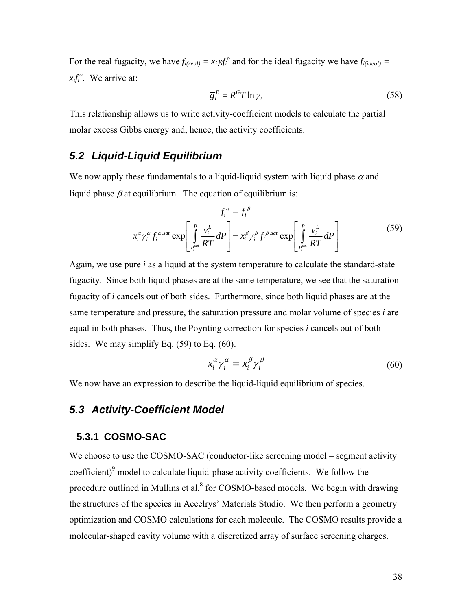For the real fugacity, we have  $f_{i(\text{real})} = x_i \gamma_i f_i^{\circ}$  and for the ideal fugacity we have  $f_{i(\text{ideal})} =$  $x_i f_i^o$ . We arrive at:

$$
\overline{g}_i^E = R^G T \ln \gamma_i \tag{58}
$$

This relationship allows us to write activity-coefficient models to calculate the partial molar excess Gibbs energy and, hence, the activity coefficients.

# *5.2 Liquid-Liquid Equilibrium*

<span id="page-49-0"></span>We now apply these fundamentals to a liquid-liquid system with liquid phase  $\alpha$  and liquid phase  $\beta$  at equilibrium. The equation of equilibrium is:

$$
f_i^{\alpha} = f_i^{\beta}
$$
  

$$
x_i^{\alpha} \gamma_i^{\alpha} f_i^{\alpha, sat} \exp\left[\int_{P_i^{sat}}^P \frac{v_i^L}{RT} dP\right] = x_i^{\beta} \gamma_i^{\beta} f_i^{\beta, sat} \exp\left[\int_{P_i^{sat}}^P \frac{v_i^L}{RT} dP\right]
$$
 (59)

Again, we use pure *i* as a liquid at the system temperature to calculate the standard-state fugacity. Since both liquid phases are at the same temperature, we see that the saturation fugacity of *i* cancels out of both sides. Furthermore, since both liquid phases are at the same temperature and pressure, the saturation pressure and molar volume of species *i* are equal in both phases. Thus, the Poynting correction for species *i* cancels out of both sides. We may simplify Eq. [\(59\)](#page-49-0) to Eq. [\(60\)](#page-49-1).

$$
x_i^{\alpha} \gamma_i^{\alpha} = x_i^{\beta} \gamma_i^{\beta} \tag{60}
$$

<span id="page-49-1"></span>We now have an expression to describe the liquid-liquid equilibrium of species.

# *5.3 Activity-Coefficient Model*

#### **5.3.1 COSMO-SAC**

<span id="page-49-2"></span>We choose to use the COSMO-SAC (conductor-like screening model – segment activity coefficient) $\degree$  model to calculate liquid-phase activity coefficients. We follow the procedure outlined in Mullins et al. $8$  for COSMO-based models. We begin with drawing the structures of the species in Accelrys' Materials Studio. We then perform a geometry optimization and COSMO calculations for each molecule. The COSMO results provide a molecular-shaped cavity volume with a discretized array of surface screening charges.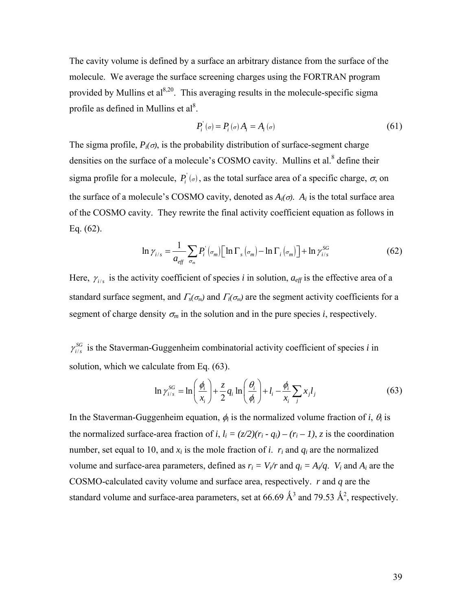The cavity volume is defined by a surface an arbitrary distance from the surface of the molecule. We average the surface screening charges using the FORTRAN program provided by Mullins et  $al^{8,20}$ . This averaging results in the molecule-specific sigma profile as defined in Mullins et  $al^8$ .

$$
P_i^{\prime}(\sigma) = P_i(\sigma) A_i = A_i(\sigma) \tag{61}
$$

The sigma profile,  $P_i(\sigma)$ , is the probability distribution of surface-segment charge densities on the surface of a molecule's COSMO cavity. Mullins et al.<sup>8</sup> define their sigma profile for a molecule,  $P_i^{\prime}(\sigma)$ , as the total surface area of a specific charge,  $\sigma$ , on the surface of a molecule's COSMO cavity, denoted as  $A_i(\sigma)$ .  $A_i$  is the total surface area of the COSMO cavity. They rewrite the final activity coefficient equation as follows in Eq. [\(62\)](#page-50-0).

$$
\ln \gamma_{i/s} = \frac{1}{a_{\text{eff}}} \sum_{\sigma_m} P_i^{\dagger} (\sigma_m) \Big[ \ln \Gamma_s (\sigma_m) - \ln \Gamma_i (\sigma_m) \Big] + \ln \gamma_{i/s}^{SG} \tag{62}
$$

<span id="page-50-0"></span>Here,  $\gamma_{i/s}$  is the activity coefficient of species *i* in solution,  $a_{\text{eff}}$  is the effective area of a standard surface segment, and  $\Gamma_s(\sigma_m)$  and  $\Gamma_i(\sigma_m)$  are the segment activity coefficients for a segment of charge density  $\sigma_m$  in the solution and in the pure species *i*, respectively.

<span id="page-50-1"></span>/  $\gamma_{i/s}^{SG}$  is the Staverman-Guggenheim combinatorial activity coefficient of species *i* in solution, which we calculate from Eq.  $(63)$ .

$$
\ln \gamma_{i/s}^{SG} = \ln \left( \frac{\phi_i}{x_i} \right) + \frac{z}{2} q_i \ln \left( \frac{\theta_i}{\phi_i} \right) + l_i - \frac{\phi_i}{x_i} \sum_j x_j l_j \tag{63}
$$

In the Staverman-Guggenheim equation,  $\phi_i$  is the normalized volume fraction of *i*,  $\theta_i$  is the normalized surface-area fraction of *i*,  $l_i = (z/2)(r_i - q_i) - (r_i - 1)$ , *z* is the coordination number, set equal to 10, and  $x_i$  is the mole fraction of *i*.  $r_i$  and  $q_i$  are the normalized volume and surface-area parameters, defined as  $r_i = V_i/r$  and  $q_i = A_i/q$ .  $V_i$  and  $A_i$  are the COSMO-calculated cavity volume and surface area, respectively. *r* and *q* are the standard volume and surface-area parameters, set at 66.69  $\AA^3$  and 79.53  $\AA^2$ , respectively.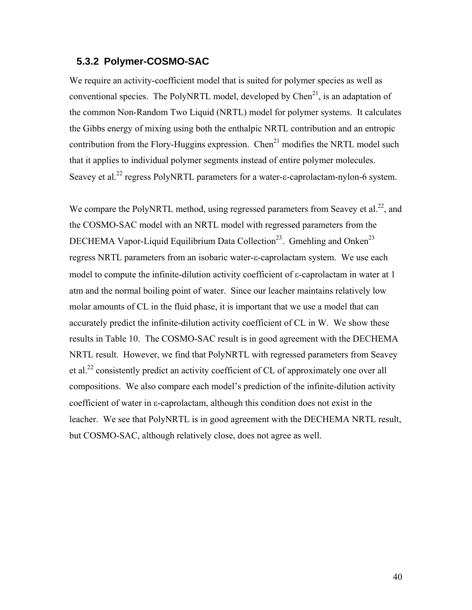### **5.3.2 Polymer-COSMO-SAC**

We require an activity-coefficient model that is suited for polymer species as well as conventional species. The PolyNRTL model, developed by  $Chen<sup>21</sup>$ , is an adaptation of the common Non-Random Two Liquid (NRTL) model for polymer systems. It calculates the Gibbs energy of mixing using both the enthalpic NRTL contribution and an entropic contribution from the Flory-Huggins expression. Chen<sup>21</sup> modifies the NRTL model such that it applies to individual polymer segments instead of entire polymer molecules. Seavey et al.<sup>22</sup> regress PolyNRTL parameters for a water-ε-caprolactam-nylon-6 system.

We compare the PolyNRTL method, using regressed parameters from Seavey et al.<sup>22</sup>, and the COSMO-SAC model with an NRTL model with regressed parameters from the DECHEMA Vapor-Liquid Equilibrium Data Collection<sup>23</sup>. Gmehling and Onken<sup>23</sup> regress NRTL parameters from an isobaric water-ε-caprolactam system. We use each model to compute the infinite-dilution activity coefficient of ε-caprolactam in water at 1 atm and the normal boiling point of water. Since our leacher maintains relatively low molar amounts of CL in the fluid phase, it is important that we use a model that can accurately predict the infinite-dilution activity coefficient of CL in W. We show these results in [Table 10.](#page-52-0) The COSMO-SAC result is in good agreement with the DECHEMA NRTL result. However, we find that PolyNRTL with regressed parameters from Seavey et al.<sup>22</sup> consistently predict an activity coefficient of CL of approximately one over all compositions. We also compare each model's prediction of the infinite-dilution activity coefficient of water in ε-caprolactam, although this condition does not exist in the leacher. We see that PolyNRTL is in good agreement with the DECHEMA NRTL result, but COSMO-SAC, although relatively close, does not agree as well.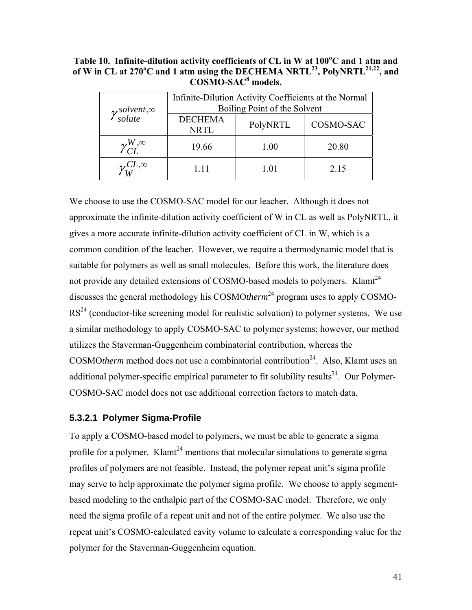<span id="page-52-0"></span>**Table 10. Infinite-dilution activity coefficients of CL in W at 100<sup>o</sup> C and 1 atm and**  of W in CL at 270<sup>o</sup>C and 1 atm using the DECHEMA NRTL<sup>23</sup>, PolyNRTL<sup>21,22</sup>, and **COSMO-SAC8 models.** 

| $\gamma_{solute}^{solvent,\infty}$ | Infinite-Dilution Activity Coefficients at the Normal<br>Boiling Point of the Solvent |          |           |  |
|------------------------------------|---------------------------------------------------------------------------------------|----------|-----------|--|
|                                    | <b>DECHEMA</b><br><b>NRTL</b>                                                         | PolyNRTL | COSMO-SAC |  |
| $\mathcal{V}_{CL}^{W, \infty}$     | 19.66                                                                                 | 1.00     | 20.80     |  |
| $\mathscr{V}_{W}^{CL,\infty}$      | 1.11                                                                                  | 1.01     | 2.15      |  |

We choose to use the COSMO-SAC model for our leacher. Although it does not approximate the infinite-dilution activity coefficient of W in CL as well as PolyNRTL, it gives a more accurate infinite-dilution activity coefficient of CL in W, which is a common condition of the leacher. However, we require a thermodynamic model that is suitable for polymers as well as small molecules. Before this work, the literature does not provide any detailed extensions of COSMO-based models to polymers. Klamt<sup>24</sup> discusses the general methodology his COSMO*therm*24 program uses to apply COSMO- $RS<sup>24</sup>$  (conductor-like screening model for realistic solvation) to polymer systems. We use a similar methodology to apply COSMO-SAC to polymer systems; however, our method utilizes the Staverman-Guggenheim combinatorial contribution, whereas the COSMOtherm method does not use a combinatorial contribution<sup>24</sup>. Also, Klamt uses an additional polymer-specific empirical parameter to fit solubility results<sup>24</sup>. Our Polymer-COSMO-SAC model does not use additional correction factors to match data.

#### **5.3.2.1 Polymer Sigma-Profile**

To apply a COSMO-based model to polymers, we must be able to generate a sigma profile for a polymer. Klamt<sup>24</sup> mentions that molecular simulations to generate sigma profiles of polymers are not feasible. Instead, the polymer repeat unit's sigma profile may serve to help approximate the polymer sigma profile. We choose to apply segmentbased modeling to the enthalpic part of the COSMO-SAC model. Therefore, we only need the sigma profile of a repeat unit and not of the entire polymer. We also use the repeat unit's COSMO-calculated cavity volume to calculate a corresponding value for the polymer for the Staverman-Guggenheim equation.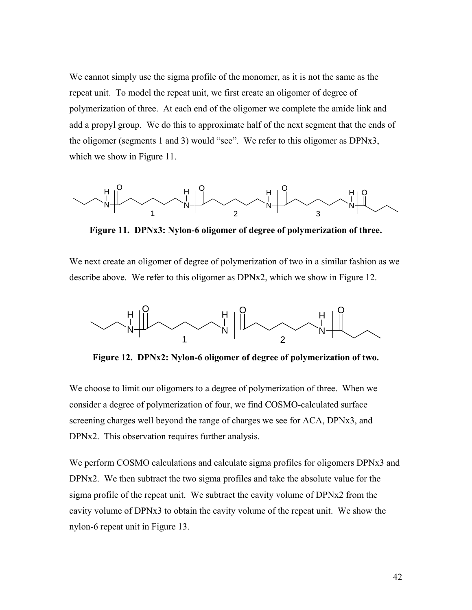We cannot simply use the sigma profile of the monomer, as it is not the same as the repeat unit. To model the repeat unit, we first create an oligomer of degree of polymerization of three. At each end of the oligomer we complete the amide link and add a propyl group. We do this to approximate half of the next segment that the ends of the oligomer (segments 1 and 3) would "see". We refer to this oligomer as DPNx3, which we show in [Figure 11](#page-53-0).

<span id="page-53-0"></span>

**Figure 11. DPNx3: Nylon-6 oligomer of degree of polymerization of three.** 

We next create an oligomer of degree of polymerization of two in a similar fashion as we describe above. We refer to this oligomer as DPNx2, which we show in [Figure 12](#page-53-1).



**Figure 12. DPNx2: Nylon-6 oligomer of degree of polymerization of two.** 

<span id="page-53-1"></span>We choose to limit our oligomers to a degree of polymerization of three. When we consider a degree of polymerization of four, we find COSMO-calculated surface screening charges well beyond the range of charges we see for ACA, DPNx3, and DPNx2. This observation requires further analysis.

We perform COSMO calculations and calculate sigma profiles for oligomers DPNx3 and DPNx2. We then subtract the two sigma profiles and take the absolute value for the sigma profile of the repeat unit. We subtract the cavity volume of DPNx2 from the cavity volume of DPNx3 to obtain the cavity volume of the repeat unit. We show the nylon-6 repeat unit in [Figure 13.](#page-54-0)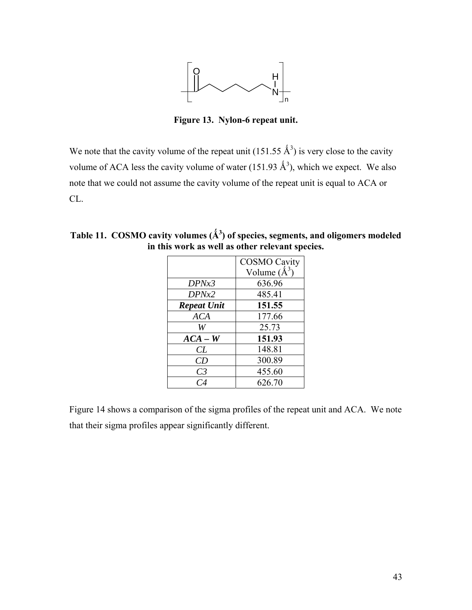

**Figure 13. Nylon-6 repeat unit.** 

<span id="page-54-0"></span>We note that the cavity volume of the repeat unit (151.55  $\AA^3$ ) is very close to the cavity volume of ACA less the cavity volume of water (151.93  $\AA^3$ ), which we expect. We also note that we could not assume the cavity volume of the repeat unit is equal to ACA or CL.

|                    | <b>COSMO Cavity</b> |
|--------------------|---------------------|
|                    | Volume $(\AA^3)$    |
| DPNx3              | 636.96              |
| DPN <sub>x</sub> 2 | 485.41              |
| <b>Repeat Unit</b> | 151.55              |
| <b>ACA</b>         | 177.66              |
| W                  | 25.73               |
| $ACA - W$          | 151.93              |
| CL                 | 148.81              |
| CD                 | 300.89              |
| C <sub>3</sub>     | 455.60              |
| $\mathcal C$ 4     | 626.70              |

**Table 11. COSMO cavity volumes (Ǻ<sup>3</sup> ) of species, segments, and oligomers modeled in this work as well as other relevant species.** 

[Figure 14](#page-55-0) shows a comparison of the sigma profiles of the repeat unit and ACA. We note that their sigma profiles appear significantly different.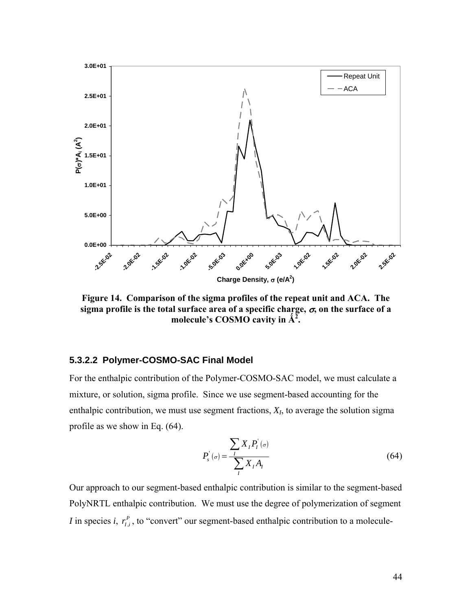

<span id="page-55-0"></span>**Figure 14. Comparison of the sigma profiles of the repeat unit and ACA. The sigma profile is the total surface area of a specific charge,** σ**, on the surface of a molecule's COSMO cavity in**  $\hat{A}^2$ **.** 

#### **5.3.2.2 Polymer-COSMO-SAC Final Model**

For the enthalpic contribution of the Polymer-COSMO-SAC model, we must calculate a mixture, or solution, sigma profile. Since we use segment-based accounting for the enthalpic contribution, we must use segment fractions, *XI*, to average the solution sigma profile as we show in Eq. [\(64\)](#page-55-1).

$$
P'_{s}(\sigma) = \frac{\sum_{I} X_{I} P'_{I}(\sigma)}{\sum_{I} X_{I} A_{I}}
$$
\n(64)

<span id="page-55-1"></span>Our approach to our segment-based enthalpic contribution is similar to the segment-based PolyNRTL enthalpic contribution. We must use the degree of polymerization of segment *I* in species *i*,  $r_{i,i}^P$ , to "convert" our segment-based enthalpic contribution to a molecule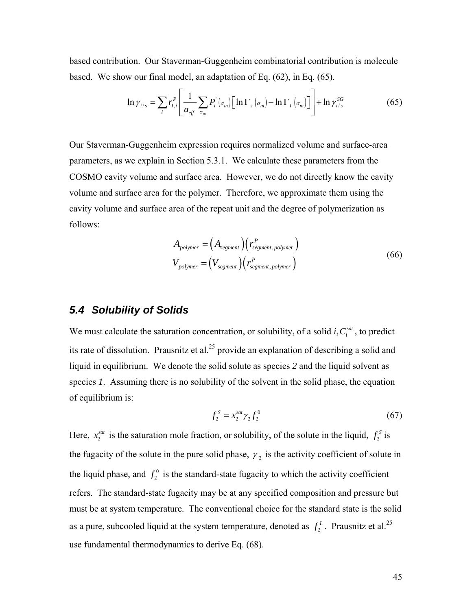<span id="page-56-0"></span>based contribution. Our Staverman-Guggenheim combinatorial contribution is molecule based. We show our final model, an adaptation of Eq. [\(62\),](#page-50-0) in Eq. [\(65\).](#page-56-0)

$$
\ln \gamma_{i/s} = \sum_{I} r_{I,i}^{P} \left[ \frac{1}{a_{\text{eff}}} \sum_{\sigma_m} P_I^{'}(\sigma_m) \left[ \ln \Gamma_s(\sigma_m) - \ln \Gamma_I(\sigma_m) \right] \right] + \ln \gamma_{i/s}^{SG}
$$
(65)

Our Staverman-Guggenheim expression requires normalized volume and surface-area parameters, as we explain in Section [5.3.1](#page-49-2). We calculate these parameters from the COSMO cavity volume and surface area. However, we do not directly know the cavity volume and surface area for the polymer. Therefore, we approximate them using the cavity volume and surface area of the repeat unit and the degree of polymerization as follows:

$$
A_{polymer} = (A_{segment}) (r_{segment, polymer}^P)
$$
  
\n
$$
V_{polymer} = (V_{segment}) (r_{segment, polymer}^P)
$$
 (66)

## <span id="page-56-2"></span>*5.4 Solubility of Solids*

We must calculate the saturation concentration, or solubility, of a solid  $i, C_i^{sat}$ , to predict its rate of dissolution. Prausnitz et al.<sup>25</sup> provide an explanation of describing a solid and liquid in equilibrium. We denote the solid solute as species *2* and the liquid solvent as species *1*. Assuming there is no solubility of the solvent in the solid phase, the equation of equilibrium is:

$$
f_2^S = x_2^{sat} \gamma_2 f_2^0 \tag{67}
$$

<span id="page-56-1"></span>Here,  $x_2^{sat}$  is the saturation mole fraction, or solubility, of the solute in the liquid,  $f_2^s$  is the fugacity of the solute in the pure solid phase,  $\gamma_2$  is the activity coefficient of solute in the liquid phase, and  $f_2^0$  is the standard-state fugacity to which the activity coefficient refers. The standard-state fugacity may be at any specified composition and pressure but must be at system temperature. The conventional choice for the standard state is the solid as a pure, subcooled liquid at the system temperature, denoted as  $f_2^L$ . Prausnitz et al.<sup>25</sup> use fundamental thermodynamics to derive Eq. [\(68\).](#page-57-0)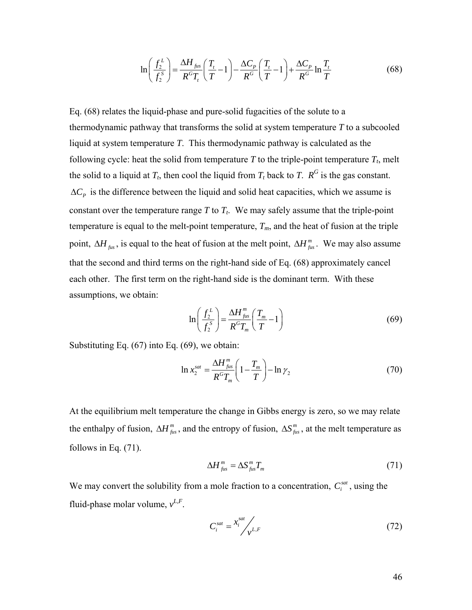$$
\ln\left(\frac{f_2^L}{f_2^S}\right) = \frac{\Delta H_{\text{fix}}}{R^G T_t} \left(\frac{T_t}{T} - 1\right) - \frac{\Delta C_p}{R^G} \left(\frac{T_t}{T} - 1\right) + \frac{\Delta C_p}{R^G} \ln\frac{T_t}{T}
$$
(68)

<span id="page-57-0"></span>Eq. [\(68\)](#page-57-0) relates the liquid-phase and pure-solid fugacities of the solute to a thermodynamic pathway that transforms the solid at system temperature *T* to a subcooled liquid at system temperature *T*. This thermodynamic pathway is calculated as the following cycle: heat the solid from temperature  $T$  to the triple-point temperature  $T_t$ , melt the solid to a liquid at  $T_t$ , then cool the liquid from  $T_t$  back to  $T$ .  $R^G$  is the gas constant.  $\Delta C_p$  is the difference between the liquid and solid heat capacities, which we assume is constant over the temperature range  $T$  to  $T_t$ . We may safely assume that the triple-point temperature is equal to the melt-point temperature,  $T_m$ , and the heat of fusion at the triple point,  $\Delta H_{fus}$ , is equal to the heat of fusion at the melt point,  $\Delta H_{fus}^{m}$ . We may also assume that the second and third terms on the right-hand side of Eq. [\(68\)](#page-57-0) approximately cancel each other. The first term on the right-hand side is the dominant term. With these assumptions, we obtain:

$$
\ln\left(\frac{f_2^L}{f_2^S}\right) = \frac{\Delta H_{fus}^m}{R^G T_m} \left(\frac{T_m}{T} - 1\right)
$$
\n(69)

<span id="page-57-3"></span><span id="page-57-1"></span>Substituting Eq. [\(67\)](#page-56-1) into Eq. [\(69\)](#page-57-1), we obtain:

$$
\ln x_2^{sat} = \frac{\Delta H_{fus}^m}{R^G T_m} \left( 1 - \frac{T_m}{T} \right) - \ln \gamma_2 \tag{70}
$$

At the equilibrium melt temperature the change in Gibbs energy is zero, so we may relate the enthalpy of fusion,  $\Delta H_{fus}^m$ , and the entropy of fusion,  $\Delta S_{fus}^m$ , at the melt temperature as follows in Eq. [\(71\).](#page-57-2)

$$
\Delta H_{fus}^m = \Delta S_{fus}^m T_m \tag{71}
$$

<span id="page-57-2"></span>We may convert the solubility from a mole fraction to a concentration,  $C_i^{sat}$ , using the fluid-phase molar volume,  $v^{L,F}$ .

$$
C_i^{sat} = \frac{x_i^{sat}}{y_{i}^{L,F}}
$$
 (72)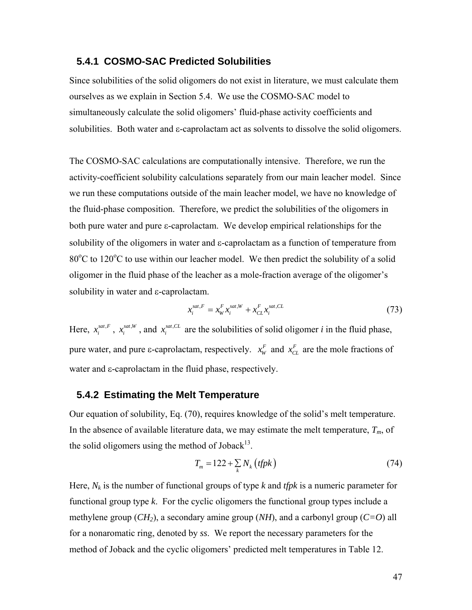#### **5.4.1 COSMO-SAC Predicted Solubilities**

Since solubilities of the solid oligomers do not exist in literature, we must calculate them ourselves as we explain in Section [5.4.](#page-56-2) We use the COSMO-SAC model to simultaneously calculate the solid oligomers' fluid-phase activity coefficients and solubilities. Both water and  $\varepsilon$ -caprolactam act as solvents to dissolve the solid oligomers.

The COSMO-SAC calculations are computationally intensive. Therefore, we run the activity-coefficient solubility calculations separately from our main leacher model. Since we run these computations outside of the main leacher model, we have no knowledge of the fluid-phase composition. Therefore, we predict the solubilities of the oligomers in both pure water and pure ε-caprolactam. We develop empirical relationships for the solubility of the oligomers in water and ε-caprolactam as a function of temperature from 80°C to 120°C to use within our leacher model. We then predict the solubility of a solid oligomer in the fluid phase of the leacher as a mole-fraction average of the oligomer's solubility in water and ε-caprolactam.

$$
x_i^{sat,F} = x_W^F x_i^{sat,W} + x_{CL}^F x_i^{sat,CL}
$$
\n(73)

Here,  $x_i^{sat,F}$ ,  $x_i^{sat,W}$ , and  $x_i^{sat,CL}$  are the solubilities of solid oligomer *i* in the fluid phase, pure water, and pure  $\varepsilon$ -caprolactam, respectively.  $x_w^F$  and  $x_{CL}^F$  are the mole fractions of water and ε-caprolactam in the fluid phase, respectively.

## **5.4.2 Estimating the Melt Temperature**

Our equation of solubility, Eq. [\(70\),](#page-57-3) requires knowledge of the solid's melt temperature. In the absence of available literature data, we may estimate the melt temperature,  $T_m$ , of the solid oligomers using the method of Joback $13$ .

$$
T_m = 122 + \sum_k N_k \left( \text{tfpk} \right) \tag{74}
$$

Here,  $N_k$  is the number of functional groups of type k and *tfpk* is a numeric parameter for functional group type *k*. For the cyclic oligomers the functional group types include a methylene group  $(CH_2)$ , a secondary amine group  $(NH)$ , and a carbonyl group  $(C=O)$  all for a nonaromatic ring, denoted by *ss*. We report the necessary parameters for the method of Joback and the cyclic oligomers' predicted melt temperatures in [Table 12.](#page-59-0)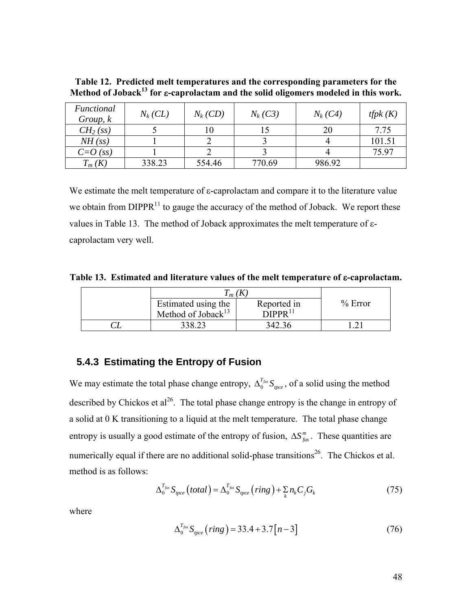<span id="page-59-0"></span>

| Table 12. Predicted melt temperatures and the corresponding parameters for the                         |  |
|--------------------------------------------------------------------------------------------------------|--|
| Method of Joback <sup>13</sup> for <i>ε</i> -caprolactam and the solid oligomers modeled in this work. |  |

| Functional<br>Group, k | $N_k$ (CL) | $N_k$ (CD) | $N_k(C3)$ | $N_k$ (C4) | <i>tfpk</i> $(K)$ |
|------------------------|------------|------------|-----------|------------|-------------------|
| CH <sub>2</sub> (ss)   |            |            |           | 20         | 7.75              |
| NH(s)                  |            |            |           |            | 101.51            |
| $C=O(sS)$              |            |            |           |            | 75.97             |
| $T_m(K)$               | 338.23     | 554.46     | 770.69    | 986.92     |                   |

We estimate the melt temperature of ε-caprolactam and compare it to the literature value we obtain from  $DIPPR<sup>11</sup>$  to gauge the accuracy of the method of Joback. We report these values in [Table 13](#page-59-1). The method of Joback approximates the melt temperature of εcaprolactam very well.

<span id="page-59-1"></span>**Table 13. Estimated and literature values of the melt temperature of** ε**-caprolactam.** 

| $\bm{l}$ $m$ ( $\bm{\Lambda}$  |                                   |           |
|--------------------------------|-----------------------------------|-----------|
| Estimated using the            | Reported in                       | $%$ Error |
| Method of Joback <sup>13</sup> | $\overline{D}$ IPPR <sup>11</sup> |           |
|                                | 342.36                            |           |

# **5.4.3 Estimating the Entropy of Fusion**

We may estimate the total phase change entropy,  $\Delta_0^{T_{fix}} S_{\eta^{\text{ce}}}$ , of a solid using the method described by Chickos et  $al^{26}$ . The total phase change entropy is the change in entropy of a solid at 0 K transitioning to a liquid at the melt temperature. The total phase change entropy is usually a good estimate of the entropy of fusion,  $\Delta S_{fus}^{m}$ . These quantities are numerically equal if there are no additional solid-phase transitions<sup>26</sup>. The Chickos et al. method is as follows:

$$
\Delta_0^{T_{\text{fix}}} S_{\text{spec}}\left(\text{total}\right) = \Delta_0^{T_{\text{fix}}} S_{\text{spec}}\left(\text{ring}\right) + \sum_k n_k C_j G_k\tag{75}
$$

where

$$
\Delta_0^{T_{\text{fix}}} S_{\text{pce}} \left(\text{ring}\right) = 33.4 + 3.7 \left[ n - 3 \right] \tag{76}
$$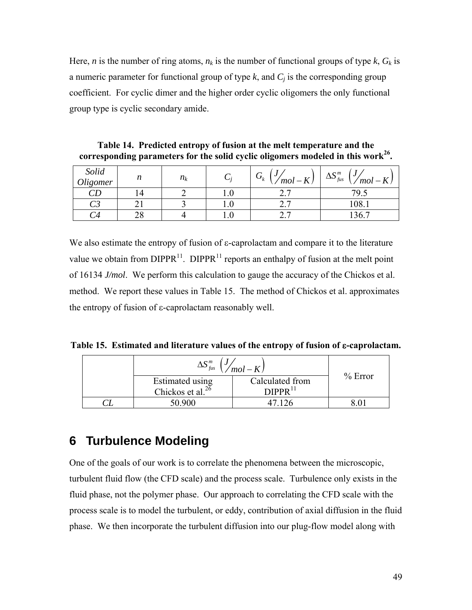Here, *n* is the number of ring atoms,  $n_k$  is the number of functional groups of type  $k$ ,  $G_k$  is a numeric parameter for functional group of type  $k$ , and  $C_i$  is the corresponding group coefficient. For cyclic dimer and the higher order cyclic oligomers the only functional group type is cyclic secondary amide.

| Solid<br>Oligomer | n | $n_k$ |                  | $G_{\iota}$<br>υ<br>$\langle mol-K\rangle$<br>ĸ | $\epsilon$ <sup>m</sup><br>J<br>$\Delta S_{fus}$<br>$'mol-K$ |
|-------------------|---|-------|------------------|-------------------------------------------------|--------------------------------------------------------------|
|                   |   |       | IJ.U             | $\overline{\phantom{0}}$<br>$\sim$ . 1          | 79.5                                                         |
|                   |   |       | J.U              | -<br>،                                          | 108.1                                                        |
|                   |   |       | $\cdot$ . $\cup$ | $\overline{\phantom{0}}$<br>$\sim$ . 1          | 136.                                                         |

**Table 14. Predicted entropy of fusion at the melt temperature and the corresponding parameters for the solid cyclic oligomers modeled in this work26.** 

We also estimate the entropy of fusion of ε-caprolactam and compare it to the literature value we obtain from  $DIPPR<sup>11</sup>$ . DIPPR<sup>11</sup> reports an enthalpy of fusion at the melt point of 16134 *J/mol*. We perform this calculation to gauge the accuracy of the Chickos et al. method. We report these values in [Table 15](#page-60-0). The method of Chickos et al. approximates the entropy of fusion of ε-caprolactam reasonably well.

<span id="page-60-0"></span>**Table 15. Estimated and literature values of the entropy of fusion of** ε**-caprolactam.** 

| $\mathbf{C}^m$<br>$\Delta$ Ο <sub>fus</sub><br>$(mol - K)$ |                                        |           |
|------------------------------------------------------------|----------------------------------------|-----------|
| Estimated using<br>Chickos et al. $^{26}$                  | Calculated from<br>DIPPR <sup>11</sup> | $%$ Error |
|                                                            |                                        |           |
| 50.900                                                     |                                        |           |

# **6 Turbulence Modeling**

One of the goals of our work is to correlate the phenomena between the microscopic, turbulent fluid flow (the CFD scale) and the process scale. Turbulence only exists in the fluid phase, not the polymer phase. Our approach to correlating the CFD scale with the process scale is to model the turbulent, or eddy, contribution of axial diffusion in the fluid phase. We then incorporate the turbulent diffusion into our plug-flow model along with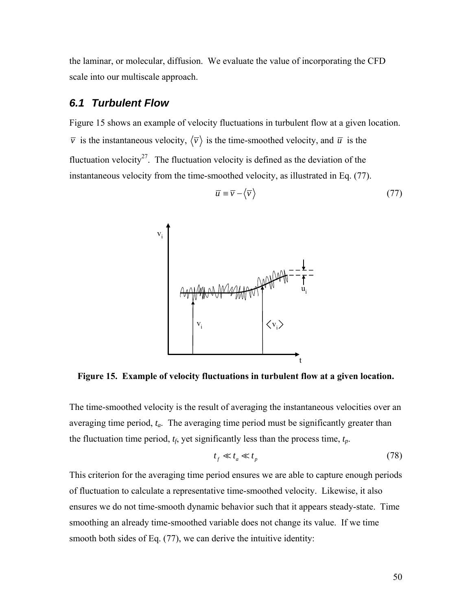the laminar, or molecular, diffusion. We evaluate the value of incorporating the CFD scale into our multiscale approach.

## *6.1 Turbulent Flow*

<span id="page-61-1"></span>[Figure 15](#page-61-0) shows an example of velocity fluctuations in turbulent flow at a given location.  $\overline{v}$  is the instantaneous velocity,  $\langle \overline{v} \rangle$  is the time-smoothed velocity, and  $\overline{u}$  is the fluctuation velocity<sup>27</sup>. The fluctuation velocity is defined as the deviation of the instantaneous velocity from the time-smoothed velocity, as illustrated in Eq. [\(77\)](#page-61-1).

$$
\overline{u} \equiv \overline{v} - \langle \overline{v} \rangle \tag{77}
$$



**Figure 15. Example of velocity fluctuations in turbulent flow at a given location.** 

<span id="page-61-0"></span>The time-smoothed velocity is the result of averaging the instantaneous velocities over an averaging time period, *ta*. The averaging time period must be significantly greater than the fluctuation time period,  $t_f$ , yet significantly less than the process time,  $t_p$ .

$$
t_f \ll t_a \ll t_p \tag{78}
$$

This criterion for the averaging time period ensures we are able to capture enough periods of fluctuation to calculate a representative time-smoothed velocity. Likewise, it also ensures we do not time-smooth dynamic behavior such that it appears steady-state. Time smoothing an already time-smoothed variable does not change its value. If we time smooth both sides of Eq. [\(77\)](#page-61-1), we can derive the intuitive identity: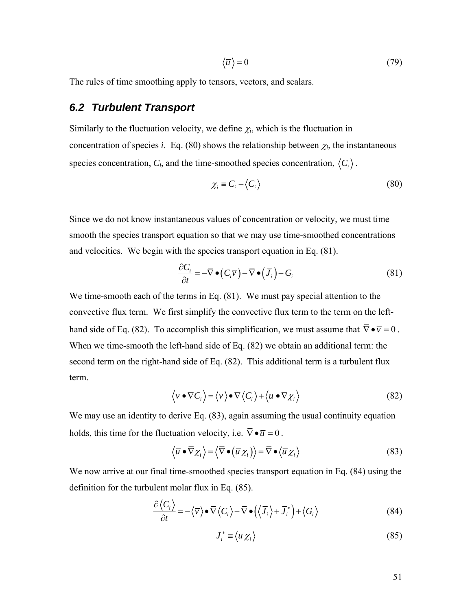$$
\overline{u}\rangle = 0\tag{79}
$$

The rules of time smoothing apply to tensors, vectors, and scalars.

# *6.2 Turbulent Transport*

Similarly to the fluctuation velocity, we define  $\chi_i$ , which is the fluctuation in concentration of species *i*. Eq. [\(80\)](#page-62-0) shows the relationship between  $\chi_i$ , the instantaneous species concentration,  $C_i$ , and the time-smoothed species concentration,  $\langle C_i \rangle$ .

$$
\chi_i \equiv C_i - \langle C_i \rangle \tag{80}
$$

<span id="page-62-0"></span>Since we do not know instantaneous values of concentration or velocity, we must time smooth the species transport equation so that we may use time-smoothed concentrations and velocities. We begin with the species transport equation in Eq. [\(81\).](#page-62-1)

$$
\frac{\partial C_i}{\partial t} = -\overline{\nabla} \bullet (C_i \overline{\nu}) - \overline{\nabla} \bullet (\overline{J}_i) + G_i \tag{81}
$$

<span id="page-62-1"></span>We time-smooth each of the terms in Eq. [\(81\)](#page-62-1). We must pay special attention to the convective flux term. We first simplify the convective flux term to the term on the left-hand side of Eq. [\(82\)](#page-62-2). To accomplish this simplification, we must assume that  $\overline{\nabla} \cdot \overline{v} = 0$ . When we time-smooth the left-hand side of Eq. [\(82\)](#page-62-2) we obtain an additional term: the second term on the right-hand side of Eq. [\(82\).](#page-62-2) This additional term is a turbulent flux term.

$$
\langle \overline{v} \bullet \overline{\nabla} C_i \rangle = \langle \overline{v} \rangle \bullet \overline{\nabla} \langle C_i \rangle + \langle \overline{u} \bullet \overline{\nabla} \chi_i \rangle \tag{82}
$$

<span id="page-62-2"></span>We may use an identity to derive Eq. [\(83\),](#page-62-3) again assuming the usual continuity equation holds, this time for the fluctuation velocity, i.e.  $\overline{\nabla} \cdot \overline{u} = 0$ .

$$
\langle \overline{u} \bullet \overline{\nabla} \chi_i \rangle = \langle \overline{\nabla} \bullet (\overline{u} \chi_i) \rangle = \overline{\nabla} \bullet \langle \overline{u} \chi_i \rangle \tag{83}
$$

<span id="page-62-5"></span><span id="page-62-4"></span><span id="page-62-3"></span>We now arrive at our final time-smoothed species transport equation in Eq. [\(84\)](#page-62-4) using the definition for the turbulent molar flux in Eq. [\(85\).](#page-62-5)

$$
\frac{\partial \langle C_i \rangle}{\partial t} = -\langle \overline{\nu} \rangle \bullet \overline{\nabla} \langle C_i \rangle - \overline{\nabla} \bullet (\langle \overline{J}_i \rangle + \overline{J}_i^*) + \langle G_i \rangle \tag{84}
$$

$$
\overline{J}_i^* \equiv \langle \overline{u} \chi_i \rangle \tag{85}
$$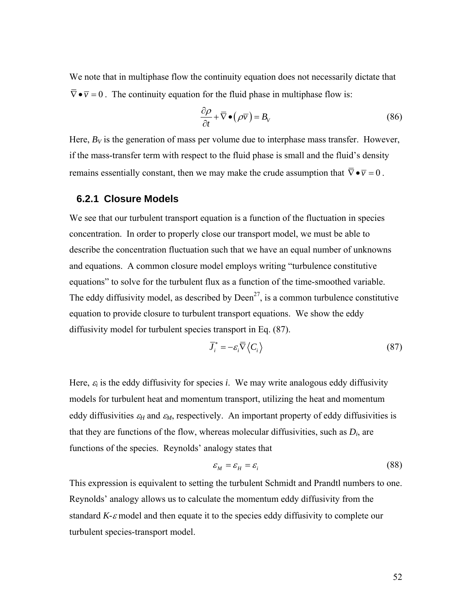We note that in multiphase flow the continuity equation does not necessarily dictate that  $\overline{\nabla}\bullet\overline{v}=0$ . The continuity equation for the fluid phase in multiphase flow is:

$$
\frac{\partial \rho}{\partial t} + \overline{\nabla} \bullet (\rho \overline{\nu}) = B_{\nu}
$$
 (86)

Here,  $B_V$  is the generation of mass per volume due to interphase mass transfer. However, if the mass-transfer term with respect to the fluid phase is small and the fluid's density remains essentially constant, then we may make the crude assumption that  $\overline{\nabla} \cdot \overline{v} = 0$ .

#### **6.2.1 Closure Models**

We see that our turbulent transport equation is a function of the fluctuation in species concentration. In order to properly close our transport model, we must be able to describe the concentration fluctuation such that we have an equal number of unknowns and equations. A common closure model employs writing "turbulence constitutive equations" to solve for the turbulent flux as a function of the time-smoothed variable. The eddy diffusivity model, as described by  $Deen<sup>27</sup>$ , is a common turbulence constitutive equation to provide closure to turbulent transport equations. We show the eddy diffusivity model for turbulent species transport in Eq. [\(87\)](#page-63-0).

$$
\overline{J}_i^* = -\varepsilon_i \overline{\nabla} \left\langle C_i \right\rangle \tag{87}
$$

<span id="page-63-0"></span>Here,  $\varepsilon_i$  is the eddy diffusivity for species *i*. We may write analogous eddy diffusivity models for turbulent heat and momentum transport, utilizing the heat and momentum eddy diffusivities  $\varepsilon_H$  and  $\varepsilon_M$ , respectively. An important property of eddy diffusivities is that they are functions of the flow, whereas molecular diffusivities, such as  $D_i$ , are functions of the species. Reynolds' analogy states that

$$
\varepsilon_M = \varepsilon_H = \varepsilon_i \tag{88}
$$

This expression is equivalent to setting the turbulent Schmidt and Prandtl numbers to one. Reynolds' analogy allows us to calculate the momentum eddy diffusivity from the standard *K-*ε model and then equate it to the species eddy diffusivity to complete our turbulent species-transport model.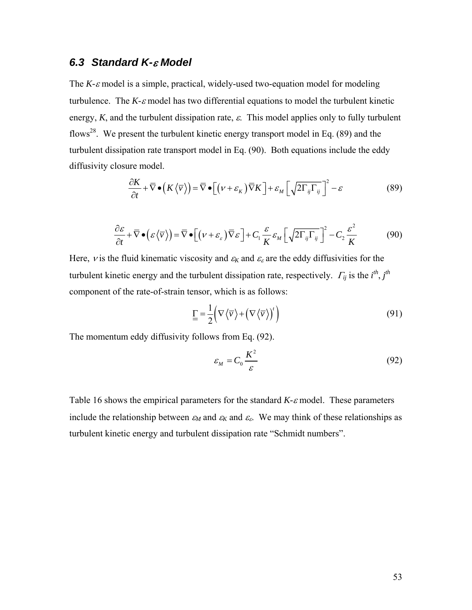# *6.3 Standard K-*ε *Model*

The *K-*ε model is a simple, practical, widely-used two-equation model for modeling turbulence. The  $K$ - $\varepsilon$  model has two differential equations to model the turbulent kinetic energy,  $K$ , and the turbulent dissipation rate,  $\varepsilon$ . This model applies only to fully turbulent flows<sup>28</sup>. We present the turbulent kinetic energy transport model in Eq.  $(89)$  and the turbulent dissipation rate transport model in Eq. [\(90\).](#page-64-1) Both equations include the eddy diffusivity closure model.

$$
\frac{\partial K}{\partial t} + \overline{\nabla} \bullet \left( K \left\langle \overline{\nu} \right\rangle \right) = \overline{\nabla} \bullet \left[ \left( \nu + \varepsilon_{K} \right) \overline{\nabla} K \right] + \varepsilon_{M} \left[ \sqrt{2 \Gamma_{ij} \Gamma_{ij}} \right]^{2} - \varepsilon
$$
\n(89)

$$
\frac{\partial \varepsilon}{\partial t} + \overline{\nabla} \bullet \left( \varepsilon \left\langle \overline{\nu} \right\rangle \right) = \overline{\nabla} \bullet \left[ \left( \nu + \varepsilon_{\varepsilon} \right) \overline{\nabla} \varepsilon \right] + C_1 \frac{\varepsilon}{K} \varepsilon_M \left[ \sqrt{2 \Gamma_{ij} \Gamma_{ij}} \right]^2 - C_2 \frac{\varepsilon^2}{K}
$$
(90)

<span id="page-64-1"></span><span id="page-64-0"></span>Here, *v* is the fluid kinematic viscosity and  $\varepsilon_K$  and  $\varepsilon_\varepsilon$  are the eddy diffusivities for the turbulent kinetic energy and the turbulent dissipation rate, respectively.  $\Gamma_{ij}$  is the  $i^{th}$ ,  $j^{th}$ component of the rate-of-strain tensor, which is as follows:

$$
\underline{\underline{\Gamma}} = \frac{1}{2} \Big( \nabla \langle \overline{\nu} \rangle + \Big( \nabla \langle \overline{\nu} \rangle \Big)^{t} \Big)
$$
(91)

<span id="page-64-2"></span>The momentum eddy diffusivity follows from Eq. [\(92\)](#page-64-2).

$$
\varepsilon_M = C_0 \frac{K^2}{\varepsilon} \tag{92}
$$

[Table 16](#page-65-0) shows the empirical parameters for the standard *K-*ε model. These parameters include the relationship between  $\varepsilon_M$  and  $\varepsilon_K$  and  $\varepsilon_\varepsilon$ . We may think of these relationships as turbulent kinetic energy and turbulent dissipation rate "Schmidt numbers".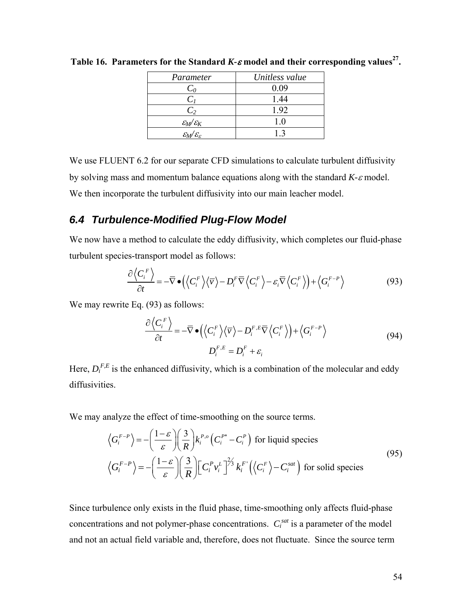| Parameter                               | Unitless value |
|-----------------------------------------|----------------|
| $C_0$                                   | 0.09           |
| $C_I$                                   | 1.44           |
| C <sub>2</sub>                          | 1.92           |
| $\mathcal{E}_{M}/\mathcal{E}_{K}$       | 10             |
| $\mathcal{E}_M/\mathcal{E}_\mathcal{E}$ | 13             |

<span id="page-65-0"></span>**Table 16. Parameters for the Standard** *K-* $\varepsilon$  **model and their corresponding values<sup>27</sup>.** 

We use FLUENT 6.2 for our separate CFD simulations to calculate turbulent diffusivity by solving mass and momentum balance equations along with the standard *K-*ε model. We then incorporate the turbulent diffusivity into our main leacher model.

# *6.4 Turbulence-Modified Plug-Flow Model*

<span id="page-65-1"></span>We now have a method to calculate the eddy diffusivity, which completes our fluid-phase turbulent species-transport model as follows:

$$
\frac{\partial \left\langle C_i^F \right\rangle}{\partial t} = -\overline{\nabla} \bullet \left( \left\langle C_i^F \right\rangle \left\langle \overline{\nu} \right\rangle - D_i^F \overline{\nabla} \left\langle C_i^F \right\rangle - \varepsilon_i \overline{\nabla} \left\langle C_i^F \right\rangle \right) + \left\langle G_i^{F-P} \right\rangle \tag{93}
$$

We may rewrite Eq. [\(93\)](#page-65-1) as follows:

$$
\frac{\partial \left\langle C_i^F \right\rangle}{\partial t} = -\overline{\nabla} \bullet \left( \left\langle C_i^F \right\rangle \left\langle \overline{\nu} \right\rangle - D_i^{F,E} \overline{\nabla} \left\langle C_i^F \right\rangle \right) + \left\langle G_i^{F-P} \right\rangle
$$
\n
$$
D_i^{F,E} = D_i^F + \varepsilon_i
$$
\n(94)

Here,  $D_i^{F,E}$  is the enhanced diffusivity, which is a combination of the molecular and eddy diffusivities.

We may analyze the effect of time-smoothing on the source terms.

$$
\left\langle G_i^{F-P} \right\rangle = -\left(\frac{1-\varepsilon}{\varepsilon}\right) \left(\frac{3}{R}\right) k_i^{P,o} \left(C_i^{P^*} - C_i^P\right) \text{ for liquid species}
$$
\n
$$
\left\langle G_i^{F-P} \right\rangle = -\left(\frac{1-\varepsilon}{\varepsilon}\right) \left(\frac{3}{R}\right) \left[C_i^P v_i^L\right]^{2/3} k_i^{F'} \left(\left\langle C_i^F \right\rangle - C_i^{sat}\right) \text{ for solid species}
$$
\n(95)

Since turbulence only exists in the fluid phase, time-smoothing only affects fluid-phase concentrations and not polymer-phase concentrations.  $C_i^{sat}$  is a parameter of the model and not an actual field variable and, therefore, does not fluctuate. Since the source term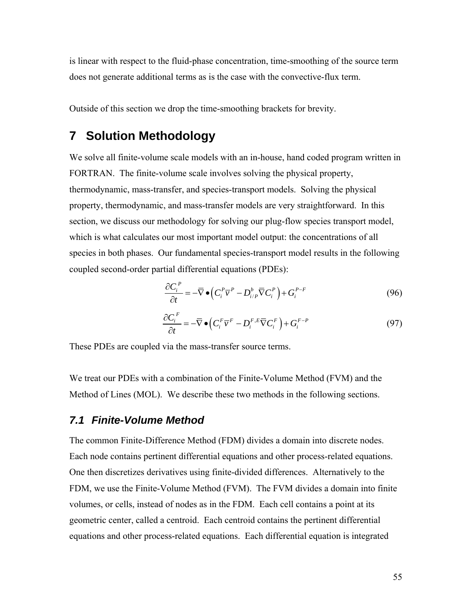is linear with respect to the fluid-phase concentration, time-smoothing of the source term does not generate additional terms as is the case with the convective-flux term.

Outside of this section we drop the time-smoothing brackets for brevity.

# **7 Solution Methodology**

We solve all finite-volume scale models with an in-house, hand coded program written in FORTRAN. The finite-volume scale involves solving the physical property, thermodynamic, mass-transfer, and species-transport models. Solving the physical property, thermodynamic, and mass-transfer models are very straightforward. In this section, we discuss our methodology for solving our plug-flow species transport model, which is what calculates our most important model output: the concentrations of all species in both phases. Our fundamental species-transport model results in the following coupled second-order partial differential equations (PDEs):

$$
\frac{\partial C_i^P}{\partial t} = -\overline{\nabla} \bullet \left( C_i^P \overline{\nu}^P - D_{i/P}^b \overline{\nabla} C_i^P \right) + G_i^{P-F}
$$
\n(96)

$$
\frac{\partial C_i^F}{\partial t} = -\overline{\nabla} \bullet \left( C_i^F \overline{\nu}^F - D_i^{F,E} \overline{\nabla} C_i^F \right) + G_i^{F-P}
$$
\n(97)

These PDEs are coupled via the mass-transfer source terms.

We treat our PDEs with a combination of the Finite-Volume Method (FVM) and the Method of Lines (MOL). We describe these two methods in the following sections.

## *7.1 Finite-Volume Method*

The common Finite-Difference Method (FDM) divides a domain into discrete nodes. Each node contains pertinent differential equations and other process-related equations. One then discretizes derivatives using finite-divided differences. Alternatively to the FDM, we use the Finite-Volume Method (FVM). The FVM divides a domain into finite volumes, or cells, instead of nodes as in the FDM. Each cell contains a point at its geometric center, called a centroid. Each centroid contains the pertinent differential equations and other process-related equations. Each differential equation is integrated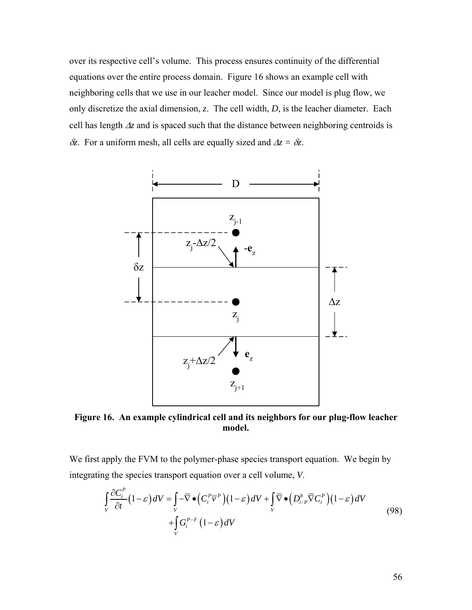over its respective cell's volume. This process ensures continuity of the differential equations over the entire process domain. [Figure 16](#page-67-0) shows an example cell with neighboring cells that we use in our leacher model. Since our model is plug flow, we only discretize the axial dimension, *z*. The cell width, *D*, is the leacher diameter. Each cell has length Δ*z* and is spaced such that the distance between neighboring centroids is δ*z*. For a uniform mesh, all cells are equally sized and Δ*z =* δ*z*.



<span id="page-67-0"></span>**Figure 16. An example cylindrical cell and its neighbors for our plug-flow leacher model.** 

<span id="page-67-1"></span>We first apply the FVM to the polymer-phase species transport equation. We begin by integrating the species transport equation over a cell volume, *V*.

$$
\int_{V} \frac{\partial C_{i}^{P}}{\partial t} (1 - \varepsilon) dV = \int_{V} -\overline{\nabla} \bullet (C_{i}^{P} \overline{v}^{P})(1 - \varepsilon) dV + \int_{V} \overline{\nabla} \bullet (D_{i/P}^{b} \overline{\nabla} C_{i}^{P})(1 - \varepsilon) dV
$$
\n
$$
+ \int_{V} G_{i}^{P-F} (1 - \varepsilon) dV
$$
\n(98)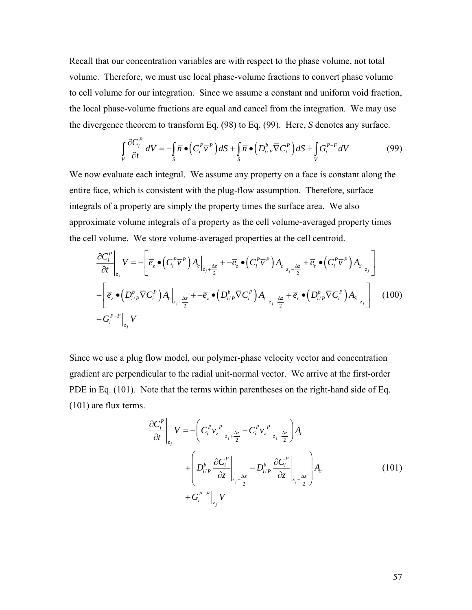Recall that our concentration variables are with respect to the phase volume, not total volume. Therefore, we must use local phase-volume fractions to convert phase volume to cell volume for our integration. Since we assume a constant and uniform void fraction, the local phase-volume fractions are equal and cancel from the integration. We may use the divergence theorem to transform Eq. [\(98\)](#page-67-1) to Eq. [\(99\).](#page-68-0) Here, *S* denotes any surface.

$$
\int_{V} \frac{\partial C_i^P}{\partial t} dV = -\int_{S} \overline{n} \bullet (C_i^P \overline{v}^P) dS + \int_{S} \overline{n} \bullet (D_{i/P}^b \overline{\nabla} C_i^P) dS + \int_{V} G_i^{P-F} dV \tag{99}
$$

<span id="page-68-0"></span>We now evaluate each integral. We assume any property on a face is constant along the entire face, which is consistent with the plug-flow assumption. Therefore, surface integrals of a property are simply the property times the surface area. We also approximate volume integrals of a property as the cell volume-averaged property times the cell volume. We store volume-averaged properties at the cell centroid.

$$
\frac{\partial C_i^P}{\partial t}\Big|_{z_j} V = -\Bigg[\overline{e}_z \bullet \Big(C_i^P \overline{v}^P\Big) A_c\Big|_{z_j + \frac{\Delta z}{2}} + -\overline{e}_z \bullet \Big(C_i^P \overline{v}^P\Big) A_c\Big|_{z_j - \frac{\Delta z}{2}} + \overline{e}_r \bullet \Big(C_i^P \overline{v}^P\Big) A_s\Big|_{z_j}\Bigg]
$$
\n
$$
+ \Bigg[\overline{e}_z \bullet \Big(D_{i/P}^b \overline{\nabla} C_i^P\Big) A_c\Big|_{z_j + \frac{\Delta z}{2}} + -\overline{e}_z \bullet \Big(D_{i/P}^b \overline{\nabla} C_i^P\Big) A_c\Big|_{z_j - \frac{\Delta z}{2}} + \overline{e}_r \bullet \Big(D_{i/P}^b \overline{\nabla} C_i^P\Big) A_s\Big|_{z_j}\Bigg] \tag{100}
$$
\n
$$
+ G_i^{P-F}\Big|_{z_j} V
$$

<span id="page-68-1"></span>Since we use a plug flow model, our polymer-phase velocity vector and concentration gradient are perpendicular to the radial unit-normal vector. We arrive at the first-order PDE in Eq. [\(101\)](#page-68-1). Note that the terms within parentheses on the right-hand side of Eq. [\(101\)](#page-68-1) are flux terms.

$$
\frac{\partial C_i^P}{\partial t}\Big|_{z_j} V = -\bigg(C_i^P v_z^P\Big|_{z_j + \frac{\Delta z}{2}} - C_i^P v_z^P\Big|_{z_j - \frac{\Delta z}{2}}\bigg) A_c
$$
\n
$$
+ \Bigg(D_{i/P}^b \frac{\partial C_i^P}{\partial z}\Big|_{z_j + \frac{\Delta z}{2}} - D_{i/P}^b \frac{\partial C_i^P}{\partial z}\Big|_{z_j - \frac{\Delta z}{2}}\Bigg) A_c
$$
\n
$$
+ G_i^{P-F}\Big|_{z_j} V
$$
\n(101)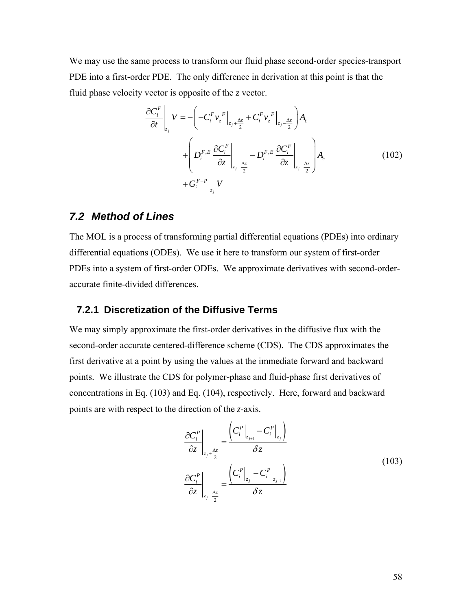We may use the same process to transform our fluid phase second-order species-transport PDE into a first-order PDE. The only difference in derivation at this point is that the fluid phase velocity vector is opposite of the *z* vector.

$$
\frac{\partial C_i^F}{\partial t}\Big|_{z_j} V = -\left(-C_i^F v_z^F\Big|_{z_j + \frac{\Delta z}{2}} + C_i^F v_z^F\Big|_{z_j - \frac{\Delta z}{2}}\right) A_c
$$
\n
$$
+ \left(D_i^{F,E} \frac{\partial C_i^F}{\partial z}\Big|_{z_j + \frac{\Delta z}{2}} - D_i^{F,E} \frac{\partial C_i^F}{\partial z}\Big|_{z_j - \frac{\Delta z}{2}}\right) A_c
$$
\n
$$
+ G_i^{F-P}\Big|_{z_j} V
$$
\n(102)

## *7.2 Method of Lines*

The MOL is a process of transforming partial differential equations (PDEs) into ordinary differential equations (ODEs). We use it here to transform our system of first-order PDEs into a system of first-order ODEs. We approximate derivatives with second-orderaccurate finite-divided differences.

#### **7.2.1 Discretization of the Diffusive Terms**

<span id="page-69-0"></span>We may simply approximate the first-order derivatives in the diffusive flux with the second-order accurate centered-difference scheme (CDS). The CDS approximates the first derivative at a point by using the values at the immediate forward and backward points. We illustrate the CDS for polymer-phase and fluid-phase first derivatives of concentrations in Eq. [\(103\)](#page-69-0) and Eq. [\(104\)](#page-70-0), respectively. Here, forward and backward points are with respect to the direction of the *z*-axis.

$$
\frac{\partial C_i^P}{\partial z}\Big|_{z_j + \frac{\Delta z}{2}} = \frac{\left(C_i^P\Big|_{z_{j+1}} - C_i^P\Big|_{z_j}\right)}{\delta z}
$$
\n
$$
\frac{\partial C_i^P}{\partial z}\Big|_{z_j - \frac{\Delta z}{2}} = \frac{\left(C_i^P\Big|_{z_j} - C_i^P\Big|_{z_{j+1}}\right)}{\delta z}
$$
\n(103)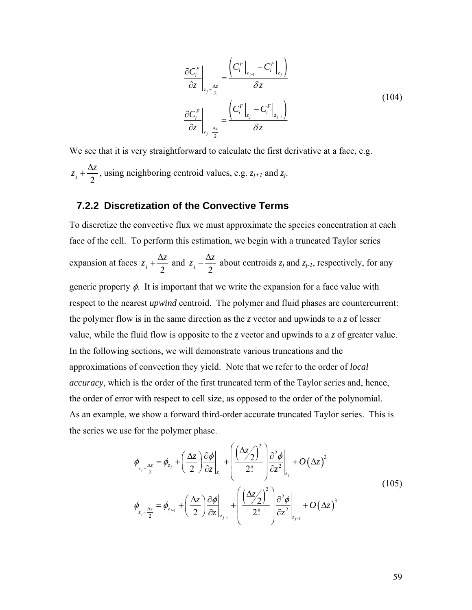$$
\frac{\partial C_i^F}{\partial z}\Big|_{z_j + \frac{\Delta z}{2}} = \frac{\left(C_i^F\Big|_{z_{j+1}} - C_i^F\Big|_{z_j}\right)}{\delta z}
$$
\n
$$
\frac{\partial C_i^F}{\partial z}\Big|_{z_j - \frac{\Delta z}{2}} = \frac{\left(C_i^F\Big|_{z_j} - C_i^F\Big|_{z_{j-1}}\right)}{\delta z}
$$
\n(104)

<span id="page-70-0"></span>We see that it is very straightforward to calculate the first derivative at a face, e.g.  $\frac{j}{2}$  2  $z_i + \frac{\Delta z}{2}$ , using neighboring centroid values, e.g.  $z_{i+1}$  and  $z_i$ .

#### **7.2.2 Discretization of the Convective Terms**

To discretize the convective flux we must approximate the species concentration at each face of the cell. To perform this estimation, we begin with a truncated Taylor series expansion at faces  $z_j + \frac{\Delta z}{2}$  and  $z_j - \frac{\Delta z}{2}$  $z_i - \frac{\Delta z}{2}$  about centroids  $z_j$  and  $z_{j-1}$ , respectively, for any generic property  $\phi$ . It is important that we write the expansion for a face value with respect to the nearest *upwind* centroid. The polymer and fluid phases are countercurrent: the polymer flow is in the same direction as the *z* vector and upwinds to a *z* of lesser value, while the fluid flow is opposite to the *z* vector and upwinds to a *z* of greater value. In the following sections, we will demonstrate various truncations and the approximations of convection they yield. Note that we refer to the order of *local accuracy*, which is the order of the first truncated term of the Taylor series and, hence, the order of error with respect to cell size, as opposed to the order of the polynomial. As an example, we show a forward third-order accurate truncated Taylor series. This is the series we use for the polymer phase.

$$
\phi_{z_j + \frac{\Delta z}{2}} = \phi_{z_j} + \left(\frac{\Delta z}{2}\right) \frac{\partial \phi}{\partial z}\Big|_{z_j} + \left(\frac{(\Delta z/2)^2}{2!}\right) \frac{\partial^2 \phi}{\partial z^2}\Big|_{z_j} + O(\Delta z)^3
$$
\n
$$
\phi_{z_j - \frac{\Delta z}{2}} = \phi_{z_{j-1}} + \left(\frac{\Delta z}{2}\right) \frac{\partial \phi}{\partial z}\Big|_{z_{j-1}} + \left(\frac{(\Delta z/2)^2}{2!}\right) \frac{\partial^2 \phi}{\partial z^2}\Big|_{z_{j-1}} + O(\Delta z)^3
$$
\n(105)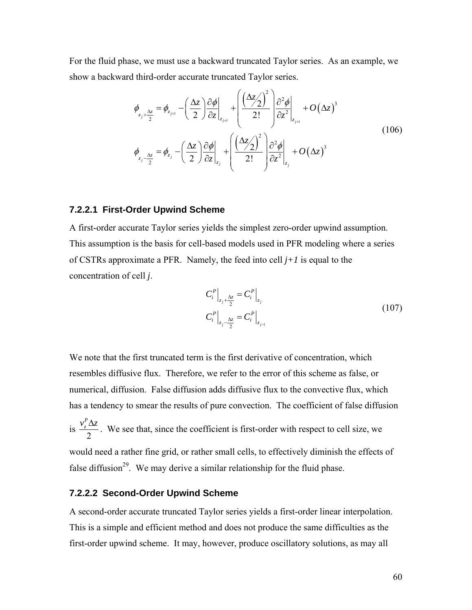For the fluid phase, we must use a backward truncated Taylor series. As an example, we show a backward third-order accurate truncated Taylor series.

$$
\phi_{z_j + \frac{\Delta z}{2}} = \phi_{z_{j+1}} - \left(\frac{\Delta z}{2}\right) \frac{\partial \phi}{\partial z}\Big|_{z_{j+1}} + \left(\frac{(\Delta z/2)^2}{2!} \right) \frac{\partial^2 \phi}{\partial z^2}\Big|_{z_{j+1}} + O(\Delta z)^3
$$
\n
$$
\phi_{z_j - \frac{\Delta z}{2}} = \phi_{z_j} - \left(\frac{\Delta z}{2}\right) \frac{\partial \phi}{\partial z}\Big|_{z_j} + \left(\frac{(\Delta z/2)^2}{2!} \right) \frac{\partial^2 \phi}{\partial z^2}\Big|_{z_j} + O(\Delta z)^3
$$
\n(106)

#### **7.2.2.1 First-Order Upwind Scheme**

A first-order accurate Taylor series yields the simplest zero-order upwind assumption. This assumption is the basis for cell-based models used in PFR modeling where a series of CSTRs approximate a PFR. Namely, the feed into cell *j+1* is equal to the concentration of cell *j*.

$$
C_i^P \Big|_{z_j + \frac{\Delta z}{2}} = C_i^P \Big|_{z_j}
$$
  
\n
$$
C_i^P \Big|_{z_j - \frac{\Delta z}{2}} = C_i^P \Big|_{z_{j-1}}
$$
\n(107)

We note that the first truncated term is the first derivative of concentration, which resembles diffusive flux. Therefore, we refer to the error of this scheme as false, or numerical, diffusion. False diffusion adds diffusive flux to the convective flux, which has a tendency to smear the results of pure convection. The coefficient of false diffusion

is 2  $v_z^P \Delta z$ . We see that, since the coefficient is first-order with respect to cell size, we would need a rather fine grid, or rather small cells, to effectively diminish the effects of

false diffusion<sup>29</sup>. We may derive a similar relationship for the fluid phase.

#### **7.2.2.2 Second-Order Upwind Scheme**

A second-order accurate truncated Taylor series yields a first-order linear interpolation. This is a simple and efficient method and does not produce the same difficulties as the first-order upwind scheme. It may, however, produce oscillatory solutions, as may all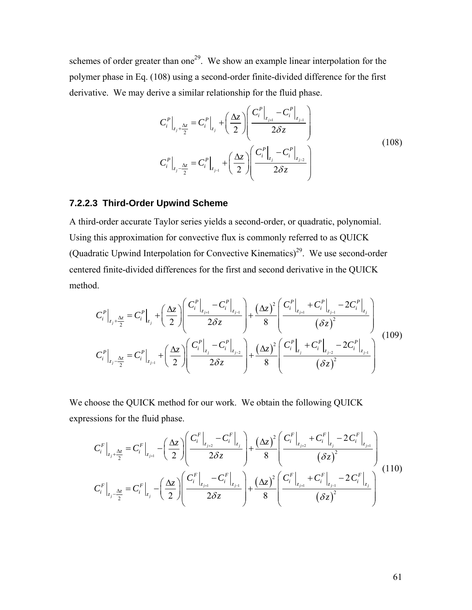<span id="page-72-0"></span>schemes of order greater than one<sup>29</sup>. We show an example linear interpolation for the polymer phase in Eq. [\(108\)](#page-72-0) using a second-order finite-divided difference for the first derivative. We may derive a similar relationship for the fluid phase.

$$
C_{i}^{P}|_{z_{j}+\frac{\Delta z}{2}} = C_{i}^{P}|_{z_{j}} + \left(\frac{\Delta z}{2}\right) \left(\frac{C_{i}^{P}|_{z_{j+1}} - C_{i}^{P}|_{z_{j+1}}}{2\delta z}\right)
$$
  

$$
C_{i}^{P}|_{z_{j}-\frac{\Delta z}{2}} = C_{i}^{P}|_{z_{j-1}} + \left(\frac{\Delta z}{2}\right) \left(\frac{C_{i}^{P}|_{z_{j}} - C_{i}^{P}|_{z_{j+2}}}{2\delta z}\right)
$$
(108)

#### **7.2.2.3 Third-Order Upwind Scheme**

A third-order accurate Taylor series yields a second-order, or quadratic, polynomial. Using this approximation for convective flux is commonly referred to as QUICK (Quadratic Upwind Interpolation for Convective Kinematics)<sup>29</sup>. We use second-order centered finite-divided differences for the first and second derivative in the QUICK method.

<span id="page-72-1"></span>
$$
C_{i}^{P}\Big|_{z_{j}+\frac{\Delta z}{2}} = C_{i}^{P}\Big|_{z_{j}} + \left(\frac{\Delta z}{2}\right) \left(\frac{C_{i}^{P}\Big|_{z_{j+1}} - C_{i}^{P}\Big|_{z_{j-1}}}{2\delta z}\right) + \frac{(\Delta z)^{2}}{8} \left(\frac{C_{i}^{P}\Big|_{z_{j+1}} + C_{i}^{P}\Big|_{z_{j-1}} - 2C_{i}^{P}\Big|_{z_{j}}}{(\delta z)^{2}}\right)
$$

$$
C_{i}^{P}\Big|_{z_{j}-\frac{\Delta z}{2}} = C_{i}^{P}\Big|_{z_{j-1}} + \left(\frac{\Delta z}{2}\right) \left(\frac{C_{i}^{P}\Big|_{z_{j}} - C_{i}^{P}\Big|_{z_{j-2}}}{2\delta z}\right) + \frac{(\Delta z)^{2}}{8} \left(\frac{C_{i}^{P}\Big|_{z_{j}} + C_{i}^{P}\Big|_{z_{j-2}} - 2C_{i}^{P}\Big|_{z_{j-1}}}{(\delta z)^{2}}\right)
$$
(109)

<span id="page-72-2"></span>We choose the QUICK method for our work. We obtain the following QUICK expressions for the fluid phase.

$$
C_{i}^{F}\Big|_{z_{j}+\frac{\Delta z}{2}} = C_{i}^{F}\Big|_{z_{j+1}} - \left(\frac{\Delta z}{2}\right)\left(\frac{C_{i}^{F}\Big|_{z_{j+2}} - C_{i}^{F}\Big|_{z_{j}}}{2\delta z}\right) + \frac{(\Delta z)^{2}}{8}\left(\frac{C_{i}^{F}\Big|_{z_{j+2}} + C_{i}^{F}\Big|_{z_{j}} - 2C_{i}^{F}\Big|_{z_{j+1}}}{(\delta z)^{2}}\right)
$$
\n
$$
C_{i}^{F}\Big|_{z_{j}-\frac{\Delta z}{2}} = C_{i}^{F}\Big|_{z_{j}} - \left(\frac{\Delta z}{2}\right)\left(\frac{C_{i}^{F}\Big|_{z_{j+1}} - C_{i}^{F}\Big|_{z_{j-1}}}{2\delta z}\right) + \frac{(\Delta z)^{2}}{8}\left(\frac{C_{i}^{F}\Big|_{z_{j+1}} + C_{i}^{F}\Big|_{z_{j-1}} - 2C_{i}^{F}\Big|_{z_{j}}}{(\delta z)^{2}}\right)
$$
\n(110)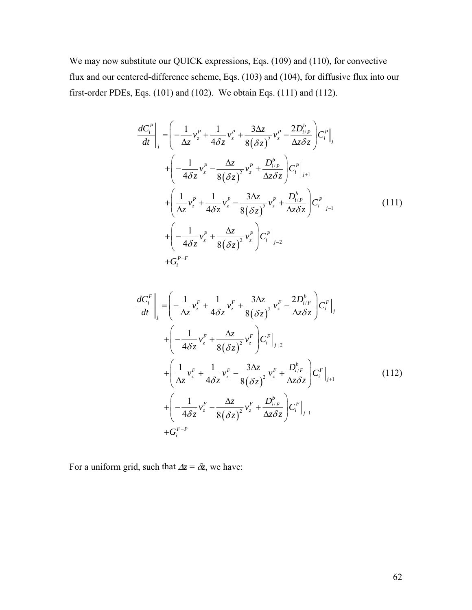<span id="page-73-0"></span>We may now substitute our QUICK expressions, Eqs. [\(109\)](#page-72-1) and [\(110\)](#page-72-2), for convective flux and our centered-difference scheme, Eqs. [\(103\)](#page-69-0) and [\(104\)](#page-70-0), for diffusive flux into our first-order PDEs, Eqs. [\(101\)](#page-68-0) and [\(102\)](#page-69-1). We obtain Eqs. [\(111\)](#page-73-0) and [\(112\)](#page-73-1).

$$
\frac{dC_i^P}{dt}\bigg|_j = \left(-\frac{1}{\Delta z}v_z^P + \frac{1}{4\delta z}v_z^P + \frac{3\Delta z}{8(\delta z)^2}v_z^P - \frac{2D_{i/P}^b}{\Delta z \delta z}\right)C_i^P\bigg|_j
$$
\n
$$
+ \left(-\frac{1}{4\delta z}v_z^P - \frac{\Delta z}{8(\delta z)^2}v_z^P + \frac{D_{i/P}^b}{\Delta z \delta z}\right)C_i^P\bigg|_{j+1}
$$
\n
$$
+ \left(\frac{1}{\Delta z}v_z^P + \frac{1}{4\delta z}v_z^P - \frac{3\Delta z}{8(\delta z)^2}v_z^P + \frac{D_{i/P}^b}{\Delta z \delta z}\right)C_i^P\bigg|_{j-1}
$$
\n
$$
+ \left(-\frac{1}{4\delta z}v_z^P + \frac{\Delta z}{8(\delta z)^2}v_z^P\right)C_i^P\bigg|_{j-2}
$$
\n
$$
+ G_i^{P-F}
$$
\n(111)

<span id="page-73-1"></span>
$$
\frac{dC_i^F}{dt}\Big|_j = \left(-\frac{1}{\Delta z}v_z^F + \frac{1}{4\delta z}v_z^F + \frac{3\Delta z}{8(\delta z)^2}v_z^F - \frac{2D_{i/F}^b}{\Delta z \delta z}\right)C_i^F\Big|_j
$$
\n
$$
+ \left(-\frac{1}{4\delta z}v_z^F + \frac{\Delta z}{8(\delta z)^2}v_z^F\right)C_i^F\Big|_{j+2}
$$
\n
$$
+ \left(\frac{1}{\Delta z}v_z^F + \frac{1}{4\delta z}v_z^F - \frac{3\Delta z}{8(\delta z)^2}v_z^F + \frac{D_{i/F}^b}{\Delta z \delta z}\right)C_i^F\Big|_{j+1}
$$
\n
$$
+ \left(-\frac{1}{4\delta z}v_z^F - \frac{\Delta z}{8(\delta z)^2}v_z^F + \frac{D_{i/F}^b}{\Delta z \delta z}\right)C_i^F\Big|_{j-1}
$$
\n
$$
+ G_i^{F-P}
$$
\n(112)

For a uniform grid, such that  $\Delta z = \delta z$ , we have: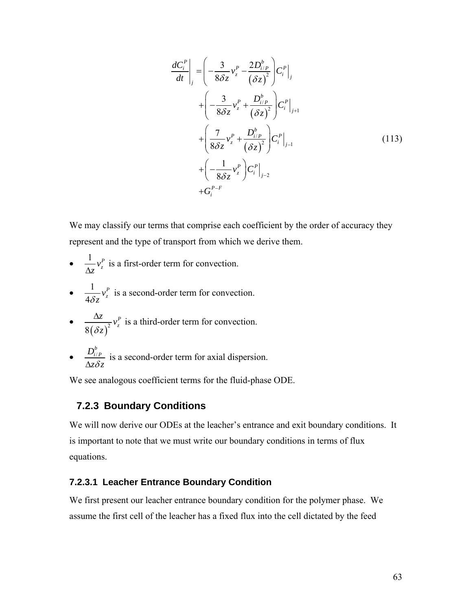$$
\frac{dC_i^P}{dt}\bigg|_j = \left(-\frac{3}{8\delta z}v_z^P - \frac{2D_{i/P}^b}{(\delta z)^2}\right)C_i^P\bigg|_j
$$
\n
$$
+ \left(-\frac{3}{8\delta z}v_z^P + \frac{D_{i/P}^b}{(\delta z)^2}\right)C_i^P\bigg|_{j+1}
$$
\n
$$
+ \left(\frac{7}{8\delta z}v_z^P + \frac{D_{i/P}^b}{(\delta z)^2}\right)C_i^P\bigg|_{j-1}
$$
\n
$$
+ \left(-\frac{1}{8\delta z}v_z^P\right)C_i^P\bigg|_{j-2}
$$
\n
$$
+ G_i^{P-F} \tag{113}
$$

We may classify our terms that comprise each coefficient by the order of accuracy they represent and the type of transport from which we derive them.

- $\frac{1}{\Delta z} v_z^P$ is a first-order term for convection.
- $\bullet$   $\frac{1}{12}$ 4  $\frac{1}{\delta z}v_z^P$ is a second-order term for convection.
- $\frac{\Delta z}{8(\delta z)^2}$ *P z*  $\frac{z}{\sqrt{2}}v$ δ *z*  $\frac{\Delta z}{\Delta z}$   $v_r^p$  is a third-order term for convection.
- $\bullet$   $\frac{D_{i/P}^b}{\cdot}$  $\frac{D_{i/P}}{\Delta z \delta z}$  is a second-order term for axial dispersion.

We see analogous coefficient terms for the fluid-phase ODE.

### **7.2.3 Boundary Conditions**

We will now derive our ODEs at the leacher's entrance and exit boundary conditions. It is important to note that we must write our boundary conditions in terms of flux equations.

#### **7.2.3.1 Leacher Entrance Boundary Condition**

We first present our leacher entrance boundary condition for the polymer phase. We assume the first cell of the leacher has a fixed flux into the cell dictated by the feed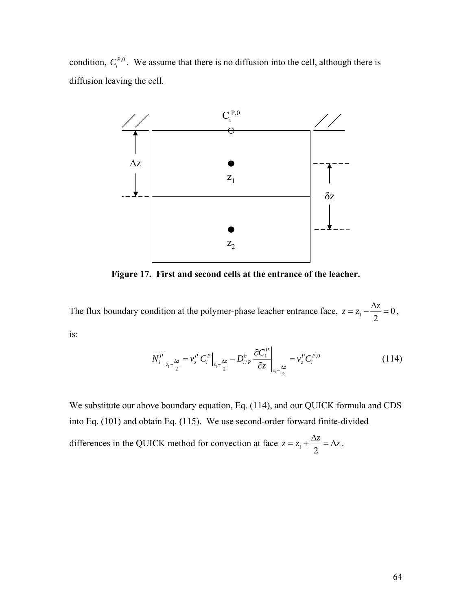condition,  $C_i^{P,0}$ . We assume that there is no diffusion into the cell, although there is diffusion leaving the cell.



**Figure 17. First and second cells at the entrance of the leacher.** 

<span id="page-75-0"></span>The flux boundary condition at the polymer-phase leacher entrance face,  $z = z_1 - \frac{\Delta z}{2} = 0$  $z = z_1 - \frac{\Delta z}{\Delta z} = 0$ , is:

$$
\overline{N}_{i}^{P}\Big|_{z_{1}-\frac{\Delta z}{2}} = v_{z}^{P} C_{i}^{P}\Big|_{z_{1}-\frac{\Delta z}{2}} - D_{i/P}^{b} \frac{\partial C_{i}^{P}}{\partial z}\Big|_{z_{1}-\frac{\Delta z}{2}} = v_{z}^{P} C_{i}^{P,0}
$$
\n(114)

We substitute our above boundary equation, Eq. [\(114\)](#page-75-0), and our QUICK formula and CDS into Eq. [\(101\)](#page-68-0) and obtain Eq. [\(115\).](#page-76-0) We use second-order forward finite-divided

differences in the QUICK method for convection at face  $z = z_1 + \frac{\Delta z}{2} = \Delta z$ .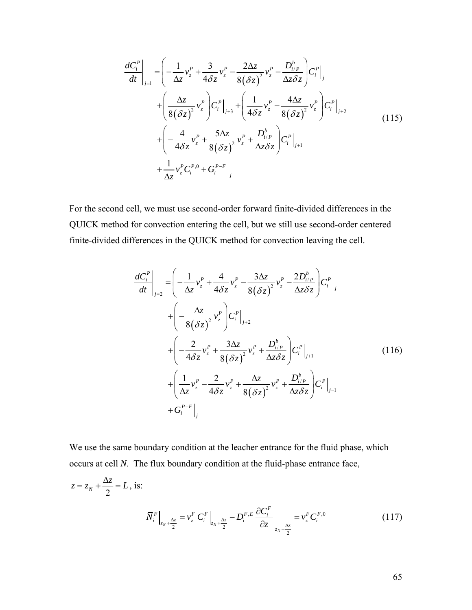<span id="page-76-0"></span>
$$
\frac{dC_i^P}{dt}\Big|_{j=1} = \left(-\frac{1}{\Delta z}v_z^P + \frac{3}{4\delta z}v_z^P - \frac{2\Delta z}{8(\delta z)^2}v_z^P - \frac{D_{i/P}^b}{\Delta z \delta z}\right) C_i^P\Big|_{j}
$$
\n
$$
+ \left(\frac{\Delta z}{8(\delta z)^2}v_z^P\right) C_i^P\Big|_{j+3} + \left(\frac{1}{4\delta z}v_z^P - \frac{4\Delta z}{8(\delta z)^2}v_z^P\right) C_i^P\Big|_{j+2}
$$
\n
$$
+ \left(-\frac{4}{4\delta z}v_z^P + \frac{5\Delta z}{8(\delta z)^2}v_z^P + \frac{D_{i/P}^b}{\Delta z \delta z}\right) C_i^P\Big|_{j+1}
$$
\n
$$
+ \frac{1}{\Delta z}v_z^P C_i^{P,0} + G_i^{P-F}\Big|_{j}
$$
\n(115)

For the second cell, we must use second-order forward finite-divided differences in the QUICK method for convection entering the cell, but we still use second-order centered finite-divided differences in the QUICK method for convection leaving the cell.

$$
\frac{dC_i^P}{dt}\Big|_{j=2} = \left(-\frac{1}{\Delta z}v_z^P + \frac{4}{4\delta z}v_z^P - \frac{3\Delta z}{8(\delta z)^2}v_z^P - \frac{2D_{i/P}^b}{\Delta z \delta z}\right)C_i^P\Big|_{j}
$$
\n
$$
+ \left(-\frac{\Delta z}{8(\delta z)^2}v_z^P\right)C_i^P\Big|_{j+2}
$$
\n
$$
+ \left(-\frac{2}{4\delta z}v_z^P + \frac{3\Delta z}{8(\delta z)^2}v_z^P + \frac{D_{i/P}^b}{\Delta z \delta z}\right)C_i^P\Big|_{j+1}
$$
\n
$$
+ \left(\frac{1}{\Delta z}v_z^P - \frac{2}{4\delta z}v_z^P + \frac{\Delta z}{8(\delta z)^2}v_z^P + \frac{D_{i/P}^b}{\Delta z \delta z}\right)C_i^P\Big|_{j-1}
$$
\n
$$
+ G_i^{P-F}\Big|_{j}
$$
\n(116)

We use the same boundary condition at the leacher entrance for the fluid phase, which occurs at cell *N*. The flux boundary condition at the fluid-phase entrance face,

$$
z = z_N + \frac{\Delta z}{2} = L, \text{ is:}
$$
\n
$$
\overline{N}_i^F \Big|_{z_N + \frac{\Delta z}{2}} = v_z^F C_i^F \Big|_{z_N + \frac{\Delta z}{2}} - D_i^{F,E} \frac{\partial C_i^F}{\partial z} \Big|_{z_N + \frac{\Delta z}{2}} = v_z^F C_i^{F,0}
$$
\n(117)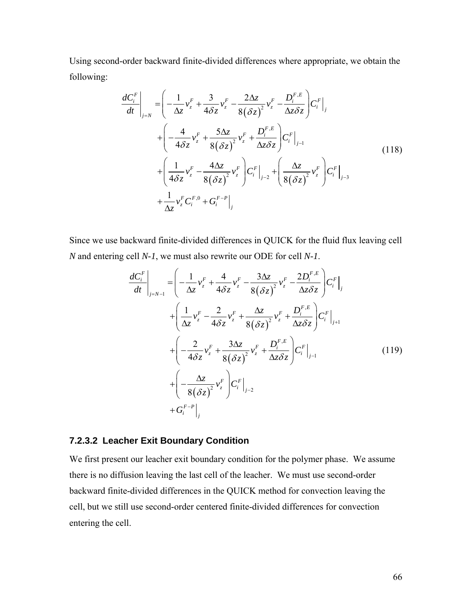Using second-order backward finite-divided differences where appropriate, we obtain the following:

$$
\frac{dC_i^F}{dt}\Big|_{j=N} = \left(-\frac{1}{\Delta z}v_z^F + \frac{3}{4\delta z}v_z^F - \frac{2\Delta z}{8(\delta z)^2}v_z^F - \frac{D_i^{F,E}}{\Delta z \delta z}\right)C_i^F\Big|_{j}
$$
\n
$$
+ \left(-\frac{4}{4\delta z}v_z^F + \frac{5\Delta z}{8(\delta z)^2}v_z^F + \frac{D_i^{F,E}}{\Delta z \delta z}\right)C_i^F\Big|_{j-1}
$$
\n
$$
+ \left(\frac{1}{4\delta z}v_z^F - \frac{4\Delta z}{8(\delta z)^2}v_z^F\right)C_i^F\Big|_{j-2} + \left(\frac{\Delta z}{8(\delta z)^2}v_z^F\right)C_i^F\Big|_{j-3}
$$
\n
$$
+ \frac{1}{\Delta z}v_z^F C_i^{F,0} + G_i^{F-P}\Big|_{j}
$$
\n(118)

Since we use backward finite-divided differences in QUICK for the fluid flux leaving cell *N* and entering cell *N-1*, we must also rewrite our ODE for cell *N-1*.

$$
\frac{dC_i^F}{dt}\Big|_{j=N-1} = \left(-\frac{1}{\Delta z}v_z^F + \frac{4}{4\delta z}v_z^F - \frac{3\Delta z}{8(\delta z)^2}v_z^F - \frac{2D_i^{F,E}}{\Delta z \delta z}\right)C_i^F\Big|_{j}
$$
\n
$$
+ \left(\frac{1}{\Delta z}v_z^F - \frac{2}{4\delta z}v_z^F + \frac{\Delta z}{8(\delta z)^2}v_z^F + \frac{D_i^{F,E}}{\Delta z \delta z}\right)C_i^F\Big|_{j+1}
$$
\n
$$
+ \left(-\frac{2}{4\delta z}v_z^F + \frac{3\Delta z}{8(\delta z)^2}v_z^F + \frac{D_i^{F,E}}{\Delta z \delta z}\right)C_i^F\Big|_{j-1}
$$
\n
$$
+ \left(-\frac{\Delta z}{8(\delta z)^2}v_z^F\right)C_i^F\Big|_{j-2}
$$
\n
$$
+ G_i^{F-P}\Big|_{j}
$$
\n(119)

#### **7.2.3.2 Leacher Exit Boundary Condition**

We first present our leacher exit boundary condition for the polymer phase. We assume there is no diffusion leaving the last cell of the leacher. We must use second-order backward finite-divided differences in the QUICK method for convection leaving the cell, but we still use second-order centered finite-divided differences for convection entering the cell.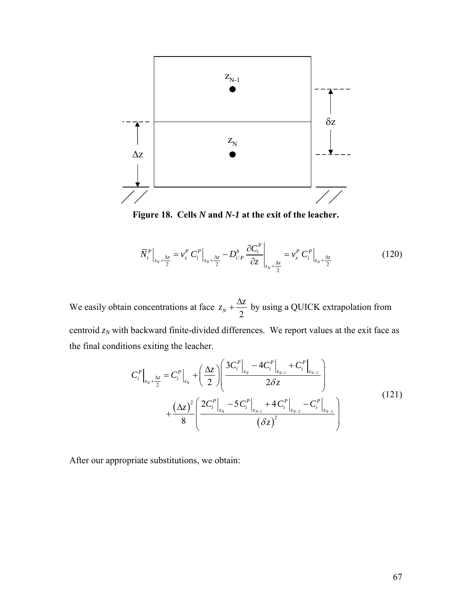

**Figure 18. Cells** *N* **and** *N-1* **at the exit of the leacher.** 

$$
\bar{N}_{i}^{P}\Big|_{z_{N}+\frac{\Delta z}{2}} = v_{z}^{P} C_{i}^{P}\Big|_{z_{N}+\frac{\Delta z}{2}} - D_{i/P}^{b} \frac{\partial C_{i}^{P}}{\partial z}\Big|_{z_{N}+\frac{\Delta z}{2}} = v_{z}^{P} C_{i}^{P}\Big|_{z_{N}+\frac{\Delta z}{2}}
$$
(120)

We easily obtain concentrations at face  $z_N + \frac{\Delta z}{2}$  by using a QUICK extrapolation from centroid  $z_N$  with backward finite-divided differences. We report values at the exit face as the final conditions exiting the leacher.

$$
C_{i}^{P}\Big|_{z_{N}+\frac{\Delta z}{2}} = C_{i}^{P}\Big|_{z_{N}} + \left(\frac{\Delta z}{2}\right)\left(\frac{3C_{i}^{P}\Big|_{z_{N}} - 4C_{i}^{P}\Big|_{z_{N-1}} + C_{i}^{P}\Big|_{z_{N-2}}}{2\delta z}\right) + \frac{(\Delta z)^{2}}{8}\left(\frac{2C_{i}^{P}\Big|_{z_{N}} - 5C_{i}^{P}\Big|_{z_{N-1}} + 4C_{i}^{P}\Big|_{z_{N-2}} - C_{i}^{P}\Big|_{z_{N-3}}}{(\delta z)^{2}}\right)
$$
(121)

After our appropriate substitutions, we obtain: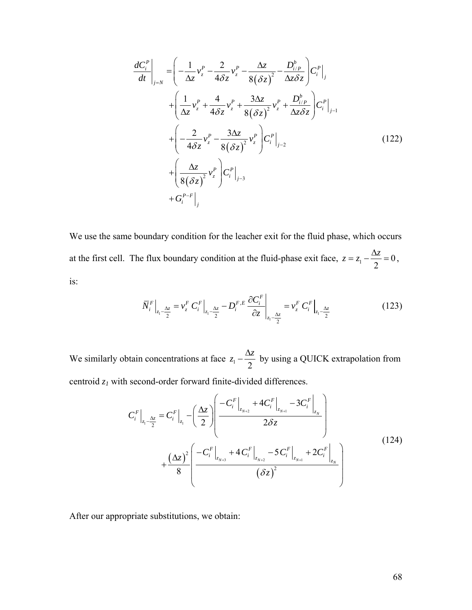$$
\frac{dC_i^P}{dt}\Big|_{j=N} = \left(-\frac{1}{\Delta z}v_z^P - \frac{2}{4\delta z}v_z^P - \frac{\Delta z}{8(\delta z)^2} - \frac{D_{i/P}^b}{\Delta z \delta z}\right)C_i^P\Big|_{j}
$$
\n
$$
+ \left(\frac{1}{\Delta z}v_z^P + \frac{4}{4\delta z}v_z^P + \frac{3\Delta z}{8(\delta z)^2}v_z^P + \frac{D_{i/P}^b}{\Delta z \delta z}\right)C_i^P\Big|_{j-1}
$$
\n
$$
+ \left(-\frac{2}{4\delta z}v_z^P - \frac{3\Delta z}{8(\delta z)^2}v_z^P\right)C_i^P\Big|_{j-2}
$$
\n
$$
+ \left(\frac{\Delta z}{8(\delta z)^2}v_z^P\right)C_i^P\Big|_{j-3}
$$
\n
$$
+ G_i^{P-F}\Big|_{j}
$$
\n(122)

We use the same boundary condition for the leacher exit for the fluid phase, which occurs at the first cell. The flux boundary condition at the fluid-phase exit face,  $z = z_1 - \frac{\Delta z}{2} = 0$  $z = z_1 - \frac{\Delta z}{\Delta z} = 0$ , is:

$$
\overline{N}_{i}^{F}\Big|_{z_{1}-\frac{\Delta z}{2}} = v_{z}^{F} C_{i}^{F}\Big|_{z_{1}-\frac{\Delta z}{2}} - D_{i}^{F,E} \frac{\partial C_{i}^{F}}{\partial z}\Big|_{z_{1}-\frac{\Delta z}{2}} = v_{z}^{F} C_{i}^{F}\Big|_{z_{1}-\frac{\Delta z}{2}}
$$
(123)

We similarly obtain concentrations at face  $z_1 - \frac{\Delta z}{2}$  by using a QUICK extrapolation from centroid *z1* with second-order forward finite-divided differences.

> $(\Delta z)$  $(\delta z)$ 2  $\left\langle N+1\right\rangle$  $1 - \frac{1}{2}$  $2\begin{vmatrix} -C_i & +4C_i & -3C_i \ \frac{z_{N+3}}{2\end{vmatrix}_{z_{N+2}}$ 2  $4C_i^F$   $-3$ 2  $\parallel$  2  $4C_i^F$   $-5C_i^F$   $+2$ 8  $N+2$   $\downarrow N+1$   $\downarrow Z_N$  $N+3$  **1**  $\leq N+2$  **1**  $\leq N+1$  **1**  $\leq N$  $F \left[ \begin{array}{cc} 1 & 0 \end{array} \right]$   $F \left[ \begin{array}{cc} 0 & 0 \end{array} \right]$  $\left| F \right| = C F \left| \left( \Delta z \right) \right|^{-C_i} \left|_{z_{N+2}} + C_i \right|_{z_{N+1}} - 3C_i \left|_{z_{N+1}} \right|$  $i \big|_{z_1 - \frac{\Delta z}{\Delta}} = \mathbf{C}_i \big|_{z_1}$  $F \left[ \begin{array}{cc} 1 & F \end{array} \right] \left[ \begin{array}{cc} 1 & F \end{array} \right] \left[ \begin{array}{cc} 1 & F \end{array} \right] \left[ \begin{array}{cc} 1 & F \end{array} \right]$  $\left| \frac{1}{z} \right|^2 \left| \left. -C_i^F \right|_{z_{N+3}} + 4 \, C_i^F \right|_{z_{N+2}} - 5 \, C_i^F \left|_{z_{N+1}} + 2 C_i^F \right|_{z_{N+1}}$  $|C_i^F|$  +4 $|C_i^F|$  -3C  $\left| C_i^F \right|_{\Delta z} = C_i^F \left| - \left| \frac{\Delta z}{2} \right| \right|$ *z* δ *z* δ  $+2$   $\overline{z}_{N+}$  $\left|\Delta z\right|^2 \left(-C_i^F\Big|_{z_{N+3}}+4\,C_i^F\Big|_{z_{N+2}}-5\,C_i^F\Big|_{z_{N+1}}+2C_i^F\Big|_{z_{N+1}}\right)$ Δ−  $\begin{pmatrix} -C_i^F \end{pmatrix}$  +4 $C_i^F$  -3 $C_i^F$  )  $=C_i^F\Big|_{z_1}-\left(\frac{\Delta z}{2}\right)\Big| \frac{-C_i\Big|_{z_{N+2}}+4C_i\Big|_{z_{N+1}}-3C_i\Big|_{z_N}}{2\delta z}\Big|$  $\left( \begin{array}{ccc} & & & \end{array} \right)$ +  $\left($ (124)

After our appropriate substitutions, we obtain: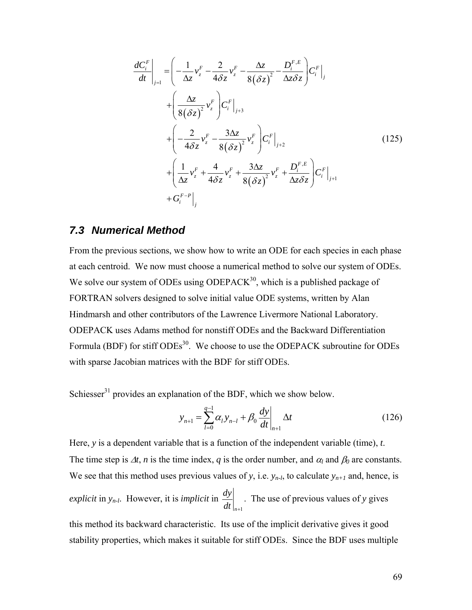$$
\frac{dC_i^F}{dt}\Big|_{j=1} = \left(-\frac{1}{\Delta z}v_z^F - \frac{2}{4\delta z}v_z^F - \frac{\Delta z}{8(\delta z)^2} - \frac{D_i^{F,E}}{\Delta z \delta z}\right)C_i^F\Big|_{j}
$$
\n
$$
+ \left(\frac{\Delta z}{8(\delta z)^2}v_z^F\right)C_i^F\Big|_{j+3}
$$
\n
$$
+ \left(-\frac{2}{4\delta z}v_z^F - \frac{3\Delta z}{8(\delta z)^2}v_z^F\right)C_i^F\Big|_{j+2}
$$
\n
$$
+ \left(\frac{1}{\Delta z}v_z^F + \frac{4}{4\delta z}v_z^F + \frac{3\Delta z}{8(\delta z)^2}v_z^F + \frac{D_i^{F,E}}{\Delta z \delta z}\right)C_i^F\Big|_{j+1}
$$
\n
$$
+ G_i^{F-P}\Big|_{j}
$$
\n(125)

### *7.3 Numerical Method*

From the previous sections, we show how to write an ODE for each species in each phase at each centroid. We now must choose a numerical method to solve our system of ODEs. We solve our system of ODEs using ODEPAC $K^{30}$ , which is a published package of FORTRAN solvers designed to solve initial value ODE systems, written by Alan Hindmarsh and other contributors of the Lawrence Livermore National Laboratory. ODEPACK uses Adams method for nonstiff ODEs and the Backward Differentiation Formula (BDF) for stiff ODEs<sup>30</sup>. We choose to use the ODEPACK subroutine for ODEs with sparse Jacobian matrices with the BDF for stiff ODEs.

Schiesser $31$  provides an explanation of the BDF, which we show below.

$$
y_{n+1} = \sum_{l=0}^{q-1} \alpha_l y_{n-l} + \beta_0 \frac{dy}{dt}\bigg|_{n+1} \Delta t \tag{126}
$$

Here, *y* is a dependent variable that is a function of the independent variable (time), *t*. The time step is  $\Delta t$ , *n* is the time index, *q* is the order number, and  $\alpha_l$  and  $\beta_0$  are constants. We see that this method uses previous values of *y*, i.e.  $y_{n-l}$ , to calculate  $y_{n+l}$  and, hence, is *explicit* in *yn-l*. However, it is *implicit* in *n*+1 *dy*  $dt \big|_{n+1}$ . The use of previous values of *y* gives this method its backward characteristic. Its use of the implicit derivative gives it good stability properties, which makes it suitable for stiff ODEs. Since the BDF uses multiple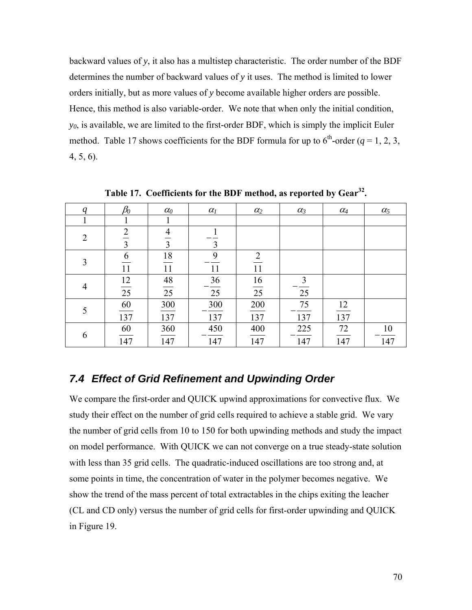backward values of *y*, it also has a multistep characteristic. The order number of the BDF determines the number of backward values of *y* it uses. The method is limited to lower orders initially, but as more values of *y* become available higher orders are possible. Hence, this method is also variable-order. We note that when only the initial condition, *y0*, is available, we are limited to the first-order BDF, which is simply the implicit Euler method. [Table 17](#page-81-0) shows coefficients for the BDF formula for up to  $6<sup>th</sup>$ -order ( $q = 1, 2, 3$ , 4, 5, 6).

<span id="page-81-0"></span>

| q              | $\beta_0$      | $\alpha_0$     | $\alpha$ <sub>l</sub> | $\alpha_2$     | $\alpha_3$ | $\alpha_4$ | $\alpha_5$ |
|----------------|----------------|----------------|-----------------------|----------------|------------|------------|------------|
|                |                |                |                       |                |            |            |            |
| $\overline{2}$ | $\overline{2}$ | $\overline{4}$ |                       |                |            |            |            |
|                | 3              | 3              | 3                     |                |            |            |            |
| 3              | 6              | 18             | 9                     | $\overline{2}$ |            |            |            |
|                | 11             | 11             | 11                    | 11             |            |            |            |
|                | 12             | 48             | 36                    | 16             | 3          |            |            |
| $\overline{4}$ | 25             | 25             | 25                    | 25             | 25         |            |            |
|                | 60             | 300            | 300                   | 200            | 75         | 12         |            |
| 5              | 137            | 137            | 137                   | 137            | 137        | 137        |            |
|                | 60             | 360            | 450                   | 400            | 225        | 72         | 10         |
| 6              | 147            | 147            | 147                   | 147            | 147        | 147        | 147        |

**Table 17. Coefficients for the BDF method, as reported by Gear32.** 

## *7.4 Effect of Grid Refinement and Upwinding Order*

We compare the first-order and QUICK upwind approximations for convective flux. We study their effect on the number of grid cells required to achieve a stable grid. We vary the number of grid cells from 10 to 150 for both upwinding methods and study the impact on model performance. With QUICK we can not converge on a true steady-state solution with less than 35 grid cells. The quadratic-induced oscillations are too strong and, at some points in time, the concentration of water in the polymer becomes negative. We show the trend of the mass percent of total extractables in the chips exiting the leacher (CL and CD only) versus the number of grid cells for first-order upwinding and QUICK in [Figure 19.](#page-82-0)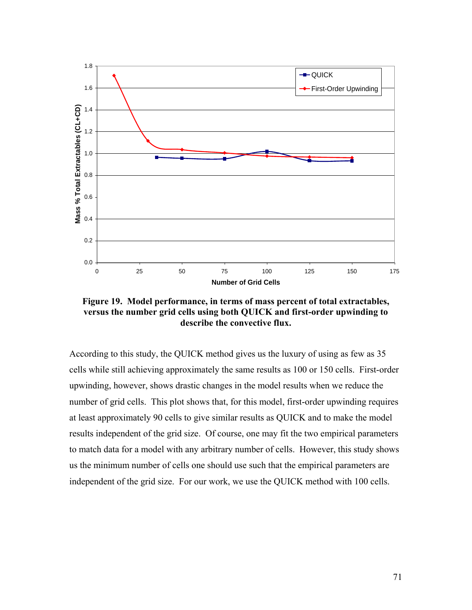

<span id="page-82-0"></span>**Figure 19. Model performance, in terms of mass percent of total extractables, versus the number grid cells using both QUICK and first-order upwinding to describe the convective flux.** 

According to this study, the QUICK method gives us the luxury of using as few as 35 cells while still achieving approximately the same results as 100 or 150 cells. First-order upwinding, however, shows drastic changes in the model results when we reduce the number of grid cells. This plot shows that, for this model, first-order upwinding requires at least approximately 90 cells to give similar results as QUICK and to make the model results independent of the grid size. Of course, one may fit the two empirical parameters to match data for a model with any arbitrary number of cells. However, this study shows us the minimum number of cells one should use such that the empirical parameters are independent of the grid size. For our work, we use the QUICK method with 100 cells.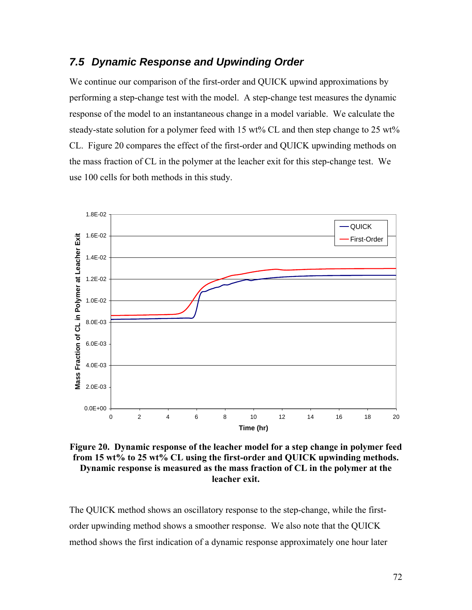### *7.5 Dynamic Response and Upwinding Order*

We continue our comparison of the first-order and QUICK upwind approximations by performing a step-change test with the model. A step-change test measures the dynamic response of the model to an instantaneous change in a model variable. We calculate the steady-state solution for a polymer feed with 15 wt% CL and then step change to 25 wt% CL. [Figure 20](#page-83-0) compares the effect of the first-order and QUICK upwinding methods on the mass fraction of CL in the polymer at the leacher exit for this step-change test. We use 100 cells for both methods in this study.



<span id="page-83-0"></span>**Figure 20. Dynamic response of the leacher model for a step change in polymer feed from 15 wt% to 25 wt% CL using the first-order and QUICK upwinding methods. Dynamic response is measured as the mass fraction of CL in the polymer at the leacher exit.** 

The QUICK method shows an oscillatory response to the step-change, while the firstorder upwinding method shows a smoother response. We also note that the QUICK method shows the first indication of a dynamic response approximately one hour later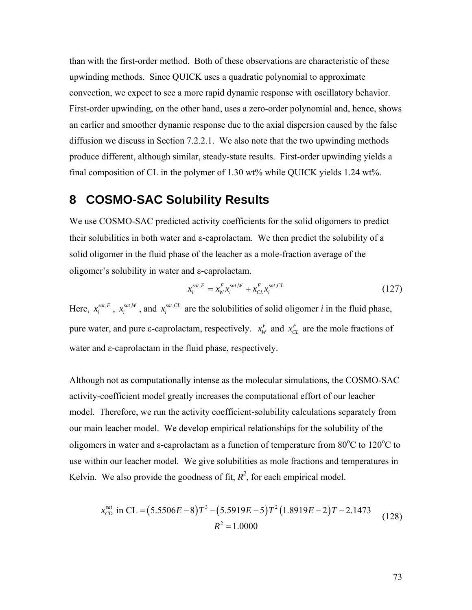than with the first-order method. Both of these observations are characteristic of these upwinding methods. Since QUICK uses a quadratic polynomial to approximate convection, we expect to see a more rapid dynamic response with oscillatory behavior. First-order upwinding, on the other hand, uses a zero-order polynomial and, hence, shows an earlier and smoother dynamic response due to the axial dispersion caused by the false diffusion we discuss in Section [7.2.2.1](#page-71-0). We also note that the two upwinding methods produce different, although similar, steady-state results. First-order upwinding yields a final composition of CL in the polymer of 1.30 wt% while QUICK yields 1.24 wt%.

## **8 COSMO-SAC Solubility Results**

We use COSMO-SAC predicted activity coefficients for the solid oligomers to predict their solubilities in both water and ε-caprolactam. We then predict the solubility of a solid oligomer in the fluid phase of the leacher as a mole-fraction average of the oligomer's solubility in water and ε-caprolactam.

$$
x_i^{sat,F} = x_W^F x_i^{sat,W} + x_{CL}^F x_i^{sat,CL}
$$
\n
$$
(127)
$$

Here,  $x_i^{sat,F}$ ,  $x_i^{sat,W}$ , and  $x_i^{sat,CL}$  are the solubilities of solid oligomer *i* in the fluid phase, pure water, and pure  $\epsilon$ -caprolactam, respectively.  $x_w^F$  and  $x_{CL}^F$  are the mole fractions of water and ε-caprolactam in the fluid phase, respectively.

Although not as computationally intense as the molecular simulations, the COSMO-SAC activity-coefficient model greatly increases the computational effort of our leacher model. Therefore, we run the activity coefficient-solubility calculations separately from our main leacher model. We develop empirical relationships for the solubility of the oligomers in water and  $\epsilon$ -caprolactam as a function of temperature from 80 $\rm ^{o}C$  to 120 $\rm ^{o}C$  to use within our leacher model. We give solubilities as mole fractions and temperatures in Kelvin. We also provide the goodness of fit,  $R^2$ , for each empirical model.

$$
x_{CD}^{sat} \text{ in CL} = (5.5506E - 8)T^3 - (5.5919E - 5)T^2(1.8919E - 2)T - 2.1473
$$
  

$$
R^2 = 1.0000
$$
 (128)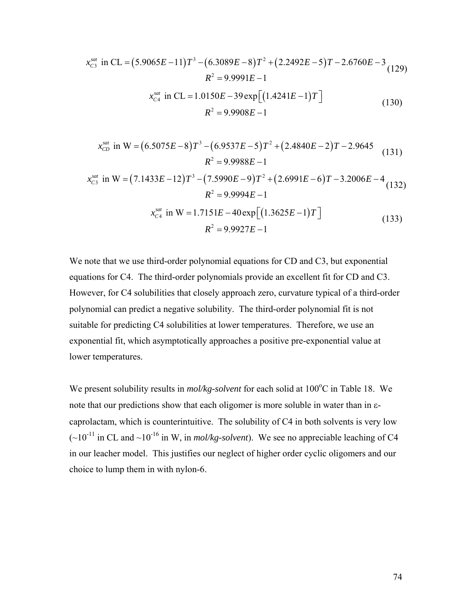$$
x_{C3}^{sat} \text{ in CL} = (5.9065E - 11)T^3 - (6.3089E - 8)T^2 + (2.2492E - 5)T - 2.6760E - 3
$$
  
\n
$$
R^2 = 9.9991E - 1
$$
  
\n
$$
x_{C4}^{sat} \text{ in CL} = 1.0150E - 39 \exp\left[(1.4241E - 1)T\right]
$$
  
\n
$$
R^2 = 9.9908E - 1
$$
\n(130)

$$
x_{CD}^{sat} \text{ in } W = (6.5075E - 8)T^3 - (6.9537E - 5)T^2 + (2.4840E - 2)T - 2.9645
$$
  

$$
R^2 = 9.9988E - 1
$$
 (131)

$$
x_{C3}^{sat} \text{ in } W = (7.1433E - 12)T^3 - (7.5990E - 9)T^2 + (2.6991E - 6)T - 3.2006E - 4 \tag{132}
$$
\n
$$
R^2 = 9.9994E - 1
$$
\n
$$
x_{C4}^{sat} \text{ in } W = 1.7151E - 40 \exp\left[ (1.3625E - 1)T \right]
$$
\n
$$
R^2 = 9.9927E - 1 \tag{133}
$$

We note that we use third-order polynomial equations for CD and C3, but exponential equations for C4. The third-order polynomials provide an excellent fit for CD and C3. However, for C4 solubilities that closely approach zero, curvature typical of a third-order polynomial can predict a negative solubility. The third-order polynomial fit is not suitable for predicting C4 solubilities at lower temperatures. Therefore, we use an exponential fit, which asymptotically approaches a positive pre-exponential value at lower temperatures.

We present solubility results in *mol/kg-solvent* for each solid at 100<sup>o</sup>C in [Table 18.](#page-86-0) We note that our predictions show that each oligomer is more soluble in water than in εcaprolactam, which is counterintuitive. The solubility of C4 in both solvents is very low  $(-10^{-11}$  in CL and  $\sim 10^{-16}$  in W, in *mol/kg-solvent*). We see no appreciable leaching of C4 in our leacher model. This justifies our neglect of higher order cyclic oligomers and our choice to lump them in with nylon-6.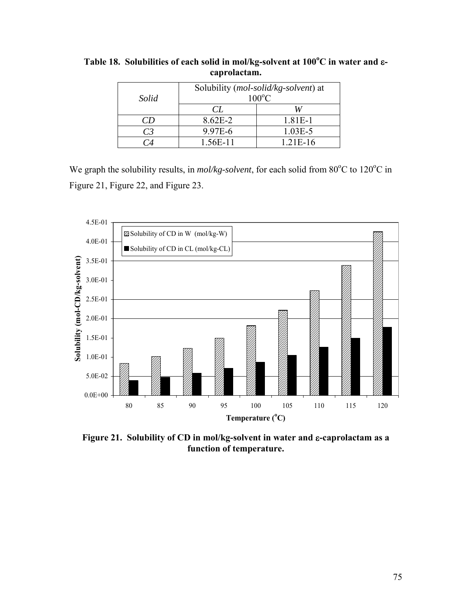| Solid | Solubility (mol-solid/kg-solvent) at<br>$100^{\circ}$ C |            |  |
|-------|---------------------------------------------------------|------------|--|
|       | CL                                                      | W          |  |
| CD.   | $8.62E - 2$                                             | 1.81E-1    |  |
| C3    | 9.97E-6                                                 | $1.03E-5$  |  |
|       | 1.56E-11                                                | $1.21E-16$ |  |

<span id="page-86-0"></span>**Table 18. Solubilities of each solid in mol/kg-solvent at 100<sup>o</sup> C in water and** ε**caprolactam.** 

We graph the solubility results, in *mol/kg-solvent*, for each solid from 80°C to 120°C in [Figure 21](#page-86-1), [Figure 22,](#page-87-0) and [Figure 23](#page-87-1).



<span id="page-86-1"></span>**Figure 21. Solubility of CD in mol/kg-solvent in water and** ε**-caprolactam as a function of temperature.**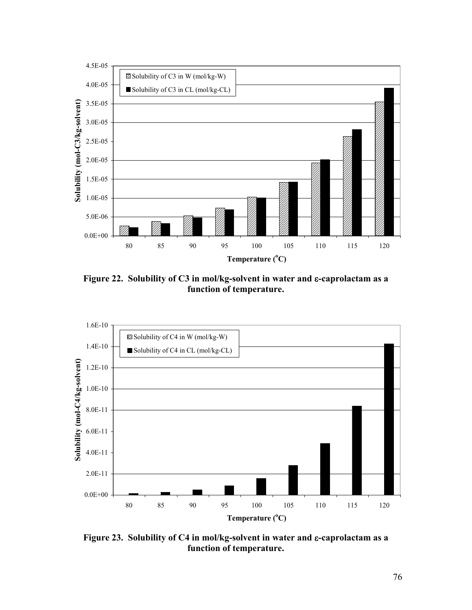

**Figure 22. Solubility of C3 in mol/kg-solvent in water and** ε**-caprolactam as a function of temperature.** 

<span id="page-87-0"></span>

<span id="page-87-1"></span>**Figure 23. Solubility of C4 in mol/kg-solvent in water and** ε**-caprolactam as a function of temperature.**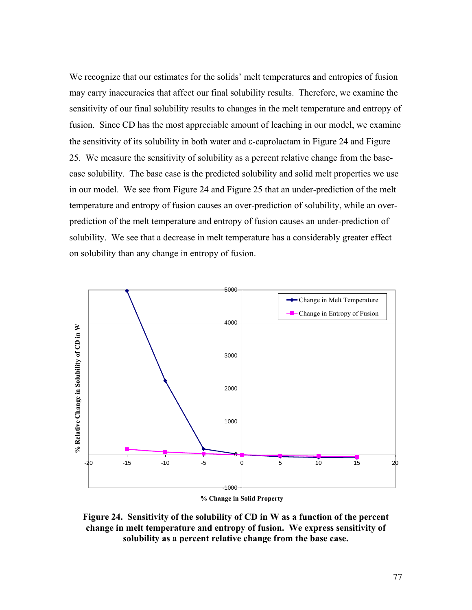We recognize that our estimates for the solids' melt temperatures and entropies of fusion may carry inaccuracies that affect our final solubility results. Therefore, we examine the sensitivity of our final solubility results to changes in the melt temperature and entropy of fusion. Since CD has the most appreciable amount of leaching in our model, we examine the sensitivity of its solubility in both water and ε-caprolactam in [Figure 24](#page-88-0) and [Figure](#page-89-0)  [25](#page-89-0). We measure the sensitivity of solubility as a percent relative change from the basecase solubility. The base case is the predicted solubility and solid melt properties we use in our model. We see from [Figure 24](#page-88-0) and [Figure 25](#page-89-0) that an under-prediction of the melt temperature and entropy of fusion causes an over-prediction of solubility, while an overprediction of the melt temperature and entropy of fusion causes an under-prediction of solubility. We see that a decrease in melt temperature has a considerably greater effect on solubility than any change in entropy of fusion.



**% Change in Solid Property**

<span id="page-88-0"></span>**Figure 24. Sensitivity of the solubility of CD in W as a function of the percent change in melt temperature and entropy of fusion. We express sensitivity of solubility as a percent relative change from the base case.**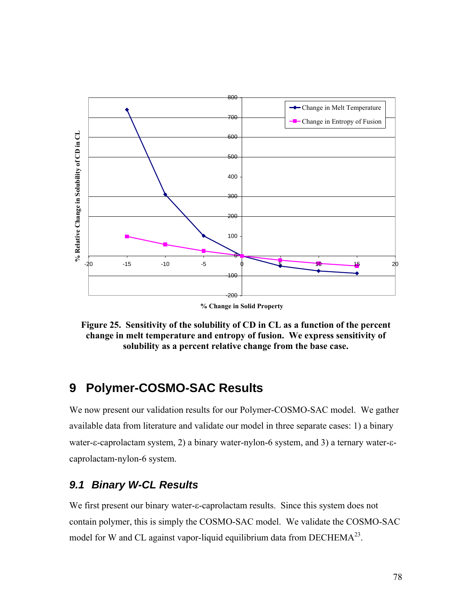

**% Change in Solid Property**

<span id="page-89-0"></span>**Figure 25. Sensitivity of the solubility of CD in CL as a function of the percent change in melt temperature and entropy of fusion. We express sensitivity of solubility as a percent relative change from the base case.** 

## <span id="page-89-1"></span>**9 Polymer-COSMO-SAC Results**

We now present our validation results for our Polymer-COSMO-SAC model. We gather available data from literature and validate our model in three separate cases: 1) a binary water-ε-caprolactam system, 2) a binary water-nylon-6 system, and 3) a ternary water-εcaprolactam-nylon-6 system.

## *9.1 Binary W-CL Results*

We first present our binary water-ε-caprolactam results. Since this system does not contain polymer, this is simply the COSMO-SAC model. We validate the COSMO-SAC model for W and CL against vapor-liquid equilibrium data from  $DECHEMA^{23}$ .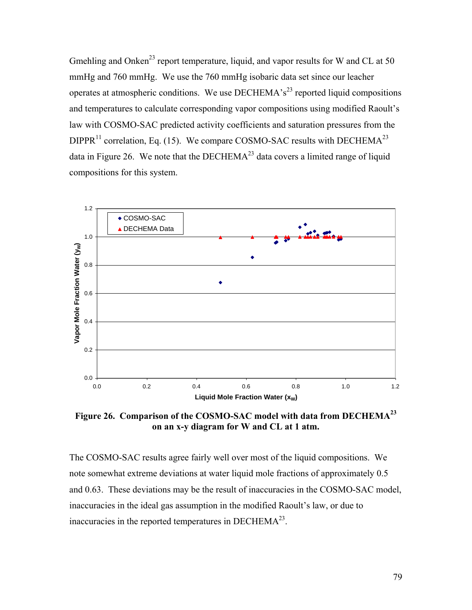Gmehling and Onken<sup>23</sup> report temperature, liquid, and vapor results for W and CL at 50 mmHg and 760 mmHg. We use the 760 mmHg isobaric data set since our leacher operates at atmospheric conditions. We use DECHEMA's<sup>23</sup> reported liquid compositions and temperatures to calculate corresponding vapor compositions using modified Raoult's law with COSMO-SAC predicted activity coefficients and saturation pressures from the DIPPR<sup>11</sup> correlation, Eq. [\(15\)](#page-33-0). We compare COSMO-SAC results with DECHEMA<sup>23</sup> data in [Figure 26.](#page-90-0) We note that the  $DECHEMA^{23}$  data covers a limited range of liquid compositions for this system.



<span id="page-90-0"></span>**Figure 26. Comparison of the COSMO-SAC model with data from DECHEMA<sup>23</sup> on an x-y diagram for W and CL at 1 atm.** 

The COSMO-SAC results agree fairly well over most of the liquid compositions. We note somewhat extreme deviations at water liquid mole fractions of approximately 0.5 and 0.63. These deviations may be the result of inaccuracies in the COSMO-SAC model, inaccuracies in the ideal gas assumption in the modified Raoult's law, or due to inaccuracies in the reported temperatures in  $DECHEMA^{23}$ .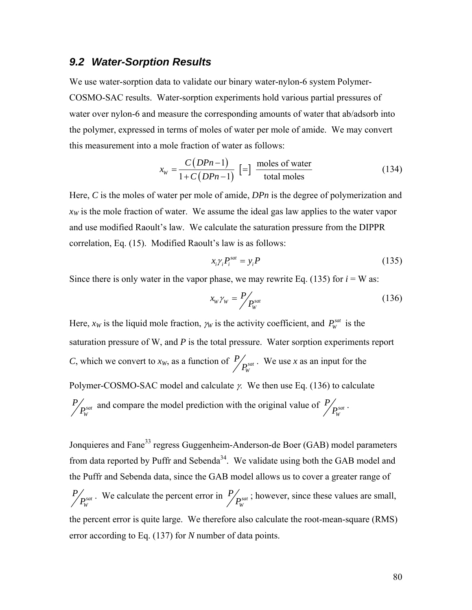### <span id="page-91-2"></span>*9.2 Water-Sorption Results*

We use water-sorption data to validate our binary water-nylon-6 system Polymer-COSMO-SAC results. Water-sorption experiments hold various partial pressures of water over nylon-6 and measure the corresponding amounts of water that ab/adsorb into the polymer, expressed in terms of moles of water per mole of amide. We may convert this measurement into a mole fraction of water as follows:

$$
x_{w} = \frac{C(DPn-1)}{1 + C(DPn-1)} \left[ = \right] \frac{\text{moles of water}}{\text{total moles}} \tag{134}
$$

Here, *C* is the moles of water per mole of amide, *DPn* is the degree of polymerization and  $x<sub>W</sub>$  is the mole fraction of water. We assume the ideal gas law applies to the water vapor and use modified Raoult's law. We calculate the saturation pressure from the DIPPR correlation, Eq. [\(15\)](#page-33-0). Modified Raoult's law is as follows:

$$
x_i \gamma_i P_i^{sat} = y_i P \tag{135}
$$

<span id="page-91-1"></span><span id="page-91-0"></span>Since there is only water in the vapor phase, we may rewrite Eq. [\(135\)](#page-91-0) for  $i = W$  as:

$$
x_w \gamma_w = P / P_w^{sat} \tag{136}
$$

Here,  $x_W$  is the liquid mole fraction,  $\gamma_W$  is the activity coefficient, and  $P_W^{sat}$  is the saturation pressure of W, and *P* is the total pressure. Water sorption experiments report *C*, which we convert to  $x_W$ , as a function of  $P_{\text{post}}$ *W*  $P / P_{w}^{sat}$ . We use *x* as an input for the Polymer-COSMO-SAC model and calculate  $\gamma$ . We then use Eq. [\(136\)](#page-91-1) to calculate *sat W*  $P / P_{w}^{sat}$  and compare the model prediction with the original value of  $P / P_{w}^{sat}$  $P/_{P^{sat}_W}$  .

Jonquieres and Fane<sup>33</sup> regress Guggenheim-Anderson-de Boer (GAB) model parameters from data reported by Puffr and Sebenda<sup>34</sup>. We validate using both the GAB model and the Puffr and Sebenda data, since the GAB model allows us to cover a greater range of *sat W*  $P / P_{W}^{sat}$ . We calculate the percent error in  $P / P_{W}^{sat}$  $P / P_{W}^{sat}$ ; however, since these values are small, the percent error is quite large. We therefore also calculate the root-mean-square (RMS) error according to Eq. [\(137\)](#page-92-0) for *N* number of data points.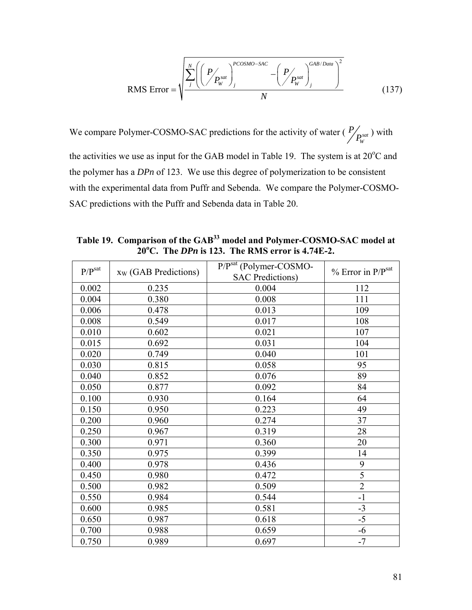$$
\text{RMS Error} = \sqrt{\frac{\sum_{j}^{N} \left( \left( P \bigg/ P_{W}^{sat} \right)_{j}^{PCOSMO-SAC} - \left( P \bigg/ P_{W}^{sat} \right)_{j}^{GB/Data} \right)^{2}}{N}}
$$
(137)

<span id="page-92-0"></span>We compare Polymer-COSMO-SAC predictions for the activity of water ( $P_{\text{post}}$ ) *W*  $P/_{P_{\rm w}^{sat}}$  ) with the activities we use as input for the GAB model in [Table 19](#page-92-1). The system is at  $20^{\circ}$ C and the polymer has a *DPn* of 123. We use this degree of polymerization to be consistent with the experimental data from Puffr and Sebenda. We compare the Polymer-COSMO-SAC predictions with the Puffr and Sebenda data in [Table 20.](#page-93-0)

<span id="page-92-1"></span>

| $P/P^{sat}$ | $x_W$ (GAB Predictions) | P/Psat (Polymer-COSMO-<br><b>SAC Predictions)</b> | $%$ Error in $P/Psat$ |
|-------------|-------------------------|---------------------------------------------------|-----------------------|
| 0.002       | 0.235                   | 0.004                                             | 112                   |
| 0.004       | 0.380                   | 0.008                                             | 111                   |
| 0.006       | 0.478                   | 0.013                                             | 109                   |
| 0.008       | 0.549                   | 0.017                                             | 108                   |
| 0.010       | 0.602                   | 0.021                                             | 107                   |
| 0.015       | 0.692                   | 0.031                                             | 104                   |
| 0.020       | 0.749                   | 0.040                                             | 101                   |
| 0.030       | 0.815                   | 0.058                                             | 95                    |
| 0.040       | 0.852                   | 0.076                                             | 89                    |
| 0.050       | 0.877                   | 0.092                                             | 84                    |
| 0.100       | 0.930                   | 0.164                                             | 64                    |
| 0.150       | 0.950                   | 0.223                                             | 49                    |
| 0.200       | 0.960                   | 0.274                                             | 37                    |
| 0.250       | 0.967                   | 0.319                                             | 28                    |
| 0.300       | 0.971                   | 0.360                                             | 20                    |
| 0.350       | 0.975                   | 0.399                                             | 14                    |
| 0.400       | 0.978                   | 0.436                                             | 9                     |
| 0.450       | 0.980                   | 0.472                                             | $\overline{5}$        |
| 0.500       | 0.982                   | 0.509                                             | $\overline{2}$        |
| 0.550       | 0.984                   | 0.544                                             | $-1$                  |
| 0.600       | 0.985                   | 0.581                                             | $-3$                  |
| 0.650       | 0.987                   | 0.618                                             | $-5$                  |
| 0.700       | 0.988                   | 0.659                                             | $-6$                  |
| 0.750       | 0.989                   | 0.697                                             | $-7$                  |

**Table 19. Comparison of the GAB33 model and Polymer-COSMO-SAC model at 20o C. The** *DPn* **is 123. The RMS error is 4.74E-2.**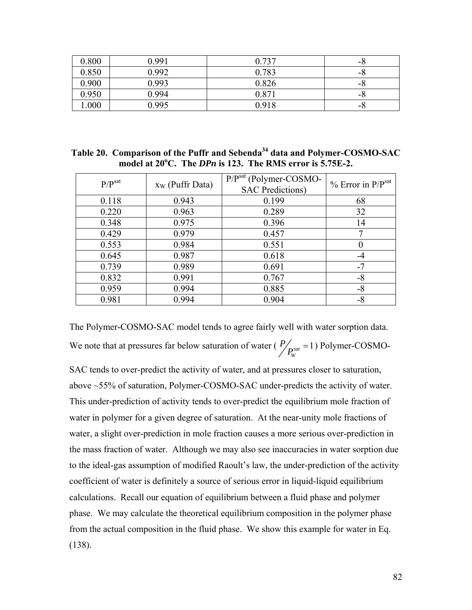| 0.800 | 0.991 | 0.737 | -0 |
|-------|-------|-------|----|
| 0.850 | 0.992 | 0.783 | -8 |
| 0.900 | 0.993 | 0.826 | -0 |
| 0.950 | 0.994 | 0.871 | -0 |
| .000  | 0.995 | 0.918 | -0 |

<span id="page-93-0"></span>**Table 20. Comparison of the Puffr and Sebenda34 data and Polymer-COSMO-SAC model at 20o C. The** *DPn* **is 123. The RMS error is 5.75E-2.** 

| P/P <sub>sat</sub> | $x_W$ (Puffr Data) | P/Psat (Polymer-COSMO-<br><b>SAC</b> Predictions) | $%$ Error in $P/Psat$ |
|--------------------|--------------------|---------------------------------------------------|-----------------------|
| 0.118              | 0.943              | 0.199                                             | 68                    |
| 0.220              | 0.963              | 0.289                                             | 32                    |
| 0.348              | 0.975              | 0.396                                             | 14                    |
| 0.429              | 0.979              | 0.457                                             |                       |
| 0.553              | 0.984              | 0.551                                             |                       |
| 0.645              | 0.987              | 0.618                                             | -4                    |
| 0.739              | 0.989              | 0.691                                             | $-7$                  |
| 0.832              | 0.991              | 0.767                                             | -8                    |
| 0.959              | 0.994              | 0.885                                             | -8                    |
| 0.981              | 0.994              | 0.904                                             | -8                    |

The Polymer-COSMO-SAC model tends to agree fairly well with water sorption data. We note that at pressures far below saturation of water ( $P_{\text{post}} = 1$ ) *W*  $P_{P_{\text{w}}^{sat}}$  = 1) Polymer-COSMO-

SAC tends to over-predict the activity of water, and at pressures closer to saturation, above ~55% of saturation, Polymer-COSMO-SAC under-predicts the activity of water. This under-prediction of activity tends to over-predict the equilibrium mole fraction of water in polymer for a given degree of saturation. At the near-unity mole fractions of water, a slight over-prediction in mole fraction causes a more serious over-prediction in the mass fraction of water. Although we may also see inaccuracies in water sorption due to the ideal-gas assumption of modified Raoult's law, the under-prediction of the activity coefficient of water is definitely a source of serious error in liquid-liquid equilibrium calculations. Recall our equation of equilibrium between a fluid phase and polymer phase. We may calculate the theoretical equilibrium composition in the polymer phase from the actual composition in the fluid phase. We show this example for water in Eq. [\(138\)](#page-94-0).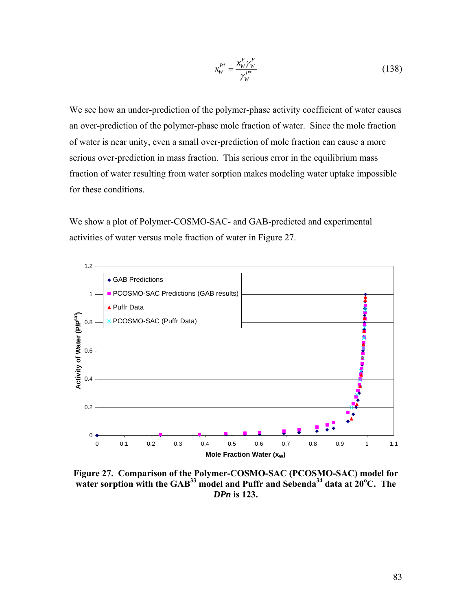$$
x_{W}^{P*} = \frac{x_{W}^{F} \gamma_{W}^{F}}{\gamma_{W}^{P*}}
$$
 (138)

<span id="page-94-0"></span>We see how an under-prediction of the polymer-phase activity coefficient of water causes an over-prediction of the polymer-phase mole fraction of water. Since the mole fraction of water is near unity, even a small over-prediction of mole fraction can cause a more serious over-prediction in mass fraction. This serious error in the equilibrium mass fraction of water resulting from water sorption makes modeling water uptake impossible for these conditions.

We show a plot of Polymer-COSMO-SAC- and GAB-predicted and experimental activities of water versus mole fraction of water in [Figure 27](#page-94-1).



<span id="page-94-1"></span>**Figure 27. Comparison of the Polymer-COSMO-SAC (PCOSMO-SAC) model for**  water sorption with the GAB<sup>33</sup> model and Puffr and Sebenda<sup>34</sup> data at 20<sup>o</sup>C. The *DPn* **is 123.**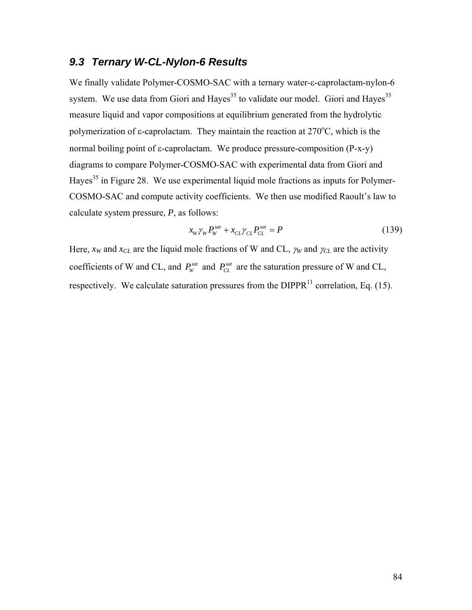### *9.3 Ternary W-CL-Nylon-6 Results*

We finally validate Polymer-COSMO-SAC with a ternary water-ε-caprolactam-nylon-6 system. We use data from Giori and Hayes<sup>35</sup> to validate our model. Giori and Hayes<sup>35</sup> measure liquid and vapor compositions at equilibrium generated from the hydrolytic polymerization of  $\varepsilon$ -caprolactam. They maintain the reaction at 270 $\mathrm{^{\circ}C}$ , which is the normal boiling point of ε-caprolactam. We produce pressure-composition (P-x-y) diagrams to compare Polymer-COSMO-SAC with experimental data from Giori and Hayes<sup>35</sup> in [Figure 28.](#page-96-0) We use experimental liquid mole fractions as inputs for Polymer-COSMO-SAC and compute activity coefficients. We then use modified Raoult's law to calculate system pressure, *P*, as follows:

$$
x_w \gamma_w P_w^{sat} + x_{CL} \gamma_{CL} P_{CL}^{sat} = P \tag{139}
$$

Here,  $x_W$  and  $x_{CL}$  are the liquid mole fractions of W and CL,  $\gamma_W$  and  $\gamma_{CL}$  are the activity coefficients of W and CL, and  $P_W^{sat}$  and  $P_{CL}^{sat}$  are the saturation pressure of W and CL, respectively. We calculate saturation pressures from the DIPPR $^{11}$  correlation, Eq. [\(15\).](#page-33-0)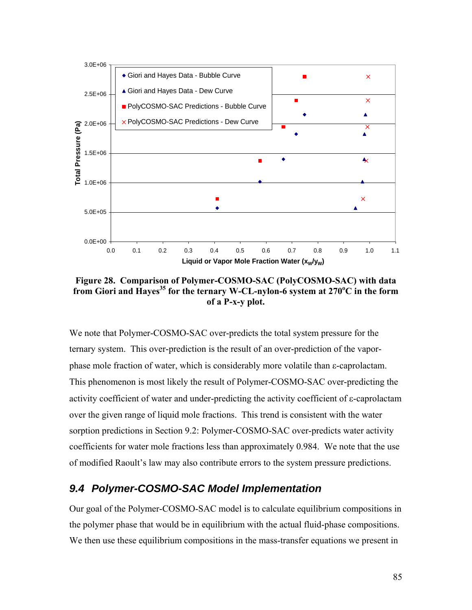

<span id="page-96-0"></span>**Figure 28. Comparison of Polymer-COSMO-SAC (PolyCOSMO-SAC) with data**  from Giori and Hayes<sup>35</sup> for the ternary W-CL-nylon-6 system at 270°C in the form **of a P-x-y plot.** 

We note that Polymer-COSMO-SAC over-predicts the total system pressure for the ternary system. This over-prediction is the result of an over-prediction of the vaporphase mole fraction of water, which is considerably more volatile than ε-caprolactam. This phenomenon is most likely the result of Polymer-COSMO-SAC over-predicting the activity coefficient of water and under-predicting the activity coefficient of ε-caprolactam over the given range of liquid mole fractions. This trend is consistent with the water sorption predictions in Section [9.2](#page-91-2): Polymer-COSMO-SAC over-predicts water activity coefficients for water mole fractions less than approximately 0.984. We note that the use of modified Raoult's law may also contribute errors to the system pressure predictions.

### *9.4 Polymer-COSMO-SAC Model Implementation*

Our goal of the Polymer-COSMO-SAC model is to calculate equilibrium compositions in the polymer phase that would be in equilibrium with the actual fluid-phase compositions. We then use these equilibrium compositions in the mass-transfer equations we present in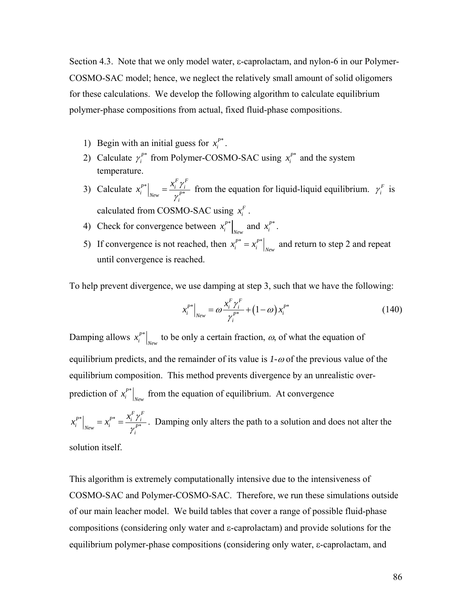Section [4.3](#page-37-0). Note that we only model water, ε-caprolactam, and nylon-6 in our Polymer-COSMO-SAC model; hence, we neglect the relatively small amount of solid oligomers for these calculations. We develop the following algorithm to calculate equilibrium polymer-phase compositions from actual, fixed fluid-phase compositions.

- 1) Begin with an initial guess for  $x_i^{P^*}$ .
- 2) Calculate  $\gamma_i^{P^*}$  from Polymer-COSMO-SAC using  $x_i^{P^*}$  and the system temperature.
- 3) Calculate  $x_i^{P^*}\Big|_{New} = \frac{x_i Y_i}{x_i^{P^*}}$  $\mathcal{F}^*$   $\begin{bmatrix} & x_i^F \gamma_i^F \end{bmatrix}$  $i \mid_{New}$   $\sim$   $p$ *i*  $x_i^{P*}\Big|_{New} = \frac{x_i^F \gamma_i^F}{\gamma_i^{P*}}$  from the equation for liquid-liquid equilibrium.  $\gamma_i^F$  is calculated from COSMO-SAC using  $x_i^F$ .
- 4) Check for convergence between  $x_i^{P^*}\Big|_{New}$  and  $x_i^{P^*}$ .
- 5) If convergence is not reached, then  $x_i^{P^*} = x_i^{P^*} \bigg|_{New}$  and return to step 2 and repeat until convergence is reached.

To help prevent divergence, we use damping at step 3, such that we have the following:

$$
x_i^{P^*}\Big|_{New} = \omega \frac{x_i^F \gamma_i^F}{\gamma_i^{P^*}} + (1 - \omega) x_i^{P^*}
$$
 (140)

Damping allows  $x_i^{P^*}\big|_{New}$  to be only a certain fraction,  $\omega$ , of what the equation of equilibrium predicts, and the remainder of its value is *1-*ω of the previous value of the equilibrium composition. This method prevents divergence by an unrealistic overprediction of  $x_i^{P^*}\big|_{New}$  from the equation of equilibrium. At convergence

\*  $\begin{array}{c} \hline \end{array}$ \*  $P^*$ <sup> $\begin{bmatrix} & & & x_i^F \gamma_i^F & & \\ & & -x_i^F & -x_i^F & \\ & & & \end{bmatrix}$ </sup> *i*  $\big|_{New} - \lambda_i \big| - \gamma_i^P$  $x_i^{P^*}\Big|_{New} = x_i^{P^*} = \frac{x_i^F \gamma_i^F}{\gamma_i^{P^*}}$ . Damping only alters the path to a solution and does not alter the

solution itself.

This algorithm is extremely computationally intensive due to the intensiveness of COSMO-SAC and Polymer-COSMO-SAC. Therefore, we run these simulations outside of our main leacher model. We build tables that cover a range of possible fluid-phase compositions (considering only water and ε-caprolactam) and provide solutions for the equilibrium polymer-phase compositions (considering only water, ε-caprolactam, and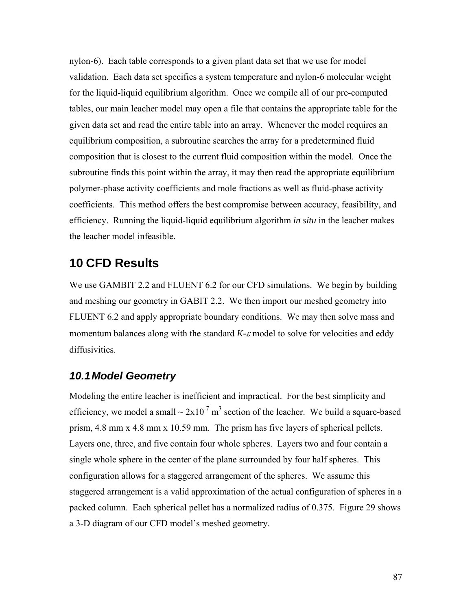nylon-6). Each table corresponds to a given plant data set that we use for model validation. Each data set specifies a system temperature and nylon-6 molecular weight for the liquid-liquid equilibrium algorithm. Once we compile all of our pre-computed tables, our main leacher model may open a file that contains the appropriate table for the given data set and read the entire table into an array. Whenever the model requires an equilibrium composition, a subroutine searches the array for a predetermined fluid composition that is closest to the current fluid composition within the model. Once the subroutine finds this point within the array, it may then read the appropriate equilibrium polymer-phase activity coefficients and mole fractions as well as fluid-phase activity coefficients. This method offers the best compromise between accuracy, feasibility, and efficiency. Running the liquid-liquid equilibrium algorithm *in situ* in the leacher makes the leacher model infeasible.

## **10 CFD Results**

We use GAMBIT 2.2 and FLUENT 6.2 for our CFD simulations. We begin by building and meshing our geometry in GABIT 2.2. We then import our meshed geometry into FLUENT 6.2 and apply appropriate boundary conditions. We may then solve mass and momentum balances along with the standard *K-*ε model to solve for velocities and eddy diffusivities.

## *10.1 Model Geometry*

Modeling the entire leacher is inefficient and impractical. For the best simplicity and efficiency, we model a small  $\sim 2x10^{-7}$  m<sup>3</sup> section of the leacher. We build a square-based prism, 4.8 mm x 4.8 mm x 10.59 mm. The prism has five layers of spherical pellets. Layers one, three, and five contain four whole spheres. Layers two and four contain a single whole sphere in the center of the plane surrounded by four half spheres. This configuration allows for a staggered arrangement of the spheres. We assume this staggered arrangement is a valid approximation of the actual configuration of spheres in a packed column. Each spherical pellet has a normalized radius of 0.375. [Figure 29](#page-99-0) shows a 3-D diagram of our CFD model's meshed geometry.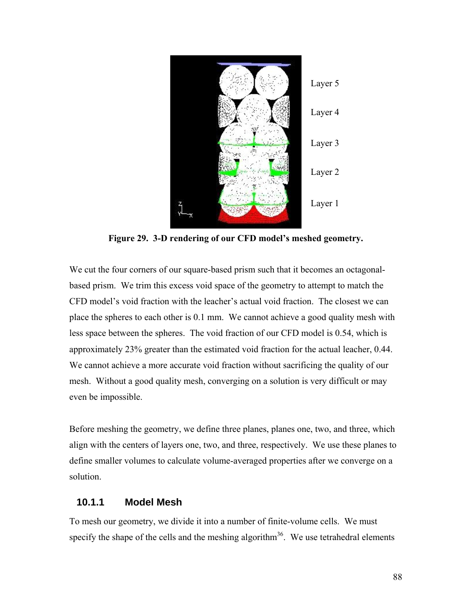

**Figure 29. 3-D rendering of our CFD model's meshed geometry.** 

<span id="page-99-0"></span>We cut the four corners of our square-based prism such that it becomes an octagonalbased prism. We trim this excess void space of the geometry to attempt to match the CFD model's void fraction with the leacher's actual void fraction. The closest we can place the spheres to each other is 0.1 mm. We cannot achieve a good quality mesh with less space between the spheres. The void fraction of our CFD model is 0.54, which is approximately 23% greater than the estimated void fraction for the actual leacher, 0.44. We cannot achieve a more accurate void fraction without sacrificing the quality of our mesh. Without a good quality mesh, converging on a solution is very difficult or may even be impossible.

Before meshing the geometry, we define three planes, planes one, two, and three, which align with the centers of layers one, two, and three, respectively. We use these planes to define smaller volumes to calculate volume-averaged properties after we converge on a solution.

### **10.1.1 Model Mesh**

To mesh our geometry, we divide it into a number of finite-volume cells. We must specify the shape of the cells and the meshing algorithm<sup>36</sup>. We use tetrahedral elements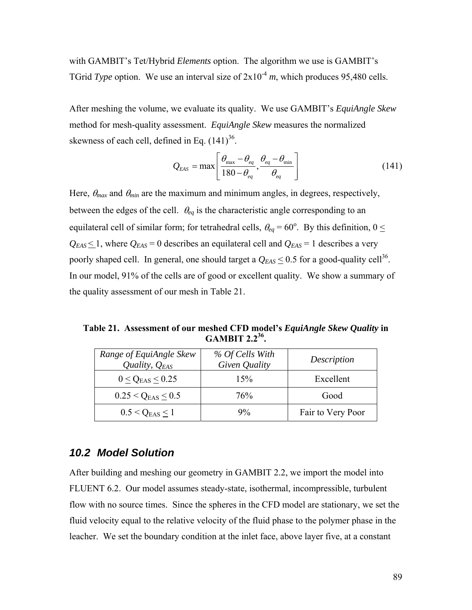with GAMBIT's Tet/Hybrid *Elements* option. The algorithm we use is GAMBIT's TGrid *Type* option. We use an interval size of  $2x10^{-4}$  *m*, which produces 95,480 cells.

After meshing the volume, we evaluate its quality. We use GAMBIT's *EquiAngle Skew* method for mesh-quality assessment. *EquiAngle Skew* measures the normalized skewness of each cell, defined in Eq.  $(141)^{36}$ .

$$
Q_{EAS} = \max \left[ \frac{\theta_{\max} - \theta_{eq}}{180 - \theta_{eq}}, \frac{\theta_{eq} - \theta_{\min}}{\theta_{eq}} \right]
$$
(141)

<span id="page-100-0"></span>Here,  $\theta_{max}$  and  $\theta_{min}$  are the maximum and minimum angles, in degrees, respectively, between the edges of the cell. θ*eq* is the characteristic angle corresponding to an equilateral cell of similar form; for tetrahedral cells,  $\theta_{eq} = 60^{\circ}$ . By this definition,  $0 \leq$  $Q_{EAS} \leq 1$ , where  $Q_{EAS} = 0$  describes an equilateral cell and  $Q_{EAS} = 1$  describes a very poorly shaped cell. In general, one should target a  $Q_{EAS} \le 0.5$  for a good-quality cell<sup>36</sup>. In our model, 91% of the cells are of good or excellent quality. We show a summary of the quality assessment of our mesh in [Table 21](#page-100-1).

<span id="page-100-1"></span>**Table 21. Assessment of our meshed CFD model's** *EquiAngle Skew Quality* **in GAMBIT 2.236.** 

| Range of EquiAngle Skew<br>Quality, $Q_{EAS}$ | % Of Cells With<br>Given Quality | Description       |
|-----------------------------------------------|----------------------------------|-------------------|
| $0 < Q_{EAS} < 0.25$                          | 15%                              | Excellent         |
| $0.25 < Q_{EAS} < 0.5$                        | 76%                              | Good              |
| $0.5 < Q_{EAS} \le 1$                         | $9\%$                            | Fair to Very Poor |

### <span id="page-100-2"></span>*10.2 Model Solution*

After building and meshing our geometry in GAMBIT 2.2, we import the model into FLUENT 6.2. Our model assumes steady-state, isothermal, incompressible, turbulent flow with no source times. Since the spheres in the CFD model are stationary, we set the fluid velocity equal to the relative velocity of the fluid phase to the polymer phase in the leacher. We set the boundary condition at the inlet face, above layer five, at a constant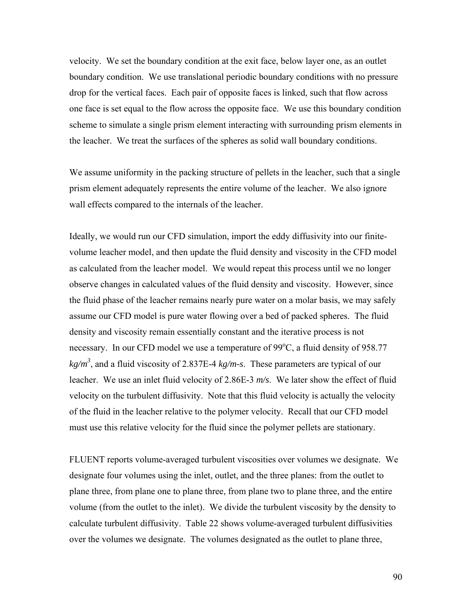velocity. We set the boundary condition at the exit face, below layer one, as an outlet boundary condition. We use translational periodic boundary conditions with no pressure drop for the vertical faces. Each pair of opposite faces is linked, such that flow across one face is set equal to the flow across the opposite face. We use this boundary condition scheme to simulate a single prism element interacting with surrounding prism elements in the leacher. We treat the surfaces of the spheres as solid wall boundary conditions.

We assume uniformity in the packing structure of pellets in the leacher, such that a single prism element adequately represents the entire volume of the leacher. We also ignore wall effects compared to the internals of the leacher.

Ideally, we would run our CFD simulation, import the eddy diffusivity into our finitevolume leacher model, and then update the fluid density and viscosity in the CFD model as calculated from the leacher model. We would repeat this process until we no longer observe changes in calculated values of the fluid density and viscosity. However, since the fluid phase of the leacher remains nearly pure water on a molar basis, we may safely assume our CFD model is pure water flowing over a bed of packed spheres. The fluid density and viscosity remain essentially constant and the iterative process is not necessary. In our CFD model we use a temperature of  $99^{\circ}$ C, a fluid density of 958.77 *kg/m3* , and a fluid viscosity of 2.837E-4 *kg/m-s*. These parameters are typical of our leacher. We use an inlet fluid velocity of 2.86E-3 *m/s*. We later show the effect of fluid velocity on the turbulent diffusivity. Note that this fluid velocity is actually the velocity of the fluid in the leacher relative to the polymer velocity. Recall that our CFD model must use this relative velocity for the fluid since the polymer pellets are stationary.

FLUENT reports volume-averaged turbulent viscosities over volumes we designate. We designate four volumes using the inlet, outlet, and the three planes: from the outlet to plane three, from plane one to plane three, from plane two to plane three, and the entire volume (from the outlet to the inlet). We divide the turbulent viscosity by the density to calculate turbulent diffusivity. [Table 22](#page-102-0) shows volume-averaged turbulent diffusivities over the volumes we designate. The volumes designated as the outlet to plane three,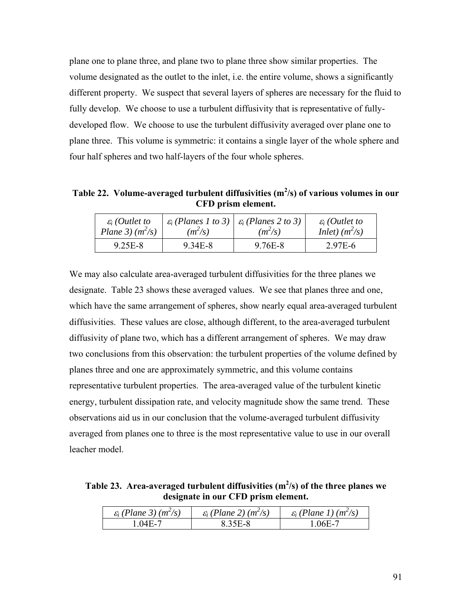plane one to plane three, and plane two to plane three show similar properties. The volume designated as the outlet to the inlet, i.e. the entire volume, shows a significantly different property. We suspect that several layers of spheres are necessary for the fluid to fully develop. We choose to use a turbulent diffusivity that is representative of fullydeveloped flow. We choose to use the turbulent diffusivity averaged over plane one to plane three. This volume is symmetric: it contains a single layer of the whole sphere and four half spheres and two half-layers of the four whole spheres.

<span id="page-102-0"></span>Table 22. Volume-averaged turbulent diffusivities (m<sup>2</sup>/s) of various volumes in our **CFD prism element.** 

| $\varepsilon_i$ (Outlet to | $(m^2/s)$ | $\varepsilon_i$ (Planes 1 to 3) $\left  \varepsilon_i$ (Planes 2 to 3) | $\varepsilon_i$ (Outlet to |
|----------------------------|-----------|------------------------------------------------------------------------|----------------------------|
| Plane 3) $(m^2/s)$         |           | $(m^2/s)$                                                              | Inlet) $(m^2/s)$           |
| 9.25E-8                    | 9.34E-8   | 9.76E-8                                                                | 2.97E-6                    |

We may also calculate area-averaged turbulent diffusivities for the three planes we designate. [Table 23](#page-102-1) shows these averaged values. We see that planes three and one, which have the same arrangement of spheres, show nearly equal area-averaged turbulent diffusivities. These values are close, although different, to the area-averaged turbulent diffusivity of plane two, which has a different arrangement of spheres. We may draw two conclusions from this observation: the turbulent properties of the volume defined by planes three and one are approximately symmetric, and this volume contains representative turbulent properties. The area-averaged value of the turbulent kinetic energy, turbulent dissipation rate, and velocity magnitude show the same trend. These observations aid us in our conclusion that the volume-averaged turbulent diffusivity averaged from planes one to three is the most representative value to use in our overall leacher model.

<span id="page-102-1"></span>**Table 23. Area-averaged turbulent diffusivities (m<sup>2</sup> /s) of the three planes we designate in our CFD prism element.** 

| $\varepsilon_i$ (Plane 3) (m <sup>2</sup> /s) | $\varepsilon_i$ (Plane 2) (m <sup>2</sup> /s) | $\varepsilon_i$ (Plane 1) (m <sup>2</sup> /s) |
|-----------------------------------------------|-----------------------------------------------|-----------------------------------------------|
| $04E-7$                                       | 8.35E-8                                       | . 06E-1                                       |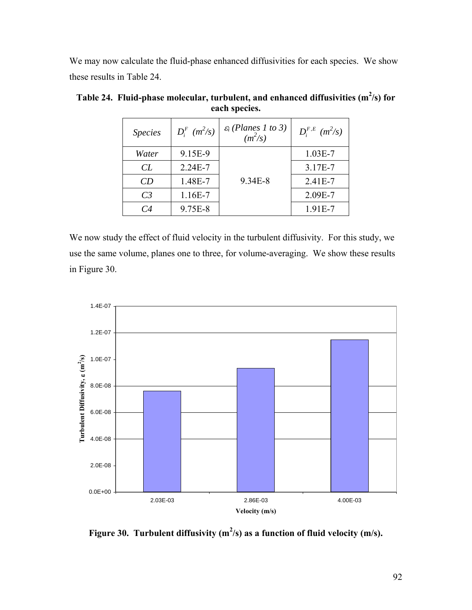We may now calculate the fluid-phase enhanced diffusivities for each species. We show these results in [Table 24.](#page-103-0)

| <b>Species</b> | $D_i^F$ ( $m^2$ /s) | $\varepsilon_i$ (Planes 1 to 3)<br>$(m^2/s)$ | $D_i^{F,E}$ $(m^2/s)$ |
|----------------|---------------------|----------------------------------------------|-----------------------|
| Water          | 9.15E-9             |                                              | $1.03E-7$             |
| CL             | $2.24E - 7$         |                                              | 3.17E-7               |
| CD             | 1.48E-7             | 9.34E-8                                      | 2.41E-7               |
| C <sub>3</sub> | $1.16E-7$           |                                              | 2.09E-7               |
| CA             | 9.75E-8             |                                              | 1.91E-7               |

<span id="page-103-0"></span>Table 24. Fluid-phase molecular, turbulent, and enhanced diffusivities (m<sup>2</sup>/s) for **each species.** 

We now study the effect of fluid velocity in the turbulent diffusivity. For this study, we use the same volume, planes one to three, for volume-averaging. We show these results in [Figure 30.](#page-103-1)



<span id="page-103-1"></span>Figure 30. Turbulent diffusivity  $(m^2/s)$  as a function of fluid velocity  $(m/s)$ .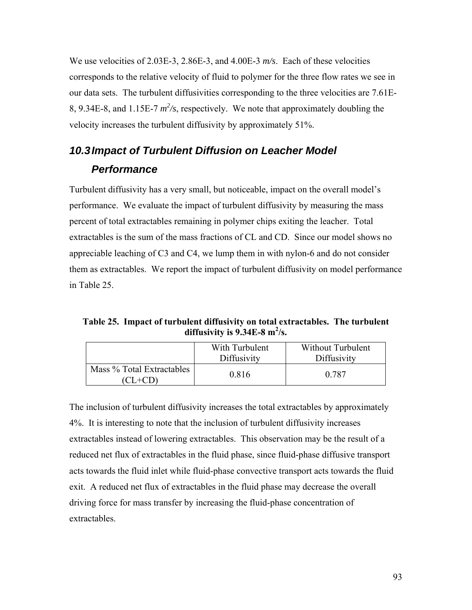We use velocities of 2.03E-3, 2.86E-3, and 4.00E-3 *m/s*. Each of these velocities corresponds to the relative velocity of fluid to polymer for the three flow rates we see in our data sets. The turbulent diffusivities corresponding to the three velocities are 7.61E-8, 9.34E-8, and 1.15E-7  $m^2$ /s, respectively. We note that approximately doubling the velocity increases the turbulent diffusivity by approximately 51%.

# *10.3 Impact of Turbulent Diffusion on Leacher Model Performance*

Turbulent diffusivity has a very small, but noticeable, impact on the overall model's performance. We evaluate the impact of turbulent diffusivity by measuring the mass percent of total extractables remaining in polymer chips exiting the leacher. Total extractables is the sum of the mass fractions of CL and CD. Since our model shows no appreciable leaching of C3 and C4, we lump them in with nylon-6 and do not consider them as extractables. We report the impact of turbulent diffusivity on model performance in [Table 25.](#page-104-0)

<span id="page-104-0"></span>**Table 25. Impact of turbulent diffusivity on total extractables. The turbulent**  diffusivity is  $9.34E-8$  m<sup>2</sup>/s.

|                                        | With Turbulent<br>Diffusivity | Without Turbulent<br>Diffusivity |
|----------------------------------------|-------------------------------|----------------------------------|
| Mass % Total Extractables<br>$(CL+CD)$ | 0.816                         | 0.787                            |

The inclusion of turbulent diffusivity increases the total extractables by approximately 4%. It is interesting to note that the inclusion of turbulent diffusivity increases extractables instead of lowering extractables. This observation may be the result of a reduced net flux of extractables in the fluid phase, since fluid-phase diffusive transport acts towards the fluid inlet while fluid-phase convective transport acts towards the fluid exit. A reduced net flux of extractables in the fluid phase may decrease the overall driving force for mass transfer by increasing the fluid-phase concentration of extractables.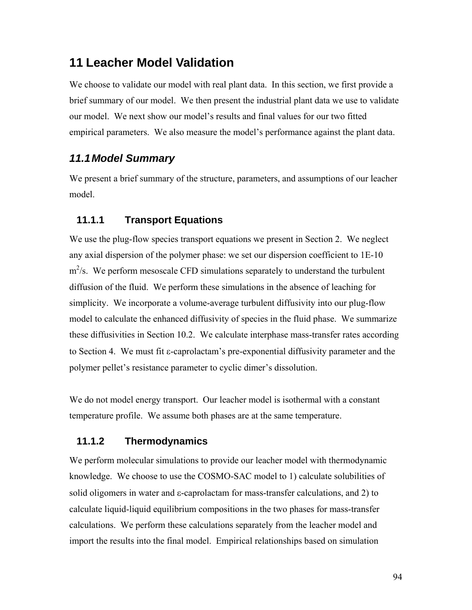## **11 Leacher Model Validation**

We choose to validate our model with real plant data. In this section, we first provide a brief summary of our model. We then present the industrial plant data we use to validate our model. We next show our model's results and final values for our two fitted empirical parameters. We also measure the model's performance against the plant data.

## *11.1 Model Summary*

We present a brief summary of the structure, parameters, and assumptions of our leacher model.

### **11.1.1 Transport Equations**

We use the plug-flow species transport equations we present in Section [2.](#page-21-0) We neglect any axial dispersion of the polymer phase: we set our dispersion coefficient to 1E-10  $m^2$ /s. We perform mesoscale CFD simulations separately to understand the turbulent diffusion of the fluid. We perform these simulations in the absence of leaching for simplicity. We incorporate a volume-average turbulent diffusivity into our plug-flow model to calculate the enhanced diffusivity of species in the fluid phase. We summarize these diffusivities in Section [10.2](#page-100-2). We calculate interphase mass-transfer rates according to Section [4](#page-34-0). We must fit ε-caprolactam's pre-exponential diffusivity parameter and the polymer pellet's resistance parameter to cyclic dimer's dissolution.

We do not model energy transport. Our leacher model is isothermal with a constant temperature profile. We assume both phases are at the same temperature.

### **11.1.2 Thermodynamics**

We perform molecular simulations to provide our leacher model with thermodynamic knowledge. We choose to use the COSMO-SAC model to 1) calculate solubilities of solid oligomers in water and ε-caprolactam for mass-transfer calculations, and 2) to calculate liquid-liquid equilibrium compositions in the two phases for mass-transfer calculations. We perform these calculations separately from the leacher model and import the results into the final model. Empirical relationships based on simulation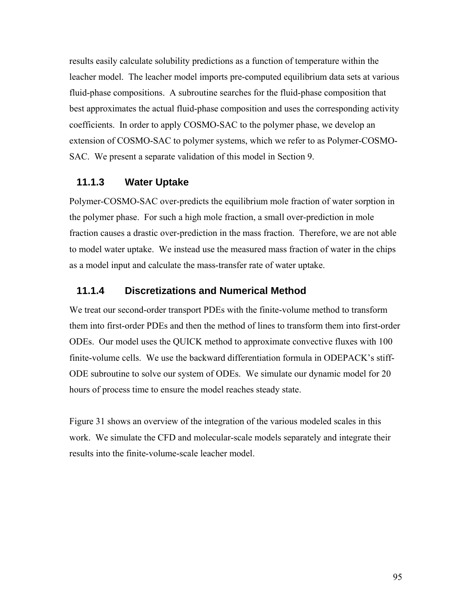results easily calculate solubility predictions as a function of temperature within the leacher model. The leacher model imports pre-computed equilibrium data sets at various fluid-phase compositions. A subroutine searches for the fluid-phase composition that best approximates the actual fluid-phase composition and uses the corresponding activity coefficients. In order to apply COSMO-SAC to the polymer phase, we develop an extension of COSMO-SAC to polymer systems, which we refer to as Polymer-COSMO-SAC. We present a separate validation of this model in Section [9.](#page-89-1)

### **11.1.3 Water Uptake**

Polymer-COSMO-SAC over-predicts the equilibrium mole fraction of water sorption in the polymer phase. For such a high mole fraction, a small over-prediction in mole fraction causes a drastic over-prediction in the mass fraction. Therefore, we are not able to model water uptake. We instead use the measured mass fraction of water in the chips as a model input and calculate the mass-transfer rate of water uptake.

### **11.1.4 Discretizations and Numerical Method**

We treat our second-order transport PDEs with the finite-volume method to transform them into first-order PDEs and then the method of lines to transform them into first-order ODEs. Our model uses the QUICK method to approximate convective fluxes with 100 finite-volume cells. We use the backward differentiation formula in ODEPACK's stiff-ODE subroutine to solve our system of ODEs. We simulate our dynamic model for 20 hours of process time to ensure the model reaches steady state.

[Figure 31](#page-107-0) shows an overview of the integration of the various modeled scales in this work. We simulate the CFD and molecular-scale models separately and integrate their results into the finite-volume-scale leacher model.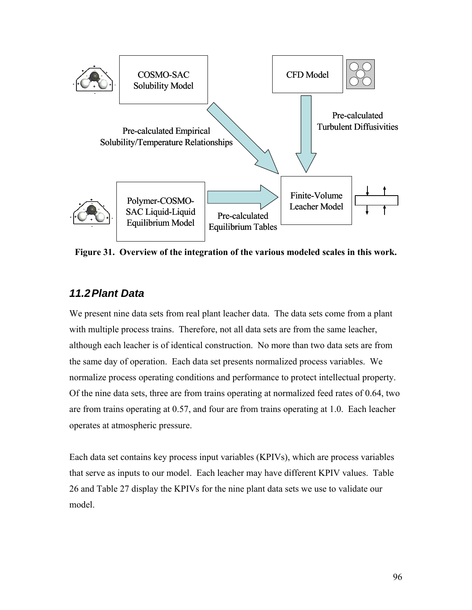

<span id="page-107-0"></span>**Figure 31. Overview of the integration of the various modeled scales in this work.** 

## *11.2 Plant Data*

We present nine data sets from real plant leacher data. The data sets come from a plant with multiple process trains. Therefore, not all data sets are from the same leacher, although each leacher is of identical construction. No more than two data sets are from the same day of operation. Each data set presents normalized process variables. We normalize process operating conditions and performance to protect intellectual property. Of the nine data sets, three are from trains operating at normalized feed rates of 0.64, two are from trains operating at 0.57, and four are from trains operating at 1.0. Each leacher operates at atmospheric pressure.

Each data set contains key process input variables (KPIVs), which are process variables that serve as inputs to our model. Each leacher may have different KPIV values. [Table](#page-108-0)  [26](#page-108-0) and [Table 27](#page-109-0) display the KPIVs for the nine plant data sets we use to validate our model.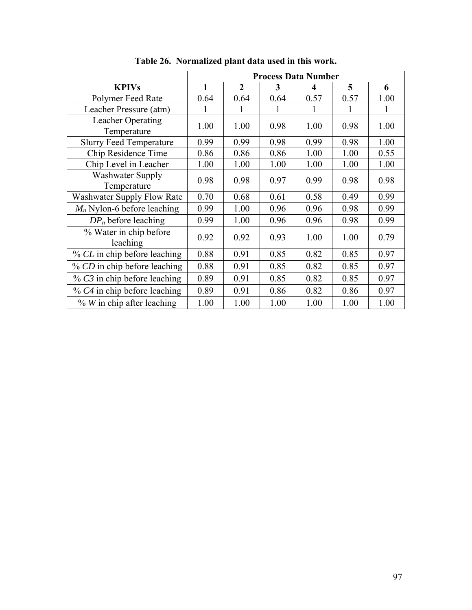|                                        | <b>Process Data Number</b> |              |      |      |      |      |
|----------------------------------------|----------------------------|--------------|------|------|------|------|
| <b>KPIVs</b>                           | 1                          | $\mathbf{2}$ | 3    | 4    | 5    | 6    |
| Polymer Feed Rate                      | 0.64                       | 0.64         | 0.64 | 0.57 | 0.57 | 1.00 |
| Leacher Pressure (atm)                 | 1                          | 1            | 1    | 1    | 1    | 1    |
| Leacher Operating<br>Temperature       | 1.00                       | 1.00         | 0.98 | 1.00 | 0.98 | 1.00 |
| <b>Slurry Feed Temperature</b>         | 0.99                       | 0.99         | 0.98 | 0.99 | 0.98 | 1.00 |
| Chip Residence Time                    | 0.86                       | 0.86         | 0.86 | 1.00 | 1.00 | 0.55 |
| Chip Level in Leacher                  | 1.00                       | 1.00         | 1.00 | 1.00 | 1.00 | 1.00 |
| <b>Washwater Supply</b><br>Temperature | 0.98                       | 0.98         | 0.97 | 0.99 | 0.98 | 0.98 |
| Washwater Supply Flow Rate             | 0.70                       | 0.68         | 0.61 | 0.58 | 0.49 | 0.99 |
| $M_n$ Nylon-6 before leaching          | 0.99                       | 1.00         | 0.96 | 0.96 | 0.98 | 0.99 |
| $DP_n$ before leaching                 | 0.99                       | 1.00         | 0.96 | 0.96 | 0.98 | 0.99 |
| % Water in chip before<br>leaching     | 0.92                       | 0.92         | 0.93 | 1.00 | 1.00 | 0.79 |
| % CL in chip before leaching           | 0.88                       | 0.91         | 0.85 | 0.82 | 0.85 | 0.97 |
| % CD in chip before leaching           | 0.88                       | 0.91         | 0.85 | 0.82 | 0.85 | 0.97 |
| $\%$ C3 in chip before leaching        | 0.89                       | 0.91         | 0.85 | 0.82 | 0.85 | 0.97 |
| $%$ C4 in chip before leaching         | 0.89                       | 0.91         | 0.86 | 0.82 | 0.86 | 0.97 |
| $\%$ W in chip after leaching          | 1.00                       | 1.00         | 1.00 | 1.00 | 1.00 | 1.00 |

**Table 26. Normalized plant data used in this work.**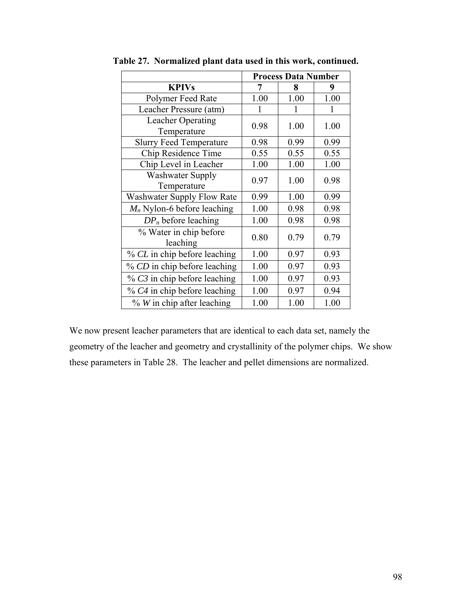|                                    | <b>Process Data Number</b> |      |      |
|------------------------------------|----------------------------|------|------|
| <b>KPIVs</b>                       | 7                          | 8    | 9    |
| Polymer Feed Rate                  | 1.00                       | 1.00 | 1.00 |
| Leacher Pressure (atm)             | 1                          | 1    | 1    |
| Leacher Operating                  | 0.98                       | 1.00 | 1.00 |
| Temperature                        |                            |      |      |
| <b>Slurry Feed Temperature</b>     | 0.98                       | 0.99 | 0.99 |
| Chip Residence Time                | 0.55                       | 0.55 | 0.55 |
| Chip Level in Leacher              | 1.00                       | 1.00 | 1.00 |
| <b>Washwater Supply</b>            | 0.97                       | 1.00 | 0.98 |
| Temperature                        |                            |      |      |
| <b>Washwater Supply Flow Rate</b>  | 0.99                       | 1.00 | 0.99 |
| $M_n$ Nylon-6 before leaching      | 1.00                       | 0.98 | 0.98 |
| $DP_n$ before leaching             | 1.00                       | 0.98 | 0.98 |
| % Water in chip before<br>leaching | 0.80                       | 0.79 | 0.79 |
| % CL in chip before leaching       | 1.00                       | 0.97 | 0.93 |
| % CD in chip before leaching       | 1.00                       | 0.97 | 0.93 |
| $%$ C3 in chip before leaching     | 1.00                       | 0.97 | 0.93 |
| % C4 in chip before leaching       | 1.00                       | 0.97 | 0.94 |
| $\%$ W in chip after leaching      | 1.00                       | 1.00 | 1.00 |

**Table 27. Normalized plant data used in this work, continued.** 

We now present leacher parameters that are identical to each data set, namely the geometry of the leacher and geometry and crystallinity of the polymer chips. We show these parameters in [Table 28.](#page-110-0) The leacher and pellet dimensions are normalized.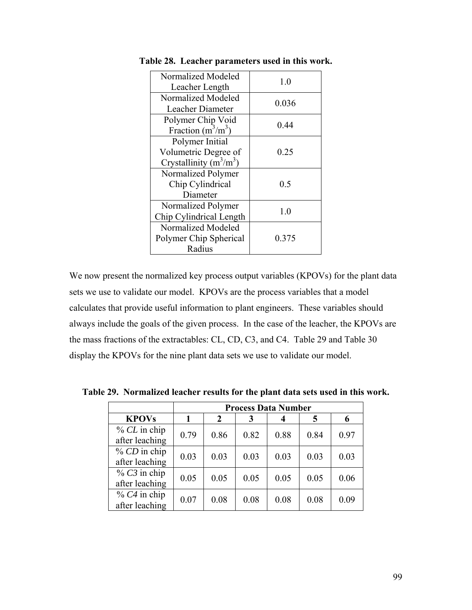| Normalized Modeled<br>Leacher Length | 1.0   |
|--------------------------------------|-------|
| Normalized Modeled                   | 0.036 |
| Leacher Diameter                     |       |
| Polymer Chip Void                    | 0.44  |
| Fraction $(m^3/m^3)$                 |       |
| Polymer Initial                      |       |
| Volumetric Degree of                 | 0.25  |
| Crystallinity $(m^3/m^3)$            |       |
| Normalized Polymer                   |       |
| Chip Cylindrical                     | 0.5   |
| Diameter                             |       |
| Normalized Polymer                   | 1.0   |
| Chip Cylindrical Length              |       |
| Normalized Modeled                   |       |
| Polymer Chip Spherical               | 0.375 |
| Radius                               |       |

<span id="page-110-0"></span>**Table 28. Leacher parameters used in this work.** 

We now present the normalized key process output variables (KPOVs) for the plant data sets we use to validate our model. KPOVs are the process variables that a model calculates that provide useful information to plant engineers. These variables should always include the goals of the given process. In the case of the leacher, the KPOVs are the mass fractions of the extractables: CL, CD, C3, and C4. [Table 29](#page-110-1) and [Table 30](#page-111-0) display the KPOVs for the nine plant data sets we use to validate our model.

**Process Data Number KPOVs** | 1 | 2 | 3 | 4 | 5 | 6 % *CL* in chip  $\frac{\text{6.02}}{\text{after} \text{ teaching}}$  0.79 0.86 0.82 0.88 0.84 0.97 % *CD* in chip after leaching  $\begin{array}{|c|c|c|c|c|c|c|c|c|} \hline 0.03 & 0.03 & 0.03 & 0.03 & 0.03 \ \hline \end{array}$ % *C3* in chip after leaching  $\begin{array}{|c|c|c|c|c|c|c|c|c|} \hline 0.05 & 0.05 & 0.05 & 0.05 & 0.06 \ \hline \end{array}$ % *C4* in chip  $\frac{\text{66}}{\text{66}}$  after leaching  $\left| 0.07 \right|$  0.08  $\left| 0.08 \right|$  0.08  $\left| 0.08 \right|$  0.09

<span id="page-110-1"></span>**Table 29. Normalized leacher results for the plant data sets used in this work.**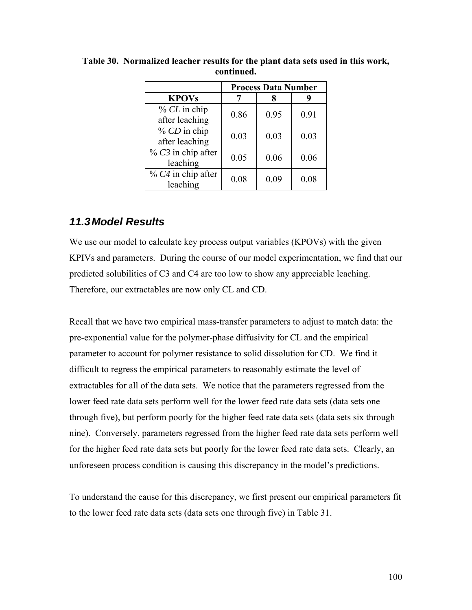|                      |      | <b>Process Data Number</b> |      |
|----------------------|------|----------------------------|------|
| <b>KPOVs</b>         |      |                            | Y    |
| $% CL$ in chip       | 0.86 | 0.95                       | 0.91 |
| after leaching       |      |                            |      |
| $% CD$ in chip       | 0.03 | 0.03                       | 0.03 |
| after leaching       |      |                            |      |
| $% C3$ in chip after | 0.05 | 0.06                       | 0.06 |
| leaching             |      |                            |      |
| $%$ C4 in chip after | 0.08 | 0.09                       | 0.08 |
| leaching             |      |                            |      |

<span id="page-111-0"></span>**Table 30. Normalized leacher results for the plant data sets used in this work, continued.** 

### *11.3 Model Results*

We use our model to calculate key process output variables (KPOVs) with the given KPIVs and parameters. During the course of our model experimentation, we find that our predicted solubilities of C3 and C4 are too low to show any appreciable leaching. Therefore, our extractables are now only CL and CD.

Recall that we have two empirical mass-transfer parameters to adjust to match data: the pre-exponential value for the polymer-phase diffusivity for CL and the empirical parameter to account for polymer resistance to solid dissolution for CD. We find it difficult to regress the empirical parameters to reasonably estimate the level of extractables for all of the data sets. We notice that the parameters regressed from the lower feed rate data sets perform well for the lower feed rate data sets (data sets one through five), but perform poorly for the higher feed rate data sets (data sets six through nine). Conversely, parameters regressed from the higher feed rate data sets perform well for the higher feed rate data sets but poorly for the lower feed rate data sets. Clearly, an unforeseen process condition is causing this discrepancy in the model's predictions.

To understand the cause for this discrepancy, we first present our empirical parameters fit to the lower feed rate data sets (data sets one through five) in [Table 31.](#page-112-0)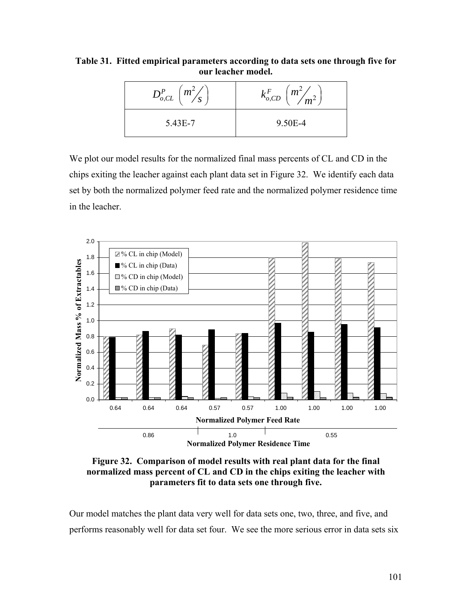<span id="page-112-0"></span>**Table 31. Fitted empirical parameters according to data sets one through five for our leacher model.** 

| $D_{o,CL}^P\left(\frac{m^2}{s}\right)$ | $k_{o,CD}^F \left(\frac{m^2}{m^2}\right)$ |
|----------------------------------------|-------------------------------------------|
| 5.43E-7                                | 9.50E-4                                   |

We plot our model results for the normalized final mass percents of CL and CD in the chips exiting the leacher against each plant data set in [Figure 32](#page-112-1). We identify each data set by both the normalized polymer feed rate and the normalized polymer residence time in the leacher.



<span id="page-112-1"></span>**Figure 32. Comparison of model results with real plant data for the final normalized mass percent of CL and CD in the chips exiting the leacher with parameters fit to data sets one through five.** 

Our model matches the plant data very well for data sets one, two, three, and five, and performs reasonably well for data set four. We see the more serious error in data sets six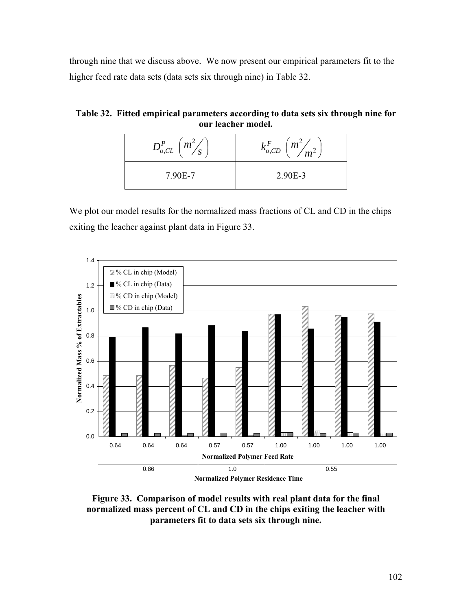through nine that we discuss above. We now present our empirical parameters fit to the higher feed rate data sets (data sets six through nine) in [Table 32.](#page-113-0)

<span id="page-113-0"></span>**Table 32. Fitted empirical parameters according to data sets six through nine for our leacher model.** 

| $\mid m^2 \rangle$<br>$D^{P}_{o,CL}$<br>ມ | $k^{F}_{o,CD}$<br>$\frac{1}{m^2}$ $\frac{m^2}{m^2}$ |
|-------------------------------------------|-----------------------------------------------------|
| 7.90E-7                                   | 2.90E-3                                             |

We plot our model results for the normalized mass fractions of CL and CD in the chips exiting the leacher against plant data in [Figure 33](#page-113-1).



<span id="page-113-1"></span>**Figure 33. Comparison of model results with real plant data for the final normalized mass percent of CL and CD in the chips exiting the leacher with parameters fit to data sets six through nine.**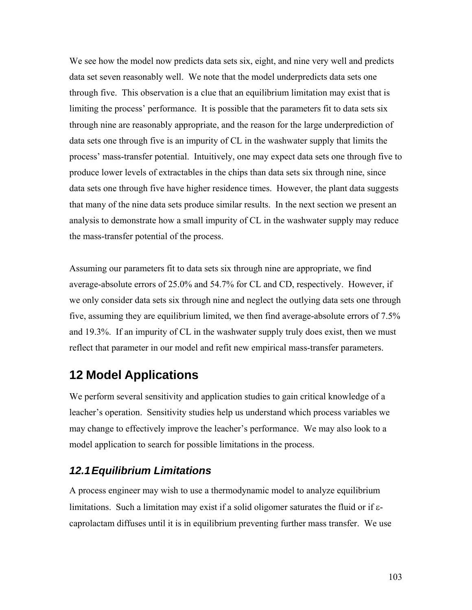We see how the model now predicts data sets six, eight, and nine very well and predicts data set seven reasonably well. We note that the model underpredicts data sets one through five. This observation is a clue that an equilibrium limitation may exist that is limiting the process' performance. It is possible that the parameters fit to data sets six through nine are reasonably appropriate, and the reason for the large underprediction of data sets one through five is an impurity of CL in the washwater supply that limits the process' mass-transfer potential. Intuitively, one may expect data sets one through five to produce lower levels of extractables in the chips than data sets six through nine, since data sets one through five have higher residence times. However, the plant data suggests that many of the nine data sets produce similar results. In the next section we present an analysis to demonstrate how a small impurity of CL in the washwater supply may reduce the mass-transfer potential of the process.

Assuming our parameters fit to data sets six through nine are appropriate, we find average-absolute errors of 25.0% and 54.7% for CL and CD, respectively. However, if we only consider data sets six through nine and neglect the outlying data sets one through five, assuming they are equilibrium limited, we then find average-absolute errors of 7.5% and 19.3%. If an impurity of CL in the washwater supply truly does exist, then we must reflect that parameter in our model and refit new empirical mass-transfer parameters.

## **12 Model Applications**

We perform several sensitivity and application studies to gain critical knowledge of a leacher's operation. Sensitivity studies help us understand which process variables we may change to effectively improve the leacher's performance. We may also look to a model application to search for possible limitations in the process.

### *12.1 Equilibrium Limitations*

A process engineer may wish to use a thermodynamic model to analyze equilibrium limitations. Such a limitation may exist if a solid oligomer saturates the fluid or if εcaprolactam diffuses until it is in equilibrium preventing further mass transfer. We use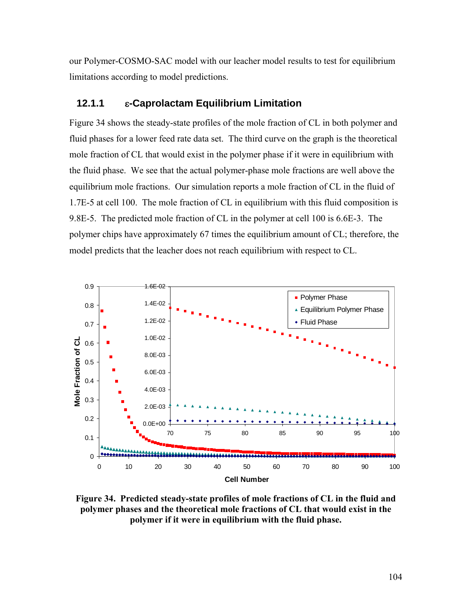our Polymer-COSMO-SAC model with our leacher model results to test for equilibrium limitations according to model predictions.

### **12.1.1** ε**-Caprolactam Equilibrium Limitation**

[Figure 34](#page-115-0) shows the steady-state profiles of the mole fraction of CL in both polymer and fluid phases for a lower feed rate data set. The third curve on the graph is the theoretical mole fraction of CL that would exist in the polymer phase if it were in equilibrium with the fluid phase. We see that the actual polymer-phase mole fractions are well above the equilibrium mole fractions. Our simulation reports a mole fraction of CL in the fluid of 1.7E-5 at cell 100. The mole fraction of CL in equilibrium with this fluid composition is 9.8E-5. The predicted mole fraction of CL in the polymer at cell 100 is 6.6E-3. The polymer chips have approximately 67 times the equilibrium amount of CL; therefore, the model predicts that the leacher does not reach equilibrium with respect to CL.



<span id="page-115-0"></span>**Figure 34. Predicted steady-state profiles of mole fractions of CL in the fluid and polymer phases and the theoretical mole fractions of CL that would exist in the polymer if it were in equilibrium with the fluid phase.**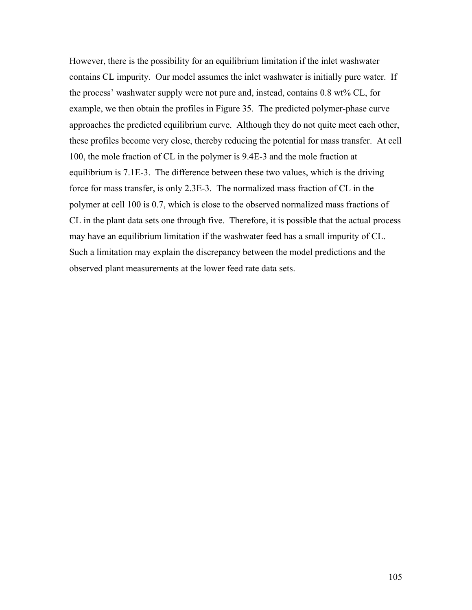However, there is the possibility for an equilibrium limitation if the inlet washwater contains CL impurity. Our model assumes the inlet washwater is initially pure water. If the process' washwater supply were not pure and, instead, contains 0.8 wt% CL, for example, we then obtain the profiles in [Figure 35](#page-117-0). The predicted polymer-phase curve approaches the predicted equilibrium curve. Although they do not quite meet each other, these profiles become very close, thereby reducing the potential for mass transfer. At cell 100, the mole fraction of CL in the polymer is 9.4E-3 and the mole fraction at equilibrium is 7.1E-3. The difference between these two values, which is the driving force for mass transfer, is only 2.3E-3. The normalized mass fraction of CL in the polymer at cell 100 is 0.7, which is close to the observed normalized mass fractions of CL in the plant data sets one through five. Therefore, it is possible that the actual process may have an equilibrium limitation if the washwater feed has a small impurity of CL. Such a limitation may explain the discrepancy between the model predictions and the observed plant measurements at the lower feed rate data sets.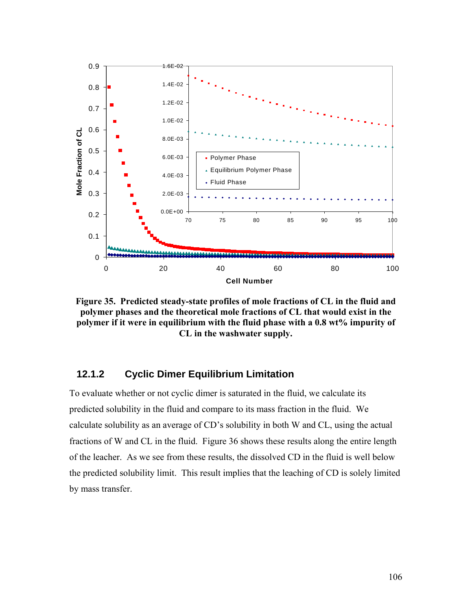

<span id="page-117-0"></span>**Figure 35. Predicted steady-state profiles of mole fractions of CL in the fluid and polymer phases and the theoretical mole fractions of CL that would exist in the polymer if it were in equilibrium with the fluid phase with a 0.8 wt% impurity of CL in the washwater supply.** 

### **12.1.2 Cyclic Dimer Equilibrium Limitation**

To evaluate whether or not cyclic dimer is saturated in the fluid, we calculate its predicted solubility in the fluid and compare to its mass fraction in the fluid. We calculate solubility as an average of CD's solubility in both W and CL, using the actual fractions of W and CL in the fluid. [Figure 36](#page-118-0) shows these results along the entire length of the leacher. As we see from these results, the dissolved CD in the fluid is well below the predicted solubility limit. This result implies that the leaching of CD is solely limited by mass transfer.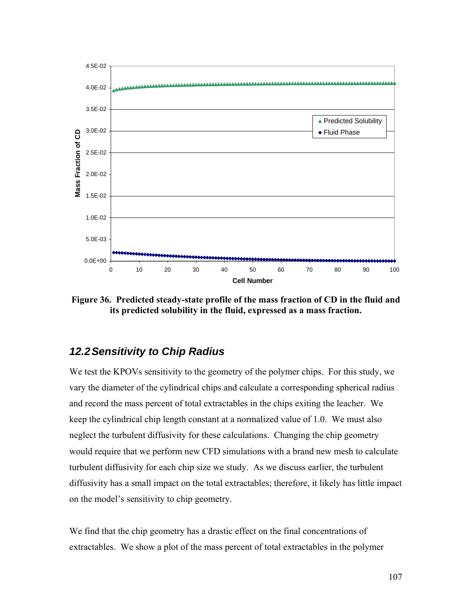

<span id="page-118-0"></span>**Figure 36. Predicted steady-state profile of the mass fraction of CD in the fluid and its predicted solubility in the fluid, expressed as a mass fraction.** 

### *12.2 Sensitivity to Chip Radius*

We test the KPOVs sensitivity to the geometry of the polymer chips. For this study, we vary the diameter of the cylindrical chips and calculate a corresponding spherical radius and record the mass percent of total extractables in the chips exiting the leacher. We keep the cylindrical chip length constant at a normalized value of 1.0. We must also neglect the turbulent diffusivity for these calculations. Changing the chip geometry would require that we perform new CFD simulations with a brand new mesh to calculate turbulent diffusivity for each chip size we study. As we discuss earlier, the turbulent diffusivity has a small impact on the total extractables; therefore, it likely has little impact on the model's sensitivity to chip geometry.

We find that the chip geometry has a drastic effect on the final concentrations of extractables. We show a plot of the mass percent of total extractables in the polymer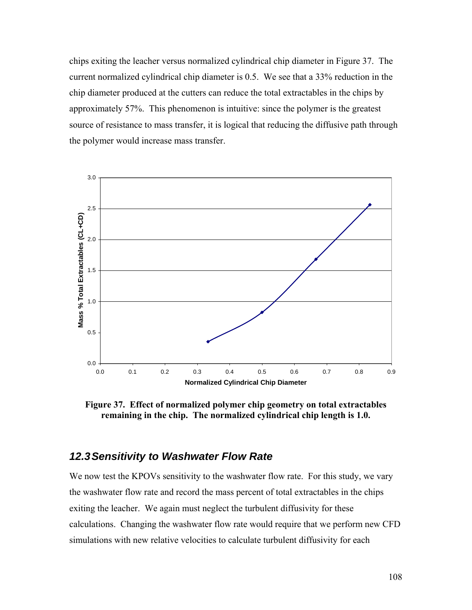chips exiting the leacher versus normalized cylindrical chip diameter in [Figure 37](#page-119-0). The current normalized cylindrical chip diameter is 0.5. We see that a 33% reduction in the chip diameter produced at the cutters can reduce the total extractables in the chips by approximately 57%. This phenomenon is intuitive: since the polymer is the greatest source of resistance to mass transfer, it is logical that reducing the diffusive path through the polymer would increase mass transfer.



<span id="page-119-0"></span>**Figure 37. Effect of normalized polymer chip geometry on total extractables remaining in the chip. The normalized cylindrical chip length is 1.0.** 

### *12.3 Sensitivity to Washwater Flow Rate*

We now test the KPOVs sensitivity to the washwater flow rate. For this study, we vary the washwater flow rate and record the mass percent of total extractables in the chips exiting the leacher. We again must neglect the turbulent diffusivity for these calculations. Changing the washwater flow rate would require that we perform new CFD simulations with new relative velocities to calculate turbulent diffusivity for each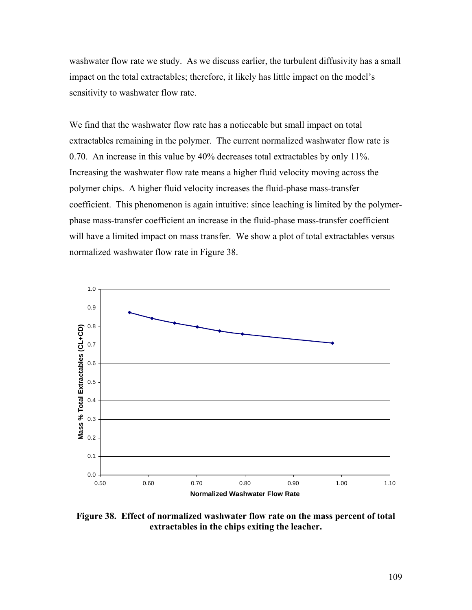washwater flow rate we study. As we discuss earlier, the turbulent diffusivity has a small impact on the total extractables; therefore, it likely has little impact on the model's sensitivity to washwater flow rate.

We find that the washwater flow rate has a noticeable but small impact on total extractables remaining in the polymer. The current normalized washwater flow rate is 0.70. An increase in this value by 40% decreases total extractables by only 11%. Increasing the washwater flow rate means a higher fluid velocity moving across the polymer chips. A higher fluid velocity increases the fluid-phase mass-transfer coefficient. This phenomenon is again intuitive: since leaching is limited by the polymerphase mass-transfer coefficient an increase in the fluid-phase mass-transfer coefficient will have a limited impact on mass transfer. We show a plot of total extractables versus normalized washwater flow rate in [Figure 38](#page-120-0).



<span id="page-120-0"></span>**Figure 38. Effect of normalized washwater flow rate on the mass percent of total extractables in the chips exiting the leacher.**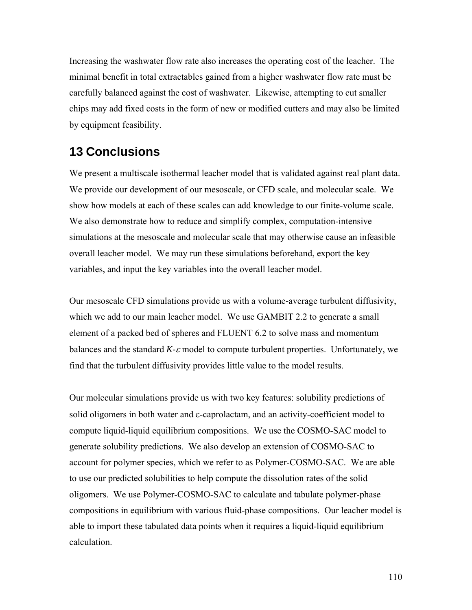Increasing the washwater flow rate also increases the operating cost of the leacher. The minimal benefit in total extractables gained from a higher washwater flow rate must be carefully balanced against the cost of washwater. Likewise, attempting to cut smaller chips may add fixed costs in the form of new or modified cutters and may also be limited by equipment feasibility.

## **13 Conclusions**

We present a multiscale isothermal leacher model that is validated against real plant data. We provide our development of our mesoscale, or CFD scale, and molecular scale. We show how models at each of these scales can add knowledge to our finite-volume scale. We also demonstrate how to reduce and simplify complex, computation-intensive simulations at the mesoscale and molecular scale that may otherwise cause an infeasible overall leacher model. We may run these simulations beforehand, export the key variables, and input the key variables into the overall leacher model.

Our mesoscale CFD simulations provide us with a volume-average turbulent diffusivity, which we add to our main leacher model. We use GAMBIT 2.2 to generate a small element of a packed bed of spheres and FLUENT 6.2 to solve mass and momentum balances and the standard *K-*ε model to compute turbulent properties. Unfortunately, we find that the turbulent diffusivity provides little value to the model results.

Our molecular simulations provide us with two key features: solubility predictions of solid oligomers in both water and ε-caprolactam, and an activity-coefficient model to compute liquid-liquid equilibrium compositions. We use the COSMO-SAC model to generate solubility predictions. We also develop an extension of COSMO-SAC to account for polymer species, which we refer to as Polymer-COSMO-SAC. We are able to use our predicted solubilities to help compute the dissolution rates of the solid oligomers. We use Polymer-COSMO-SAC to calculate and tabulate polymer-phase compositions in equilibrium with various fluid-phase compositions. Our leacher model is able to import these tabulated data points when it requires a liquid-liquid equilibrium calculation.

110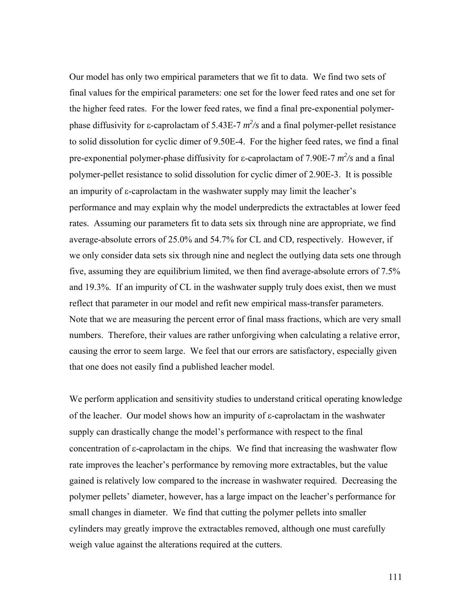Our model has only two empirical parameters that we fit to data. We find two sets of final values for the empirical parameters: one set for the lower feed rates and one set for the higher feed rates. For the lower feed rates, we find a final pre-exponential polymerphase diffusivity for  $\varepsilon$ -caprolactam of 5.43E-7  $m^2$ /s and a final polymer-pellet resistance to solid dissolution for cyclic dimer of 9.50E-4. For the higher feed rates, we find a final pre-exponential polymer-phase diffusivity for  $\varepsilon$ -caprolactam of 7.90E-7  $m^2$ /s and a final polymer-pellet resistance to solid dissolution for cyclic dimer of 2.90E-3. It is possible an impurity of ε-caprolactam in the washwater supply may limit the leacher's performance and may explain why the model underpredicts the extractables at lower feed rates. Assuming our parameters fit to data sets six through nine are appropriate, we find average-absolute errors of 25.0% and 54.7% for CL and CD, respectively. However, if we only consider data sets six through nine and neglect the outlying data sets one through five, assuming they are equilibrium limited, we then find average-absolute errors of 7.5% and 19.3%. If an impurity of CL in the washwater supply truly does exist, then we must reflect that parameter in our model and refit new empirical mass-transfer parameters. Note that we are measuring the percent error of final mass fractions, which are very small numbers. Therefore, their values are rather unforgiving when calculating a relative error, causing the error to seem large. We feel that our errors are satisfactory, especially given that one does not easily find a published leacher model.

We perform application and sensitivity studies to understand critical operating knowledge of the leacher. Our model shows how an impurity of ε-caprolactam in the washwater supply can drastically change the model's performance with respect to the final concentration of ε-caprolactam in the chips. We find that increasing the washwater flow rate improves the leacher's performance by removing more extractables, but the value gained is relatively low compared to the increase in washwater required. Decreasing the polymer pellets' diameter, however, has a large impact on the leacher's performance for small changes in diameter. We find that cutting the polymer pellets into smaller cylinders may greatly improve the extractables removed, although one must carefully weigh value against the alterations required at the cutters.

111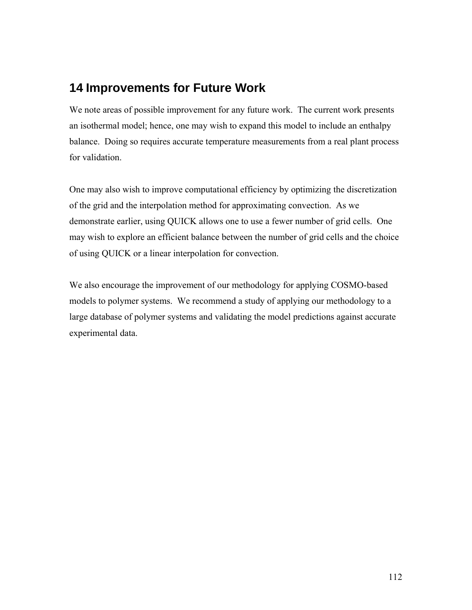## **14 Improvements for Future Work**

We note areas of possible improvement for any future work. The current work presents an isothermal model; hence, one may wish to expand this model to include an enthalpy balance. Doing so requires accurate temperature measurements from a real plant process for validation.

One may also wish to improve computational efficiency by optimizing the discretization of the grid and the interpolation method for approximating convection. As we demonstrate earlier, using QUICK allows one to use a fewer number of grid cells. One may wish to explore an efficient balance between the number of grid cells and the choice of using QUICK or a linear interpolation for convection.

We also encourage the improvement of our methodology for applying COSMO-based models to polymer systems. We recommend a study of applying our methodology to a large database of polymer systems and validating the model predictions against accurate experimental data.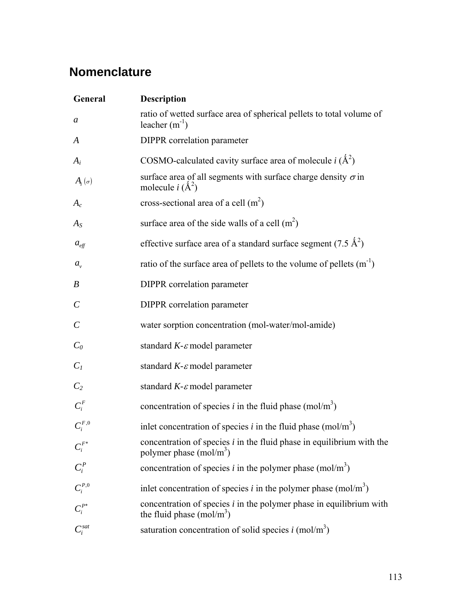# **Nomenclature**

| General                 | <b>Description</b>                                                                                  |
|-------------------------|-----------------------------------------------------------------------------------------------------|
| a                       | ratio of wetted surface area of spherical pellets to total volume of<br>leacher $(m^{-1})$          |
| A                       | <b>DIPPR</b> correlation parameter                                                                  |
| $A_i$                   | COSMO-calculated cavity surface area of molecule i $(\hat{A}^2)$                                    |
| $A_i(\sigma)$           | surface area of all segments with surface charge density $\sigma$ in<br>molecule $i(A^2)$           |
| $A_c$                   | cross-sectional area of a cell $(m2)$                                                               |
| $A_S$                   | surface area of the side walls of a cell $(m2)$                                                     |
| $a_{\text{eff}}$        | effective surface area of a standard surface segment (7.5 $\AA^2$ )                                 |
| $a_{\nu}$               | ratio of the surface area of pellets to the volume of pellets $(m^{-1})$                            |
| $\boldsymbol{B}$        | <b>DIPPR</b> correlation parameter                                                                  |
| $\mathcal C$            | DIPPR correlation parameter                                                                         |
| $\mathcal{C}_{0}^{(n)}$ | water sorption concentration (mol-water/mol-amide)                                                  |
| $C_0$                   | standard $K$ - $\varepsilon$ model parameter                                                        |
| $C_I$                   | standard $K$ - $\varepsilon$ model parameter                                                        |
| C <sub>2</sub>          | standard $K$ - $\varepsilon$ model parameter                                                        |
| $C_i^F$                 | concentration of species <i>i</i> in the fluid phase (mol/m <sup>3</sup> )                          |
| $C_i^{F,0}$             | inlet concentration of species <i>i</i> in the fluid phase (mol/m <sup>3</sup> )                    |
| $C_i^{F*}$              | concentration of species $i$ in the fluid phase in equilibrium with the<br>polymer phase $(mol/m3)$ |
| $C_i^P$                 | concentration of species <i>i</i> in the polymer phase (mol/m <sup>3</sup> )                        |
| $C_i^{P,0}$             | inlet concentration of species <i>i</i> in the polymer phase (mol/m <sup>3</sup> )                  |
|                         | concentration of species $i$ in the polymer phase in equilibrium with<br>the fluid phase $(mol/m3)$ |
| $C_i^{sat}$             | saturation concentration of solid species $i \text{ (mol/m}^3)$                                     |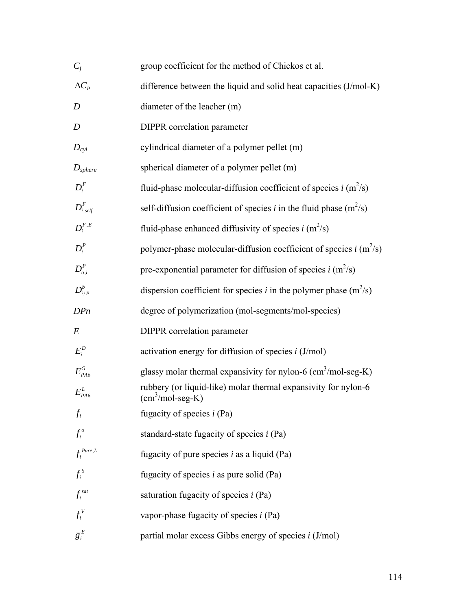| $C_i$                    | group coefficient for the method of Chickos et al.                                  |
|--------------------------|-------------------------------------------------------------------------------------|
| $\Delta C_p$             | difference between the liquid and solid heat capacities (J/mol-K)                   |
| D                        | diameter of the leacher (m)                                                         |
| D                        | <b>DIPPR</b> correlation parameter                                                  |
| $D_{cvl}$                | cylindrical diameter of a polymer pellet (m)                                        |
| $D_{sphere}$             | spherical diameter of a polymer pellet (m)                                          |
| $D_i^F$                  | fluid-phase molecular-diffusion coefficient of species $i$ (m <sup>2</sup> /s)      |
| $\mathbf{D}_{i, self}^F$ | self-diffusion coefficient of species i in the fluid phase $(m^2/s)$                |
| $D_i^{F,E}$              | fluid-phase enhanced diffusivity of species $i$ (m <sup>2</sup> /s)                 |
| $D_i^P$                  | polymer-phase molecular-diffusion coefficient of species $i$ (m <sup>2</sup> /s)    |
| $D_{o,i}^P$              | pre-exponential parameter for diffusion of species $i$ (m <sup>2</sup> /s)          |
| $D^b_{i/P}$              | dispersion coefficient for species <i>i</i> in the polymer phase $(m^2/s)$          |
| DPn                      | degree of polymerization (mol-segments/mol-species)                                 |
| E                        | <b>DIPPR</b> correlation parameter                                                  |
| $E_i^D$                  | activation energy for diffusion of species $i$ (J/mol)                              |
| $E_{PA6}^{G}$            | glassy molar thermal expansivity for nylon-6 $\text{(cm}^3\text{/mol-seg-K)}$       |
| $E_{p_{A6}}^L$           | rubbery (or liquid-like) molar thermal expansivity for nylon-6<br>$(cm3/mol-seg-K)$ |
| $f_i$                    | fugacity of species $i$ (Pa)                                                        |
| $f_i^o$                  | standard-state fugacity of species $i$ (Pa)                                         |
| $f_i^{\textit{Pure},L}$  | fugacity of pure species $i$ as a liquid (Pa)                                       |
| $f_i^s$                  | fugacity of species $i$ as pure solid (Pa)                                          |
| $f_i^{sat}$              | saturation fugacity of species $i$ (Pa)                                             |
| $f_i^V$                  | vapor-phase fugacity of species $i$ (Pa)                                            |
| $\overline{g}_i^E$       | partial molar excess Gibbs energy of species $i$ (J/mol)                            |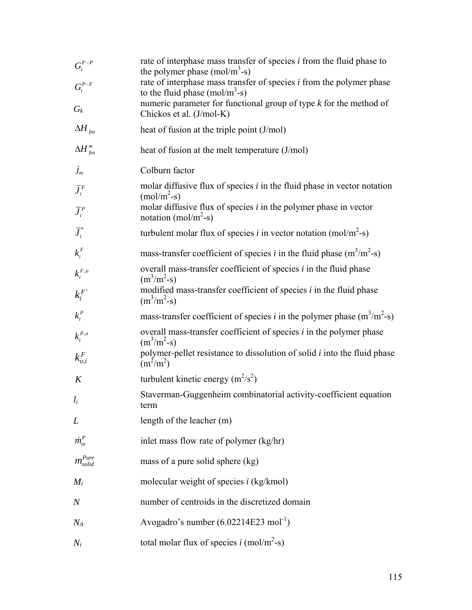| ${\cal G}^{F-P}_i$<br>$G_i^{P-F}$ | rate of interphase mass transfer of species $i$ from the fluid phase to<br>the polymer phase $(mol/m3-s)$<br>rate of interphase mass transfer of species $i$ from the polymer phase |
|-----------------------------------|-------------------------------------------------------------------------------------------------------------------------------------------------------------------------------------|
| $G_{\!}$                          | to the fluid phase $(mol/m3-s)$<br>numeric parameter for functional group of type $k$ for the method of<br>Chickos et al. (J/mol-K)                                                 |
| $\Delta H_{fus}$                  | heat of fusion at the triple point (J/mol)                                                                                                                                          |
| $\Delta H_{fus}^m$                | heat of fusion at the melt temperature (J/mol)                                                                                                                                      |
| $J_m$                             | Colburn factor                                                                                                                                                                      |
| $\overline{J}_i^F$                | molar diffusive flux of species $i$ in the fluid phase in vector notation<br>$(mol/m2-s)$                                                                                           |
| $\overline{J}_i^P$                | molar diffusive flux of species $i$ in the polymer phase in vector<br>notation (mol/m <sup>2</sup> -s)                                                                              |
| $\overline{J}_i^*$                | turbulent molar flux of species i in vector notation (mol/m <sup>2</sup> -s)                                                                                                        |
| $k_i^F$                           | mass-transfer coefficient of species <i>i</i> in the fluid phase $(m^3/m^2-s)$                                                                                                      |
| $k_i^{F,o}$                       | overall mass-transfer coefficient of species $i$ in the fluid phase<br>$(m^3/m^2-s)$                                                                                                |
| $k_i^F$                           | modified mass-transfer coefficient of species $i$ in the fluid phase<br>$(m^3/m^2-s)$                                                                                               |
| $k_i^P$                           | mass-transfer coefficient of species <i>i</i> in the polymer phase $(m^3/m^2-s)$                                                                                                    |
| $k_i^{P,o}$                       | overall mass-transfer coefficient of species $i$ in the polymer phase<br>$(m^3/m^2-s)$                                                                                              |
| $k_{o,i}^F$                       | polymer-pellet resistance to dissolution of solid $i$ into the fluid phase<br>$(m^2/m^2)$                                                                                           |
| K                                 | turbulent kinetic energy $(m^2/s^2)$                                                                                                                                                |
| $l_i$                             | Staverman-Guggenheim combinatorial activity-coefficient equation<br>term                                                                                                            |
| L                                 | length of the leacher (m)                                                                                                                                                           |
| $\dot{m}_{in}^P$                  | inlet mass flow rate of polymer (kg/hr)                                                                                                                                             |
| $m_{solid}^{Pure}$                | mass of a pure solid sphere (kg)                                                                                                                                                    |
| $M_i$                             | molecular weight of species $i$ (kg/kmol)                                                                                                                                           |
| $\,N$                             | number of centroids in the discretized domain                                                                                                                                       |
| $\emph{N}_{\emph{A}}$             | Avogadro's number $(6.02214E23 \text{ mol}^{-1})$                                                                                                                                   |
| $N_i\,$                           | total molar flux of species i (mol/m <sup>2</sup> -s)                                                                                                                               |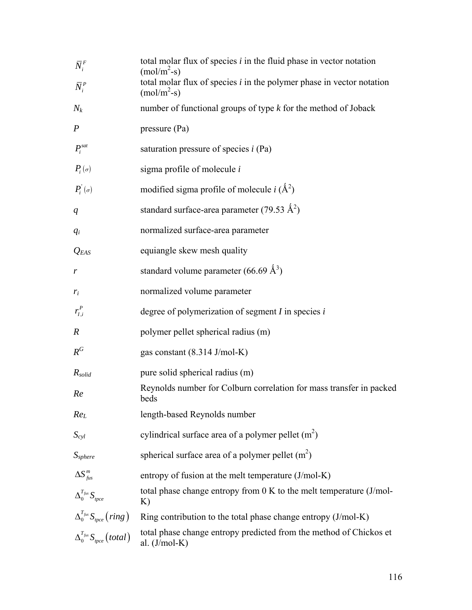| $\bar{N}_i^F$                                                           | total molar flux of species $i$ in the fluid phase in vector notation<br>$(mol/m2-s)$   |
|-------------------------------------------------------------------------|-----------------------------------------------------------------------------------------|
| $\overline{N}_i^P$                                                      | total molar flux of species $i$ in the polymer phase in vector notation<br>$(mol/m2-s)$ |
| $N_k$                                                                   | number of functional groups of type $k$ for the method of Joback                        |
| $\boldsymbol{P}$                                                        | pressure (Pa)                                                                           |
| $P_i^{sat}$                                                             | saturation pressure of species $i$ (Pa)                                                 |
| $P_i(\sigma)$                                                           | sigma profile of molecule $i$                                                           |
| $P_i^{\dagger}(\sigma)$                                                 | modified sigma profile of molecule $i(A^2)$                                             |
| q                                                                       | standard surface-area parameter (79.53 $\AA^2$ )                                        |
| $q_i$                                                                   | normalized surface-area parameter                                                       |
| $Q_{EAS}$                                                               | equiangle skew mesh quality                                                             |
| r                                                                       | standard volume parameter (66.69 $\AA^3$ )                                              |
| $r_i$                                                                   | normalized volume parameter                                                             |
| $r_{I,i}^P$                                                             | degree of polymerization of segment $I$ in species $i$                                  |
| $\pmb{R}$                                                               | polymer pellet spherical radius (m)                                                     |
| $R^G$                                                                   | gas constant (8.314 J/mol-K)                                                            |
| $R_{solid}$                                                             | pure solid spherical radius (m)                                                         |
| Re                                                                      | Reynolds number for Colburn correlation for mass transfer in packed<br>beds             |
| Re <sub>L</sub>                                                         | length-based Reynolds number                                                            |
| $S_{cyl}$                                                               | cylindrical surface area of a polymer pellet $(m2)$                                     |
| $S_{sphere}$                                                            | spherical surface area of a polymer pellet $(m2)$                                       |
| $\Delta S^m_{\text{fus}}$                                               | entropy of fusion at the melt temperature $(J/mol-K)$                                   |
| $\Delta_0^{T_{\text{fus}}} S_{\text{tpec}}$                             | total phase change entropy from $0 K$ to the melt temperature (J/mol-<br>K)             |
| $\Delta_0^{T_{\text{fus}}} S_{\text{tpec}} (\text{ring})$               | Ring contribution to the total phase change entropy $(J/mol-K)$                         |
| $\Delta_0^{T_{\text{fus}}} S_{\text{tpec}} \left( \text{total} \right)$ | total phase change entropy predicted from the method of Chickos et<br>al. $(J/mol-K)$   |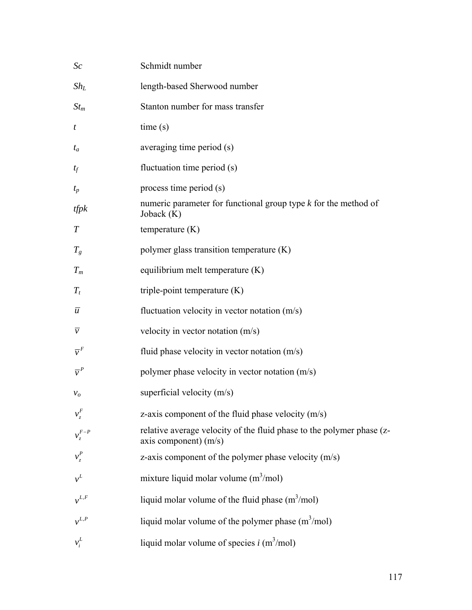| Sc                         | Schmidt number                                                                                   |
|----------------------------|--------------------------------------------------------------------------------------------------|
| $\mathit{Sh}_L$            | length-based Sherwood number                                                                     |
| $St_m$                     | Stanton number for mass transfer                                                                 |
| t                          | time(s)                                                                                          |
| $t_a$                      | averaging time period (s)                                                                        |
| $t_f$                      | fluctuation time period (s)                                                                      |
| $t_p$                      | process time period (s)                                                                          |
| tfpk                       | numeric parameter for functional group type $k$ for the method of<br>Joback $(K)$                |
| $\, T \,$                  | temperature $(K)$                                                                                |
| $T_g$                      | polymer glass transition temperature (K)                                                         |
| $T_m$                      | equilibrium melt temperature (K)                                                                 |
| $T_{t}$                    | triple-point temperature $(K)$                                                                   |
| $\overline{u}$             | fluctuation velocity in vector notation $(m/s)$                                                  |
| $\overline{\nu}$           | velocity in vector notation (m/s)                                                                |
| $\overline{\mathcal{V}}^F$ | fluid phase velocity in vector notation $(m/s)$                                                  |
| $\overline{v}^P$           | polymer phase velocity in vector notation (m/s)                                                  |
| $v_o$                      | superficial velocity $(m/s)$                                                                     |
| $v_z^F$                    | z-axis component of the fluid phase velocity $(m/s)$                                             |
| $v_z^{F-P}$                | relative average velocity of the fluid phase to the polymer phase (z-<br>axis component) $(m/s)$ |
| $v_{\tau}^P$               | z-axis component of the polymer phase velocity $(m/s)$                                           |
| $v^L$                      | mixture liquid molar volume $(m^3/mol)$                                                          |
| $v^{L,F}$                  | liquid molar volume of the fluid phase $(m^3/mol)$                                               |
| $v^{L,P}$                  | liquid molar volume of the polymer phase $(m^3/mol)$                                             |
| $v_i^L$                    | liquid molar volume of species $i$ (m <sup>3</sup> /mol)                                         |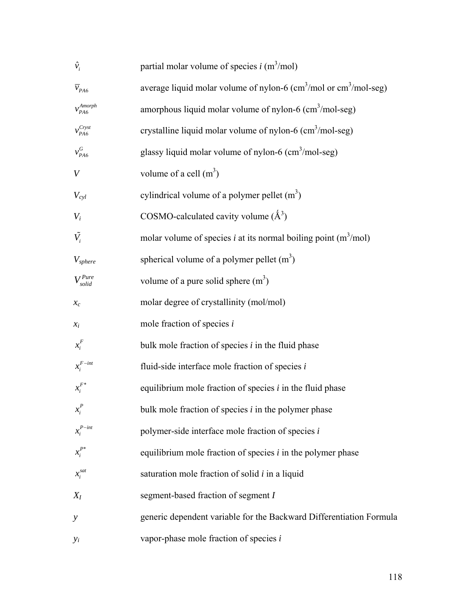| $\hat{v}_i$                               | partial molar volume of species $i$ (m <sup>3</sup> /mol)                                           |
|-------------------------------------------|-----------------------------------------------------------------------------------------------------|
| $\overline{v}_{\scriptscriptstyle{PA6}}$  | average liquid molar volume of nylon-6 $\text{(cm}^3/\text{mol})$ or $\text{cm}^3/\text{mol}$ -seg) |
| $\ensuremath{\mathcal{V}}_{PA6}^{Amorph}$ | amorphous liquid molar volume of nylon-6 (cm <sup>3</sup> /mol-seg)                                 |
| $v_{PA6}^{Cryst}$                         | crystalline liquid molar volume of nylon-6 (cm <sup>3</sup> /mol-seg)                               |
| $v_{\rm PA6}^{G}$                         | glassy liquid molar volume of nylon-6 $\text{(cm}^3/\text{mol-seg)}$                                |
| V                                         | volume of a cell $(m^3)$                                                                            |
| $V_{cyl}$                                 | cylindrical volume of a polymer pellet $(m^3)$                                                      |
| $V_i$                                     | COSMO-calculated cavity volume $(\AA^3)$                                                            |
| $\tilde{V}_i$                             | molar volume of species <i>i</i> at its normal boiling point $(m^3/mol)$                            |
| $V_{sphere}$                              | spherical volume of a polymer pellet $(m^3)$                                                        |
| $V_{solid}^{Pure}$                        | volume of a pure solid sphere $(m^3)$                                                               |
| $\mathcal{X}_{\mathcal{C}}$               | molar degree of crystallinity (mol/mol)                                                             |
| $x_i$                                     | mole fraction of species $i$                                                                        |
| $x_i^F$                                   | bulk mole fraction of species $i$ in the fluid phase                                                |
| $x_i^{F-int}$                             | fluid-side interface mole fraction of species $i$                                                   |
| $x_i^{F*}$                                | equilibrium mole fraction of species $i$ in the fluid phase                                         |
| $x_i^P$                                   | bulk mole fraction of species $i$ in the polymer phase                                              |
| $x_i^{P-int}$                             | polymer-side interface mole fraction of species $i$                                                 |
| $x_i^{P^*}$                               | equilibrium mole fraction of species $i$ in the polymer phase                                       |
| $x_i^{sat}$                               | saturation mole fraction of solid $i$ in a liquid                                                   |
| $X_I$                                     | segment-based fraction of segment I                                                                 |
| $\mathcal{Y}$                             | generic dependent variable for the Backward Differentiation Formula                                 |
| $y_i$                                     | vapor-phase mole fraction of species $i$                                                            |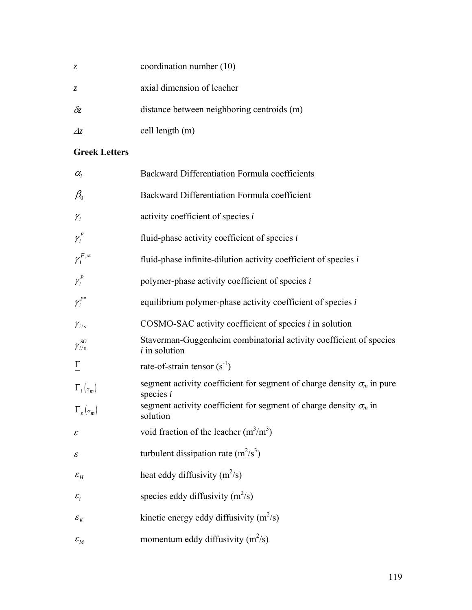| Z.         | coordination number (10)                   |
|------------|--------------------------------------------|
| Z.         | axial dimension of leacher                 |
| $\delta z$ | distance between neighboring centroids (m) |
| $\Delta z$ | cell length $(m)$                          |

### **Greek Letters**

| $\alpha_{l}$                          | Backward Differentiation Formula coefficients                                                |
|---------------------------------------|----------------------------------------------------------------------------------------------|
| $\beta_0$                             | Backward Differentiation Formula coefficient                                                 |
| $\mathcal{Y}_i$                       | activity coefficient of species i                                                            |
| $\gamma_i^F$                          | fluid-phase activity coefficient of species $i$                                              |
| $\gamma_i^{F,\infty}$                 | fluid-phase infinite-dilution activity coefficient of species $i$                            |
| $\gamma_i^P$                          | polymer-phase activity coefficient of species i                                              |
| $\gamma_i^{P^*}$                      | equilibrium polymer-phase activity coefficient of species $i$                                |
| $\gamma_{i/s}$                        | COSMO-SAC activity coefficient of species <i>i</i> in solution                               |
| $\gamma^{SG}_{i/s}$                   | Staverman-Guggenheim combinatorial activity coefficient of species<br>$i$ in solution        |
| $\overline{\overline{L}}$             | rate-of-strain tensor $(s^{-1})$                                                             |
| $\Gamma_i(\sigma_m)$                  | segment activity coefficient for segment of charge density $\sigma_m$ in pure<br>species $i$ |
| $\Gamma_{s}(\sigma_{m})$              | segment activity coefficient for segment of charge density $\sigma_m$ in<br>solution         |
| $\mathcal E$                          | void fraction of the leacher $(m^3/m^3)$                                                     |
| $\mathcal E$                          | turbulent dissipation rate $(m^2/s^3)$                                                       |
| $\mathcal{E}_H$                       | heat eddy diffusivity $(m^2/s)$                                                              |
| $\varepsilon_i$                       | species eddy diffusivity $(m^2/s)$                                                           |
| $\varepsilon_{\scriptscriptstyle{K}}$ | kinetic energy eddy diffusivity $(m^2/s)$                                                    |
| $\varepsilon_{_M}$                    | momentum eddy diffusivity $(m^2/s)$                                                          |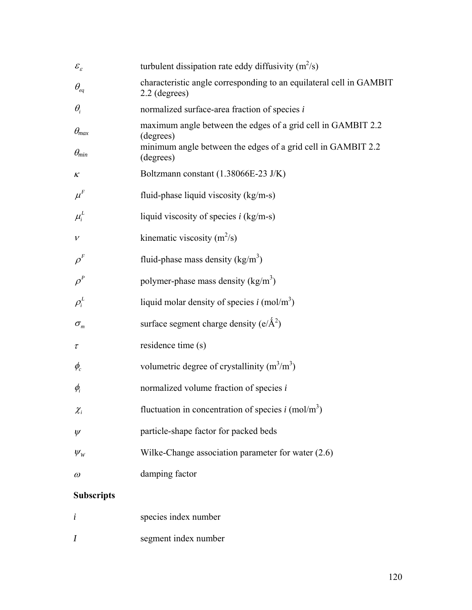| $\mathcal{E}_{\varepsilon}$       | turbulent dissipation rate eddy diffusivity $(m^2/s)$                                |
|-----------------------------------|--------------------------------------------------------------------------------------|
| $\theta_{\scriptscriptstyle{eq}}$ | characteristic angle corresponding to an equilateral cell in GAMBIT<br>2.2 (degrees) |
| $\theta_i$                        | normalized surface-area fraction of species i                                        |
| $\theta_{max}$                    | maximum angle between the edges of a grid cell in GAMBIT 2.2<br>(degrees)            |
| $\theta_{min}$                    | minimum angle between the edges of a grid cell in GAMBIT 2.2<br>(degrees)            |
| κ                                 | Boltzmann constant (1.38066E-23 J/K)                                                 |
| $\mu^F$                           | fluid-phase liquid viscosity (kg/m-s)                                                |
| $\mu_i^L$                         | liquid viscosity of species $i$ (kg/m-s)                                             |
| $\mathcal V$                      | kinematic viscosity $(m^2/s)$                                                        |
| $\rho^{\scriptscriptstyle F}$     | fluid-phase mass density $(kg/m3)$                                                   |
| $\rho^{\scriptscriptstyle P}$     | polymer-phase mass density $(kg/m3)$                                                 |
| $\rho_i^L$                        | liquid molar density of species $i \text{ (mol/m}^3)$                                |
| $\sigma_{\rm m}$                  | surface segment charge density $(e/\text{\AA}^2)$                                    |
| τ                                 | residence time (s)                                                                   |
| $\phi_c$                          | volumetric degree of crystallinity $(m^3/m^3)$                                       |
| $\phi_i$                          | normalized volume fraction of species i                                              |
| $\chi_{_i}$                       | fluctuation in concentration of species $i$ (mol/m <sup>3</sup> )                    |
| $\psi$                            | particle-shape factor for packed beds                                                |
| $\psi_{_W}$                       | Wilke-Change association parameter for water (2.6)                                   |
| $\omega$                          | damping factor                                                                       |
| <b>Subscripts</b>                 |                                                                                      |

| species index number |  |  |
|----------------------|--|--|
| segment index number |  |  |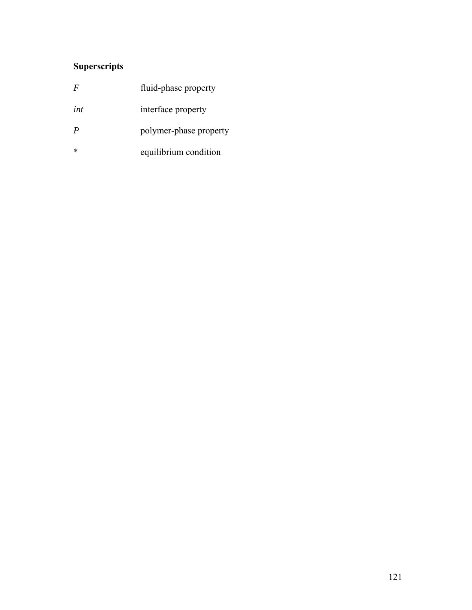### **Superscripts**

| F   | fluid-phase property   |
|-----|------------------------|
| int | interface property     |
| P   | polymer-phase property |
| *   | equilibrium condition  |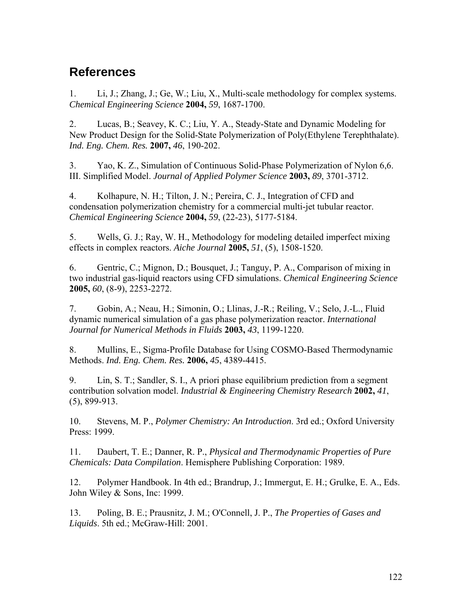## **References**

1. Li, J.; Zhang, J.; Ge, W.; Liu, X., Multi-scale methodology for complex systems. *Chemical Engineering Science* **2004,** *59*, 1687-1700.

2. Lucas, B.; Seavey, K. C.; Liu, Y. A., Steady-State and Dynamic Modeling for New Product Design for the Solid-State Polymerization of Poly(Ethylene Terephthalate). *Ind. Eng. Chem. Res.* **2007,** *46*, 190-202.

3. Yao, K. Z., Simulation of Continuous Solid-Phase Polymerization of Nylon 6,6. III. Simplified Model. *Journal of Applied Polymer Science* **2003,** *89*, 3701-3712.

4. Kolhapure, N. H.; Tilton, J. N.; Pereira, C. J., Integration of CFD and condensation polymerization chemistry for a commercial multi-jet tubular reactor. *Chemical Engineering Science* **2004,** *59*, (22-23), 5177-5184.

5. Wells, G. J.; Ray, W. H., Methodology for modeling detailed imperfect mixing effects in complex reactors. *Aiche Journal* **2005,** *51*, (5), 1508-1520.

6. Gentric, C.; Mignon, D.; Bousquet, J.; Tanguy, P. A., Comparison of mixing in two industrial gas-liquid reactors using CFD simulations. *Chemical Engineering Science*  **2005,** *60*, (8-9), 2253-2272.

7. Gobin, A.; Neau, H.; Simonin, O.; Llinas, J.-R.; Reiling, V.; Selo, J.-L., Fluid dynamic numerical simulation of a gas phase polymerization reactor. *International Journal for Numerical Methods in Fluids* **2003,** *43*, 1199-1220.

8. Mullins, E., Sigma-Profile Database for Using COSMO-Based Thermodynamic Methods. *Ind. Eng. Chem. Res.* **2006,** *45*, 4389-4415.

9. Lin, S. T.; Sandler, S. I., A priori phase equilibrium prediction from a segment contribution solvation model. *Industrial & Engineering Chemistry Research* **2002,** *41*, (5), 899-913.

10. Stevens, M. P., *Polymer Chemistry: An Introduction*. 3rd ed.; Oxford University Press: 1999.

11. Daubert, T. E.; Danner, R. P., *Physical and Thermodynamic Properties of Pure Chemicals: Data Compilation*. Hemisphere Publishing Corporation: 1989.

12. Polymer Handbook. In 4th ed.; Brandrup, J.; Immergut, E. H.; Grulke, E. A., Eds. John Wiley & Sons, Inc: 1999.

13. Poling, B. E.; Prausnitz, J. M.; O'Connell, J. P., *The Properties of Gases and Liquids*. 5th ed.; McGraw-Hill: 2001.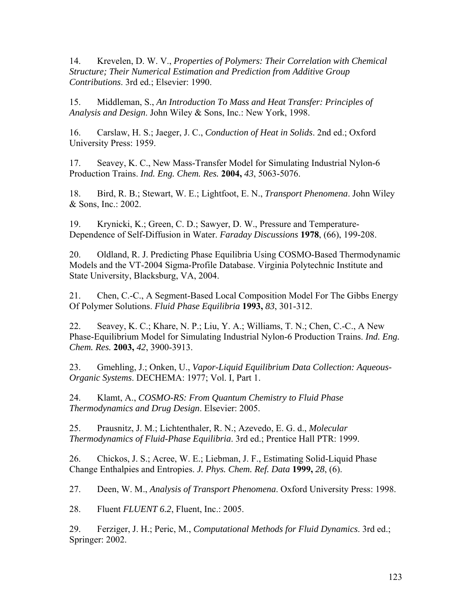14. Krevelen, D. W. V., *Properties of Polymers: Their Correlation with Chemical Structure; Their Numerical Estimation and Prediction from Additive Group Contributions*. 3rd ed.; Elsevier: 1990.

15. Middleman, S., *An Introduction To Mass and Heat Transfer: Principles of Analysis and Design*. John Wiley & Sons, Inc.: New York, 1998.

16. Carslaw, H. S.; Jaeger, J. C., *Conduction of Heat in Solids*. 2nd ed.; Oxford University Press: 1959.

17. Seavey, K. C., New Mass-Transfer Model for Simulating Industrial Nylon-6 Production Trains. *Ind. Eng. Chem. Res.* **2004,** *43*, 5063-5076.

18. Bird, R. B.; Stewart, W. E.; Lightfoot, E. N., *Transport Phenomena*. John Wiley & Sons, Inc.: 2002.

19. Krynicki, K.; Green, C. D.; Sawyer, D. W., Pressure and Temperature-Dependence of Self-Diffusion in Water. *Faraday Discussions* **1978**, (66), 199-208.

20. Oldland, R. J. Predicting Phase Equilibria Using COSMO-Based Thermodynamic Models and the VT-2004 Sigma-Profile Database. Virginia Polytechnic Institute and State University, Blacksburg, VA, 2004.

21. Chen, C.-C., A Segment-Based Local Composition Model For The Gibbs Energy Of Polymer Solutions. *Fluid Phase Equilibria* **1993,** *83*, 301-312.

22. Seavey, K. C.; Khare, N. P.; Liu, Y. A.; Williams, T. N.; Chen, C.-C., A New Phase-Equilibrium Model for Simulating Industrial Nylon-6 Production Trains. *Ind. Eng. Chem. Res.* **2003,** *42*, 3900-3913.

23. Gmehling, J.; Onken, U., *Vapor-Liquid Equilibrium Data Collection: Aqueous-Organic Systems*. DECHEMA: 1977; Vol. I, Part 1.

24. Klamt, A., *COSMO-RS: From Quantum Chemistry to Fluid Phase Thermodynamics and Drug Design*. Elsevier: 2005.

25. Prausnitz, J. M.; Lichtenthaler, R. N.; Azevedo, E. G. d., *Molecular Thermodynamics of Fluid-Phase Equilibria*. 3rd ed.; Prentice Hall PTR: 1999.

26. Chickos, J. S.; Acree, W. E.; Liebman, J. F., Estimating Solid-Liquid Phase Change Enthalpies and Entropies. *J. Phys. Chem. Ref. Data* **1999,** *28*, (6).

27. Deen, W. M., *Analysis of Transport Phenomena*. Oxford University Press: 1998.

28. Fluent *FLUENT 6.2*, Fluent, Inc.: 2005.

29. Ferziger, J. H.; Peric, M., *Computational Methods for Fluid Dynamics*. 3rd ed.; Springer: 2002.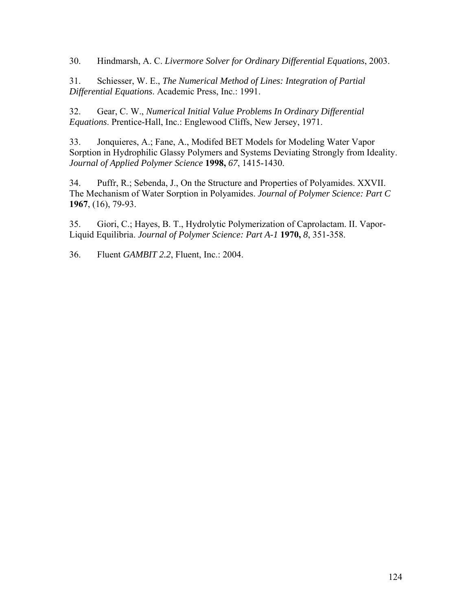30. Hindmarsh, A. C. *Livermore Solver for Ordinary Differential Equations*, 2003.

31. Schiesser, W. E., *The Numerical Method of Lines: Integration of Partial Differential Equations*. Academic Press, Inc.: 1991.

32. Gear, C. W., *Numerical Initial Value Problems In Ordinary Differential Equations*. Prentice-Hall, Inc.: Englewood Cliffs, New Jersey, 1971.

33. Jonquieres, A.; Fane, A., Modifed BET Models for Modeling Water Vapor Sorption in Hydrophilic Glassy Polymers and Systems Deviating Strongly from Ideality. *Journal of Applied Polymer Science* **1998,** *67*, 1415-1430.

34. Puffr, R.; Sebenda, J., On the Structure and Properties of Polyamides. XXVII. The Mechanism of Water Sorption in Polyamides. *Journal of Polymer Science: Part C*  **1967**, (16), 79-93.

35. Giori, C.; Hayes, B. T., Hydrolytic Polymerization of Caprolactam. II. Vapor-Liquid Equilibria. *Journal of Polymer Science: Part A-1* **1970,** *8*, 351-358.

36. Fluent *GAMBIT 2.2*, Fluent, Inc.: 2004.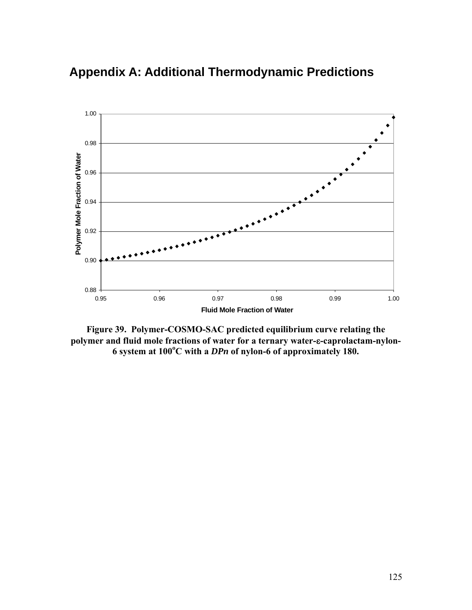

**Appendix A: Additional Thermodynamic Predictions** 

**Figure 39. Polymer-COSMO-SAC predicted equilibrium curve relating the polymer and fluid mole fractions of water for a ternary water-**ε**-caprolactam-nylon-6 system at 100<sup>o</sup> C with a** *DPn* **of nylon-6 of approximately 180.**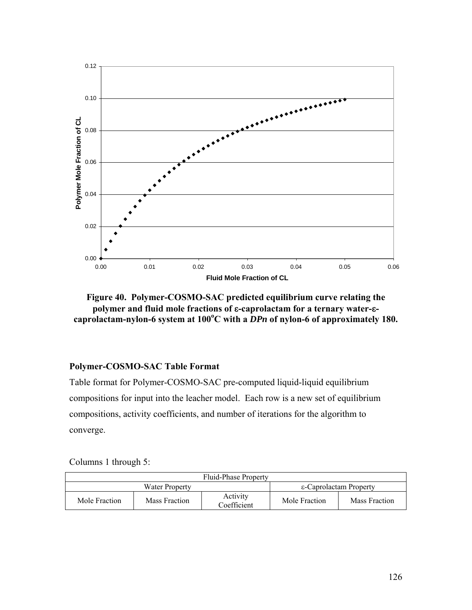

**Figure 40. Polymer-COSMO-SAC predicted equilibrium curve relating the polymer and fluid mole fractions of** ε**-caprolactam for a ternary water-**εcaprolactam-nylon-6 system at 100°C with a DPn of nylon-6 of approximately 180.

### **Polymer-COSMO-SAC Table Format**

Table format for Polymer-COSMO-SAC pre-computed liquid-liquid equilibrium compositions for input into the leacher model. Each row is a new set of equilibrium compositions, activity coefficients, and number of iterations for the algorithm to converge.

|  |  | Columns 1 through 5: |  |
|--|--|----------------------|--|
|--|--|----------------------|--|

| Fluid-Phase Property |               |                         |                        |               |  |
|----------------------|---------------|-------------------------|------------------------|---------------|--|
| Water Property       |               |                         | ε-Caprolactam Property |               |  |
| Mole Fraction        | Mass Fraction | Activity<br>Coefficient | Mole Fraction          | Mass Fraction |  |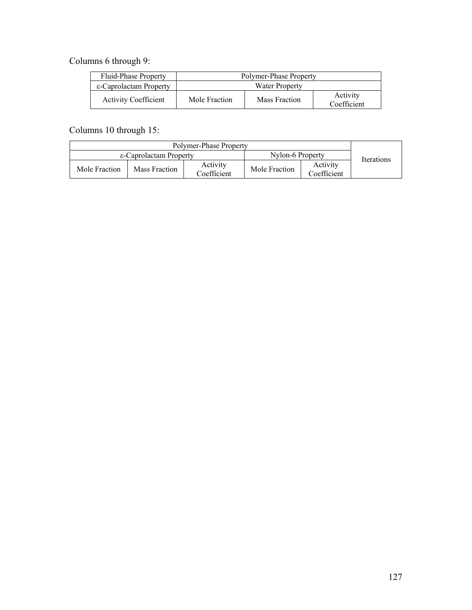Columns 6 through 9:

| Fluid-Phase Property        | Polymer-Phase Property |               |                         |  |
|-----------------------------|------------------------|---------------|-------------------------|--|
| ε-Caprolactam Property      | Water Property         |               |                         |  |
| <b>Activity Coefficient</b> | Mole Fraction          | Mass Fraction | Activity<br>Coefficient |  |

Columns 10 through 15:

| Polymer-Phase Property |               |                         |                  |                         |            |
|------------------------|---------------|-------------------------|------------------|-------------------------|------------|
| ε-Caprolactam Property |               |                         | Nylon-6 Property |                         | Iterations |
| Mole Fraction          | Mass Fraction | Activity<br>Coefficient | Mole Fraction    | Activity<br>Coefficient |            |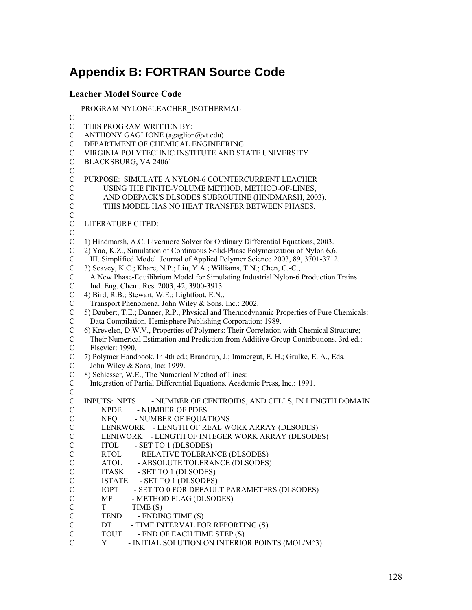# **Appendix B: FORTRAN Source Code**

#### **Leacher Model Source Code**

PROGRAM NYLON6LEACHER\_ISOTHERMAL

C C THIS PROGRAM WRITTEN BY: C ANTHONY GAGLIONE (agaglion@vt.edu) C DEPARTMENT OF CHEMICAL ENGINEERING C VIRGINIA POLYTECHNIC INSTITUTE AND STATE UNIVERSITY C BLACKSBURG, VA 24061 C C PURPOSE: SIMULATE A NYLON-6 COUNTERCURRENT LEACHER C USING THE FINITE-VOLUME METHOD, METHOD-OF-LINES, C AND ODEPACK'S DLSODES SUBROUTINE (HINDMARSH, 2003). C THIS MODEL HAS NO HEAT TRANSFER BETWEEN PHASES. C C LITERATURE CITED:  $\overline{C}$ C 1) Hindmarsh, A.C. Livermore Solver for Ordinary Differential Equations, 2003. C 2) Yao, K.Z., Simulation of Continuous Solid-Phase Polymerization of Nylon 6,6. C III. Simplified Model. Journal of Applied Polymer Science 2003, 89, 3701-3712. C 3) Seavey, K.C.; Khare, N.P.; Liu, Y.A.; Williams, T.N.; Chen, C.-C., C A New Phase-Equilibrium Model for Simulating Industrial Nylon-6 Production Trains. C Ind. Eng. Chem. Res. 2003, 42, 3900-3913. C 4) Bird, R.B.; Stewart, W.E.; Lightfoot, E.N., C Transport Phenomena. John Wiley & Sons, Inc.: 2002. C 5) Daubert, T.E.; Danner, R.P., Physical and Thermodynamic Properties of Pure Chemicals: C Data Compilation. Hemisphere Publishing Corporation: 1989. C 6) Krevelen, D.W.V., Properties of Polymers: Their Correlation with Chemical Structure; C Their Numerical Estimation and Prediction from Additive Group Contributions. 3rd ed.; C Elsevier: 1990. C 7) Polymer Handbook. In 4th ed.; Brandrup, J.; Immergut, E. H.; Grulke, E. A., Eds. C John Wiley & Sons, Inc: 1999. C 8) Schiesser, W.E., The Numerical Method of Lines: C Integration of Partial Differential Equations. Academic Press, Inc.: 1991. C C INPUTS: NPTS - NUMBER OF CENTROIDS, AND CELLS, IN LENGTH DOMAIN C NPDE - NUMBER OF PDES C NEQ - NUMBER OF EQUATIONS<br>C LENRWORK - LENGTH OF REAL W C LENRWORK - LENGTH OF REAL WORK ARRAY (DLSODES)<br>C LENIWORK - LENGTH OF INTEGER WORK ARRAY (DLSODE C LENIWORK - LENGTH OF INTEGER WORK ARRAY (DLSODES)<br>C ITOL - SET TO 1 (DLSODES) C ITOL - SET TO 1 (DLSODES)<br>C RTOL - RELATIVE TOLERA! C RTOL - RELATIVE TOLERANCE (DLSODES)<br>C ATOL - ABSOLUTE TOLERANCE (DLSODES) ATOL - ABSOLUTE TOLERANCE (DLSODES) C ITASK - SET TO 1 (DLSODES) C ISTATE - SET TO 1 (DLSODES) C IOPT - SET TO 0 FOR DEFAULT PARAMETERS (DLSODES) C MF - METHOD FLAG (DLSODES)  $C$   $T$   $-IIME(S)$ C TEND - ENDING TIME (S) C DT - TIME INTERVAL FOR REPORTING (S)<br>C TOUT - END OF EACH TIME STEP (S) C TOUT - END OF EACH TIME STEP (S)<br>C Y - INITIAL SOLUTION ON INTERIC Y - INITIAL SOLUTION ON INTERIOR POINTS (MOL/M^3)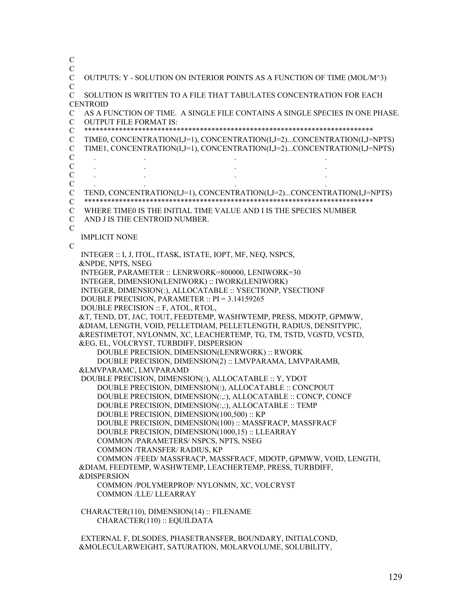C C C OUTPUTS: Y - SOLUTION ON INTERIOR POINTS AS A FUNCTION OF TIME (MOL/M^3)  $\mathcal{C}$ C SOLUTION IS WRITTEN TO A FILE THAT TABULATES CONCENTRATION FOR EACH **CENTROID** C AS A FUNCTION OF TIME. A SINGLE FILE CONTAINS A SINGLE SPECIES IN ONE PHASE. C OUTPUT FILE FORMAT IS: C \*\*\*\*\*\*\*\*\*\*\*\*\*\*\*\*\*\*\*\*\*\*\*\*\*\*\*\*\*\*\*\*\*\*\*\*\*\*\*\*\*\*\*\*\*\*\*\*\*\*\*\*\*\*\*\*\*\*\*\*\*\*\*\*\*\*\*\*\*\*\*\*\*\*\* C TIME0, CONCENTRATION(I,J=1), CONCENTRATION(I,J=2)...CONCENTRATION(I,J=NPTS) C TIME1, CONCENTRATION(I,J=1), CONCENTRATION(I,J=2)...CONCENTRATION(I,J=NPTS) C . . . . C . . . . C . . . . C . . . . C TEND, CONCENTRATION(I,J=1), CONCENTRATION(I,J=2)...CONCENTRATION(I,J=NPTS) C \*\*\*\*\*\*\*\*\*\*\*\*\*\*\*\*\*\*\*\*\*\*\*\*\*\*\*\*\*\*\*\*\*\*\*\*\*\*\*\*\*\*\*\*\*\*\*\*\*\*\*\*\*\*\*\*\*\*\*\*\*\*\*\*\*\*\*\*\*\*\*\*\*\*\* C WHERE TIME0 IS THE INITIAL TIME VALUE AND I IS THE SPECIES NUMBER C AND J IS THE CENTROID NUMBER.  $\overline{C}$  IMPLICIT NONE  $\overline{C}$  INTEGER :: I, J, ITOL, ITASK, ISTATE, IOPT, MF, NEQ, NSPCS, &NPDE, NPTS, NSEG INTEGER, PARAMETER :: LENRWORK=800000, LENIWORK=30 INTEGER, DIMENSION(LENIWORK) :: IWORK(LENIWORK) INTEGER, DIMENSION(:), ALLOCATABLE :: YSECTIONP, YSECTIONF DOUBLE PRECISION, PARAMETER :: PI = 3.14159265 DOUBLE PRECISION :: F, ATOL, RTOL, &T, TEND, DT, JAC, TOUT, FEEDTEMP, WASHWTEMP, PRESS, MDOTP, GPMWW, &DIAM, LENGTH, VOID, PELLETDIAM, PELLETLENGTH, RADIUS, DENSITYPIC, &RESTIMETOT, NYLONMN, XC, LEACHERTEMP, TG, TM, TSTD, VGSTD, VCSTD, &EG, EL, VOLCRYST, TURBDIFF, DISPERSION DOUBLE PRECISION, DIMENSION(LENRWORK) :: RWORK DOUBLE PRECISION, DIMENSION(2) :: LMVPARAMA, LMVPARAMB, &LMVPARAMC, LMVPARAMD DOUBLE PRECISION, DIMENSION(:), ALLOCATABLE :: Y, YDOT DOUBLE PRECISION, DIMENSION(:), ALLOCATABLE :: CONCPOUT DOUBLE PRECISION, DIMENSION(:,:), ALLOCATABLE :: CONCP, CONCF DOUBLE PRECISION, DIMENSION(:,:), ALLOCATABLE :: TEMP DOUBLE PRECISION, DIMENSION(100,500) :: KP DOUBLE PRECISION, DIMENSION(100) :: MASSFRACP, MASSFRACF DOUBLE PRECISION, DIMENSION(1000,15) :: LLEARRAY COMMON /PARAMETERS/ NSPCS, NPTS, NSEG COMMON /TRANSFER/ RADIUS, KP COMMON /FEED/ MASSFRACP, MASSFRACF, MDOTP, GPMWW, VOID, LENGTH, &DIAM, FEEDTEMP, WASHWTEMP, LEACHERTEMP, PRESS, TURBDIFF, &DISPERSION COMMON /POLYMERPROP/ NYLONMN, XC, VOLCRYST COMMON /LLE/ LLEARRAY CHARACTER(110), DIMENSION(14) :: FILENAME CHARACTER(110) :: EQUILDATA EXTERNAL F, DLSODES, PHASETRANSFER, BOUNDARY, INITIALCOND,

&MOLECULARWEIGHT, SATURATION, MOLARVOLUME, SOLUBILITY,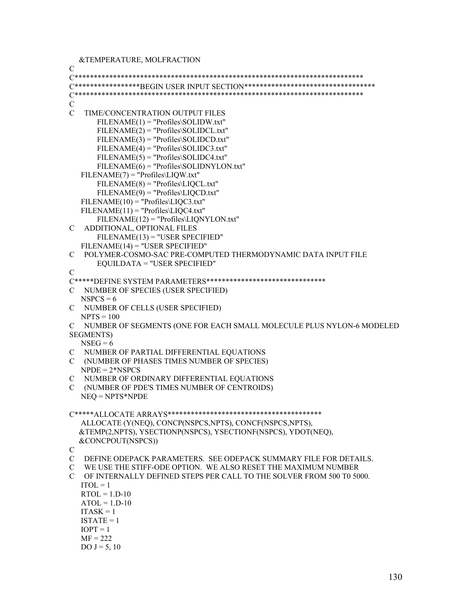&TEMPERATURE, MOLFRACTION

C C\*\*\*\*\*\*\*\*\*\*\*\*\*\*\*\*\*\*\*\*\*\*\*\*\*\*\*\*\*\*\*\*\*\*\*\*\*\*\*\*\*\*\*\*\*\*\*\*\*\*\*\*\*\*\*\*\*\*\*\*\*\*\*\*\*\*\*\*\*\*\*\*\*\*\* C\*\*\*\*\*\*\*\*\*\*\*\*\*\*\*\*\*BEGIN USER INPUT SECTION\*\*\*\*\*\*\*\*\*\*\*\*\*\*\*\*\*\*\*\*\*\*\*\*\*\*\*\*\*\*\*\*\*\* C\*\*\*\*\*\*\*\*\*\*\*\*\*\*\*\*\*\*\*\*\*\*\*\*\*\*\*\*\*\*\*\*\*\*\*\*\*\*\*\*\*\*\*\*\*\*\*\*\*\*\*\*\*\*\*\*\*\*\*\*\*\*\*\*\*\*\*\*\*\*\*\*\*\*\*  $\mathcal{C}$ C TIME/CONCENTRATION OUTPUT FILES  $FILENAME(1) = "Profiles\SOLIDW.txt"$  FILENAME(2) = "Profiles\SOLIDCL.txt"  $FILENAME(3) = "Profiles\SOLIDCD.txt"$  $FILENAME(4) = "Profiles\SOLIDC3.txt"$  FILENAME(5) = "Profiles\SOLIDC4.txt" FILENAME(6) = "Profiles\SOLIDNYLON.txt" FILENAME(7) = "Profiles\LIQW.txt"  $FILENAME(8) = "Profiles\LIQCL.txt"$  $FILENAME(9) = "Profiles\LIOCD.txt"$  $FILENAME(10) = "Profiles\LIOC3.txt"$  FILENAME(11) = "Profiles\LIQC4.txt" FILENAME(12) = "Profiles\LIQNYLON.txt" C ADDITIONAL, OPTIONAL FILES FILENAME(13) = "USER SPECIFIED" FILENAME(14) = "USER SPECIFIED" C POLYMER-COSMO-SAC PRE-COMPUTED THERMODYNAMIC DATA INPUT FILE EQUILDATA = "USER SPECIFIED"  $\overline{C}$ C\*\*\*\*\*DEFINE SYSTEM PARAMETERS\*\*\*\*\*\*\*\*\*\*\*\*\*\*\*\*\*\*\*\*\*\*\*\*\*\*\*\*\*\*\* C NUMBER OF SPECIES (USER SPECIFIED)  $NSPCS = 6$ C NUMBER OF CELLS (USER SPECIFIED)  $NPTS = 100$ C NUMBER OF SEGMENTS (ONE FOR EACH SMALL MOLECULE PLUS NYLON-6 MODELED SEGMENTS)  $NSEG = 6$ C NUMBER OF PARTIAL DIFFERENTIAL EQUATIONS C (NUMBER OF PHASES TIMES NUMBER OF SPECIES)  $NPDE = 2*NSPCS$ C NUMBER OF ORDINARY DIFFERENTIAL EQUATIONS C (NUMBER OF PDE'S TIMES NUMBER OF CENTROIDS) NEQ = NPTS\*NPDE C\*\*\*\*\*ALLOCATE ARRAYS\*\*\*\*\*\*\*\*\*\*\*\*\*\*\*\*\*\*\*\*\*\*\*\*\*\*\*\*\*\*\*\*\*\*\*\*\*\*\*\* ALLOCATE (Y(NEQ), CONCP(NSPCS,NPTS), CONCF(NSPCS,NPTS), &TEMP(2,NPTS), YSECTIONP(NSPCS), YSECTIONF(NSPCS), YDOT(NEQ), &CONCPOUT(NSPCS))  $\overline{C}$ C DEFINE ODEPACK PARAMETERS. SEE ODEPACK SUMMARY FILE FOR DETAILS. C WE USE THE STIFF-ODE OPTION. WE ALSO RESET THE MAXIMUM NUMBER C OF INTERNALLY DEFINED STEPS PER CALL TO THE SOLVER FROM 500 T0 5000.  $ITOL = 1$  $RTOL = 1.D-10$  $ATOL = 1$  D-10  $ITASK = 1$  $ISTATE = 1$  $IOPT = 1$  $MF = 222$ DO  $J = 5, 10$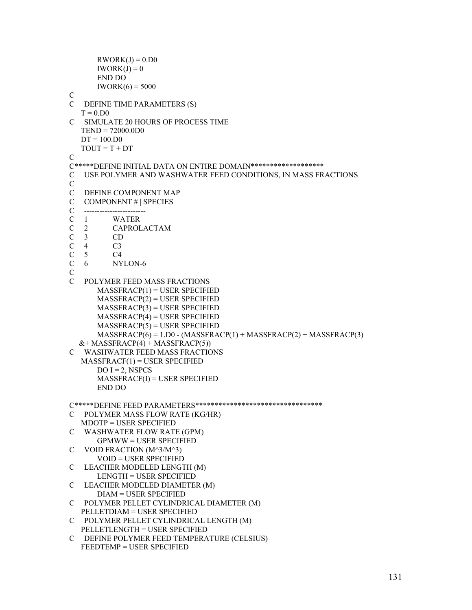```
RWORK(J) = 0. D0IWORK(J) = 0 END DO 
      IWORK(6) = 5000\mathcal{C}C DEFINE TIME PARAMETERS (S) 
  T = 0.D0C SIMULATE 20 HOURS OF PROCESS TIME 
   TEND = 72000.0D0 
  DT = 100.D0TOUT = T + DTC 
C*****DEFINE INITIAL DATA ON ENTIRE DOMAIN******************* 
C USE POLYMER AND WASHWATER FEED CONDITIONS, IN MASS FRACTIONS 
C 
C DEFINE COMPONENT MAP 
C COMPONENT # | SPECIES 
C ------------------------ 
C 1 | WATER 
C 2 | CAPROLACTAM<br>C 3 | CD
  3 | CD
C \quad 4 \quad | C3\begin{array}{ccc}\nC & 5 & |C4 \\
C & 6 & |NY\n\end{array}6 | NYLON-6
\overline{C}C POLYMER FEED MASS FRACTIONS 
      MASSFRACP(1) = USER SPECIFIED MASSFRACP(2) = USER SPECIFIED 
       MASSFRACP(3) = USER SPECIFIED 
       MASSFRACP(4) = USER SPECIFIED 
      MASSFRACP(5) = USER SPECIFIED MASSFRACP(6) = 1.D0 - (MASSFRACP(1) + MASSFRACP(2) + MASSFRACP(3) 
  & + MASSFRACP(4) + MASSFRACP(5))
C WASHWATER FEED MASS FRACTIONS 
  MASSFRACF(1) = USER SPECIFIEDDO I = 2, NSPCS
       MASSFRACF(I) = USER SPECIFIED 
       END DO 
C*****DEFINE FEED PARAMETERS********************************* 
C POLYMER MASS FLOW RATE (KG/HR) 
   MDOTP = USER SPECIFIED 
C WASHWATER FLOW RATE (GPM) 
        GPMWW = USER SPECIFIED 
C VOID FRACTION (M^3/M^3) 
        VOID = USER SPECIFIED 
C LEACHER MODELED LENGTH (M) 
       LENGTH = USER SPECIFIED 
C LEACHER MODELED DIAMETER (M) 
       DIAM = USER SPECIFIED 
C POLYMER PELLET CYLINDRICAL DIAMETER (M) 
   PELLETDIAM = USER SPECIFIED 
C POLYMER PELLET CYLINDRICAL LENGTH (M) 
   PELLETLENGTH = USER SPECIFIED 
C DEFINE POLYMER FEED TEMPERATURE (CELSIUS) 
   FEEDTEMP = USER SPECIFIED
```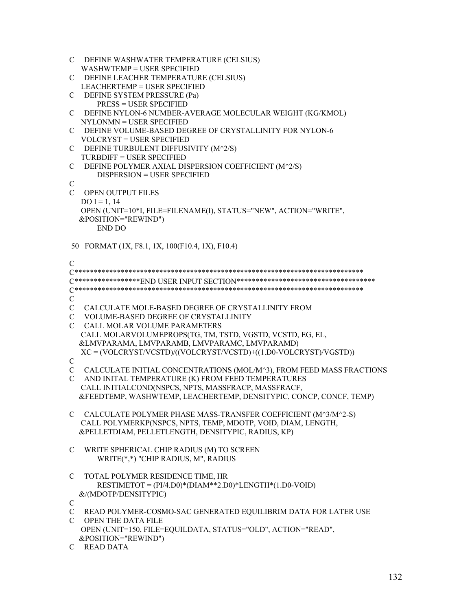```
C DEFINE WASHWATER TEMPERATURE (CELSIUS) 
   WASHWTEMP = USER SPECIFIED 
C DEFINE LEACHER TEMPERATURE (CELSIUS) 
   LEACHERTEMP = USER SPECIFIED 
C DEFINE SYSTEM PRESSURE (Pa) 
       PRESS = USER SPECIFIED 
C DEFINE NYLON-6 NUMBER-AVERAGE MOLECULAR WEIGHT (KG/KMOL) 
   NYLONMN = USER SPECIFIED 
C DEFINE VOLUME-BASED DEGREE OF CRYSTALLINITY FOR NYLON-6 
   VOLCRYST = USER SPECIFIED 
C DEFINE TURBULENT DIFFUSIVITY (M^2/S) 
   TURBDIFF = USER SPECIFIED 
C DEFINE POLYMER AXIAL DISPERSION COEFFICIENT (M^2/S) 
       DISPERSION = USER SPECIFIED 
\mathcal{C}C OPEN OUTPUT FILES 
  DO I = 1, 14
   OPEN (UNIT=10*I, FILE=FILENAME(I), STATUS="NEW", ACTION="WRITE", 
   &POSITION="REWIND") 
       END DO 
 50 FORMAT (1X, F8.1, 1X, 100(F10.4, 1X), F10.4) 
C 
C*************************************************************************** 
C*****************END USER INPUT SECTION************************************ 
C*************************************************************************** 
\mathcal{C}C CALCULATE MOLE-BASED DEGREE OF CRYSTALLINITY FROM 
C VOLUME-BASED DEGREE OF CRYSTALLINITY 
C CALL MOLAR VOLUME PARAMETERS 
   CALL MOLARVOLUMEPROPS(TG, TM, TSTD, VGSTD, VCSTD, EG, EL, 
   &LMVPARAMA, LMVPARAMB, LMVPARAMC, LMVPARAMD) 
   XC = (VOLCRYST/VCSTD)/((VOLCRYST/VCSTD)+((1.D0-VOLCRYST)/VGSTD)) 
C 
C CALCULATE INITIAL CONCENTRATIONS (MOL/M^3), FROM FEED MASS FRACTIONS 
C AND INITAL TEMPERATURE (K) FROM FEED TEMPERATURES 
   CALL INITIALCOND(NSPCS, NPTS, MASSFRACP, MASSFRACF, 
   &FEEDTEMP, WASHWTEMP, LEACHERTEMP, DENSITYPIC, CONCP, CONCF, TEMP) 
C CALCULATE POLYMER PHASE MASS-TRANSFER COEFFICIENT (M^3/M^2-S) 
   CALL POLYMERKP(NSPCS, NPTS, TEMP, MDOTP, VOID, DIAM, LENGTH, 
   &PELLETDIAM, PELLETLENGTH, DENSITYPIC, RADIUS, KP) 
C WRITE SPHERICAL CHIP RADIUS (M) TO SCREEN 
       WRITE(*,*) "CHIP RADIUS, M", RADIUS 
C TOTAL POLYMER RESIDENCE TIME, HR 
       RESTIMETOT = (PI/4.D0)*(DIAM**2.D0)*LENGTH*(1.D0-VOID) 
   &/(MDOTP/DENSITYPIC) 
\mathcal{C}C READ POLYMER-COSMO-SAC GENERATED EQUILIBRIM DATA FOR LATER USE 
C OPEN THE DATA FILE 
   OPEN (UNIT=150, FILE=EQUILDATA, STATUS="OLD", ACTION="READ", 
   &POSITION="REWIND")
```

```
C READ DATA
```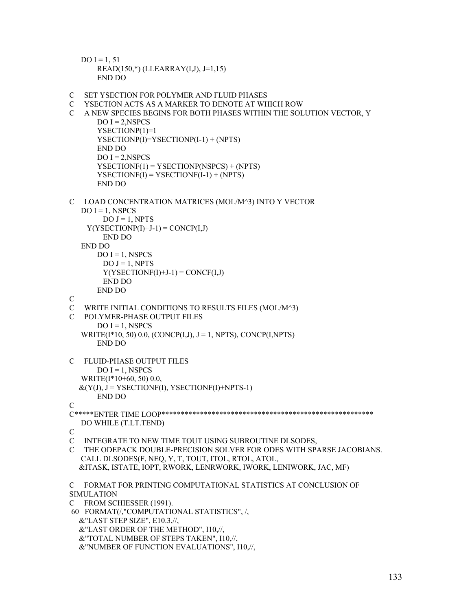```
DO I = 1, 51 READ(150,*) (LLEARRAY(I,J), J=1,15) 
     END DO
```
C SET YSECTION FOR POLYMER AND FLUID PHASES

&"NUMBER OF FUNCTION EVALUATIONS", I10,//,

C YSECTION ACTS AS A MARKER TO DENOTE AT WHICH ROW

```
C A NEW SPECIES BEGINS FOR BOTH PHASES WITHIN THE SOLUTION VECTOR, Y 
       DO I = 2, NSPCS
        YSECTIONP(1)=1 
       YSECTIONP(I)=YSECTIONP(I-1) + (NPTS) 
       END DO 
      DO I = 2, NSPCSYSECTIONF(1) = YSECTIONP(NSPCS) + (NPTS)YSECTIONF(I) = YSECTIONF(I-1) + (NPTS) END DO 
C LOAD CONCENTRATION MATRICES (MOL/M^3) INTO Y VECTOR 
  DO I = 1, NSPCS
        DO J = 1, NPTSY(YSECTIONP(I)+J-1) = CONCP(I,J) END DO 
   END DO 
      DO I = 1, NSPCSDO J = 1, NPTSY(YSECTIONF(I)+J-1) = CONCF(I,J) END DO 
       END DO 
\mathcal{C}C WRITE INITIAL CONDITIONS TO RESULTS FILES (MOL/M^3) 
C POLYMER-PHASE OUTPUT FILES 
       DO I = 1, NSPCS
  WRITE(I*10, 50) 0.0, (CONCP(I,J), J = 1, NPTS), CONCP(I,NPTS)
       END DO 
C FLUID-PHASE OUTPUT FILES 
       DO I = 1, NSPCS
   WRITE(I*10+60, 50) 0.0, 
  &(Y(J), J = YSECTIONF(I), YSECTIONF(I)+NPTS-1) END DO 
\mathcal{C}C*****ENTER TIME LOOP******************************************************* 
   DO WHILE (T.LT.TEND) 
\overline{C}C INTEGRATE TO NEW TIME TOUT USING SUBROUTINE DLSODES, 
C THE ODEPACK DOUBLE-PRECISION SOLVER FOR ODES WITH SPARSE JACOBIANS. 
   CALL DLSODES(F, NEQ, Y, T, TOUT, ITOL, RTOL, ATOL, 
   &ITASK, ISTATE, IOPT, RWORK, LENRWORK, IWORK, LENIWORK, JAC, MF) 
C FORMAT FOR PRINTING COMPUTATIONAL STATISTICS AT CONCLUSION OF 
SIMULATION 
C FROM SCHIESSER (1991). 
 60 FORMAT(/,"COMPUTATIONAL STATISTICS", /, 
   &"LAST STEP SIZE", E10.3,//, 
   &"LAST ORDER OF THE METHOD", I10,//, 
   &"TOTAL NUMBER OF STEPS TAKEN", I10,//,
```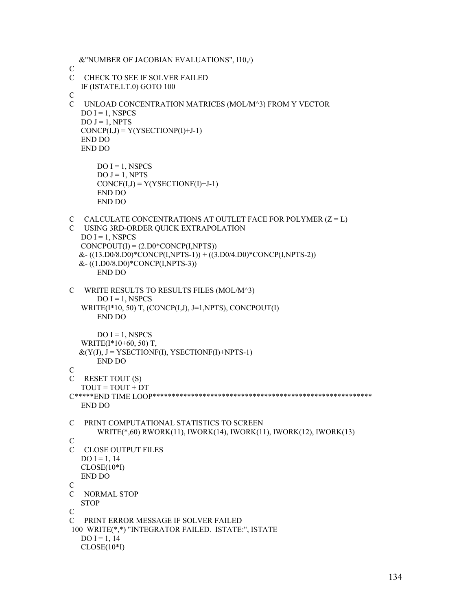```
 &"NUMBER OF JACOBIAN EVALUATIONS", I10,/)
```

```
C
```
- C CHECK TO SEE IF SOLVER FAILED
- IF (ISTATE.LT.0) GOTO 100
- C
- C UNLOAD CONCENTRATION MATRICES (MOL/M^3) FROM Y VECTOR  $DO I = 1$ , NSPCS  $DO J = 1, NPTS$  $CONCP(I,J) = Y(YSECTIONP(I)+J-1)$

```
 END DO 
 END DO
```

```
DO I = 1, NSPCS
DO J = 1, NPTSCONCF(I,J) = Y(YSECTIONF(I)+J-1) END DO 
 END DO
```

```
C CALCULATE CONCENTRATIONS AT OUTLET FACE FOR POLYMER (Z = L)
```
- C USING 3RD-ORDER QUICK EXTRAPOLATION  $DO I = 1$ , NSPCS  $CONCPOUT(I) = (2, D0*CONCP(I, NPTS))$  $&-( (13.D0/8.D0)*CONF(I,NPTS-1)) + ((3.D0/4.D0)*CONF(I,NPTS-2))$  &- ((1.D0/8.D0)\*CONCP(I,NPTS-3)) END DO
- C WRITE RESULTS TO RESULTS FILES (MOL/M^3)  $DO I = 1$ , NSPCS WRITE(I\*10, 50) T, (CONCP(I,J), J=1,NPTS), CONCPOUT(I) END DO

```
DO I = 1, NSPCS
 WRITE(I*10+60, 50) T, 
&(Y(J), J = YSECTIONF(I), YSECTIONF(I)+NprS-1)
```

```
 END DO
```

```
C
```

```
C RESET TOUT (S) 
  TOUT = TOUT + DT
```

```
C*****END TIME LOOP********************************************************* 
   END DO
```

```
C PRINT COMPUTATIONAL STATISTICS TO SCREEN 
       WRITE(*,60) RWORK(11), IWORK(14), IWORK(11), IWORK(12), IWORK(13)
```

```
C
```

```
C CLOSE OUTPUT FILES 
   DO I = 1, 14 CLOSE(10*I) 
    END DO 
\mathcal{C}
```

```
C NORMAL STOP 
   STOP
\mathcal{C}C PRINT ERROR MESSAGE IF SOLVER FAILED
```

```
 100 WRITE(*,*) "INTEGRATOR FAILED. ISTATE:", ISTATE 
  DO I = 1, 14 CLOSE(10*I)
```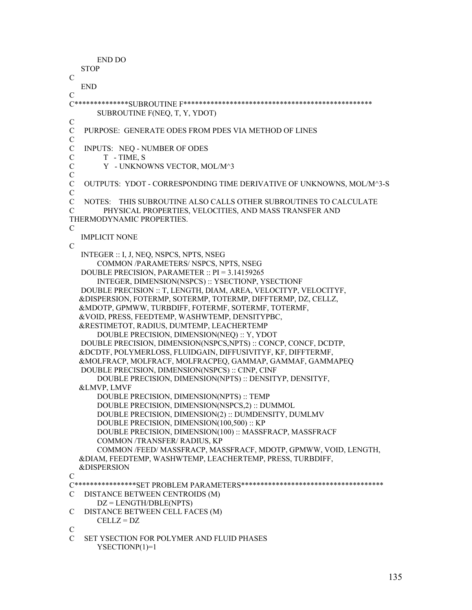```
 END DO 
   STOP 
\overline{C} END 
\mathcal{C}C**************SUBROUTINE F************************************************* 
       SUBROUTINE F(NEQ, T, Y, YDOT) 
C 
C PURPOSE: GENERATE ODES FROM PDES VIA METHOD OF LINES 
C 
C INPUTS: NEQ - NUMBER OF ODES 
C T - TIME, S<br>C Y - UNKNO
        Y - UNKNOWNS VECTOR, MOL/M^3
C 
C OUTPUTS: YDOT - CORRESPONDING TIME DERIVATIVE OF UNKNOWNS, MOL/M^3-S 
\mathcal{C}C NOTES: THIS SUBROUTINE ALSO CALLS OTHER SUBROUTINES TO CALCULATE 
C PHYSICAL PROPERTIES, VELOCITIES, AND MASS TRANSFER AND 
THERMODYNAMIC PROPERTIES. 
\mathcal{C} IMPLICIT NONE 
\overline{C} INTEGER :: I, J, NEQ, NSPCS, NPTS, NSEG 
       COMMON /PARAMETERS/ NSPCS, NPTS, NSEG 
   DOUBLE PRECISION, PARAMETER :: PI = 3.14159265 
        INTEGER, DIMENSION(NSPCS) :: YSECTIONP, YSECTIONF 
   DOUBLE PRECISION :: T, LENGTH, DIAM, AREA, VELOCITYP, VELOCITYF, 
   &DISPERSION, FOTERMP, SOTERMP, TOTERMP, DIFFTERMP, DZ, CELLZ, 
   &MDOTP, GPMWW, TURBDIFF, FOTERMF, SOTERMF, TOTERMF, 
   &VOID, PRESS, FEEDTEMP, WASHWTEMP, DENSITYPBC, 
   &RESTIMETOT, RADIUS, DUMTEMP, LEACHERTEMP 
       DOUBLE PRECISION, DIMENSION(NEQ) :: Y, YDOT 
   DOUBLE PRECISION, DIMENSION(NSPCS,NPTS) :: CONCP, CONCF, DCDTP, 
   &DCDTF, POLYMERLOSS, FLUIDGAIN, DIFFUSIVITYF, KF, DIFFTERMF, 
   &MOLFRACP, MOLFRACF, MOLFRACPEQ, GAMMAP, GAMMAF, GAMMAPEQ 
   DOUBLE PRECISION, DIMENSION(NSPCS) :: CINP, CINF 
        DOUBLE PRECISION, DIMENSION(NPTS) :: DENSITYP, DENSITYF, 
   &LMVP, LMVF 
       DOUBLE PRECISION, DIMENSION(NPTS) :: TEMP 
       DOUBLE PRECISION, DIMENSION(NSPCS,2) :: DUMMOL 
       DOUBLE PRECISION, DIMENSION(2) :: DUMDENSITY, DUMLMV 
       DOUBLE PRECISION, DIMENSION(100,500) :: KP 
       DOUBLE PRECISION, DIMENSION(100) :: MASSFRACP, MASSFRACF 
       COMMON /TRANSFER/ RADIUS, KP 
       COMMON /FEED/ MASSFRACP, MASSFRACF, MDOTP, GPMWW, VOID, LENGTH, 
   &DIAM, FEEDTEMP, WASHWTEMP, LEACHERTEMP, PRESS, TURBDIFF, 
   &DISPERSION 
\mathcal{C}C****************SET PROBLEM PARAMETERS************************************* 
C DISTANCE BETWEEN CENTROIDS (M) 
       DZ = LENGTH/DBLE(NPTS) 
C DISTANCE BETWEEN CELL FACES (M) 
       CELLZ = DZ 
C 
C SET YSECTION FOR POLYMER AND FLUID PHASES 
       YSECTIONP(1)=1
```

```
135
```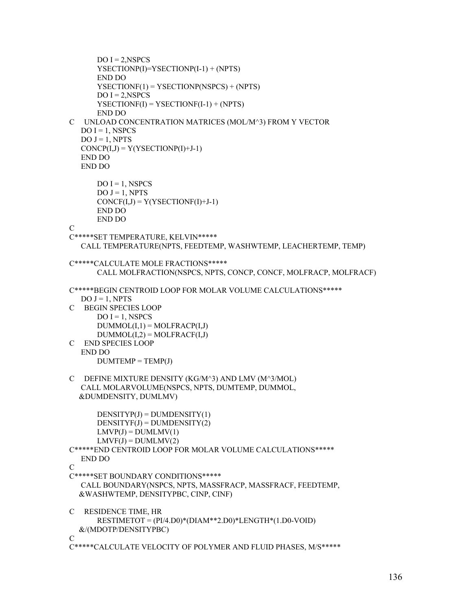```
DO I = 2, NSPCS YSECTIONP(I)=YSECTIONP(I-1) + (NPTS) 
       END DO 
       YSECTIONF(1) = YSECTIONP(NSPCS) + (NPTS) 
      DO I = 2, NSPCS
      YSECTIONF(I) = YSECTIONF(I-1) + (NPTS) END DO 
C UNLOAD CONCENTRATION MATRICES (MOL/M^3) FROM Y VECTOR 
  DO I = 1, NSPCSDO J = 1, NPTSCONCP(I,J) = Y(YSECTIONP(I)+J-1) END DO 
   END DO 
      DO I = 1, NSPCS
      DO J = 1, NPTSCONCF(I,J) = Y(YSECTIONF(I)+J-1) END DO 
       END DO 
C 
C*****SET TEMPERATURE, KELVIN***** 
   CALL TEMPERATURE(NPTS, FEEDTEMP, WASHWTEMP, LEACHERTEMP, TEMP) 
C*****CALCULATE MOLE FRACTIONS***** 
       CALL MOLFRACTION(NSPCS, NPTS, CONCP, CONCF, MOLFRACP, MOLFRACF) 
C*****BEGIN CENTROID LOOP FOR MOLAR VOLUME CALCULATIONS***** 
  DO J = 1, NPTS
C BEGIN SPECIES LOOP 
      DO I = 1, NSPCS
      DUMMOL(I,1) = MOLFRACP(I,J)DUMMOL(I,2) = MOLFRACF(I,J)C END SPECIES LOOP 
   END DO 
      DUMTEMP = TEMP(J)C DEFINE MIXTURE DENSITY (KG/M^3) AND LMV (M^3/MOL) 
   CALL MOLARVOLUME(NSPCS, NPTS, DUMTEMP, DUMMOL, 
   &DUMDENSITY, DUMLMV) 
      DENSIITYP(J) = DUMDENSITY(1)DENSITYF(J) = DUMDENSITY(2)LMVP(J) = DUMLMV(1)LMVF(J) = DUMLMV(2)C*****END CENTROID LOOP FOR MOLAR VOLUME CALCULATIONS***** 
   END DO 
C 
C*****SET BOUNDARY CONDITIONS***** 
   CALL BOUNDARY(NSPCS, NPTS, MASSFRACP, MASSFRACF, FEEDTEMP, 
   &WASHWTEMP, DENSITYPBC, CINP, CINF) 
C RESIDENCE TIME, HR 
       RESTIMETOT = (PI/4.D0)*(DIAM**2.D0)*LENGTH*(1.D0-VOID) 
   &/(MDOTP/DENSITYPBC) 
\overline{C}C*****CALCULATE VELOCITY OF POLYMER AND FLUID PHASES, M/S*****
```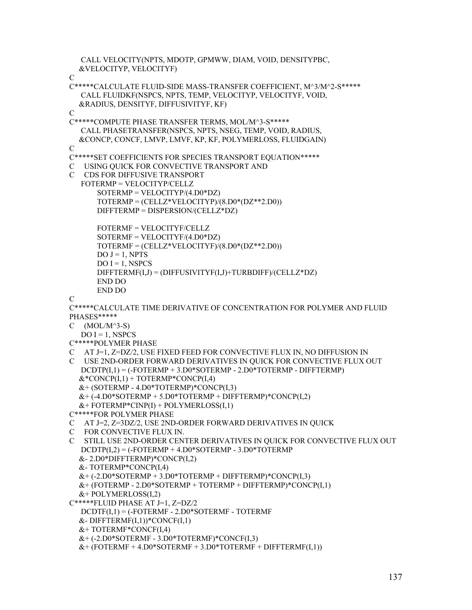CALL VELOCITY(NPTS, MDOTP, GPMWW, DIAM, VOID, DENSITYPBC, &VELOCITYP, VELOCITYF) C C\*\*\*\*\*CALCULATE FLUID-SIDE MASS-TRANSFER COEFFICIENT, M^3/M^2-S\*\*\*\*\* CALL FLUIDKF(NSPCS, NPTS, TEMP, VELOCITYP, VELOCITYF, VOID, &RADIUS, DENSITYF, DIFFUSIVITYF, KF)  $\overline{C}$ C\*\*\*\*\*COMPUTE PHASE TRANSFER TERMS, MOL/M^3-S\*\*\*\*\* CALL PHASETRANSFER(NSPCS, NPTS, NSEG, TEMP, VOID, RADIUS, &CONCP, CONCF, LMVP, LMVF, KP, KF, POLYMERLOSS, FLUIDGAIN)  $\mathcal{C}$ C\*\*\*\*\*SET COEFFICIENTS FOR SPECIES TRANSPORT EQUATION\*\*\*\*\* C USING QUICK FOR CONVECTIVE TRANSPORT AND C CDS FOR DIFFUSIVE TRANSPORT FOTERMP = VELOCITYP/CELLZ SOTERMP = VELOCITYP/(4.D0\*DZ) TOTERMP = (CELLZ\*VELOCITYP)/(8.D0\*(DZ\*\*2.D0)) DIFFTERMP = DISPERSION/(CELLZ\*DZ) FOTERMF = VELOCITYF/CELLZ SOTERMF = VELOCITYF/(4.D0\*DZ) TOTERMF = (CELLZ\*VELOCITYF)/(8.D0\*(DZ\*\*2.D0))  $DO J = 1, NPTS$  $DO I = 1$ , NSPCS DIFFTERMF(I,J) = (DIFFUSIVITYF(I,J)+TURBDIFF)/(CELLZ\*DZ) END DO END DO  $\mathcal{C}$ C\*\*\*\*\*CALCULATE TIME DERIVATIVE OF CONCENTRATION FOR POLYMER AND FLUID PHASES\*\*\*\*\*  $C$  (MOL/M^3-S)  $DO I = 1, NSPCS$ C\*\*\*\*\*POLYMER PHASE C AT J=1, Z=DZ/2, USE FIXED FEED FOR CONVECTIVE FLUX IN, NO DIFFUSION IN C USE 2ND-ORDER FORWARD DERIVATIVES IN QUICK FOR CONVECTIVE FLUX OUT DCDTP(I,1) = (-FOTERMP + 3.D0\*SOTERMP - 2.D0\*TOTERMP - DIFFTERMP)  $&*$ CONCP $(I,1)$  + TOTERMP $*$ CONCP $(I,4)$  &+ (SOTERMP - 4.D0\*TOTERMP)\*CONCP(I,3)  $&+$  (-4.D0\*SOTERMP + 5.D0\*TOTERMP + DIFFTERMP)\*CONCP(I,2)  $&+$  FOTERMP\*CINP(I) + POLYMERLOSS(I,1) C\*\*\*\*\*FOR POLYMER PHASE C AT J=2, Z=3DZ/2, USE 2ND-ORDER FORWARD DERIVATIVES IN QUICK C FOR CONVECTIVE FLUX IN. C STILL USE 2ND-ORDER CENTER DERIVATIVES IN QUICK FOR CONVECTIVE FLUX OUT  $DCDTP(I,2) = (-FOTERMP + 4.D0*SOTERMP - 3.D0*TOTERMP$  &- 2.D0\*DIFFTERMP)\*CONCP(I,2) &- TOTERMP\*CONCP(I,4)  $&+$  (-2.D0\*SOTERMP + 3.D0\*TOTERMP + DIFFTERMP)\*CONCP(I.3)  $&+$  (FOTERMP - 2.D0\*SOTERMP + TOTERMP + DIFFTERMP)\*CONCP $(I,1)$  $&+$  POLYMERLOSS $(1,2)$ C\*\*\*\*\*FLUID PHASE AT J=1, Z=DZ/2 DCDTF(I,1) = (-FOTERMF - 2.D0\*SOTERMF - TOTERMF  $&$ - DIFFTERMF $(I,1))$ \*CONCF $(I,1)$  &+ TOTERMF\*CONCF(I,4) &+ (-2.D0\*SOTERMF - 3.D0\*TOTERMF)\*CONCF(I,3)  $&+$  (FOTERMF + 4.D0\*SOTERMF + 3.D0\*TOTERMF + DIFFTERMF $(I,1)$ )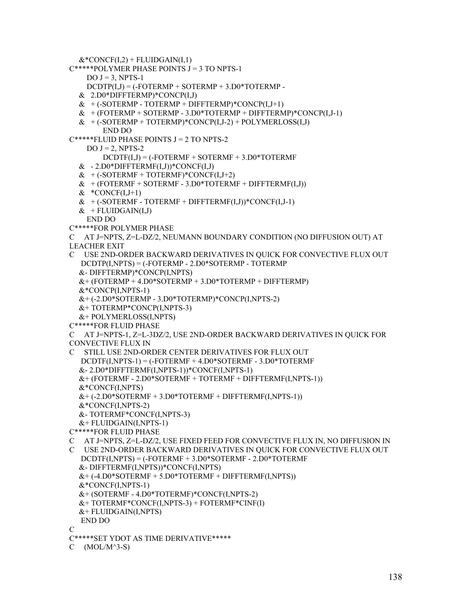```
&*CONCF(I,2) + FLUIDGAIN(I,1)
```

```
C*****POLYMER PHASE POINTS J = 3 TO NPTS-1
```
 $DO J = 3$ , NPTS-1

 $DCDTP(I,J) = (-FOTERMP + SOTERMP + 3.D0*TOTERMP -$ 

- & 2.D0\*DIFFTERMP)\*CONCP(I,J)
- $&+(-SOTERMP TOTERMP + DIFFTERMP)*CONCP(I,J+1)$
- $&+$  (FOTERMP + SOTERMP 3.D0\*TOTERMP + DIFFTERMP)\*CONCP(I,J-1)
- $&+$  (-SOTERMP + TOTERMP)\*CONCP(I,J-2) + POLYMERLOSS(I,J)
- END DO

```
C^{****}FLUID PHASE POINTS J = 2 TO NPTS-2
```
DO  $J = 2$ , NPTS-2

 $DCDTF(I,J) = (-FOTERMF + SOTERMF + 3.D0*TOTERMF$ 

- $& -2. D0 * DIFFTERMF(I,J))*CONCF(I,J)$
- $&+(-SOTERMF+TOTERMF)*CONCF(I,J+2)$
- $&+$  (FOTERMF + SOTERMF 3.D0\*TOTERMF + DIFFTERMF(I,J))
- $& *$ CONCF $(I,J+1)$
- $&+$  (-SOTERMF TOTERMF + DIFFTERMF(I,J))\*CONCF(I,J-1)
- $&$  + FLUIDGAIN(I,J)

END DO

C\*\*\*\*\*FOR POLYMER PHASE

C AT J=NPTS, Z=L-DZ/2, NEUMANN BOUNDARY CONDITION (NO DIFFUSION OUT) AT LEACHER EXIT

C USE 2ND-ORDER BACKWARD DERIVATIVES IN QUICK FOR CONVECTIVE FLUX OUT DCDTP(I,NPTS) = (-FOTERMP - 2.D0\*SOTERMP - TOTERMP &- DIFFTERMP)\*CONCP(I,NPTS)

&+ (FOTERMP + 4.D0\*SOTERMP + 3.D0\*TOTERMP + DIFFTERMP)

&\*CONCP(I,NPTS-1)

&+ (-2.D0\*SOTERMP - 3.D0\*TOTERMP)\*CONCP(I,NPTS-2)

- &+ TOTERMP\*CONCP(I,NPTS-3)
- &+ POLYMERLOSS(I,NPTS)
- C\*\*\*\*\*FOR FLUID PHASE

```
C AT J=NPTS-1, Z=L-3DZ/2, USE 2ND-ORDER BACKWARD DERIVATIVES IN QUICK FOR 
CONVECTIVE FLUX IN
```

```
C STILL USE 2ND-ORDER CENTER DERIVATIVES FOR FLUX OUT 
   DCDTF(I,NPTS-1) = (-FOTERMF + 4.D0*SOTERMF - 3.D0*TOTERMF 
   &- 2.D0*DIFFTERMF(I,NPTS-1))*CONCF(I,NPTS-1)
```

```
 &+ (FOTERMF - 2.D0*SOTERMF + TOTERMF + DIFFTERMF(I,NPTS-1))
```

```
 &*CONCF(I,NPTS)
```
 $&+$  (-2.D0\*SOTERMF + 3.D0\*TOTERMF + DIFFTERMF(I,NPTS-1))

```
 &*CONCF(I,NPTS-2)
```
&- TOTERMF\*CONCF(I,NPTS-3)

```
 &+ FLUIDGAIN(I,NPTS-1)
```

```
C*****FOR FLUID PHASE
```

```
C AT J=NPTS, Z=L-DZ/2, USE FIXED FEED FOR CONVECTIVE FLUX IN, NO DIFFUSION IN
```
C USE 2ND-ORDER BACKWARD DERIVATIVES IN QUICK FOR CONVECTIVE FLUX OUT DCDTF(I,NPTS) = (-FOTERMF + 3.D0\*SOTERMF - 2.D0\*TOTERMF &- DIFFTERMF(I,NPTS))\*CONCF(I,NPTS)  $&+$  (-4.D0\*SOTERMF + 5.D0\*TOTERMF + DIFFTERMF(I,NPTS)) &\*CONCF(I,NPTS-1) &+ (SOTERMF - 4.D0\*TOTERMF)\*CONCF(I,NPTS-2) &+ TOTERMF\*CONCF(I,NPTS-3) + FOTERMF\*CINF(I) &+ FLUIDGAIN(I,NPTS) END DO  $\mathcal{C}$ 

```
C*****SET YDOT AS TIME DERIVATIVE*****
```

```
C (MOL/M^3-S)
```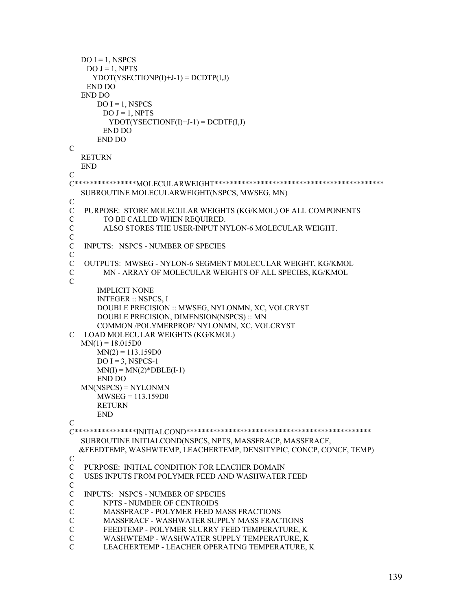```
DO I = 1, NSPCSDO J = 1, NPTS
     YDOT(YSECTIONP(I)+J-1) = DCDTP(I,J) END DO 
   END DO 
      DO I = 1, NSPCS
       DO J = 1, NPTSYDOT(YSECTIONF(I)+J-1) = DCDTF(I,J) END DO 
       END DO 
C 
   RETURN 
   END 
C 
C****************MOLECULARWEIGHT******************************************** 
   SUBROUTINE MOLECULARWEIGHT(NSPCS, MWSEG, MN) 
C 
C PURPOSE: STORE MOLECULAR WEIGHTS (KG/KMOL) OF ALL COMPONENTS 
C TO BE CALLED WHEN REQUIRED. 
C ALSO STORES THE USER-INPUT NYLON-6 MOLECULAR WEIGHT. 
C 
C INPUTS: NSPCS - NUMBER OF SPECIES 
C 
C OUTPUTS: MWSEG - NYLON-6 SEGMENT MOLECULAR WEIGHT, KG/KMOL 
C MN - ARRAY OF MOLECULAR WEIGHTS OF ALL SPECIES, KG/KMOL 
C 
       IMPLICIT NONE 
       INTEGER :: NSPCS, I 
       DOUBLE PRECISION :: MWSEG, NYLONMN, XC, VOLCRYST 
       DOUBLE PRECISION, DIMENSION(NSPCS) :: MN 
       COMMON /POLYMERPROP/ NYLONMN, XC, VOLCRYST 
C LOAD MOLECULAR WEIGHTS (KG/KMOL) 
  MN(1) = 18.015D0MN(2) = 113.159D0DO I = 3, NSPCS-1
      MN(I) = MN(2)*DBLE(I-1) END DO 
   MN(NSPCS) = NYLONMN 
       MWSEG = 113.159D0 
      RETURN
       END 
C 
C****************INITIALCOND************************************************ 
   SUBROUTINE INITIALCOND(NSPCS, NPTS, MASSFRACP, MASSFRACF, 
   &FEEDTEMP, WASHWTEMP, LEACHERTEMP, DENSITYPIC, CONCP, CONCF, TEMP) 
\mathcal{C}C PURPOSE: INITIAL CONDITION FOR LEACHER DOMAIN 
C USES INPUTS FROM POLYMER FEED AND WASHWATER FEED 
C 
C INPUTS: NSPCS - NUMBER OF SPECIES 
C NPTS - NUMBER OF CENTROIDS 
C MASSFRACP - POLYMER FEED MASS FRACTIONS 
C MASSFRACF - WASHWATER SUPPLY MASS FRACTIONS 
C FEEDTEMP - POLYMER SLURRY FEED TEMPERATURE, K 
C WASHWTEMP - WASHWATER SUPPLY TEMPERATURE, K 
C LEACHERTEMP - LEACHER OPERATING TEMPERATURE, K
```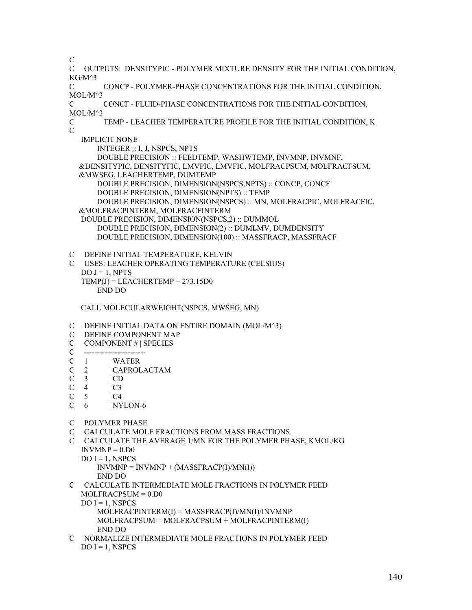- C
- C OUTPUTS: DENSITYPIC POLYMER MIXTURE DENSITY FOR THE INITIAL CONDITION,  $KG/M^3$

C CONCP - POLYMER-PHASE CONCENTRATIONS FOR THE INITIAL CONDITION, MOL/M^3

C CONCF - FLUID-PHASE CONCENTRATIONS FOR THE INITIAL CONDITION, MOL/M^3

C TEMP - LEACHER TEMPERATURE PROFILE FOR THE INITIAL CONDITION, K  $\overline{C}$ 

 IMPLICIT NONE INTEGER :: I, J, NSPCS, NPTS

 DOUBLE PRECISION :: FEEDTEMP, WASHWTEMP, INVMNP, INVMNF, &DENSITYPIC, DENSITYFIC, LMVPIC, LMVFIC, MOLFRACPSUM, MOLFRACFSUM, &MWSEG, LEACHERTEMP, DUMTEMP DOUBLE PRECISION, DIMENSION(NSPCS,NPTS) :: CONCP, CONCF

DOUBLE PRECISION, DIMENSION(NPTS) :: TEMP

DOUBLE PRECISION, DIMENSION(NSPCS) :: MN, MOLFRACPIC, MOLFRACFIC,

&MOLFRACPINTERM, MOLFRACFINTERM

 DOUBLE PRECISION, DIMENSION(NSPCS,2) :: DUMMOL DOUBLE PRECISION, DIMENSION(2) :: DUMLMV, DUMDENSITY DOUBLE PRECISION, DIMENSION(100) :: MASSFRACP, MASSFRACF

- C DEFINE INITIAL TEMPERATURE, KELVIN
- C USES: LEACHER OPERATING TEMPERATURE (CELSIUS)  $DO J = 1$ , NPTS  $TEMP(J) = LEACHERTEMP + 273.15D0$ END DO

CALL MOLECULARWEIGHT(NSPCS, MWSEG, MN)

- C DEFINE INITIAL DATA ON ENTIRE DOMAIN (MOL/M^3)
- C DEFINE COMPONENT MAP
- C COMPONENT # | SPECIES
- $C \quad -$
- C 1 | WATER<br>C 2 | CAPROL
- 2 | CAPROLACTAM
- $C \quad 3 \quad \text{ICD}$
- $C \quad 4 \quad | C3$
- $C \quad 5 \quad \quad \text{IC4}$
- $C \quad 6 \qquad | NYLON-6$
- C POLYMER PHASE
- C CALCULATE MOLE FRACTIONS FROM MASS FRACTIONS.
- C CALCULATE THE AVERAGE 1/MN FOR THE POLYMER PHASE, KMOL/KG  $INVMNP = 0.D0$ 
	- $DO I = 1$ , NSPCS  $INVMNP = INVMNP + (MASSFRACP(I)/MN(I))$ 
		- END DO
- C CALCULATE INTERMEDIATE MOLE FRACTIONS IN POLYMER FEED MOLFRACPSUM = 0.D0
	- $DO I = 1$ , NSPCS

 MOLFRACPINTERM(I) = MASSFRACP(I)/MN(I)/INVMNP MOLFRACPSUM = MOLFRACPSUM + MOLFRACPINTERM(I) END DO

C NORMALIZE INTERMEDIATE MOLE FRACTIONS IN POLYMER FEED  $DO I = 1, NSPCS$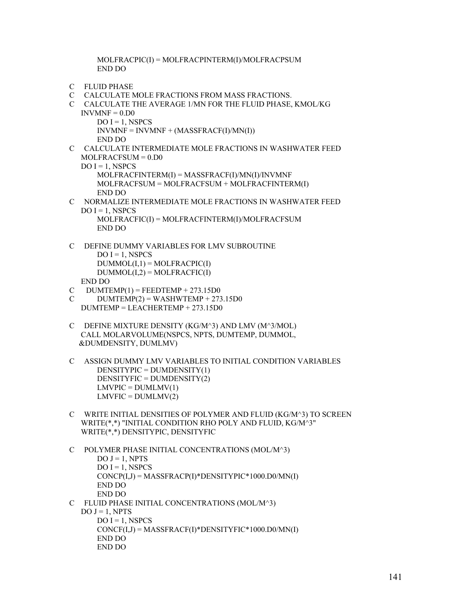MOLFRACPIC(I) = MOLFRACPINTERM(I)/MOLFRACPSUM END DO

- C FLUID PHASE
- C CALCULATE MOLE FRACTIONS FROM MASS FRACTIONS.
- C CALCULATE THE AVERAGE 1/MN FOR THE FLUID PHASE, KMOL/KG  $INVMNF = 0.D0$ 
	- $DO I = 1$ , NSPCS  $INVMNF = INVMNF + (MASSFRACF(I)/MN(I))$ END DO
- C CALCULATE INTERMEDIATE MOLE FRACTIONS IN WASHWATER FEED MOLFRACFSUM = 0.D0  $DO I = 1$ , NSPCS MOLFRACFINTERM(I) = MASSFRACF(I)/MN(I)/INVMNF MOLFRACFSUM = MOLFRACFSUM + MOLFRACFINTERM(I)

END DO

- C NORMALIZE INTERMEDIATE MOLE FRACTIONS IN WASHWATER FEED  $DO I = 1$ , NSPCS MOLFRACFIC(I) = MOLFRACFINTERM(I)/MOLFRACFSUM END DO
- C DEFINE DUMMY VARIABLES FOR LMV SUBROUTINE  $DO I = 1$ , NSPCS  $DUMMOL(I,1) = MOLFRACPU(I)$  $DUMMOL(I,2) = MOLFRACFIC(I)$ END DO
- $C$  DUMTEMP(1) = FEEDTEMP + 273.15D0
- $C$  DUMTEMP(2) = WASHWTEMP + 273.15D0 DUMTEMP = LEACHERTEMP + 273.15D0
- C DEFINE MIXTURE DENSITY (KG/M^3) AND LMV (M^3/MOL) CALL MOLARVOLUME(NSPCS, NPTS, DUMTEMP, DUMMOL, &DUMDENSITY, DUMLMV)
- C ASSIGN DUMMY LMV VARIABLES TO INITIAL CONDITION VARIABLES DENSITYPIC = DUMDENSITY(1) DENSITYFIC = DUMDENSITY(2)  $LMVPIC = DUMLMV(1)$  $LMVFIC = DUMLMV(2)$
- C WRITE INITIAL DENSITIES OF POLYMER AND FLUID (KG/M^3) TO SCREEN WRITE(\*,\*) "INITIAL CONDITION RHO POLY AND FLUID, KG/M^3" WRITE(\*,\*) DENSITYPIC, DENSITYFIC

```
C POLYMER PHASE INITIAL CONCENTRATIONS (MOL/M^3) 
      DO J = 1, NPTSDO I = 1, NSPCS
      CONCP(I,J) = MASSFRACP(I)*DENSITYPIC*1000.D0/MN(I) END DO 
       END DO 
C FLUID PHASE INITIAL CONCENTRATIONS (MOL/M^3) 
  DO J = 1, NPTSDO I = 1, NSPCS
       CONCF(I,J) = MASSFRACF(I)*DENSITYFIC*1000.D0/MN(I) 
       END DO 
       END DO
```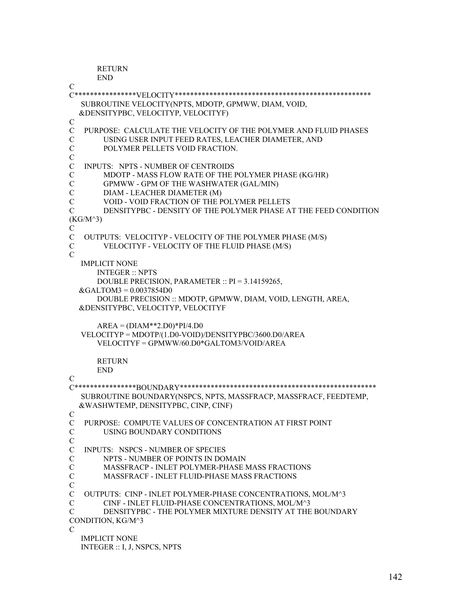```
 RETURN
```

```
 END 
\mathcal{C}C****************VELOCITY*************************************************** 
   SUBROUTINE VELOCITY(NPTS, MDOTP, GPMWW, DIAM, VOID, 
   &DENSITYPBC, VELOCITYP, VELOCITYF) 
C 
C PURPOSE: CALCULATE THE VELOCITY OF THE POLYMER AND FLUID PHASES 
C USING USER INPUT FEED RATES, LEACHER DIAMETER, AND 
C POLYMER PELLETS VOID FRACTION. 
C 
   INPUTS: NPTS - NUMBER OF CENTROIDS
C MDOTP - MASS FLOW RATE OF THE POLYMER PHASE (KG/HR) 
C GPMWW - GPM OF THE WASHWATER (GAL/MIN) 
C DIAM - LEACHER DIAMETER (M) 
C VOID - VOID FRACTION OF THE POLYMER PELLETS 
C DENSITYPBC - DENSITY OF THE POLYMER PHASE AT THE FEED CONDITION 
(KG/M^3) 
C 
C OUTPUTS: VELOCITYP - VELOCITY OF THE POLYMER PHASE (M/S) 
C VELOCITYF - VELOCITY OF THE FLUID PHASE (M/S) 
\overline{C} IMPLICIT NONE 
       INTEGER :: NPTS 
       DOUBLE PRECISION, PARAMETER :: PI = 3.14159265, 
  \&GALTOM3 = 0.0037854D0 DOUBLE PRECISION :: MDOTP, GPMWW, DIAM, VOID, LENGTH, AREA, 
   &DENSITYPBC, VELOCITYP, VELOCITYF 
      AREA = (DIAM**2. D0)*PI/4. D0 VELOCITYP = MDOTP/(1.D0-VOID)/DENSITYPBC/3600.D0/AREA 
       VELOCITYF = GPMWW/60.D0*GALTOM3/VOID/AREA 
       RETURN 
       END 
\overline{C}C****************BOUNDARY*************************************************** 
   SUBROUTINE BOUNDARY(NSPCS, NPTS, MASSFRACP, MASSFRACF, FEEDTEMP, 
   &WASHWTEMP, DENSITYPBC, CINP, CINF) 
C 
C PURPOSE: COMPUTE VALUES OF CONCENTRATION AT FIRST POINT 
C USING BOUNDARY CONDITIONS 
C 
C INPUTS: NSPCS - NUMBER OF SPECIES 
C NPTS - NUMBER OF POINTS IN DOMAIN 
C MASSFRACP - INLET POLYMER-PHASE MASS FRACTIONS 
C MASSFRACF - INLET FLUID-PHASE MASS FRACTIONS 
\overline{C}C OUTPUTS: CINP - INLET POLYMER-PHASE CONCENTRATIONS, MOL/M^3 
C CINF - INLET FLUID-PHASE CONCENTRATIONS, MOL/M^3 
C DENSITYPBC - THE POLYMER MIXTURE DENSITY AT THE BOUNDARY 
CONDITION, KG/M^3 
\mathcal{C}_{\mathcal{C}} IMPLICIT NONE 
   INTEGER :: I, J, NSPCS, NPTS
```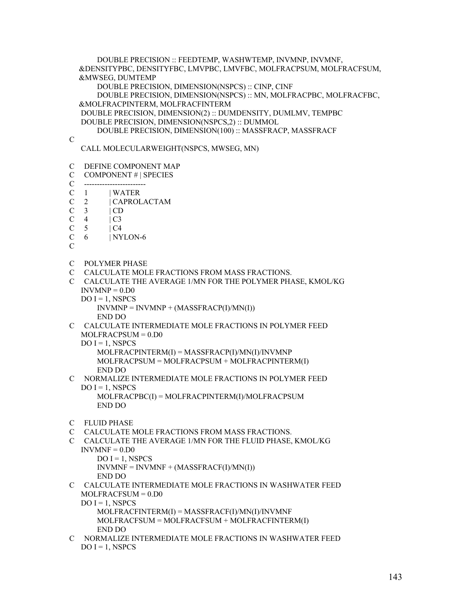DOUBLE PRECISION :: FEEDTEMP, WASHWTEMP, INVMNP, INVMNF, &DENSITYPBC, DENSITYFBC, LMVPBC, LMVFBC, MOLFRACPSUM, MOLFRACFSUM, &MWSEG, DUMTEMP DOUBLE PRECISION, DIMENSION(NSPCS) :: CINP, CINF DOUBLE PRECISION, DIMENSION(NSPCS) :: MN, MOLFRACPBC, MOLFRACFBC, &MOLFRACPINTERM, MOLFRACFINTERM DOUBLE PRECISION, DIMENSION(2) :: DUMDENSITY, DUMLMV, TEMPBC DOUBLE PRECISION, DIMENSION(NSPCS,2) :: DUMMOL DOUBLE PRECISION, DIMENSION(100) :: MASSFRACP, MASSFRACF  $\overline{C}$  CALL MOLECULARWEIGHT(NSPCS, MWSEG, MN) C DEFINE COMPONENT MAP C COMPONENT # | SPECIES C ------------------------  $C \quad 1 \quad$  | WATER C 2 | CAPROLACTAM  $C \quad 3 \qquad | \text{CD}$  $C \quad 4 \quad | C3$  $C \quad 5 \quad | \, CA$ C 6 | NYLON-6  $\overline{C}$ C POLYMER PHASE C CALCULATE MOLE FRACTIONS FROM MASS FRACTIONS. C CALCULATE THE AVERAGE 1/MN FOR THE POLYMER PHASE, KMOL/KG  $INVMNP = 0.$ D $0$  $DO I = 1$ , NSPCS  $INVMNP = INVMNP + (MASSFRACP(I)/MN(I))$  END DO C CALCULATE INTERMEDIATE MOLE FRACTIONS IN POLYMER FEED MOLFRACPSUM = 0.D0  $DO I = 1$ , NSPCS MOLFRACPINTERM(I) = MASSFRACP(I)/MN(I)/INVMNP MOLFRACPSUM = MOLFRACPSUM + MOLFRACPINTERM(I) END DO C NORMALIZE INTERMEDIATE MOLE FRACTIONS IN POLYMER FEED  $DO I = 1$ , NSPCS MOLFRACPBC(I) = MOLFRACPINTERM(I)/MOLFRACPSUM END DO C FLUID PHASE C CALCULATE MOLE FRACTIONS FROM MASS FRACTIONS. C CALCULATE THE AVERAGE 1/MN FOR THE FLUID PHASE, KMOL/KG  $INVMNF = 0. D0$  $DO I = 1$ , NSPCS  $INVMNF = INVMNF + (MASSFRACF(I)/MN(I))$  END DO C CALCULATE INTERMEDIATE MOLE FRACTIONS IN WASHWATER FEED MOLFRACFSUM = 0.D0  $DO I = 1$ , NSPCS MOLFRACFINTERM(I) = MASSFRACF(I)/MN(I)/INVMNF MOLFRACFSUM = MOLFRACFSUM + MOLFRACFINTERM(I) END DO C NORMALIZE INTERMEDIATE MOLE FRACTIONS IN WASHWATER FEED

 $DO I = 1, NSPCS$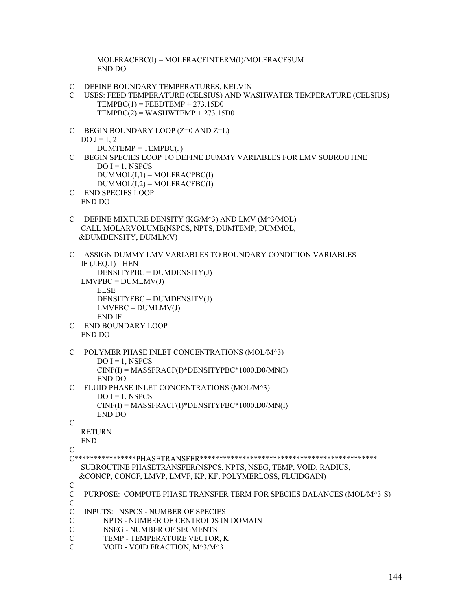MOLFRACFBC(I) = MOLFRACFINTERM(I)/MOLFRACFSUM END DO

- C DEFINE BOUNDARY TEMPERATURES, KELVIN
- C USES: FEED TEMPERATURE (CELSIUS) AND WASHWATER TEMPERATURE (CELSIUS)  $TEMPBC(1) = FEEDTEMP + 273.15D0$  $TEMPBC(2) = WASHWTEMP + 273.15D0$
- C BEGIN BOUNDARY LOOP (Z=0 AND Z=L)  $DO J = 1, 2$  $DUMTEMP = TEMPBC(J)$
- C BEGIN SPECIES LOOP TO DEFINE DUMMY VARIABLES FOR LMV SUBROUTINE  $DO I = 1$ , NSPCS  $DUMMOL(I,1) = MOLFRACPBC(I)$ 
	- $DUMMOL(I,2) = MOLFRACFBC(I)$
- C END SPECIES LOOP END DO
- C DEFINE MIXTURE DENSITY (KG/M^3) AND LMV (M^3/MOL) CALL MOLARVOLUME(NSPCS, NPTS, DUMTEMP, DUMMOL, &DUMDENSITY, DUMLMV)
- C ASSIGN DUMMY LMV VARIABLES TO BOUNDARY CONDITION VARIABLES IF (J.EQ.1) THEN  $DENSITYPBC = DUMDENSITY(J)$  $LMVPBC = DUMLMV(J)$  ELSE DENSITYFBC = DUMDENSITY(J)  $LMVFBC = DUMLMV(J)$  END IF C END BOUNDARY LOOP

```
 END DO
```
- C POLYMER PHASE INLET CONCENTRATIONS (MOL/M^3)  $DO I = 1$ , NSPCS CINP(I) = MASSFRACP(I)\*DENSITYPBC\*1000.D0/MN(I) END DO
- C FLUID PHASE INLET CONCENTRATIONS (MOL/M^3)  $DO I = 1$ , NSPCS CINF(I) = MASSFRACF(I)\*DENSITYFBC\*1000.D0/MN(I) END DO

```
\mathcal{C}
```
 RETURN END

```
\mathcal{C}
```

```
C****************PHASETRANSFER********************************************** 
   SUBROUTINE PHASETRANSFER(NSPCS, NPTS, NSEG, TEMP, VOID, RADIUS, 
   &CONCP, CONCF, LMVP, LMVF, KP, KF, POLYMERLOSS, FLUIDGAIN)
```
 $\mathcal{C}$ 

```
C PURPOSE: COMPUTE PHASE TRANSFER TERM FOR SPECIES BALANCES (MOL/M^3-S) 
\mathcal{C}
```
- C INPUTS: NSPCS NUMBER OF SPECIES
- C NPTS NUMBER OF CENTROIDS IN DOMAIN
- C NSEG NUMBER OF SEGMENTS
- C TEMP TEMPERATURE VECTOR, K
- C VOID VOID FRACTION, M^3/M^3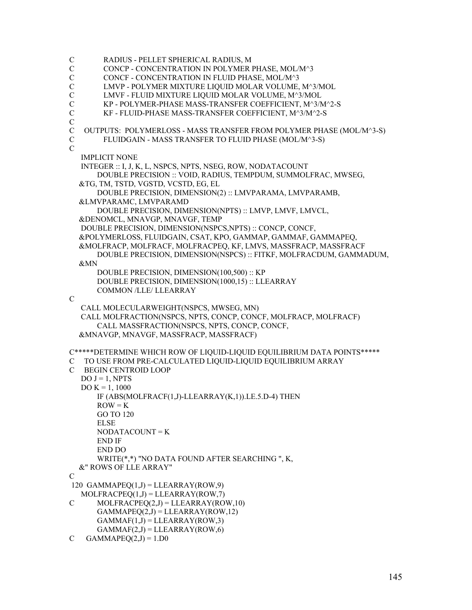```
C RADIUS - PELLET SPHERICAL RADIUS, M 
C CONCP - CONCENTRATION IN POLYMER PHASE, MOL/M^3 
C CONCF - CONCENTRATION IN FLUID PHASE, MOL/M^3 
C LMVP - POLYMER MIXTURE LIQUID MOLAR VOLUME, M^3/MOL 
C LMVF - FLUID MIXTURE LIQUID MOLAR VOLUME, M^3/MOL 
C KP - POLYMER-PHASE MASS-TRANSFER COEFFICIENT, M^3/M^2-S 
C KF - FLUID-PHASE MASS-TRANSFER COEFFICIENT, M^3/M^2-S 
C 
C OUTPUTS: POLYMERLOSS - MASS TRANSFER FROM POLYMER PHASE (MOL/M^3-S) 
C FLUIDGAIN - MASS TRANSFER TO FLUID PHASE (MOL/M^3-S) 
\mathcal{C} IMPLICIT NONE 
   INTEGER :: I, J, K, L, NSPCS, NPTS, NSEG, ROW, NODATACOUNT 
       DOUBLE PRECISION :: VOID, RADIUS, TEMPDUM, SUMMOLFRAC, MWSEG, 
   &TG, TM, TSTD, VGSTD, VCSTD, EG, EL 
       DOUBLE PRECISION, DIMENSION(2) :: LMVPARAMA, LMVPARAMB, 
   &LMVPARAMC, LMVPARAMD 
       DOUBLE PRECISION, DIMENSION(NPTS) :: LMVP, LMVF, LMVCL, 
   &DENOMCL, MNAVGP, MNAVGF, TEMP 
   DOUBLE PRECISION, DIMENSION(NSPCS,NPTS) :: CONCP, CONCF, 
   &POLYMERLOSS, FLUIDGAIN, CSAT, KPO, GAMMAP, GAMMAF, GAMMAPEQ, 
   &MOLFRACP, MOLFRACF, MOLFRACPEQ, KF, LMVS, MASSFRACP, MASSFRACF 
       DOUBLE PRECISION, DIMENSION(NSPCS) :: FITKF, MOLFRACDUM, GAMMADUM, 
   &MN 
       DOUBLE PRECISION, DIMENSION(100,500) :: KP 
       DOUBLE PRECISION, DIMENSION(1000,15) :: LLEARRAY 
       COMMON /LLE/ LLEARRAY 
\mathcal{C} CALL MOLECULARWEIGHT(NSPCS, MWSEG, MN) 
   CALL MOLFRACTION(NSPCS, NPTS, CONCP, CONCF, MOLFRACP, MOLFRACF) 
       CALL MASSFRACTION(NSPCS, NPTS, CONCP, CONCF, 
   &MNAVGP, MNAVGF, MASSFRACP, MASSFRACF) 
C*****DETERMINE WHICH ROW OF LIQUID-LIQUID EQUILIBRIUM DATA POINTS***** 
C TO USE FROM PRE-CALCULATED LIQUID-LIQUID EQUILIBRIUM ARRAY 
C BEGIN CENTROID LOOP 
  DO J = 1, NPTS
  DO K = 1, 1000 IF (ABS(MOLFRACF(1,J)-LLEARRAY(K,1)).LE.5.D-4) THEN 
      ROW = K GO TO 120 
       ELSE 
      NODATACOLINT = K END IF 
       END DO 
       WRITE(*,*) "NO DATA FOUND AFTER SEARCHING ", K, 
   &" ROWS OF LLE ARRAY" 
\overline{C}120 GAMMAPEO(1, J) = LLEARRAY(ROW,9)
  MOLFRACPEO(1,J) = LLEARRAY(ROW,7)C MOLFRACPEQ(2,J) = LLEARRAY(ROW,10)
      GAMMAPEQ(2,J) = LLEARRAY(ROW, 12)GAMMAF(1,J) = LLEARRAY(ROW, 3)GAMMAF(2,J) = LLEARRAY(ROW, 6)C GAMMAPEQ(2,J) = 1.D0
```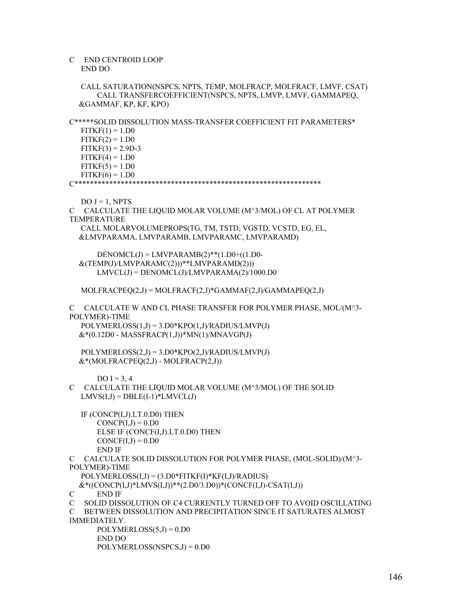## C END CENTROID LOOP END DO

 CALL SATURATION(NSPCS, NPTS, TEMP, MOLFRACP, MOLFRACF, LMVF, CSAT) CALL TRANSFERCOEFFICIENT(NSPCS, NPTS, LMVP, LMVF, GAMMAPEQ, &GAMMAF, KP, KF, KPO)

C\*\*\*\*\*SOLID DISSOLUTION MASS-TRANSFER COEFFICIENT FIT PARAMETERS\*  $FITKF(1) = 1.D0$ 

 $FITKF(2) = 1.D0$  $FITKF(3) = 2.9D-3$  $FITKF(4) = 1.D0$  $FITKF(5) = 1.D0$  $FITKF(6) = 1. D0$ 

C\*\*\*\*\*\*\*\*\*\*\*\*\*\*\*\*\*\*\*\*\*\*\*\*\*\*\*\*\*\*\*\*\*\*\*\*\*\*\*\*\*\*\*\*\*\*\*\*\*\*\*\*\*\*\*\*\*\*\*\*\*\*\*\*

 $DO J = 1, NPTS$ 

C CALCULATE THE LIQUID MOLAR VOLUME (M^3/MOL) OF CL AT POLYMER TEMPERATURE CALL MOLARVOLUMEPROPS(TG, TM, TSTD, VGSTD, VCSTD, EG, EL, &LMVPARAMA, LMVPARAMB, LMVPARAMC, LMVPARAMD)

 $DENOMCL(J) = LMVPARAMB(2)**(1.D0+((1.D0-$  &(TEMP(J)/LMVPARAMC(2)))\*\*LMVPARAMD(2)))  $LMVCL(J) = DENOMCL(J)/LMVPARAMA(2)/1000.D0$ 

 $MOLFRACPEQ(2,J) = MOLFRACF(2,J)*GAMMAF(2,J)/GAMMAPEQ(2,J)$ 

C CALCULATE W AND CL PHASE TRANSFER FOR POLYMER PHASE, MOL/(M^3- POLYMER)-TIME

 $POLYMERLOS(1,J) = 3. D0*KPO(1,J)/RADIUS/LMVP(J)$  $&*(0.12D0 - MASSFRACP(1,J))*MN(1)/MNAVGP(J))$ 

 POLYMERLOSS(2,J) = 3.D0\*KPO(2,J)/RADIUS/LMVP(J) &\*(MOLFRACPEQ(2,J) - MOLFRACP(2,J))

DO  $I = 3.4$ 

C CALCULATE THE LIQUID MOLAR VOLUME (M^3/MOL) OF THE SOLID  $LMVS(I,J) = DBLE(I-1)*LMVCL(J)$ 

 IF (CONCP(I,J).LT.0.D0) THEN  $CONCP(I,J) = 0.D0$  ELSE IF (CONCF(I,J).LT.0.D0) THEN  $CONCF(I,J) = 0.D0$ END IF

C CALCULATE SOLID DISSOLUTION FOR POLYMER PHASE, (MOL-SOLID)/(M^3-

POLYMER)-TIME

POLYMERLOSS(I,J) = (3.D0\*FITKF(I)\*KF(I,J)/RADIUS)

 $&*($ (CONCP(I,J)\*LMVS(I,J))\*\*(2.D0/3.D0))\*(CONCF(I,J)-CSAT(I,J))

C END IF

C SOLID DISSOLUTION OF C4 CURRENTLY TURNED OFF TO AVOID OSCILLATING C BETWEEN DISSOLUTION AND PRECIPITATION SINCE IT SATURATES ALMOST IMMEDIATELY.

 $POLYMERLOS(5,J) = 0. D0$  END DO POLYMERLOSS(NSPCS,J) = 0.D0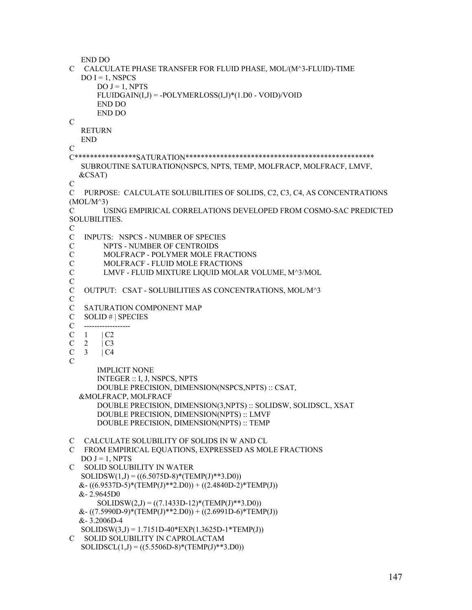END DO C CALCULATE PHASE TRANSFER FOR FLUID PHASE, MOL/(M^3-FLUID)-TIME  $DO I = 1$ , NSPCS  $DO J = 1, NPTS$  $FLUIDGAN(I,J) = -POLYMERLOS(I,J)*(1.D0 - VOID)/VOID$  END DO END DO C RETURN END C C\*\*\*\*\*\*\*\*\*\*\*\*\*\*\*\*SATURATION\*\*\*\*\*\*\*\*\*\*\*\*\*\*\*\*\*\*\*\*\*\*\*\*\*\*\*\*\*\*\*\*\*\*\*\*\*\*\*\*\*\*\*\*\*\*\*\*\* SUBROUTINE SATURATION(NSPCS, NPTS, TEMP, MOLFRACP, MOLFRACF, LMVF, &CSAT)  $\overline{C}$ C PURPOSE: CALCULATE SOLUBILITIES OF SOLIDS, C2, C3, C4, AS CONCENTRATIONS  $(MOL/M^3)$ C USING EMPIRICAL CORRELATIONS DEVELOPED FROM COSMO-SAC PREDICTED SOLUBILITIES. C C INPUTS: NSPCS - NUMBER OF SPECIES C NPTS - NUMBER OF CENTROIDS C MOLFRACP - POLYMER MOLE FRACTIONS MOLFRACF - FLUID MOLE FRACTIONS C LMVF - FLUID MIXTURE LIQUID MOLAR VOLUME, M^3/MOL C C OUTPUT: CSAT - SOLUBILITIES AS CONCENTRATIONS, MOL/M^3  $\mathcal{C}$ C SATURATION COMPONENT MAP C SOLID # | SPECIES C ------------------- $C \quad 1 \quad | C2$  $C$  2  $|C3$  $C \quad 3 \quad \vert C4$  $\overline{C}$  IMPLICIT NONE INTEGER :: I, J, NSPCS, NPTS DOUBLE PRECISION, DIMENSION(NSPCS,NPTS) :: CSAT, &MOLFRACP, MOLFRACF DOUBLE PRECISION, DIMENSION(3,NPTS) :: SOLIDSW, SOLIDSCL, XSAT DOUBLE PRECISION, DIMENSION(NPTS) :: LMVF DOUBLE PRECISION, DIMENSION(NPTS) :: TEMP C CALCULATE SOLUBILITY OF SOLIDS IN W AND CL C FROM EMPIRICAL EQUATIONS, EXPRESSED AS MOLE FRACTIONS  $DO J = 1, NPTS$ C SOLID SOLUBILITY IN WATER  $SOLIDSW(1, J) = ((6.5075D-8)*(TEMP(J)**3.D0))$  $&-((6.9537D-5)*(TEMP(J)*2.D0)) + ((2.4840D-2)*TEMP(J))$  &- 2.9645D0 SOLIDSW(2,J) =  $((7.1433D-12)*(TEMP(J)*3.D0))$  $& (7.5990D-9)*(TEMP(J)**2.D0)) + ((2.6991D-6)*TEMP(J))$  &- 3.2006D-4 SOLIDSW(3,J) = 1.7151D-40\*EXP(1.3625D-1\*TEMP(J)) C SOLID SOLUBILITY IN CAPROLACTAM  $SOLIDSCL(1,J) = ((5.5506D-8)*(TEMP(J)*3.D0))$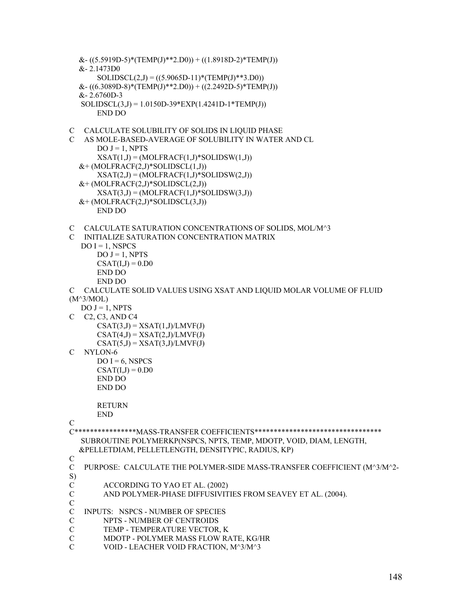```
\&- ((5.5919D-5)*(TEMP(J)**2.D0)) + ((1.8918D-2)*TEMP(J))
   &- 2.1473D0 
      SOLIDSCL(2,J) = ((5.9065D-11)*(TEMP(J)**3.D0))&-((6.3089D-8)*(TEMP(J)*2.D0)) + ((2.2492D-5)*TEMP(J)) &- 2.6760D-3 
   SOLIDSCL(3,J) = 1.0150D-39*EXP(1.4241D-1*TEMP(J)) 
       END DO 
C CALCULATE SOLUBILITY OF SOLIDS IN LIQUID PHASE 
C AS MOLE-BASED-AVERAGE OF SOLUBILITY IN WATER AND CL 
      DO J = 1, NPTSXSAT(1,J) = (MOLFRACF(1,J)*SOLIDSW(1,J))&+(MOLFRACF(2,J)*SOLIDSCL(1,J))XSAT(2,J) = (MOLFRACF(1,J)*SOLIDSW(2,J))&+(MOLFRACF(2,J)*SOLIDSCL(2,J))XSAT(3,J) = (MOLFRACF(1,J)*SOLIDSW(3,J))&+(MOLFRACF(2,J)*SOLIDSCL(3,J)) END DO 
C CALCULATE SATURATION CONCENTRATIONS OF SOLIDS, MOL/M^3 
C INITIALIZE SATURATION CONCENTRATION MATRIX 
  DO I = 1, NSPCS
      DO J = 1, NPTSCSAT(I,J) = 0.D0 END DO 
       END DO 
C CALCULATE SOLID VALUES USING XSAT AND LIQUID MOLAR VOLUME OF FLUID 
(M^3/MOL) 
  DO J = 1, NPTSC C2, C3, AND C4 
      CSAT(3,J) = XSAT(1,J)/LMVF(J)CSAT(4,J) = XSAT(2,J)/LMVF(J)CSAT(5,J) = XSAT(3,J)/LMVF(J)C NYLON-6 
      DO I = 6, NSPCS
      CSAT(I.J) = 0.D0
       END DO 
       END DO 
       RETURN 
       END 
C 
C****************MASS-TRANSFER COEFFICIENTS********************************* 
   SUBROUTINE POLYMERKP(NSPCS, NPTS, TEMP, MDOTP, VOID, DIAM, LENGTH, 
   &PELLETDIAM, PELLETLENGTH, DENSITYPIC, RADIUS, KP) 
\mathcal{C}C PURPOSE: CALCULATE THE POLYMER-SIDE MASS-TRANSFER COEFFICIENT (M^3/M^2-
S) 
C ACCORDING TO YAO ET AL. (2002) 
C AND POLYMER-PHASE DIFFUSIVITIES FROM SEAVEY ET AL. (2004). 
C 
C INPUTS: NSPCS - NUMBER OF SPECIES 
C NPTS - NUMBER OF CENTROIDS 
C TEMP - TEMPERATURE VECTOR, K 
C MDOTP - POLYMER MASS FLOW RATE, KG/HR 
C VOID - LEACHER VOID FRACTION, M^3/M^3
```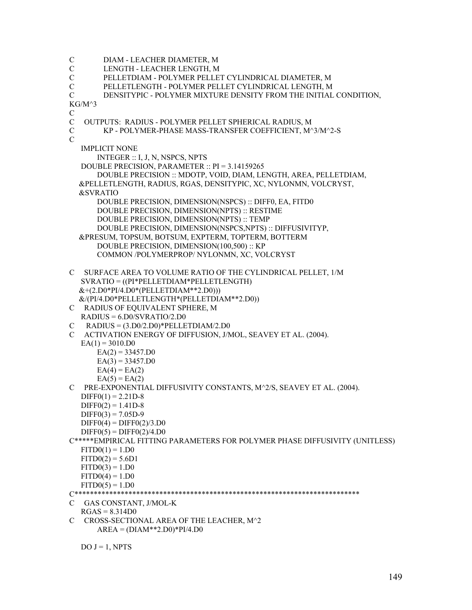C DIAM - LEACHER DIAMETER, M C LENGTH - LEACHER LENGTH, M C PELLETDIAM - POLYMER PELLET CYLINDRICAL DIAMETER, M C PELLETLENGTH - POLYMER PELLET CYLINDRICAL LENGTH, M C DENSITYPIC - POLYMER MIXTURE DENSITY FROM THE INITIAL CONDITION, KG/M^3 C C OUTPUTS: RADIUS - POLYMER PELLET SPHERICAL RADIUS, M C KP - POLYMER-PHASE MASS-TRANSFER COEFFICIENT, M^3/M^2-S  $\overline{C}$  IMPLICIT NONE INTEGER :: I, J, N, NSPCS, NPTS DOUBLE PRECISION, PARAMETER :: PI = 3.14159265 DOUBLE PRECISION :: MDOTP, VOID, DIAM, LENGTH, AREA, PELLETDIAM, &PELLETLENGTH, RADIUS, RGAS, DENSITYPIC, XC, NYLONMN, VOLCRYST, &SVRATIO DOUBLE PRECISION, DIMENSION(NSPCS) :: DIFF0, EA, FITD0 DOUBLE PRECISION, DIMENSION(NPTS) :: RESTIME DOUBLE PRECISION, DIMENSION(NPTS) :: TEMP DOUBLE PRECISION, DIMENSION(NSPCS,NPTS) :: DIFFUSIVITYP, &PRESUM, TOPSUM, BOTSUM, EXPTERM, TOPTERM, BOTTERM DOUBLE PRECISION, DIMENSION(100,500) :: KP COMMON /POLYMERPROP/ NYLONMN, XC, VOLCRYST C SURFACE AREA TO VOLUME RATIO OF THE CYLINDRICAL PELLET, 1/M SVRATIO = ((PI\*PELLETDIAM\*PELLETLENGTH)  $&+(2. D0*PI/4. D0* (PELLETDIAM**2. D0)))$  &/(PI/4.D0\*PELLETLENGTH\*(PELLETDIAM\*\*2.D0)) C RADIUS OF EQUIVALENT SPHERE, M RADIUS = 6.D0/SVRATIO/2.D0  $C$  RADIUS = (3.D0/2.D0)\*PELLETDIAM/2.D0 C ACTIVATION ENERGY OF DIFFUSION, J/MOL, SEAVEY ET AL. (2004).  $EA(1) = 3010.D0$  $EA(2) = 33457.D0$  $EA(3) = 33457.D0$  $EA(4) = EA(2)$  $EA(5) = EA(2)$ C PRE-EXPONENTIAL DIFFUSIVITY CONSTANTS, M^2/S, SEAVEY ET AL. (2004).  $DIFF0(1) = 2.21D-8$  $DIFF0(2) = 1.41D-8$  $DIFF0(3) = 7.05D-9$  $DIFF0(4) = DIFF0(2)/3. D0$  $DIFF(5) = DIFF(2)/4.$ D0 C\*\*\*\*\*EMPIRICAL FITTING PARAMETERS FOR POLYMER PHASE DIFFUSIVITY (UNITLESS)  $FITD0(1) = 1.$ D0  $FITD0(2) = 5.6D1$  $FITD0(3) = 1. D0$  $FITD0(4) = 1.$ D0  $FITD0(5) = 1. D0$ C\*\*\*\*\*\*\*\*\*\*\*\*\*\*\*\*\*\*\*\*\*\*\*\*\*\*\*\*\*\*\*\*\*\*\*\*\*\*\*\*\*\*\*\*\*\*\*\*\*\*\*\*\*\*\*\*\*\*\*\*\*\*\*\*\*\*\*\*\*\*\*\*\*\* C GAS CONSTANT, J/MOL-K  $RGAS = 8.314D0$ C CROSS-SECTIONAL AREA OF THE LEACHER, M^2  $AREA = (DIAM**2.D0)*PI/4.D0$ 

 $DO J = 1, NPTS$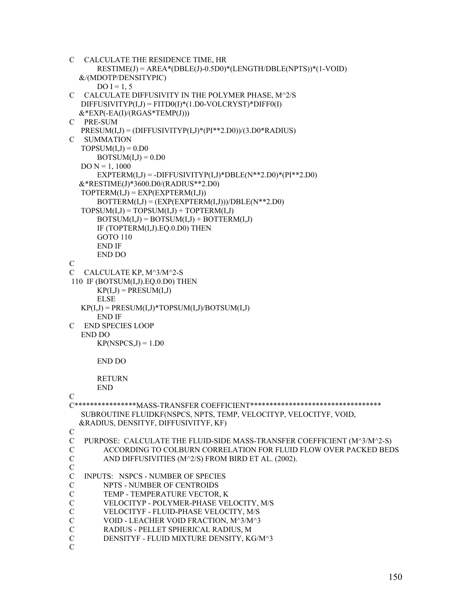```
C CALCULATE THE RESIDENCE TIME, HR 
       RESTIME(J) = AREA*(DBLE(J)-0.5D0)*(LENGTH/DBLE(NPTS))*(1-VOID) 
   &/(MDOTP/DENSITYPIC) 
      DO I = 1, 5C CALCULATE DIFFUSIVITY IN THE POLYMER PHASE, M^2/S 
  DIFUSIVITYP(I,J) = FITD0(I)*(1.D0-VOLCRYST)*DIFF0(I) &*EXP(-EA(I)/(RGAS*TEMP(J))) 
C PRE-SUM 
   PRESUM(I,J) = (DIFFUSIVITYP(I,J)*(PI**2.D0))/(3.D0*RADIUS) 
C SUMMATION 
  TOPSUM(I,J) = 0.D0BOTSUM(I,J) = 0.D0DO N = 1, 1000EXPTERM(I,J) = - DIFFUSIVITYP(I,J)*DBLE(N**2.D0)*(PI**2.D0) &*RESTIME(J)*3600.D0/(RADIUS**2.D0) 
  TOPTERM(I,J) = EXP(EXPTERM(I,J))BOTTERM(I,J) = (EXP(EXPTERM(I,J)))/DBLE(N**2.D0)TOPSUM(I,J) = TOPSUM(I,J) + TOPTERM(I,J)BOTSUM(I,J) = BOTSUM(I,J) + BOTTERM(I,J) IF (TOPTERM(I,J).EQ.0.D0) THEN 
       GOTO 110 
       END IF 
       END DO 
C 
C CALCULATE KP, M^3/M^2-S 
 110 IF (BOTSUM(I,J).EQ.0.D0) THEN 
      KP(I,J) = PRESUM(I,J) ELSE 
  KP(I,J) = PRESUM(I,J)*TOPSUM(I,J)/BOTSUM(I,J) END IF 
C END SPECIES LOOP 
   END DO 
      KP(NSPCS,J) = 1.D0
       END DO 
      RETURN
       END 
\mathcal{C}C****************MASS-TRANSFER COEFFICIENT********************************** 
   SUBROUTINE FLUIDKF(NSPCS, NPTS, TEMP, VELOCITYP, VELOCITYF, VOID, 
   &RADIUS, DENSITYF, DIFFUSIVITYF, KF) 
C 
C PURPOSE: CALCULATE THE FLUID-SIDE MASS-TRANSFER COEFFICIENT (M^3/M^2-S) 
C ACCORDING TO COLBURN CORRELATION FOR FLUID FLOW OVER PACKED BEDS 
C AND DIFFUSIVITIES (M^2/S) FROM BIRD ET AL. (2002). 
C 
C INPUTS: NSPCS - NUMBER OF SPECIES 
C NPTS - NUMBER OF CENTROIDS 
C TEMP - TEMPERATURE VECTOR, K 
C VELOCITYP - POLYMER-PHASE VELOCITY, M/S 
C VELOCITYF - FLUID-PHASE VELOCITY, M/S 
C VOID - LEACHER VOID FRACTION, M^3/M^3 
C RADIUS - PELLET SPHERICAL RADIUS, M 
        DENSITYF - FLUID MIXTURE DENSITY, KG/M^3
C
```

```
150
```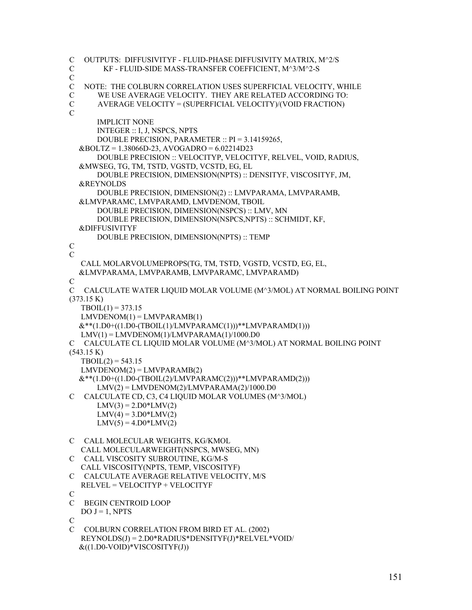C OUTPUTS: DIFFUSIVITYF - FLUID-PHASE DIFFUSIVITY MATRIX, M^2/S C KF - FLUID-SIDE MASS-TRANSFER COEFFICIENT, M^3/M^2-S C C NOTE: THE COLBURN CORRELATION USES SUPERFICIAL VELOCITY, WHILE C WE USE AVERAGE VELOCITY. THEY ARE RELATED ACCORDING TO: C AVERAGE VELOCITY = (SUPERFICIAL VELOCITY)/(VOID FRACTION)  $\mathcal{C}$  IMPLICIT NONE INTEGER :: I, J, NSPCS, NPTS DOUBLE PRECISION, PARAMETER :: PI = 3.14159265, &BOLTZ = 1.38066D-23, AVOGADRO = 6.02214D23 DOUBLE PRECISION :: VELOCITYP, VELOCITYF, RELVEL, VOID, RADIUS, &MWSEG, TG, TM, TSTD, VGSTD, VCSTD, EG, EL DOUBLE PRECISION, DIMENSION(NPTS) :: DENSITYF, VISCOSITYF, JM, &REYNOLDS DOUBLE PRECISION, DIMENSION(2) :: LMVPARAMA, LMVPARAMB, &LMVPARAMC, LMVPARAMD, LMVDENOM, TBOIL DOUBLE PRECISION, DIMENSION(NSPCS) :: LMV, MN DOUBLE PRECISION, DIMENSION(NSPCS,NPTS) :: SCHMIDT, KF, &DIFFUSIVITYF DOUBLE PRECISION, DIMENSION(NPTS) :: TEMP  $\overline{C}$  $\overline{C}$  CALL MOLARVOLUMEPROPS(TG, TM, TSTD, VGSTD, VCSTD, EG, EL, &LMVPARAMA, LMVPARAMB, LMVPARAMC, LMVPARAMD) C C CALCULATE WATER LIQUID MOLAR VOLUME (M^3/MOL) AT NORMAL BOILING POINT (373.15 K)  $TBOIL(1) = 373.15$  $LMVDENOM(1) = LMVPARAMB(1)$  $&$ \*\*(1.D0+((1.D0-(TBOIL(1)/LMVPARAMC(1)))\*\*LMVPARAMD(1)))  $LMV(1) = LMVDENOM(1)/LMVPARAMA(1)/1000.D0$ C CALCULATE CL LIQUID MOLAR VOLUME (M^3/MOL) AT NORMAL BOILING POINT (543.15 K)  $TBOIL(2) = 543.15$  $LMVDENOM(2) = LMVPARAMB(2)$  $&$ \*\*(1.D0+((1.D0-(TBOIL(2)/LMVPARAMC(2)))\*\*LMVPARAMD(2)))  $LMV(2) = LMVDENOM(2)/LMVPARAMA(2)/1000.D0$ C CALCULATE CD, C3, C4 LIQUID MOLAR VOLUMES (M^3/MOL)  $LMV(3) = 2.$  $D0*LMV(2)$  $LMV(4) = 3.$ D0\*LMV(2)  $LMV(5) = 4.$ D0\*LMV(2) C CALL MOLECULAR WEIGHTS, KG/KMOL CALL MOLECULARWEIGHT(NSPCS, MWSEG, MN) C CALL VISCOSITY SUBROUTINE, KG/M-S CALL VISCOSITY(NPTS, TEMP, VISCOSITYF) C CALCULATE AVERAGE RELATIVE VELOCITY, M/S RELVEL = VELOCITYP + VELOCITYF  $\mathcal{C}$ C BEGIN CENTROID LOOP  $DO J = 1, NPTS$ C C COLBURN CORRELATION FROM BIRD ET AL. (2002) REYNOLDS(J) = 2.D0\*RADIUS\*DENSITYF(J)\*RELVEL\*VOID/  $\&((1.D0-VOID)*VISCOSITYF(J))$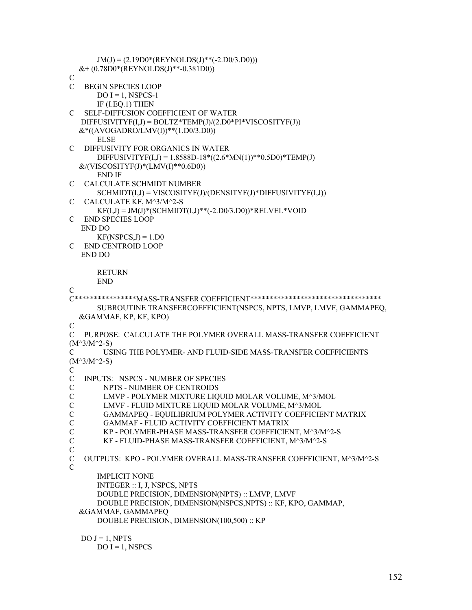```
JM(J) = (2.19D0*(REYNOLDS(J)**(-2.D0/3.D0)))&+(0.78D0*(REYNOLDS(J)*-0.381D0))C 
C BEGIN SPECIES LOOP 
      DO I = 1, NSPCS-1
       IF (I.EQ.1) THEN 
C SELF-DIFFUSION COEFFICIENT OF WATER 
  DIFFUSIVITYF(I,J) = BOLTZ*TEMP(J)/(2.D0*PI*VISCOSITYF(J))&*( (AVOGADRO/LMV(I))** (1.D0/3.D0)) ELSE 
C DIFFUSIVITY FOR ORGANICS IN WATER 
      DIFFUSIVITYF(I,J) = 1.8588D-18*(2.6*MN(1))*0.5D0)*TEMP(J)&/(VISCOSITYF(J)*(LMV(I)**0.6D0))
       END IF 
C CALCULATE SCHMIDT NUMBER 
       SCHMIDT(I,J) = VISCOSITYF(J)/(DENSITYF(J)*DIFFUSIVITYF(I,J)) 
C CALCULATE KF, M^3/M^2-S 
      KF(I,J) = JM(J)*(SCHMIDT(I,J)**(-2.D0/3.D0))*RELVEL*VODC END SPECIES LOOP 
   END DO 
      KF(NSPCS,J) = 1.D0C END CENTROID LOOP 
   END DO 
       RETURN 
       END 
C 
C****************MASS-TRANSFER COEFFICIENT********************************** 
       SUBROUTINE TRANSFERCOEFFICIENT(NSPCS, NPTS, LMVP, LMVF, GAMMAPEQ, 
   &GAMMAF, KP, KF, KPO) 
\overline{C}C PURPOSE: CALCULATE THE POLYMER OVERALL MASS-TRANSFER COEFFICIENT 
(M^3/M^2-S)C USING THE POLYMER- AND FLUID-SIDE MASS-TRANSFER COEFFICIENTS 
(M^3/M^2-S)\mathcal{C}C INPUTS: NSPCS - NUMBER OF SPECIES 
C NPTS - NUMBER OF CENTROIDS 
C LMVP - POLYMER MIXTURE LIQUID MOLAR VOLUME, M^3/MOL 
C LMVF - FLUID MIXTURE LIQUID MOLAR VOLUME, M^3/MOL 
C GAMMAPEQ - EQUILIBRIUM POLYMER ACTIVITY COEFFICIENT MATRIX 
C GAMMAF - FLUID ACTIVITY COEFFICIENT MATRIX 
C KP - POLYMER-PHASE MASS-TRANSFER COEFFICIENT, M^3/M^2-S 
C KF - FLUID-PHASE MASS-TRANSFER COEFFICIENT, M^3/M^2-S 
C 
C OUTPUTS: KPO - POLYMER OVERALL MASS-TRANSFER COEFFICIENT, M^3/M^2-S 
C 
       IMPLICIT NONE 
       INTEGER :: I, J, NSPCS, NPTS 
       DOUBLE PRECISION, DIMENSION(NPTS) :: LMVP, LMVF 
       DOUBLE PRECISION, DIMENSION(NSPCS,NPTS) :: KF, KPO, GAMMAP, 
   &GAMMAF, GAMMAPEQ 
       DOUBLE PRECISION, DIMENSION(100,500) :: KP 
  DO J = 1, NPTS
```
 $DO I = 1$ , NSPCS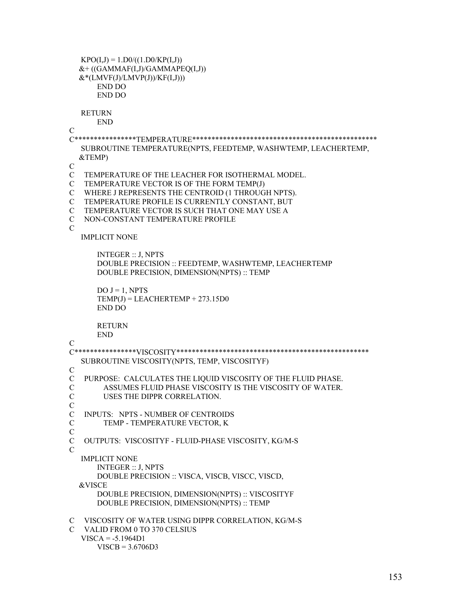```
KPO(I,J) = 1.DO/((1.DO/KP(I,J))&+ ((GAMMAF(I,J)/GAMMAPEO(I,J))
  &*(LMVF(J)/LMVP(J))/KF(I,J))) END DO 
       END DO 
  RETURN
       END 
C 
C****************TEMPERATURE************************************************ 
   SUBROUTINE TEMPERATURE(NPTS, FEEDTEMP, WASHWTEMP, LEACHERTEMP, 
   &TEMP) 
\overline{C}C TEMPERATURE OF THE LEACHER FOR ISOTHERMAL MODEL. 
C TEMPERATURE VECTOR IS OF THE FORM TEMP(J) 
C WHERE J REPRESENTS THE CENTROID (1 THROUGH NPTS). 
C TEMPERATURE PROFILE IS CURRENTLY CONSTANT, BUT 
C TEMPERATURE VECTOR IS SUCH THAT ONE MAY USE A 
C NON-CONSTANT TEMPERATURE PROFILE 
\mathcal{C} IMPLICIT NONE 
       INTEGER :: J, NPTS 
       DOUBLE PRECISION :: FEEDTEMP, WASHWTEMP, LEACHERTEMP 
       DOUBLE PRECISION, DIMENSION(NPTS) :: TEMP 
      DO J = 1, NPTSTEMP(J) = LEACHERTEMP + 273.15D0 END DO 
       RETURN 
       END 
\mathcal{C}C****************VISCOSITY************************************************** 
   SUBROUTINE VISCOSITY(NPTS, TEMP, VISCOSITYF) 
C 
C PURPOSE: CALCULATES THE LIQUID VISCOSITY OF THE FLUID PHASE. 
C ASSUMES FLUID PHASE VISCOSITY IS THE VISCOSITY OF WATER. 
C USES THE DIPPR CORRELATION. 
\mathcal{C}C INPUTS: NPTS - NUMBER OF CENTROIDS 
C TEMP - TEMPERATURE VECTOR, K 
C 
C OUTPUTS: VISCOSITYF - FLUID-PHASE VISCOSITY, KG/M-S 
\mathcal{C}_{\mathcal{C}} IMPLICIT NONE 
       INTEGER :: J, NPTS 
       DOUBLE PRECISION :: VISCA, VISCB, VISCC, VISCD, 
   &VISCE 
       DOUBLE PRECISION, DIMENSION(NPTS) :: VISCOSITYF 
       DOUBLE PRECISION, DIMENSION(NPTS) :: TEMP 
C VISCOSITY OF WATER USING DIPPR CORRELATION, KG/M-S 
C VALID FROM 0 TO 370 CELSIUS 
   VISCA = -5.1964D1
```

```
 VISCB = 3.6706D3
```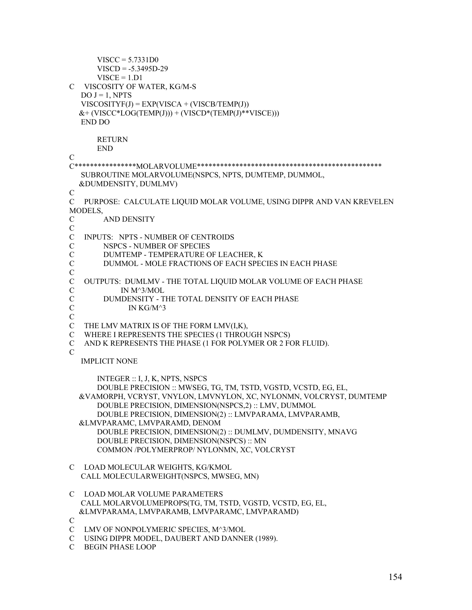```
VISCC = 5.7331D0VISCD = -5.3495D-29VISCE = 1.D1C VISCOSITY OF WATER, KG/M-S 
  DO J = 1, NPTSVISCOSITYF(J) = EXP(VISCA + (VISCB/TEMP(J)))&+(VISCC*LOG(TEMP(J)))+(VISCD*(TEMP(J)**VISCE))) END DO 
       RETURN 
       END 
C 
C****************MOLARVOLUME************************************************ 
   SUBROUTINE MOLARVOLUME(NSPCS, NPTS, DUMTEMP, DUMMOL, 
   &DUMDENSITY, DUMLMV) 
\mathcal{C}C PURPOSE: CALCULATE LIQUID MOLAR VOLUME, USING DIPPR AND VAN KREVELEN 
MODELS, 
C AND DENSITY 
C 
C INPUTS: NPTS - NUMBER OF CENTROIDS 
C NSPCS - NUMBER OF SPECIES 
C DUMTEMP - TEMPERATURE OF LEACHER, K<br>C DUMMOL - MOLE FRACTIONS OF EACH SPEC
        DUMMOL - MOLE FRACTIONS OF EACH SPECIES IN EACH PHASE
\overline{C}C OUTPUTS: DUMLMV - THE TOTAL LIQUID MOLAR VOLUME OF EACH PHASE 
C IN M^3/MOL 
C DUMDENSITY - THE TOTAL DENSITY OF EACH PHASE 
C IN KG/M^3
C 
C THE LMV MATRIX IS OF THE FORM LMV(I,K), 
C WHERE I REPRESENTS THE SPECIES (1 THROUGH NSPCS) 
C AND K REPRESENTS THE PHASE (1 FOR POLYMER OR 2 FOR FLUID). 
\mathcal{C} IMPLICIT NONE 
       INTEGER :: I, J, K, NPTS, NSPCS 
       DOUBLE PRECISION :: MWSEG, TG, TM, TSTD, VGSTD, VCSTD, EG, EL, 
   &VAMORPH, VCRYST, VNYLON, LMVNYLON, XC, NYLONMN, VOLCRYST, DUMTEMP 
       DOUBLE PRECISION, DIMENSION(NSPCS,2) :: LMV, DUMMOL 
       DOUBLE PRECISION, DIMENSION(2) :: LMVPARAMA, LMVPARAMB, 
   &LMVPARAMC, LMVPARAMD, DENOM 
       DOUBLE PRECISION, DIMENSION(2) :: DUMLMV, DUMDENSITY, MNAVG 
       DOUBLE PRECISION, DIMENSION(NSPCS) :: MN 
       COMMON /POLYMERPROP/ NYLONMN, XC, VOLCRYST 
C LOAD MOLECULAR WEIGHTS, KG/KMOL 
   CALL MOLECULARWEIGHT(NSPCS, MWSEG, MN) 
C LOAD MOLAR VOLUME PARAMETERS 
   CALL MOLARVOLUMEPROPS(TG, TM, TSTD, VGSTD, VCSTD, EG, EL, 
   &LMVPARAMA, LMVPARAMB, LMVPARAMC, LMVPARAMD) 
C 
C LMV OF NONPOLYMERIC SPECIES, M^3/MOL 
C USING DIPPR MODEL, DAUBERT AND DANNER (1989). 
C BEGIN PHASE LOOP
```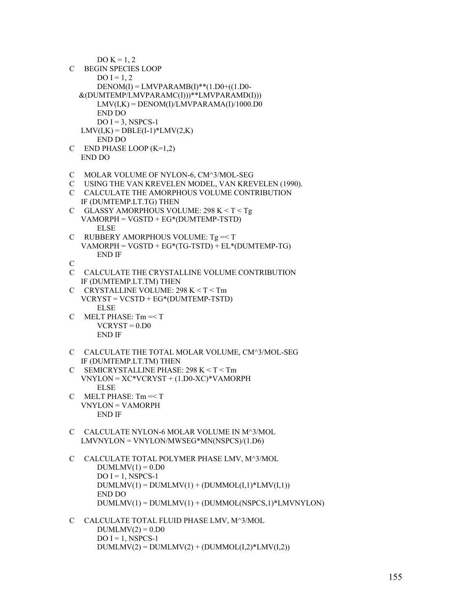DO  $K = 1, 2$ C BEGIN SPECIES LOOP  $DO I = 1, 2$  $DENOM(I) = LMVPARAMB(I)**$ (1.D0+((1.D0- &(DUMTEMP/LMVPARAMC(I)))\*\*LMVPARAMD(I)))  $LMV(I,K) = DENOM(I)/LMVPARAMA(I)/1000.D0$  END DO  $DO I = 3$ , NSPCS-1  $LMV(I,K) = DBLE(I-1)*LMV(2,K)$  END DO C END PHASE LOOP (K=1,2) END DO C MOLAR VOLUME OF NYLON-6, CM^3/MOL-SEG C USING THE VAN KREVELEN MODEL, VAN KREVELEN (1990). C CALCULATE THE AMORPHOUS VOLUME CONTRIBUTION IF (DUMTEMP.LT.TG) THEN C GLASSY AMORPHOUS VOLUME: 298 K < T < Tg VAMORPH = VGSTD + EG\*(DUMTEMP-TSTD) ELSE C RUBBERY AMORPHOUS VOLUME:  $Tg = T$  VAMORPH = VGSTD + EG\*(TG-TSTD) + EL\*(DUMTEMP-TG) END IF C C CALCULATE THE CRYSTALLINE VOLUME CONTRIBUTION IF (DUMTEMP.LT.TM) THEN C CRYSTALLINE VOLUME: 298 K < T < Tm VCRYST = VCSTD + EG\*(DUMTEMP-TSTD) ELSE C MELT PHASE: Tm =< T  $VCRYST = 0.$ D $0.$  END IF C CALCULATE THE TOTAL MOLAR VOLUME, CM^3/MOL-SEG IF (DUMTEMP.LT.TM) THEN C SEMICRYSTALLINE PHASE: 298 K < T < Tm VNYLON = XC\*VCRYST + (1.D0-XC)\*VAMORPH ELSE  $C$  MELT PHASE:  $Tm = T$  VNYLON = VAMORPH END IF C CALCULATE NYLON-6 MOLAR VOLUME IN M^3/MOL LMVNYLON = VNYLON/MWSEG\*MN(NSPCS)/(1.D6) C CALCULATE TOTAL POLYMER PHASE LMV, M^3/MOL  $DUMLMV(1) = 0.$  $D0$  $DO I = 1$ , NSPCS-1  $DUMLMV(1) = DUMLMV(1) + (DUMMOL(I,1)*LMV(I,1))$  END DO DUMLMV(1) = DUMLMV(1) + (DUMMOL(NSPCS,1)\*LMVNYLON) C CALCULATE TOTAL FLUID PHASE LMV, M^3/MOL  $DUMLMV(2) = 0.D0$ 

 $DO I = 1$ , NSPCS-1  $DUMLMV(2) = DUMLMV(2) + (DUMMOL(I,2)*LMV(I,2))$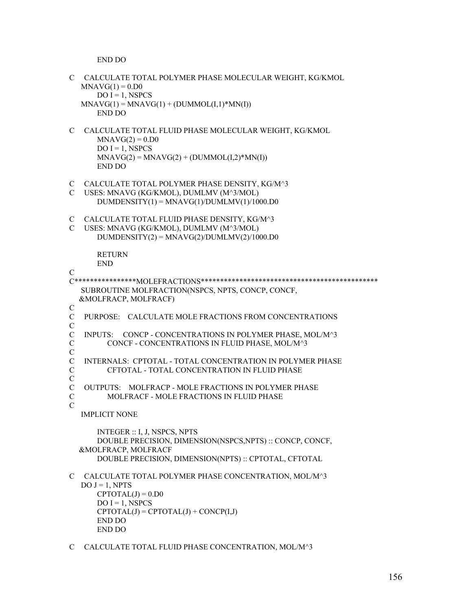END DO

```
C CALCULATE TOTAL POLYMER PHASE MOLECULAR WEIGHT, KG/KMOL 
  MNAG(1) = 0.D0
      DO I = 1, NSPCS
  MNAVG(1) = MNAVG(1) + (DUMMOL(I,1)*MN(I)) END DO 
C CALCULATE TOTAL FLUID PHASE MOLECULAR WEIGHT, KG/KMOL 
      MNAVG(2) = 0.D0
      DO I = 1, NSPCS
      MNAVG(2) = MNAVG(2) + (DUMMOL(I,2)*MN(I)) END DO 
C CALCULATE TOTAL POLYMER PHASE DENSITY, KG/M^3 
C USES: MNAVG (KG/KMOL), DUMLMV (M^3/MOL) 
      DUMDENSITY(1) = MNAVG(1)/DUMLMV(1)/1000.D0C CALCULATE TOTAL FLUID PHASE DENSITY, KG/M^3 
C USES: MNAVG (KG/KMOL), DUMLMV (M^3/MOL) 
      DUMDENSITY(2) = MNAVG(2)/DUMLMV(2)/1000.D0 RETURN 
       END 
\overline{C}C****************MOLEFRACTIONS********************************************** 
   SUBROUTINE MOLFRACTION(NSPCS, NPTS, CONCP, CONCF, 
   &MOLFRACP, MOLFRACF) 
{\bf C}C PURPOSE: CALCULATE MOLE FRACTIONS FROM CONCENTRATIONS 
\mathcal{C}C INPUTS: CONCP - CONCENTRATIONS IN POLYMER PHASE, MOL/M^3 
C CONCF - CONCENTRATIONS IN FLUID PHASE, MOL/M^3 
\overline{C}C INTERNALS: CPTOTAL - TOTAL CONCENTRATION IN POLYMER PHASE 
C CFTOTAL - TOTAL CONCENTRATION IN FLUID PHASE 
\mathcal{C}C OUTPUTS: MOLFRACP - MOLE FRACTIONS IN POLYMER PHASE 
C MOLFRACF - MOLE FRACTIONS IN FLUID PHASE 
\mathcal{C} IMPLICIT NONE 
       INTEGER :: I, J, NSPCS, NPTS 
       DOUBLE PRECISION, DIMENSION(NSPCS,NPTS) :: CONCP, CONCF, 
   &MOLFRACP, MOLFRACF 
       DOUBLE PRECISION, DIMENSION(NPTS) :: CPTOTAL, CFTOTAL 
C CALCULATE TOTAL POLYMER PHASE CONCENTRATION, MOL/M^3 
  DO J = 1, NPTSCPTOTAL(J) = 0.D0
      DO I = 1, NSPCS
      CPTOTAL(J) = CPTOTAL(J) + CONCP(I,J) END DO 
       END DO
```

```
C CALCULATE TOTAL FLUID PHASE CONCENTRATION, MOL/M^3
```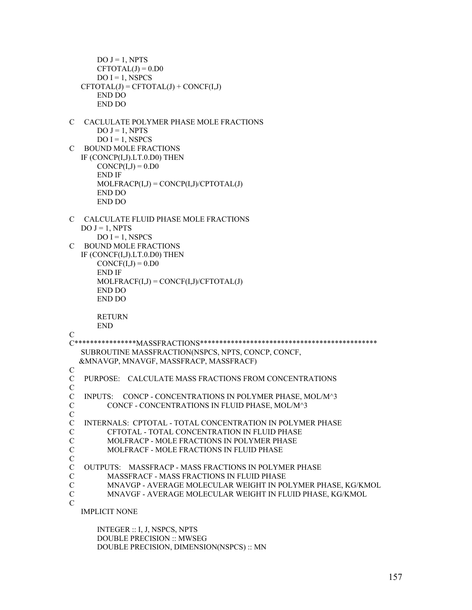```
DO J = 1, NPTSCFTOTAL(J) = 0.D0
      DO I = 1, NSPCS
  CFTOTAL(J) = CFTOTAL(J) + CONCF(I,J) END DO 
       END DO 
C CACLULATE POLYMER PHASE MOLE FRACTIONS 
      DO J = 1, NPTSDO I = 1, NSPCS
C BOUND MOLE FRACTIONS 
   IF (CONCP(I,J).LT.0.D0) THEN 
      CONCP(I,J) = 0.D0 END IF 
      MOLFRACP(I,J) = CONCP(I,J)/CPTOTAL(J) END DO 
       END DO 
C CALCULATE FLUID PHASE MOLE FRACTIONS 
  DO J = 1, NPTSDO I = 1, NSPCS
C BOUND MOLE FRACTIONS 
   IF (CONCF(I,J).LT.0.D0) THEN 
      CONCF(I,J) = 0.D0 END IF 
      MOLFRACF(I,J) = CONCF(I,J)/CFTOTAL(J) END DO 
       END DO 
       RETURN 
       END 
C 
C****************MASSFRACTIONS********************************************** 
   SUBROUTINE MASSFRACTION(NSPCS, NPTS, CONCP, CONCF, 
   &MNAVGP, MNAVGF, MASSFRACP, MASSFRACF) 
C 
C PURPOSE: CALCULATE MASS FRACTIONS FROM CONCENTRATIONS 
C 
C INPUTS: CONCP - CONCENTRATIONS IN POLYMER PHASE, MOL/M^3 
C CONCF - CONCENTRATIONS IN FLUID PHASE, MOL/M^3 
C 
C INTERNALS: CPTOTAL - TOTAL CONCENTRATION IN POLYMER PHASE 
C CFTOTAL - TOTAL CONCENTRATION IN FLUID PHASE 
C MOLFRACP - MOLE FRACTIONS IN POLYMER PHASE 
C MOLFRACF - MOLE FRACTIONS IN FLUID PHASE 
C 
C OUTPUTS: MASSFRACP - MASS FRACTIONS IN POLYMER PHASE 
C MASSFRACF - MASS FRACTIONS IN FLUID PHASE 
C MNAVGP - AVERAGE MOLECULAR WEIGHT IN POLYMER PHASE, KG/KMOL 
C MNAVGF - AVERAGE MOLECULAR WEIGHT IN FLUID PHASE, KG/KMOL 
\mathcal{C} IMPLICIT NONE
```
 INTEGER :: I, J, NSPCS, NPTS DOUBLE PRECISION :: MWSEG DOUBLE PRECISION, DIMENSION(NSPCS) :: MN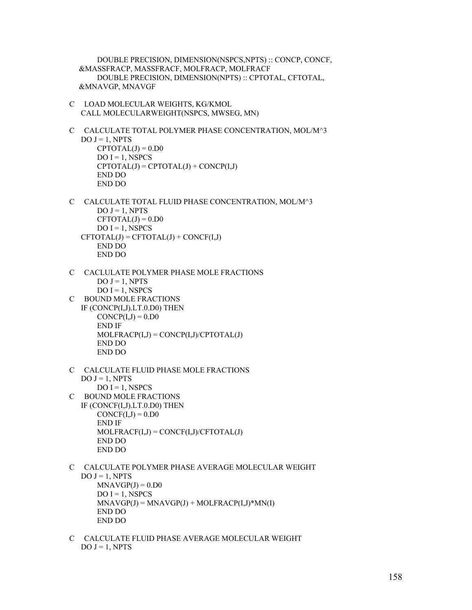DOUBLE PRECISION, DIMENSION(NSPCS,NPTS) :: CONCP, CONCF, &MASSFRACP, MASSFRACF, MOLFRACP, MOLFRACF DOUBLE PRECISION, DIMENSION(NPTS) :: CPTOTAL, CFTOTAL, &MNAVGP, MNAVGF

- C LOAD MOLECULAR WEIGHTS, KG/KMOL CALL MOLECULARWEIGHT(NSPCS, MWSEG, MN)
- C CALCULATE TOTAL POLYMER PHASE CONCENTRATION, MOL/M^3  $DO J = 1, NPTS$  $CPTOTAL(J) = 0. D0$  $DO I = 1$ , NSPCS  $CPTOTAL(J) = CPTOTAL(J) + CONCP(I, J)$  END DO END DO
- C CALCULATE TOTAL FLUID PHASE CONCENTRATION, MOL/M^3  $DO J = 1, NPTS$  $CFTOTAL(J) = 0. D0$  $DO I = 1$ , NSPCS  $CFTOTAL(J) = CFTOTAL(J) + CONCF(I,J)$  END DO END DO
- C CACLULATE POLYMER PHASE MOLE FRACTIONS  $DO J = 1, NPTS$  $DO I = 1$ , NSPCS
- C BOUND MOLE FRACTIONS IF (CONCP(I,J).LT.0.D0) THEN  $CONCP(I,J) = 0.D0$  END IF  $MOLFRACP(I,J) = CONCP(I,J)/CPTOTAL(J)$  END DO END DO
- C CALCULATE FLUID PHASE MOLE FRACTIONS  $DO J = 1, NPTS$  $DO I = 1$ , NSPCS C BOUND MOLE FRACTIONS
- IF (CONCF(I,J).LT.0.D0) THEN  $CONCF(I,J) = 0.D0$  END IF  $MOLFRACF(I,J) = CONCF(I,J)/CFTOTAL(J)$  END DO END DO
- C CALCULATE POLYMER PHASE AVERAGE MOLECULAR WEIGHT  $DO J = 1$ , NPTS  $MNAP(J) = 0.$ D0  $DO I = 1$ , NSPCS  $MNAYGP(J) = MNAYGP(J) + MOLFRACP(I,J)*MN(I)$  END DO END DO
- C CALCULATE FLUID PHASE AVERAGE MOLECULAR WEIGHT  $DO J = 1, NPTS$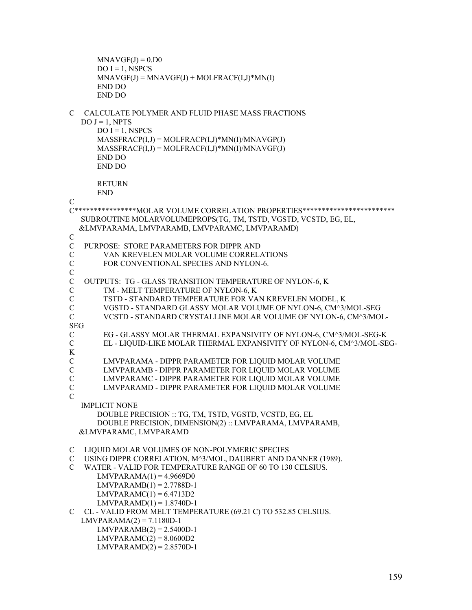```
MNAYGF(J) = 0. D0DO I = 1, NSPCS
      MNAYGF(J) = MNAVGF(J) + MOLFRACF(I,J)*MN(I) END DO 
       END DO 
C CALCULATE POLYMER AND FLUID PHASE MASS FRACTIONS 
  DO J = 1, NPTSDO I = 1, NSPCS
      MASSFRACP(I,J) = MOLFRACP(I,J)*MN(I)/MNAVGP(J)MASSFRACF(I,J) = MOLFRACF(I,J)*MN(I)/MNAVGF(J) END DO 
       END DO 
       RETURN 
       END 
\mathcal{C}C****************MOLAR VOLUME CORRELATION PROPERTIES************************ 
   SUBROUTINE MOLARVOLUMEPROPS(TG, TM, TSTD, VGSTD, VCSTD, EG, EL, 
   &LMVPARAMA, LMVPARAMB, LMVPARAMC, LMVPARAMD) 
C 
C PURPOSE: STORE PARAMETERS FOR DIPPR AND 
C VAN KREVELEN MOLAR VOLUME CORRELATIONS<br>C FOR CONVENTIONAL SPECIES AND NYLON-6.
       FOR CONVENTIONAL SPECIES AND NYLON-6.
\overline{C}C OUTPUTS: TG - GLASS TRANSITION TEMPERATURE OF NYLON-6, K 
C TM - MELT TEMPERATURE OF NYLON-6, K 
C TSTD - STANDARD TEMPERATURE FOR VAN KREVELEN MODEL, K 
C VGSTD - STANDARD GLASSY MOLAR VOLUME OF NYLON-6, CM^3/MOL-SEG 
C VCSTD - STANDARD CRYSTALLINE MOLAR VOLUME OF NYLON-6, CM^3/MOL-
SEG 
C EG - GLASSY MOLAR THERMAL EXPANSIVITY OF NYLON-6, CM^3/MOL-SEG-K 
C EL - LIQUID-LIKE MOLAR THERMAL EXPANSIVITY OF NYLON-6, CM^3/MOL-SEG-
K 
C LMVPARAMA - DIPPR PARAMETER FOR LIQUID MOLAR VOLUME 
       LMVPARAMB - DIPPR PARAMETER FOR LIOUID MOLAR VOLUME
C LMVPARAMC - DIPPR PARAMETER FOR LIQUID MOLAR VOLUME 
C LMVPARAMD - DIPPR PARAMETER FOR LIQUID MOLAR VOLUME 
\mathcal{C} IMPLICIT NONE 
       DOUBLE PRECISION :: TG, TM, TSTD, VGSTD, VCSTD, EG, EL 
       DOUBLE PRECISION, DIMENSION(2) :: LMVPARAMA, LMVPARAMB, 
   &LMVPARAMC, LMVPARAMD 
C LIQUID MOLAR VOLUMES OF NON-POLYMERIC SPECIES 
C USING DIPPR CORRELATION, M^3/MOL, DAUBERT AND DANNER (1989). 
C WATER - VALID FOR TEMPERATURE RANGE OF 60 TO 130 CELSIUS. 
      LMVPARAMA(1) = 4.9669D0LMVPARAMB(1) = 2.7788D-1LMVPARAMC(1) = 6.4713D2LMVPARAMD(1) = 1.8740D-1C CL - VALID FROM MELT TEMPERATURE (69.21 C) TO 532.85 CELSIUS. 
  LMVPARAMA(2) = 7.1180D-1LMVPARAMB(2) = 2.5400D-1LMVPARAMC(2) = 8.0600D2LMVPARAMD(2) = 2.8570D-1
```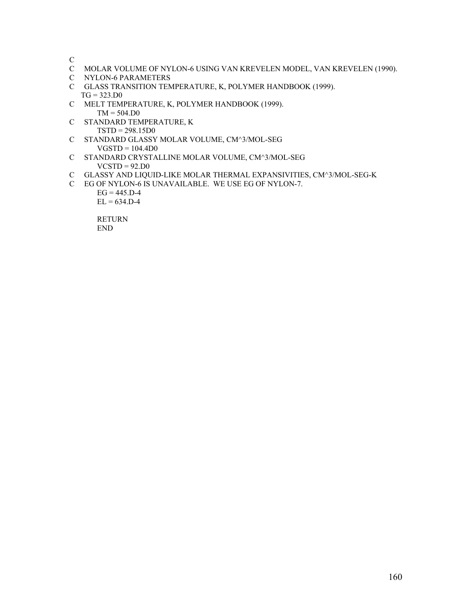C

- C MOLAR VOLUME OF NYLON-6 USING VAN KREVELEN MODEL, VAN KREVELEN (1990).
- C NYLON-6 PARAMETERS
- C GLASS TRANSITION TEMPERATURE, K, POLYMER HANDBOOK (1999).  $TG = 323.D0$
- C MELT TEMPERATURE, K, POLYMER HANDBOOK (1999).  $TM = 504.D0$
- C STANDARD TEMPERATURE, K TSTD = 298.15D0
- C STANDARD GLASSY MOLAR VOLUME, CM^3/MOL-SEG  $VGSTD = 104.4D0$
- C STANDARD CRYSTALLINE MOLAR VOLUME, CM^3/MOL-SEG  $VCSTD = 92.D0$
- C GLASSY AND LIQUID-LIKE MOLAR THERMAL EXPANSIVITIES, CM^3/MOL-SEG-K
- C EG OF NYLON-6 IS UNAVAILABLE. WE USE EG OF NYLON-7.

 $EG = 445.D-4$  $EL = 634.D-4$ 

 RETURN END